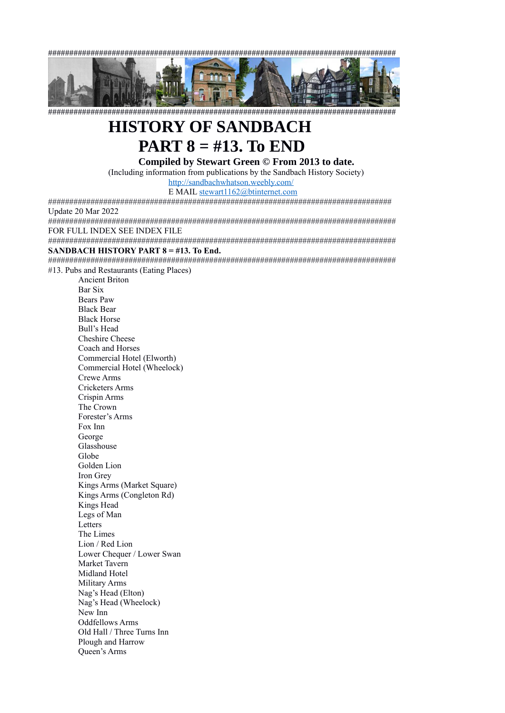##################################################################################



##################################################################################

# **HISTORY OF SANDBACH**

**PART 8 = #13. To END**

**Compiled by Stewart Green © From 2013 to date.** 

(Including information from publications by the Sandbach History Society)

<http://sandbachwhatson.weebly.com/>

E MAIL [stewart1162@btinternet.com](mailto:stewart1162@btinternet.com)

################################################################################# Update 20 Mar 2022

################################################################################## FOR FULL INDEX SEE INDEX FILE

##################################################################################

#### **SANDBACH HISTORY PART 8 = #13. To End.**

##################################################################################

#13. Pubs and Restaurants (Eating Places) Ancient Briton Bar Six

 Bears Paw Black Bear Black Horse Bull's Head Cheshire Cheese Coach and Horses Commercial Hotel (Elworth) Commercial Hotel (Wheelock) Crewe Arms Cricketers Arms Crispin Arms The Crown Forester's Arms Fox Inn George Glasshouse Globe Golden Lion Iron Grey Kings Arms (Market Square) Kings Arms (Congleton Rd) Kings Head Legs of Man **Letters**  The Limes Lion / Red Lion Lower Chequer / Lower Swan Market Tavern Midland Hotel Military Arms Nag's Head (Elton) Nag's Head (Wheelock) New Inn Oddfellows Arms Old Hall / Three Turns Inn Plough and Harrow Queen's Arms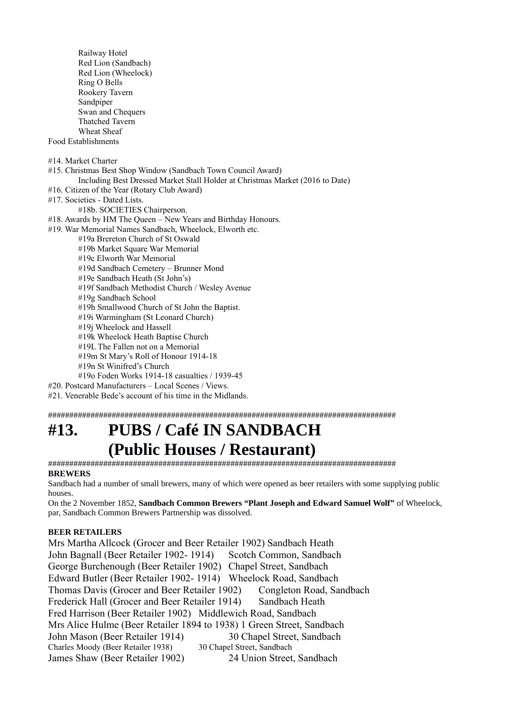Railway Hotel Red Lion (Sandbach) Red Lion (Wheelock) Ring O Bells Rookery Tavern Sandpiper Swan and Chequers Thatched Tavern Wheat Sheaf Food Establishments #14. Market Charter #15. Christmas Best Shop Window (Sandbach Town Council Award) Including Best Dressed Market Stall Holder at Christmas Market (2016 to Date) #16. Citizen of the Year (Rotary Club Award) #17. Societies - Dated Lists. #18b. SOCIETIES Chairperson. #18. Awards by HM The Queen – New Years and Birthday Honours. #19. War Memorial Names Sandbach, Wheelock, Elworth etc. #19a Brereton Church of St Oswald #19b Market Square War Memorial #19c Elworth War Memorial #19d Sandbach Cemetery – Brunner Mond #19e Sandbach Heath (St John's) #19f Sandbach Methodist Church / Wesley Avenue #19g Sandbach School #19h Smallwood Church of St John the Baptist. #19i Warmingham (St Leonard Church) #19j Wheelock and Hassell #19k Wheelock Heath Baptise Church #19L The Fallen not on a Memorial #19m St Mary's Roll of Honour 1914-18 #19n St Winifred's Church #19o Foden Works 1914-18 casualties / 1939-45

#20. Postcard Manufacturers – Local Scenes / Views.

#21. Venerable Bede's account of his time in the Midlands.

##################################################################################

# **#13. PUBS / Café IN SANDBACH (Public Houses / Restaurant)**

################################################################################## **BREWERS** 

Sandbach had a number of small brewers, many of which were opened as beer retailers with some supplying public houses.

On the 2 November 1852, **Sandbach Common Brewers "Plant Joseph and Edward Samuel Wolf"** of Wheelock, par, Sandbach Common Brewers Partnership was dissolved.

#### **BEER RETAILERS**

Mrs Martha Allcock (Grocer and Beer Retailer 1902) Sandbach Heath John Bagnall (Beer Retailer 1902- 1914) Scotch Common, Sandbach George Burchenough (Beer Retailer 1902) Chapel Street, Sandbach Edward Butler (Beer Retailer 1902- 1914) Wheelock Road, Sandbach Thomas Davis (Grocer and Beer Retailer 1902) Congleton Road, Sandbach Frederick Hall (Grocer and Beer Retailer 1914) Sandbach Heath Fred Harrison (Beer Retailer 1902) Middlewich Road, Sandbach Mrs Alice Hulme (Beer Retailer 1894 to 1938) 1 Green Street, Sandbach John Mason (Beer Retailer 1914) 30 Chapel Street, Sandbach<br>Charles Moody (Beer Retailer 1938) 30 Chapel Street, Sandbach Charles Moody (Beer Retailer 1938) James Shaw (Beer Retailer 1902) 24 Union Street, Sandbach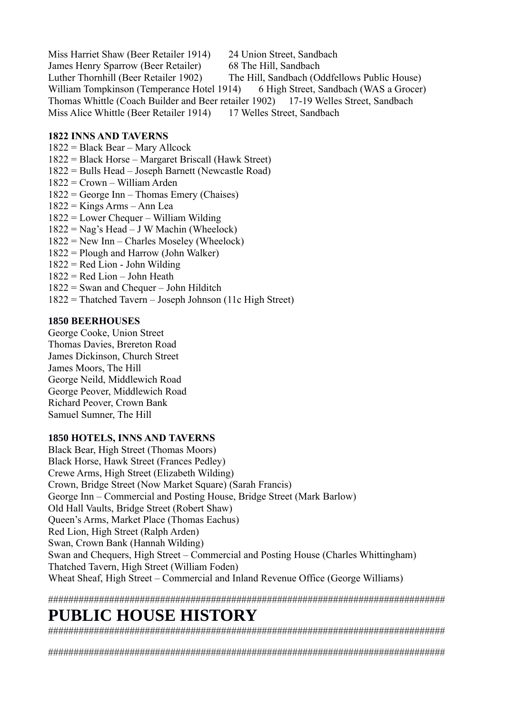Miss Harriet Shaw (Beer Retailer 1914) 24 Union Street, Sandbach James Henry Sparrow (Beer Retailer) 68 The Hill, Sandbach Luther Thornhill (Beer Retailer 1902) The Hill, Sandbach (Oddfellows Public House) William Tompkinson (Temperance Hotel 1914) 6 High Street, Sandbach (WAS a Grocer) Thomas Whittle (Coach Builder and Beer retailer 1902) 17-19 Welles Street, Sandbach Miss Alice Whittle (Beer Retailer 1914) 17 Welles Street, Sandbach

#### **1822 INNS AND TAVERNS**

- 1822 = Black Bear Mary Allcock
- 1822 = Black Horse Margaret Briscall (Hawk Street)
- 1822 = Bulls Head Joseph Barnett (Newcastle Road)
- 1822 = Crown William Arden
- 1822 = George Inn Thomas Emery (Chaises)
- 1822 = Kings Arms Ann Lea
- 1822 = Lower Chequer William Wilding
- $1822 =$  Nag's Head J W Machin (Wheelock)
- 1822 = New Inn Charles Moseley (Wheelock)
- 1822 = Plough and Harrow (John Walker)
- $1822$  = Red Lion John Wilding
- $1822$  = Red Lion John Heath
- 1822 = Swan and Chequer John Hilditch
- 1822 = Thatched Tavern Joseph Johnson (11c High Street)

#### **1850 BEERHOUSES**

George Cooke, Union Street Thomas Davies, Brereton Road James Dickinson, Church Street James Moors, The Hill George Neild, Middlewich Road George Peover, Middlewich Road Richard Peover, Crown Bank Samuel Sumner, The Hill

#### **1850 HOTELS, INNS AND TAVERNS**

Black Bear, High Street (Thomas Moors) Black Horse, Hawk Street (Frances Pedley) Crewe Arms, High Street (Elizabeth Wilding) Crown, Bridge Street (Now Market Square) (Sarah Francis) George Inn – Commercial and Posting House, Bridge Street (Mark Barlow) Old Hall Vaults, Bridge Street (Robert Shaw) Queen's Arms, Market Place (Thomas Eachus) Red Lion, High Street (Ralph Arden) Swan, Crown Bank (Hannah Wilding) Swan and Chequers, High Street – Commercial and Posting House (Charles Whittingham) Thatched Tavern, High Street (William Foden) Wheat Sheaf, High Street – Commercial and Inland Revenue Office (George Williams)

##############################################################################

# **PUBLIC HOUSE HISTORY**

##############################################################################

##############################################################################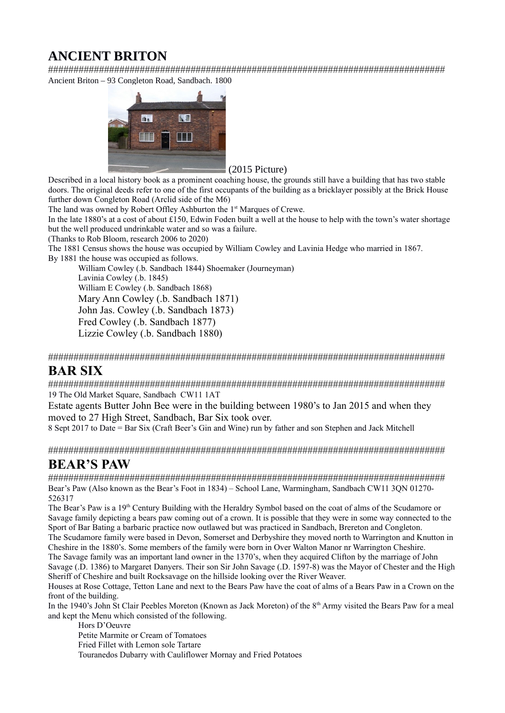# **ANCIENT BRITON**

############################################################################## Ancient Briton – 93 Congleton Road, Sandbach. 1800



#### (2015 Picture)

Described in a local history book as a prominent coaching house, the grounds still have a building that has two stable doors. The original deeds refer to one of the first occupants of the building as a bricklayer possibly at the Brick House further down Congleton Road (Arclid side of the M6)

The land was owned by Robert Offley Ashburton the 1<sup>st</sup> Marques of Crewe.

In the late 1880's at a cost of about £150, Edwin Foden built a well at the house to help with the town's water shortage but the well produced undrinkable water and so was a failure.

(Thanks to Rob Bloom, research 2006 to 2020)

The 1881 Census shows the house was occupied by William Cowley and Lavinia Hedge who married in 1867.

By 1881 the house was occupied as follows.

 William Cowley (.b. Sandbach 1844) Shoemaker (Journeyman) Lavinia Cowley (.b. 1845) William E Cowley (.b. Sandbach 1868) Mary Ann Cowley (.b. Sandbach 1871) John Jas. Cowley (.b. Sandbach 1873) Fred Cowley (.b. Sandbach 1877) Lizzie Cowley (.b. Sandbach 1880)

##############################################################################

#### **BAR SIX**

############################################################################## 19 The Old Market Square, Sandbach CW11 1AT

Estate agents Butter John Bee were in the building between 1980's to Jan 2015 and when they moved to 27 High Street, Sandbach, Bar Six took over.

8 Sept 2017 to Date = Bar Six (Craft Beer's Gin and Wine) run by father and son Stephen and Jack Mitchell

##############################################################################

### **BEAR'S PAW**

############################################################################## Bear's Paw (Also known as the Bear's Foot in 1834) – School Lane, Warmingham, Sandbach CW11 3QN 01270- 526317

The Bear's Paw is a 19<sup>th</sup> Century Building with the Heraldry Symbol based on the coat of alms of the Scudamore or Savage family depicting a bears paw coming out of a crown. It is possible that they were in some way connected to the Sport of Bar Bating a barbaric practice now outlawed but was practiced in Sandbach, Brereton and Congleton. The Scudamore family were based in Devon, Somerset and Derbyshire they moved north to Warrington and Knutton in

Cheshire in the 1880's. Some members of the family were born in Over Walton Manor nr Warrington Cheshire. The Savage family was an important land owner in the 1370's, when they acquired Clifton by the marriage of John

Savage (.D. 1386) to Margaret Danyers. Their son Sir John Savage (.D. 1597-8) was the Mayor of Chester and the High Sheriff of Cheshire and built Rocksavage on the hillside looking over the River Weaver.

Houses at Rose Cottage, Tetton Lane and next to the Bears Paw have the coat of alms of a Bears Paw in a Crown on the front of the building.

In the 1940's John St Clair Peebles Moreton (Known as Jack Moreton) of the 8<sup>th</sup> Army visited the Bears Paw for a meal and kept the Menu which consisted of the following.

Hors D'Oeuvre Petite Marmite or Cream of Tomatoes Fried Fillet with Lemon sole Tartare Touranedos Dubarry with Cauliflower Mornay and Fried Potatoes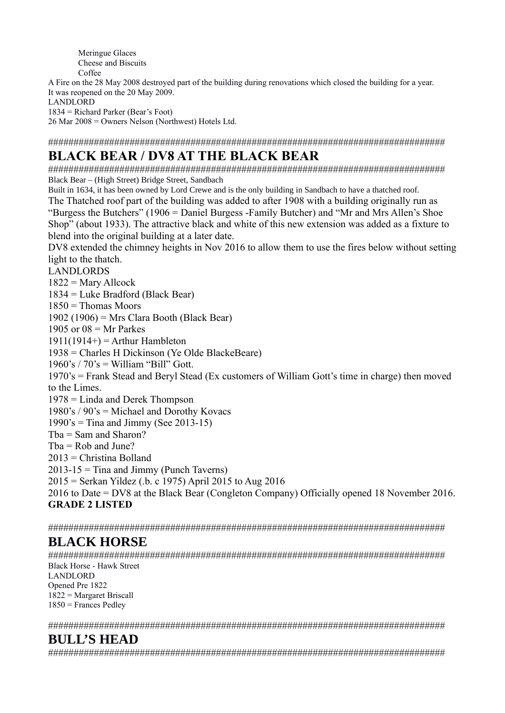Meringue Glaces Cheese and Biscuits Coffee

A Fire on the 28 May 2008 destroyed part of the building during renovations which closed the building for a year. It was reopened on the 20 May 2009.

LANDLORD

1834 = Richard Parker (Bear's Foot)

26 Mar 2008 = Owners Nelson (Northwest) Hotels Ltd.

##############################################################################

# **BLACK BEAR / DV8 AT THE BLACK BEAR**

############################################################################## Black Bear – (High Street) Bridge Street, Sandbach

Built in 1634, it has been owned by Lord Crewe and is the only building in Sandbach to have a thatched roof. The Thatched roof part of the building was added to after 1908 with a building originally run as "Burgess the Butchers" (1906 = Daniel Burgess -Family Butcher) and "Mr and Mrs Allen's Shoe Shop" (about 1933). The attractive black and white of this new extension was added as a fixture to blend into the original building at a later date.

DV8 extended the chimney heights in Nov 2016 to allow them to use the fires below without setting light to the thatch.

LANDLORDS

 $1822$  = Mary Allcock

1834 = Luke Bradford (Black Bear)

 $1850$  = Thomas Moors

1902 (1906) = Mrs Clara Booth (Black Bear)

1905 or  $08 = Mr$  Parkes

 $1911(1914+) =$  Arthur Hambleton

1938 = Charles H Dickinson (Ye Olde BlackeBeare)

 $1960's / 70's = William "Bill" Gott.$ 

1970's = Frank Stead and Beryl Stead (Ex customers of William Gott's time in charge) then moved to the Limes.

1978 = Linda and Derek Thompson

 $1980's / 90's = Michael and Dorothy Kovacs$ 

 $1990's =$  Tina and Jimmy (See 2013-15)

Tba = Sam and Sharon?

 $Tba = Rob$  and June?

2013 = Christina Bolland

 $2013-15$  = Tina and Jimmy (Punch Taverns)

2015 = Serkan Yildez (.b. c 1975) April 2015 to Aug 2016

2016 to Date = DV8 at the Black Bear (Congleton Company) Officially opened 18 November 2016. **GRADE 2 LISTED** 

##############################################################################

### **BLACK HORSE**

############################################################################## Black Horse - Hawk Street LANDLORD Opened Pre 1822 1822 = Margaret Briscall 1850 = Frances Pedley

##############################################################################

### **BULL'S HEAD**

##############################################################################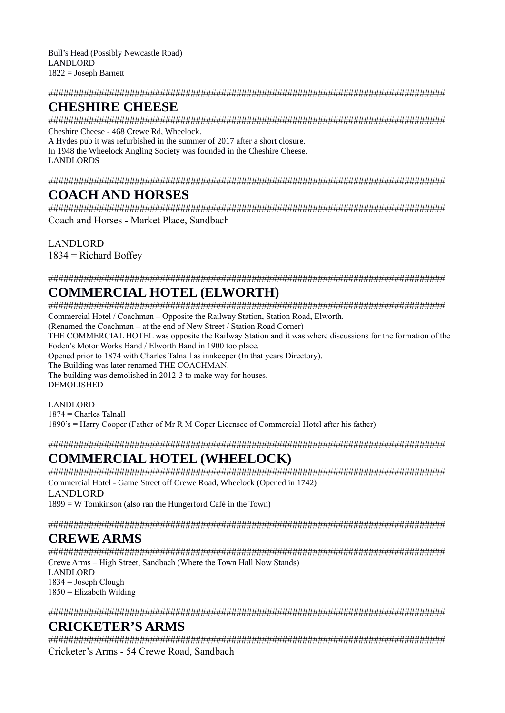Bull's Head (Possibly Newcastle Road) LANDLORD 1822 = Joseph Barnett

#### ##############################################################################

# **CHESHIRE CHEESE**

############################################################################## Cheshire Cheese - 468 Crewe Rd, Wheelock.

A Hydes pub it was refurbished in the summer of 2017 after a short closure. In 1948 the Wheelock Angling Society was founded in the Cheshire Cheese. LANDLORDS

##############################################################################

# **COACH AND HORSES**

############################################################################## Coach and Horses - Market Place, Sandbach

LANDLORD

 $1834$  = Richard Boffey

##############################################################################

# **COMMERCIAL HOTEL (ELWORTH)**

##############################################################################

Commercial Hotel / Coachman – Opposite the Railway Station, Station Road, Elworth.

(Renamed the Coachman – at the end of New Street / Station Road Corner)

THE COMMERCIAL HOTEL was opposite the Railway Station and it was where discussions for the formation of the Foden's Motor Works Band / Elworth Band in 1900 too place.

Opened prior to 1874 with Charles Talnall as innkeeper (In that years Directory).

The Building was later renamed THE COACHMAN.

The building was demolished in 2012-3 to make way for houses. DEMOLISHED

#### LANDLORD 1874 = Charles Talnall

1890's = Harry Cooper (Father of Mr R M Coper Licensee of Commercial Hotel after his father)

##############################################################################

# **COMMERCIAL HOTEL (WHEELOCK)**

############################################################################## Commercial Hotel - Game Street off Crewe Road, Wheelock (Opened in 1742) LANDLORD

1899 = W Tomkinson (also ran the Hungerford Café in the Town)

##############################################################################

# **CREWE ARMS**

############################################################################## Crewe Arms – High Street, Sandbach (Where the Town Hall Now Stands) LANDLORD  $1834 = Joseph Cloud$ 

 $1850$  = Elizabeth Wilding

##############################################################################

# **CRICKETER'S ARMS**

############################################################################## Cricketer's Arms - 54 Crewe Road, Sandbach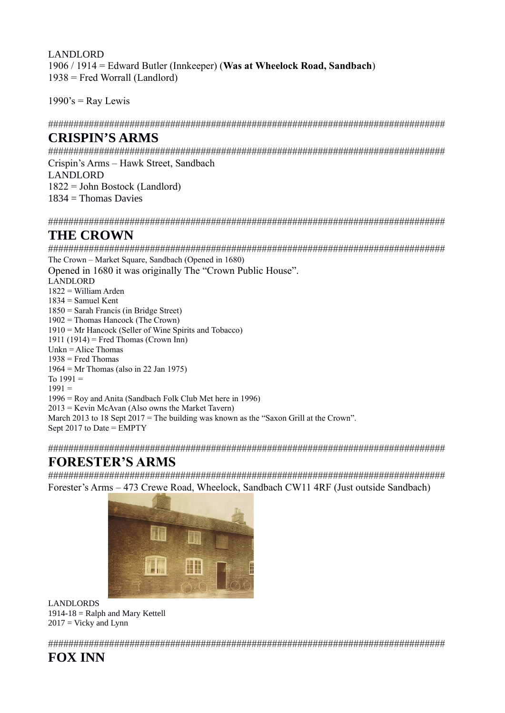LANDLORD 1906 / 1914 = Edward Butler (Innkeeper) (**Was at Wheelock Road, Sandbach**) 1938 = Fred Worrall (Landlord)

 $1990$ 's = Ray Lewis

##############################################################################

### **CRISPIN'S ARMS**

############################################################################## Crispin's Arms – Hawk Street, Sandbach

LANDLORD

1822 = John Bostock (Landlord)

1834 = Thomas Davies

##############################################################################

#### **THE CROWN**

############################################################################## The Crown – Market Square, Sandbach (Opened in 1680) Opened in 1680 it was originally The "Crown Public House". LANDLORD 1822 = William Arden 1834 = Samuel Kent 1850 = Sarah Francis (in Bridge Street) 1902 = Thomas Hancock (The Crown) 1910 = Mr Hancock (Seller of Wine Spirits and Tobacco) 1911 (1914) = Fred Thomas (Crown Inn) Unkn  $=$  Alice Thomas  $1938$  = Fred Thomas 1964 = Mr Thomas (also in 22 Jan 1975) To  $1991 =$  $1991 =$ 1996 = Roy and Anita (Sandbach Folk Club Met here in 1996)  $2013$  = Kevin McAvan (Also owns the Market Tavern) March 2013 to 18 Sept 2017 = The building was known as the "Saxon Grill at the Crown". Sept  $2017$  to Date = EMPTY

##############################################################################

# **FORESTER'S ARMS**

############################################################################## Forester's Arms – 473 Crewe Road, Wheelock, Sandbach CW11 4RF (Just outside Sandbach)



LANDLORDS 1914-18 = Ralph and Mary Kettell  $2017 = Vicky$  and Lynn

##############################################################################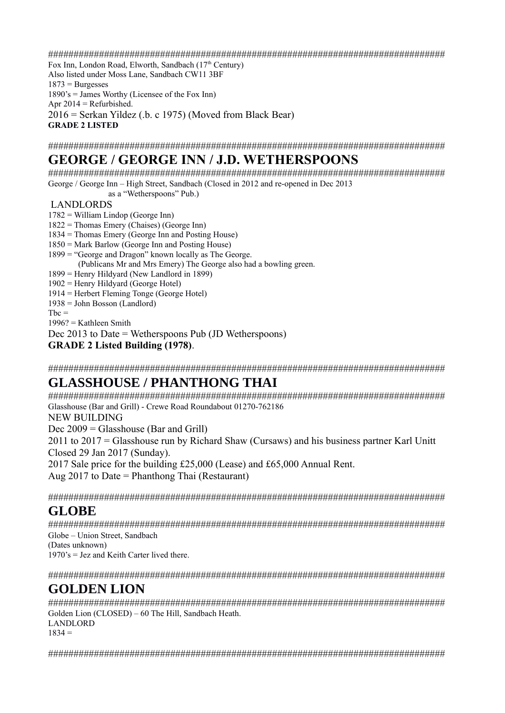##############################################################################

Fox Inn, London Road, Elworth, Sandbach (17<sup>th</sup> Century) Also listed under Moss Lane, Sandbach CW11 3BF  $1873$  = Burgesses 1890's = James Worthy (Licensee of the Fox Inn) Apr  $2014$  = Refurbished. 2016 = Serkan Yildez (.b. c 1975) (Moved from Black Bear) **GRADE 2 LISTED**

##############################################################################

### **GEORGE / GEORGE INN / J.D. WETHERSPOONS**

############################################################################## George / George Inn – High Street, Sandbach (Closed in 2012 and re-opened in Dec 2013

as a "Wetherspoons" Pub.)

#### LANDLORDS

- 1782 = William Lindop (George Inn)
- 1822 = Thomas Emery (Chaises) (George Inn)
- 1834 = Thomas Emery (George Inn and Posting House)
- 1850 = Mark Barlow (George Inn and Posting House)
- 1899 = "George and Dragon" known locally as The George.
- (Publicans Mr and Mrs Emery) The George also had a bowling green.
- 1899 = Henry Hildyard (New Landlord in 1899)
- 1902 = Henry Hildyard (George Hotel)
- 1914 = Herbert Fleming Tonge (George Hotel)
- $1938 =$  John Bosson (Landlord)
- $Tbc =$
- $1996?$  = Kathleen Smith
- Dec 2013 to Date = Wetherspoons Pub (JD Wetherspoons)
- **GRADE 2 Listed Building (1978)**.

##############################################################################

### **GLASSHOUSE / PHANTHONG THAI**

############################################################################## Glasshouse (Bar and Grill) - Crewe Road Roundabout 01270-762186 NEW BUILDING Dec 2009 = Glasshouse (Bar and Grill) 2011 to 2017 = Glasshouse run by Richard Shaw (Cursaws) and his business partner Karl Unitt Closed 29 Jan 2017 (Sunday). 2017 Sale price for the building £25,000 (Lease) and £65,000 Annual Rent. Aug 2017 to Date = Phanthong Thai (Restaurant)

##############################################################################

### **GLOBE**

############################################################################## Globe – Union Street, Sandbach (Dates unknown)  $1970$ 's = Jez and Keith Carter lived there.

##############################################################################

### **GOLDEN LION**

############################################################################## Golden Lion (CLOSED) – 60 The Hill, Sandbach Heath. LANDLORD  $1834 =$ 

##############################################################################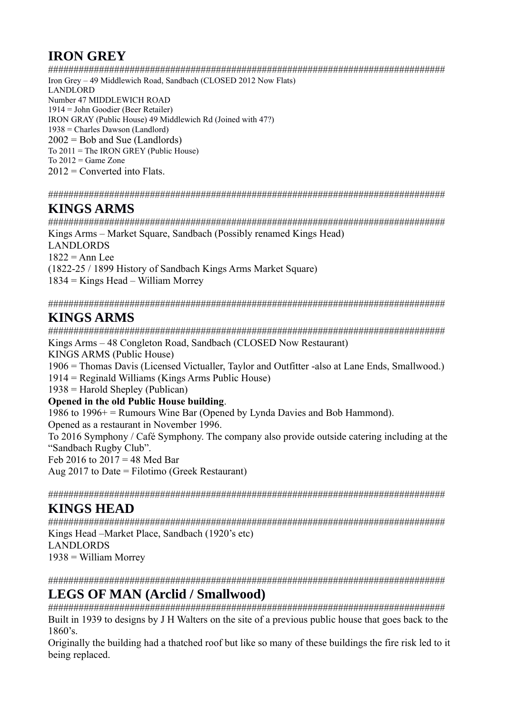# **IRON GREY**

############################################################################## Iron Grey – 49 Middlewich Road, Sandbach (CLOSED 2012 Now Flats) LANDLORD Number 47 MIDDLEWICH ROAD 1914 = John Goodier (Beer Retailer) IRON GRAY (Public House) 49 Middlewich Rd (Joined with 47?) 1938 = Charles Dawson (Landlord)  $2002 = Bob$  and Sue (Landlords) To  $2011$  = The IRON GREY (Public House) To  $2012$  = Game Zone  $2012$  = Converted into Flats.

##############################################################################

### **KINGS ARMS**

############################################################################## Kings Arms – Market Square, Sandbach (Possibly renamed Kings Head) LANDLORDS  $1822$  = Ann Lee (1822-25 / 1899 History of Sandbach Kings Arms Market Square) 1834 = Kings Head – William Morrey

##############################################################################

# **KINGS ARMS**

############################################################################## Kings Arms – 48 Congleton Road, Sandbach (CLOSED Now Restaurant) KINGS ARMS (Public House) 1906 = Thomas Davis (Licensed Victualler, Taylor and Outfitter -also at Lane Ends, Smallwood.) 1914 = Reginald Williams (Kings Arms Public House) 1938 = Harold Shepley (Publican) **Opened in the old Public House building**. 1986 to 1996+ = Rumours Wine Bar (Opened by Lynda Davies and Bob Hammond).

Opened as a restaurant in November 1996. To 2016 Symphony / Café Symphony. The company also provide outside catering including at the "Sandbach Rugby Club". Feb 2016 to  $2017 = 48$  Med Bar

Aug 2017 to Date = Filotimo (Greek Restaurant)

##############################################################################

### **KINGS HEAD**

############################################################################## Kings Head –Market Place, Sandbach (1920's etc) LANDLORDS  $1938 =$  William Morrey

##############################################################################

### **LEGS OF MAN (Arclid / Smallwood)**

############################################################################## Built in 1939 to designs by J H Walters on the site of a previous public house that goes back to the 1860's.

Originally the building had a thatched roof but like so many of these buildings the fire risk led to it being replaced.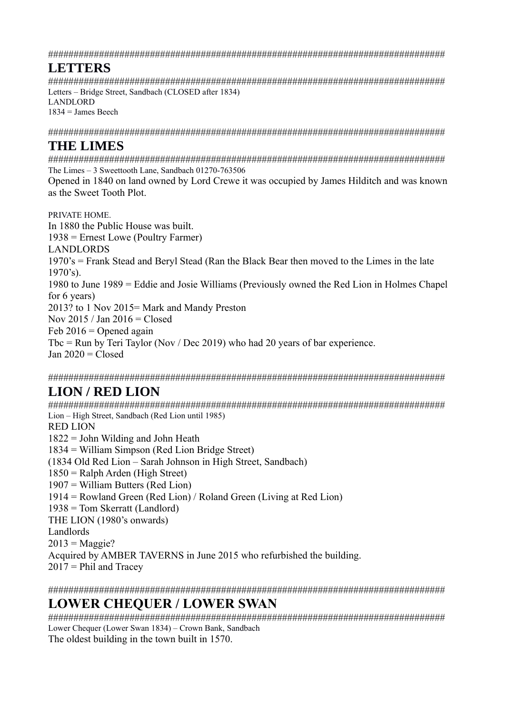##############################################################################

# **LETTERS**

############################################################################## Letters – Bridge Street, Sandbach (CLOSED after 1834) LANDLORD  $1834$  = James Beech

##############################################################################

### **THE LIMES**

############################################################################## The Limes – 3 Sweettooth Lane, Sandbach 01270-763506

Opened in 1840 on land owned by Lord Crewe it was occupied by James Hilditch and was known as the Sweet Tooth Plot.

PRIVATE HOME. In 1880 the Public House was built. 1938 = Ernest Lowe (Poultry Farmer) LANDLORDS 1970's = Frank Stead and Beryl Stead (Ran the Black Bear then moved to the Limes in the late  $1970's$ ). 1980 to June 1989 = Eddie and Josie Williams (Previously owned the Red Lion in Holmes Chapel for 6 years) 2013? to 1 Nov 2015= Mark and Mandy Preston Nov 2015 / Jan 2016 = Closed Feb  $2016 =$  Opened again Tbc = Run by Teri Taylor (Nov / Dec 2019) who had 20 years of bar experience. Jan  $2020 = C$ losed

##############################################################################

# **LION / RED LION**

############################################################################## Lion – High Street, Sandbach (Red Lion until 1985) RED LION 1822 = John Wilding and John Heath 1834 = William Simpson (Red Lion Bridge Street) (1834 Old Red Lion – Sarah Johnson in High Street, Sandbach) 1850 = Ralph Arden (High Street) 1907 = William Butters (Red Lion) 1914 = Rowland Green (Red Lion) / Roland Green (Living at Red Lion) 1938 = Tom Skerratt (Landlord) THE LION (1980's onwards) Landlords  $2013 = \text{Maggie?}$ Acquired by AMBER TAVERNS in June 2015 who refurbished the building.  $2017$  = Phil and Tracey

############################################################################## **LOWER CHEQUER / LOWER SWAN** 

############################################################################## Lower Chequer (Lower Swan 1834) – Crown Bank, Sandbach The oldest building in the town built in 1570.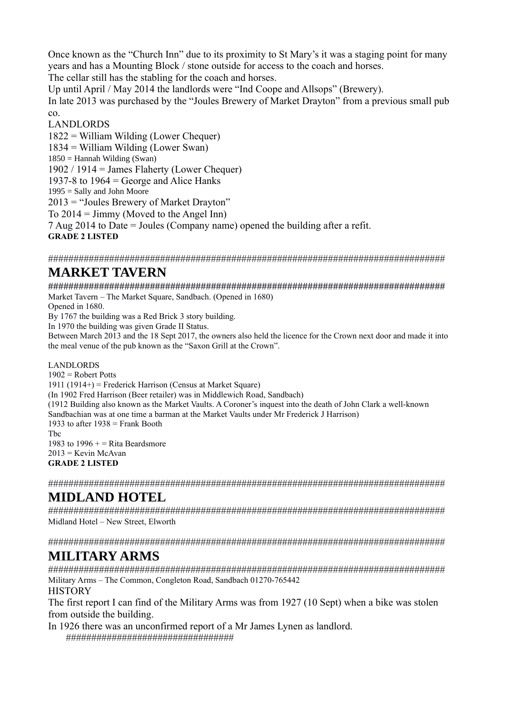Once known as the "Church Inn" due to its proximity to St Mary's it was a staging point for many years and has a Mounting Block / stone outside for access to the coach and horses.

The cellar still has the stabling for the coach and horses.

Up until April / May 2014 the landlords were "Ind Coope and Allsops" (Brewery).

In late 2013 was purchased by the "Joules Brewery of Market Drayton" from a previous small pub co.

#### LANDLORDS

1822 = William Wilding (Lower Chequer) 1834 = William Wilding (Lower Swan)  $1850$  = Hannah Wilding (Swan) 1902 / 1914 = James Flaherty (Lower Chequer) 1937-8 to  $1964$  = George and Alice Hanks  $1995 =$  Sally and John Moore 2013 = "Joules Brewery of Market Drayton" To  $2014 =$  Jimmy (Moved to the Angel Inn) 7 Aug 2014 to Date = Joules (Company name) opened the building after a refit. **GRADE 2 LISTED** 

##############################################################################

# **MARKET TAVERN**

############################################################################## Market Tavern – The Market Square, Sandbach. (Opened in 1680)

Opened in 1680.

By 1767 the building was a Red Brick 3 story building.

In 1970 the building was given Grade II Status.

Between March 2013 and the 18 Sept 2017, the owners also held the licence for the Crown next door and made it into the meal venue of the pub known as the "Saxon Grill at the Crown".

#### LANDLORDS

 $1902$  = Robert Potts 1911 (1914+) = Frederick Harrison (Census at Market Square) (In 1902 Fred Harrison (Beer retailer) was in Middlewich Road, Sandbach) (1912 Building also known as the Market Vaults. A Coroner's inquest into the death of John Clark a well-known Sandbachian was at one time a barman at the Market Vaults under Mr Frederick J Harrison) 1933 to after  $1938$  = Frank Booth Tbc 1983 to 1996  $+$  = Rita Beardsmore  $2013$  = Kevin McAvan **GRADE 2 LISTED**

##############################################################################

# **MIDLAND HOTEL**

############################################################################## Midland Hotel – New Street, Elworth

##############################################################################

# **MILITARY ARMS**

############################################################################## Military Arms – The Common, Congleton Road, Sandbach 01270-765442 **HISTORY** 

The first report I can find of the Military Arms was from 1927 (10 Sept) when a bike was stolen from outside the building.

In 1926 there was an unconfirmed report of a Mr James Lynen as landlord. #################################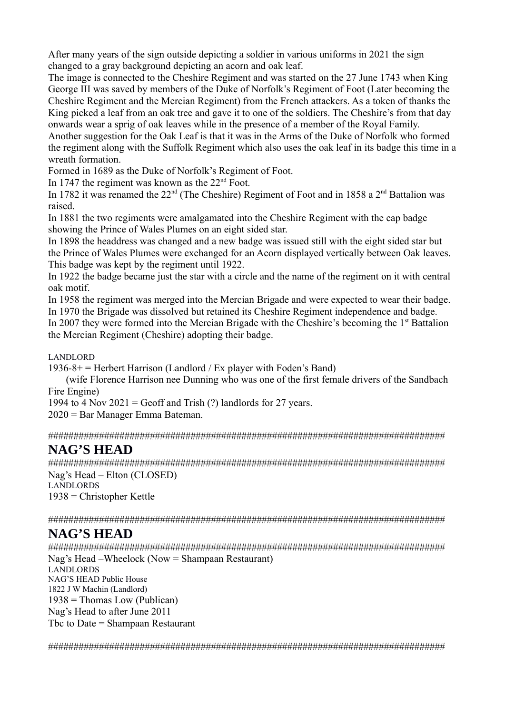After many years of the sign outside depicting a soldier in various uniforms in 2021 the sign changed to a gray background depicting an acorn and oak leaf.

The image is connected to the Cheshire Regiment and was started on the 27 June 1743 when King George III was saved by members of the Duke of Norfolk's Regiment of Foot (Later becoming the Cheshire Regiment and the Mercian Regiment) from the French attackers. As a token of thanks the King picked a leaf from an oak tree and gave it to one of the soldiers. The Cheshire's from that day onwards wear a sprig of oak leaves while in the presence of a member of the Royal Family.

Another suggestion for the Oak Leaf is that it was in the Arms of the Duke of Norfolk who formed the regiment along with the Suffolk Regiment which also uses the oak leaf in its badge this time in a wreath formation.

Formed in 1689 as the Duke of Norfolk's Regiment of Foot.

In 1747 the regiment was known as the  $22<sup>nd</sup>$  Foot.

In 1782 it was renamed the  $22<sup>nd</sup>$  (The Cheshire) Regiment of Foot and in 1858 a  $2<sup>nd</sup>$  Battalion was raised.

In 1881 the two regiments were amalgamated into the Cheshire Regiment with the cap badge showing the Prince of Wales Plumes on an eight sided star.

In 1898 the headdress was changed and a new badge was issued still with the eight sided star but the Prince of Wales Plumes were exchanged for an Acorn displayed vertically between Oak leaves. This badge was kept by the regiment until 1922.

In 1922 the badge became just the star with a circle and the name of the regiment on it with central oak motif.

In 1958 the regiment was merged into the Mercian Brigade and were expected to wear their badge. In 1970 the Brigade was dissolved but retained its Cheshire Regiment independence and badge.

In 2007 they were formed into the Mercian Brigade with the Cheshire's becoming the  $1<sup>st</sup>$  Battalion the Mercian Regiment (Cheshire) adopting their badge.

LANDLORD

 $1936-8+=$  Herbert Harrison (Landlord / Ex player with Foden's Band)

 (wife Florence Harrison nee Dunning who was one of the first female drivers of the Sandbach Fire Engine)

1994 to 4 Nov  $2021$  = Geoff and Trish (?) landlords for 27 years.

2020 = Bar Manager Emma Bateman.

##############################################################################

# **NAG'S HEAD**

############################################################################## Nag's Head – Elton (CLOSED) LANDLORDS 1938 = Christopher Kettle

##############################################################################

### **NAG'S HEAD**

##############################################################################

Nag's Head –Wheelock (Now = Shampaan Restaurant) LANDLORDS NAG'S HEAD Public House 1822 J W Machin (Landlord)  $1938 =$ Thomas Low (Publican) Nag's Head to after June 2011 Tbc to Date = Shampaan Restaurant

##############################################################################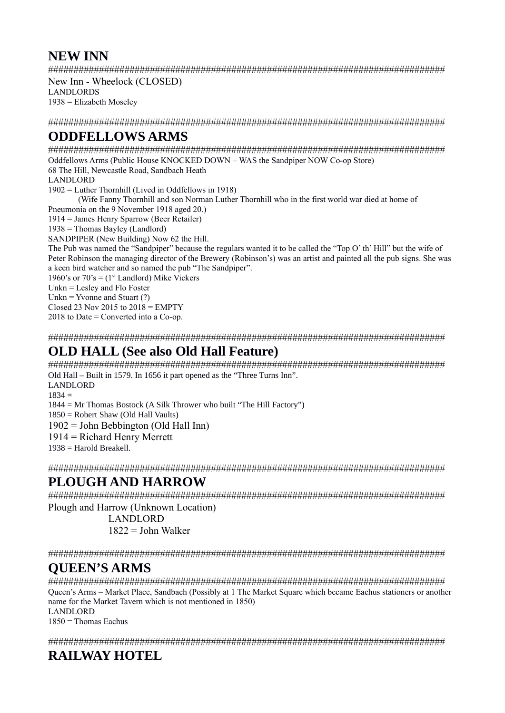### **NEW INN**

##############################################################################

New Inn - Wheelock (CLOSED) LANDLORDS  $1938$  = Elizabeth Moseley

##############################################################################

# **ODDFELLOWS ARMS**

############################################################################## Oddfellows Arms (Public House KNOCKED DOWN – WAS the Sandpiper NOW Co-op Store) 68 The Hill, Newcastle Road, Sandbach Heath LANDLORD 1902 = Luther Thornhill (Lived in Oddfellows in 1918) (Wife Fanny Thornhill and son Norman Luther Thornhill who in the first world war died at home of Pneumonia on the 9 November 1918 aged 20.) 1914 = James Henry Sparrow (Beer Retailer)  $1938$  = Thomas Bayley (Landlord) SANDPIPER (New Building) Now 62 the Hill. The Pub was named the "Sandpiper" because the regulars wanted it to be called the "Top O' th' Hill" but the wife of Peter Robinson the managing director of the Brewery (Robinson's) was an artist and painted all the pub signs. She was a keen bird watcher and so named the pub "The Sandpiper". 1960's or  $70$ 's =  $(1<sup>st</sup>$  Landlord) Mike Vickers Unkn = Lesley and Flo Foster Unkn = Yvonne and Stuart  $(?)$ Closed 23 Nov 2015 to  $2018$  = EMPTY  $2018$  to Date = Converted into a Co-op.

##############################################################################

# **OLD HALL (See also Old Hall Feature)**

############################################################################## Old Hall – Built in 1579. In 1656 it part opened as the "Three Turns Inn". LANDLORD

 $1834 =$ 

1844 = Mr Thomas Bostock (A Silk Thrower who built "The Hill Factory")

1850 = Robert Shaw (Old Hall Vaults)

1902 = John Bebbington (Old Hall Inn)

1914 = Richard Henry Merrett

1938 = Harold Breakell.

##############################################################################

# **PLOUGH AND HARROW**

############################################################################## Plough and Harrow (Unknown Location)

> LANDLORD  $1822$  = John Walker

##############################################################################

# **QUEEN'S ARMS**

############################################################################## Queen's Arms – Market Place, Sandbach (Possibly at 1 The Market Square which became Eachus stationers or another name for the Market Tavern which is not mentioned in 1850) LANDLORD

 $1850$  = Thomas Eachus

##############################################################################

# **RAILWAY HOTEL**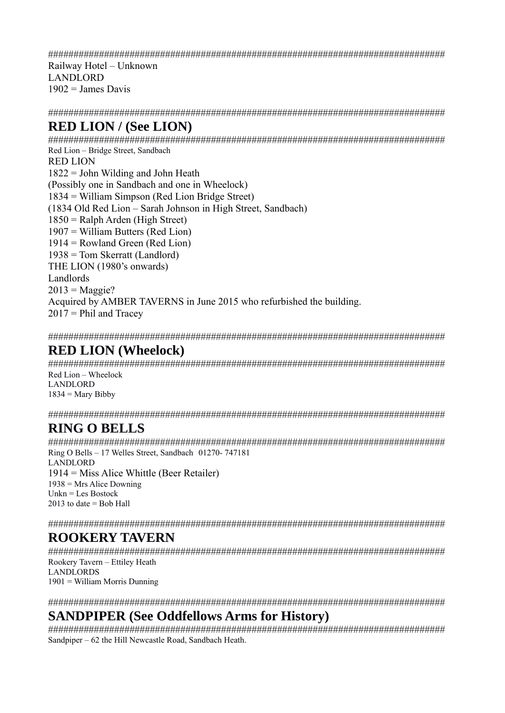##############################################################################

Railway Hotel – Unknown LANDLORD  $1902$  = James Davis

##############################################################################

### **RED LION / (See LION)**

############################################################################## Red Lion – Bridge Street, Sandbach RED LION 1822 = John Wilding and John Heath (Possibly one in Sandbach and one in Wheelock) 1834 = William Simpson (Red Lion Bridge Street) (1834 Old Red Lion – Sarah Johnson in High Street, Sandbach) 1850 = Ralph Arden (High Street) 1907 = William Butters (Red Lion) 1914 = Rowland Green (Red Lion) 1938 = Tom Skerratt (Landlord) THE LION (1980's onwards) Landlords  $2013$  = Maggie? Acquired by AMBER TAVERNS in June 2015 who refurbished the building.  $2017$  = Phil and Tracev

##############################################################################

### **RED LION (Wheelock)**

############################################################################## Red Lion – Wheelock LANDLORD  $1834 =$  Mary Bibby

##############################################################################

### **RING O BELLS**

############################################################################## Ring O Bells – 17 Welles Street, Sandbach 01270- 747181 LANDLORD 1914 = Miss Alice Whittle (Beer Retailer)  $1938$  = Mrs Alice Downing Unkn = Les Bostock 2013 to date  $=$  Bob Hall

##############################################################################

# **ROOKERY TAVERN**

############################################################################## Rookery Tavern – Ettiley Heath LANDLORDS 1901 = William Morris Dunning

##############################################################################

### **SANDPIPER (See Oddfellows Arms for History)**

############################################################################## Sandpiper – 62 the Hill Newcastle Road, Sandbach Heath.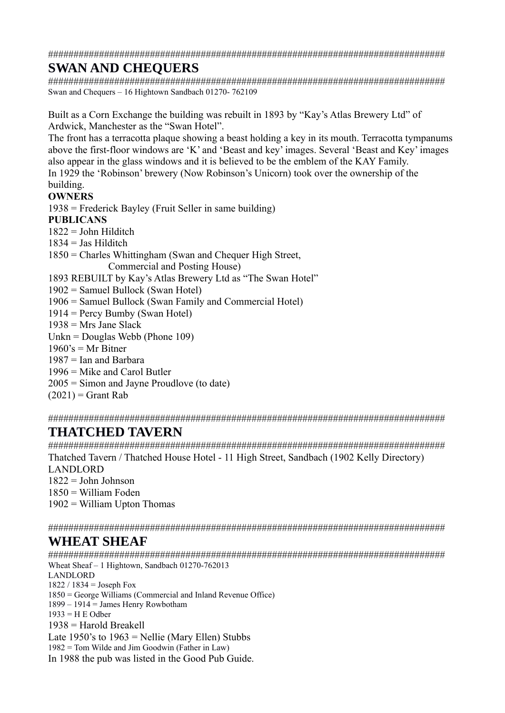##############################################################################

# **SWAN AND CHEQUERS**

############################################################################## Swan and Chequers – 16 Hightown Sandbach 01270- 762109

Built as a Corn Exchange the building was rebuilt in 1893 by "Kay's Atlas Brewery Ltd" of Ardwick, Manchester as the "Swan Hotel".

The front has a terracotta plaque showing a beast holding a key in its mouth. Terracotta tympanums above the first-floor windows are 'K' and 'Beast and key' images. Several 'Beast and Key' images also appear in the glass windows and it is believed to be the emblem of the KAY Family. In 1929 the 'Robinson' brewery (Now Robinson's Unicorn) took over the ownership of the building.

#### **OWNERS**

1938 = Frederick Bayley (Fruit Seller in same building) **PUBLICANS** 

 $1822 =$  John Hilditch

 $1834 =$  Jas Hilditch

1850 = Charles Whittingham (Swan and Chequer High Street,

Commercial and Posting House)

1893 REBUILT by Kay's Atlas Brewery Ltd as "The Swan Hotel"

1902 = Samuel Bullock (Swan Hotel)

1906 = Samuel Bullock (Swan Family and Commercial Hotel)

1914 = Percy Bumby (Swan Hotel)

 $1938$  = Mrs Jane Slack

Unkn = Douglas Webb (Phone 109)

 $1960$ 's = Mr Bitner

 $1987 =$  Ian and Barbara

1996 = Mike and Carol Butler

2005 = Simon and Jayne Proudlove (to date)

 $(2021)$  = Grant Rab

##############################################################################

# **THATCHED TAVERN**

############################################################################## Thatched Tavern / Thatched House Hotel - 11 High Street, Sandbach (1902 Kelly Directory) LANDLORD  $1822 =$  John Johnson 1850 = William Foden  $1902 =$  William Upton Thomas

##############################################################################

# **WHEAT SHEAF**

############################################################################## Wheat Sheaf – 1 Hightown, Sandbach 01270-762013 LANDLORD  $1822 / 1834 =$  Joseph Fox 1850 = George Williams (Commercial and Inland Revenue Office)  $1899 - 1914 =$  James Henry Rowbotham 1933 = H E Odber  $1938$  = Harold Breakell Late 1950's to  $1963$  = Nellie (Mary Ellen) Stubbs  $1982$  = Tom Wilde and Jim Goodwin (Father in Law) In 1988 the pub was listed in the Good Pub Guide.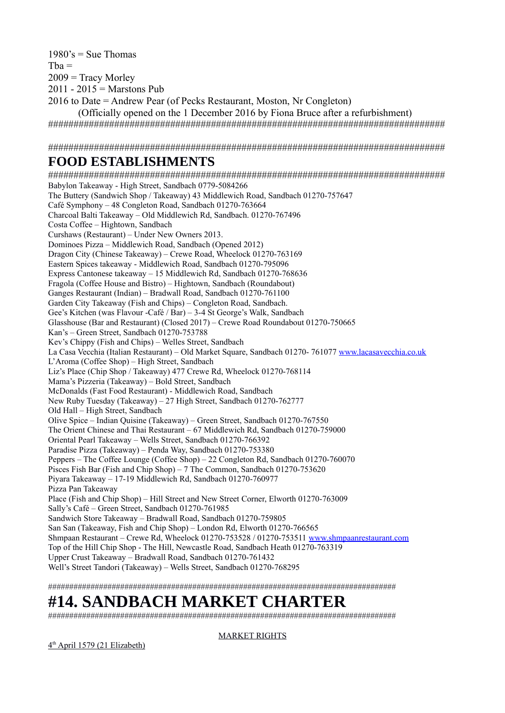$1980$ 's = Sue Thomas  $Tba =$  $2009$  = Tracy Morley  $2011 - 2015 =$  Marstons Pub 2016 to Date = Andrew Pear (of Pecks Restaurant, Moston, Nr Congleton)

(Officially opened on the 1 December 2016 by Fiona Bruce after a refurbishment) ##############################################################################

##############################################################################

### **FOOD ESTABLISHMENTS**

############################################################################## Babylon Takeaway - High Street, Sandbach 0779-5084266 The Buttery (Sandwich Shop / Takeaway) 43 Middlewich Road, Sandbach 01270-757647 Café Symphony – 48 Congleton Road, Sandbach 01270-763664 Charcoal Balti Takeaway – Old Middlewich Rd, Sandbach. 01270-767496 Costa Coffee – Hightown, Sandbach Curshaws (Restaurant) – Under New Owners 2013. Dominoes Pizza – Middlewich Road, Sandbach (Opened 2012) Dragon City (Chinese Takeaway) – Crewe Road, Wheelock 01270-763169 Eastern Spices takeaway - Middlewich Road, Sandbach 01270-795096 Express Cantonese takeaway – 15 Middlewich Rd, Sandbach 01270-768636 Fragola (Coffee House and Bistro) – Hightown, Sandbach (Roundabout) Ganges Restaurant (Indian) – Bradwall Road, Sandbach 01270-761100 Garden City Takeaway (Fish and Chips) – Congleton Road, Sandbach. Gee's Kitchen (was Flavour -Café / Bar) – 3-4 St George's Walk, Sandbach Glasshouse (Bar and Restaurant) (Closed 2017) – Crewe Road Roundabout 01270-750665 Kan's – Green Street, Sandbach 01270-753788 Kev's Chippy (Fish and Chips) – Welles Street, Sandbach La Casa Vecchia (Italian Restaurant) – Old Market Square, Sandbach 01270- 761077 [www.lacasavecchia.co.uk](http://www.lacasavecchia.co.uk/) L'Aroma (Coffee Shop) – High Street, Sandbach Liz's Place (Chip Shop / Takeaway) 477 Crewe Rd, Wheelock 01270-768114 Mama's Pizzeria (Takeaway) – Bold Street, Sandbach McDonalds (Fast Food Restaurant) - Middlewich Road, Sandbach New Ruby Tuesday (Takeaway) – 27 High Street, Sandbach 01270-762777 Old Hall – High Street, Sandbach Olive Spice – Indian Quisine (Takeaway) – Green Street, Sandbach 01270-767550 The Orient Chinese and Thai Restaurant – 67 Middlewich Rd, Sandbach 01270-759000 Oriental Pearl Takeaway – Wells Street, Sandbach 01270-766392 Paradise Pizza (Takeaway) – Penda Way, Sandbach 01270-753380 Peppers – The Coffee Lounge (Coffee Shop) – 22 Congleton Rd, Sandbach 01270-760070 Pisces Fish Bar (Fish and Chip Shop) – 7 The Common, Sandbach 01270-753620 Piyara Takeaway – 17-19 Middlewich Rd, Sandbach 01270-760977 Pizza Pan Takeaway Place (Fish and Chip Shop) – Hill Street and New Street Corner, Elworth 01270-763009 Sally's Café – Green Street, Sandbach 01270-761985 Sandwich Store Takeaway – Bradwall Road, Sandbach 01270-759805 San San (Takeaway, Fish and Chip Shop) – London Rd, Elworth 01270-766565 Shmpaan Restaurant – Crewe Rd, Wheelock 01270-753528 / 01270-753511 [www.shmpaanrestaurant.com](http://www.shmpaanrestaurant.com/) Top of the Hill Chip Shop - The Hill, Newcastle Road, Sandbach Heath 01270-763319 Upper Crust Takeaway – Bradwall Road, Sandbach 01270-761432 Well's Street Tandori (Takeaway) – Wells Street, Sandbach 01270-768295

##################################################################################

# **#14. SANDBACH MARKET CHARTER**

##################################################################################

#### MARKET RIGHTS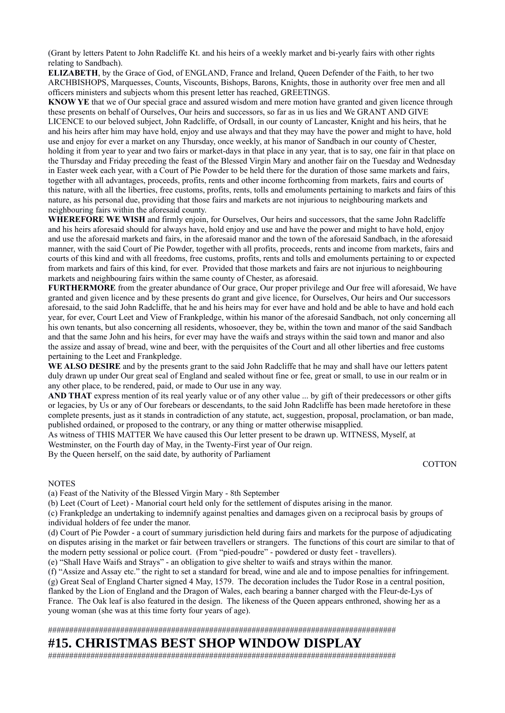(Grant by letters Patent to John Radcliffe Kt. and his heirs of a weekly market and bi-yearly fairs with other rights relating to Sandbach).

**ELIZABETH**, by the Grace of God, of ENGLAND, France and Ireland, Queen Defender of the Faith, to her two ARCHBISHOPS, Marquesses, Counts, Viscounts, Bishops, Barons, Knights, those in authority over free men and all officers ministers and subjects whom this present letter has reached, GREETINGS.

**KNOW YE** that we of Our special grace and assured wisdom and mere motion have granted and given licence through these presents on behalf of Ourselves, Our heirs and successors, so far as in us lies and We GRANT AND GIVE LICENCE to our beloved subject, John Radcliffe, of Ordsall, in our county of Lancaster, Knight and his heirs, that he and his heirs after him may have hold, enjoy and use always and that they may have the power and might to have, hold use and enjoy for ever a market on any Thursday, once weekly, at his manor of Sandbach in our county of Chester, holding it from year to year and two fairs or market-days in that place in any year, that is to say, one fair in that place on the Thursday and Friday preceding the feast of the Blessed Virgin Mary and another fair on the Tuesday and Wednesday in Easter week each year, with a Court of Pie Powder to be held there for the duration of those same markets and fairs, together with all advantages, proceeds, profits, rents and other income forthcoming from markets, fairs and courts of this nature, with all the liberties, free customs, profits, rents, tolls and emoluments pertaining to markets and fairs of this nature, as his personal due, providing that those fairs and markets are not injurious to neighbouring markets and neighbouring fairs within the aforesaid county.

**WHEREFORE WE WISH** and firmly enjoin, for Ourselves, Our heirs and successors, that the same John Radcliffe and his heirs aforesaid should for always have, hold enjoy and use and have the power and might to have hold, enjoy and use the aforesaid markets and fairs, in the aforesaid manor and the town of the aforesaid Sandbach, in the aforesaid manner, with the said Court of Pie Powder, together with all profits, proceeds, rents and income from markets, fairs and courts of this kind and with all freedoms, free customs, profits, rents and tolls and emoluments pertaining to or expected from markets and fairs of this kind, for ever. Provided that those markets and fairs are not injurious to neighbouring markets and neighbouring fairs within the same county of Chester, as aforesaid.

**FURTHERMORE** from the greater abundance of Our grace, Our proper privilege and Our free will aforesaid, We have granted and given licence and by these presents do grant and give licence, for Ourselves, Our heirs and Our successors aforesaid, to the said John Radcliffe, that he and his heirs may for ever have and hold and be able to have and hold each year, for ever, Court Leet and View of Frankpledge, within his manor of the aforesaid Sandbach, not only concerning all his own tenants, but also concerning all residents, whosoever, they be, within the town and manor of the said Sandbach and that the same John and his heirs, for ever may have the waifs and strays within the said town and manor and also the assize and assay of bread, wine and beer, with the perquisites of the Court and all other liberties and free customs pertaining to the Leet and Frankpledge.

**WE ALSO DESIRE** and by the presents grant to the said John Radcliffe that he may and shall have our letters patent duly drawn up under Our great seal of England and sealed without fine or fee, great or small, to use in our realm or in any other place, to be rendered, paid, or made to Our use in any way.

**AND THAT** express mention of its real yearly value or of any other value ... by gift of their predecessors or other gifts or legacies, by Us or any of Our forebears or descendants, to the said John Radcliffe has been made heretofore in these complete presents, just as it stands in contradiction of any statute, act, suggestion, proposal, proclamation, or ban made, published ordained, or proposed to the contrary, or any thing or matter otherwise misapplied.

As witness of THIS MATTER We have caused this Our letter present to be drawn up. WITNESS, Myself, at Westminster, on the Fourth day of May, in the Twenty-First year of Our reign. By the Queen herself, on the said date, by authority of Parliament

**COTTON** 

#### **NOTES**

(a) Feast of the Nativity of the Blessed Virgin Mary - 8th September

(b) Leet (Court of Leet) - Manorial court held only for the settlement of disputes arising in the manor.

(c) Frankpledge an undertaking to indemnify against penalties and damages given on a reciprocal basis by groups of individual holders of fee under the manor.

(d) Court of Pie Powder - a court of summary jurisdiction held during fairs and markets for the purpose of adjudicating on disputes arising in the market or fair between travellers or strangers. The functions of this court are similar to that of the modern petty sessional or police court. (From "pied-poudre" - powdered or dusty feet - travellers).

(e) "Shall Have Waifs and Strays" - an obligation to give shelter to waifs and strays within the manor.

(f) "Assize and Assay etc." the right to set a standard for bread, wine and ale and to impose penalties for infringement. (g) Great Seal of England Charter signed 4 May, 1579. The decoration includes the Tudor Rose in a central position, flanked by the Lion of England and the Dragon of Wales, each bearing a banner charged with the Fleur-de-Lys of France. The Oak leaf is also featured in the design. The likeness of the Queen appears enthroned, showing her as a young woman (she was at this time forty four years of age).

##################################################################################

#### **#15. CHRISTMAS BEST SHOP WINDOW DISPLAY**

##################################################################################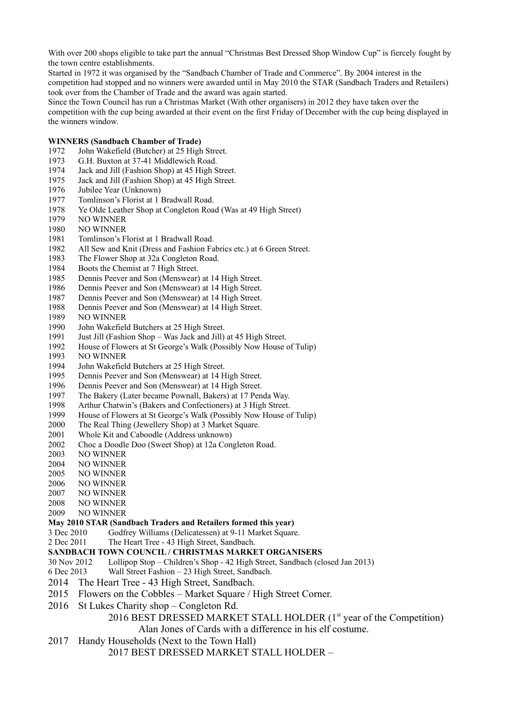With over 200 shops eligible to take part the annual "Christmas Best Dressed Shop Window Cup" is fiercely fought by the town centre establishments.

Started in 1972 it was organised by the "Sandbach Chamber of Trade and Commerce". By 2004 interest in the competition had stopped and no winners were awarded until in May 2010 the STAR (Sandbach Traders and Retailers) took over from the Chamber of Trade and the award was again started.

Since the Town Council has run a Christmas Market (With other organisers) in 2012 they have taken over the competition with the cup being awarded at their event on the first Friday of December with the cup being displayed in the winners window.

#### **WINNERS (Sandbach Chamber of Trade)**

- 1972 John Wakefield (Butcher) at 25 High Street.
- 1973 G.H. Buxton at 37-41 Middlewich Road.
- 1974 Jack and Jill (Fashion Shop) at 45 High Street.
- 1975 Jack and Jill (Fashion Shop) at 45 High Street.
- 1976 Jubilee Year (Unknown)
- 1977 Tomlinson's Florist at 1 Bradwall Road.
- 1978 Ye Olde Leather Shop at Congleton Road (Was at 49 High Street)
- 1979 NO WINNER
- 1980 NO WINNER
- 1981 Tomlinson's Florist at 1 Bradwall Road.
- 1982 All Sew and Knit (Dress and Fashion Fabrics etc.) at 6 Green Street.
- 1983 The Flower Shop at 32a Congleton Road.
- 1984 Boots the Chemist at 7 High Street.
- 1985 Dennis Peever and Son (Menswear) at 14 High Street.
- 1986 Dennis Peever and Son (Menswear) at 14 High Street.
- 1987 Dennis Peever and Son (Menswear) at 14 High Street.
- 1988 Dennis Peever and Son (Menswear) at 14 High Street.
- 1989 NO WINNER
- 1990 John Wakefield Butchers at 25 High Street.
- 1991 Just Jill (Fashion Shop Was Jack and Jill) at 45 High Street.
- 1992 House of Flowers at St George's Walk (Possibly Now House of Tulip)
- 1993 NO WINNER
- 1994 John Wakefield Butchers at 25 High Street.
- 1995 Dennis Peever and Son (Menswear) at 14 High Street.
- 1996 Dennis Peever and Son (Menswear) at 14 High Street.
- 1997 The Bakery (Later became Pownall, Bakers) at 17 Penda Way.
- 1998 Arthur Chatwin's (Bakers and Confectioners) at 3 High Street.
- 1999 House of Flowers at St George's Walk (Possibly Now House of Tulip)
- 2000 The Real Thing (Jewellery Shop) at 3 Market Square.
- 2001 Whole Kit and Caboodle (Address unknown)
- 2002 Choc a Doodle Doo (Sweet Shop) at 12a Congleton Road.
- 2003 NO WINNER
- 2004 NO WINNER
- 2005 NO WINNER
- 2006 NO WINNER
- 2007 NO WINNER
- 2008 NO WINNER
- 2009 NO WINNER

#### **May 2010 STAR (Sandbach Traders and Retailers formed this year)**

- 3 Dec 2010 Godfrey Williams (Delicatessen) at 9-11 Market Square.
- 2 Dec 2011 The Heart Tree 43 High Street, Sandbach.

#### **SANDBACH TOWN COUNCIL / CHRISTMAS MARKET ORGANISERS**

- 30 Nov 2012 Lollipop Stop Children's Shop 42 High Street, Sandbach (closed Jan 2013)
- 6 Dec 2013 Wall Street Fashion 23 High Street, Sandbach.
- 2014 The Heart Tree 43 High Street, Sandbach.
- 2015 Flowers on the Cobbles Market Square / High Street Corner.
- 2016 St Lukes Charity shop Congleton Rd.

#### 2016 BEST DRESSED MARKET STALL HOLDER (1<sup>st</sup> year of the Competition) Alan Jones of Cards with a difference in his elf costume.

2017 Handy Households (Next to the Town Hall)

```
2017 BEST DRESSED MARKET STALL HOLDER –
```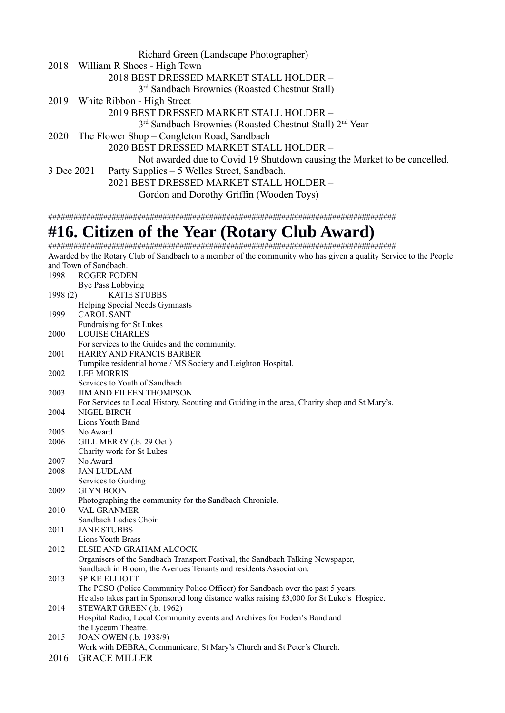|            | Richard Green (Landscape Photographer)                                          |
|------------|---------------------------------------------------------------------------------|
|            | 2018 William R Shoes - High Town                                                |
|            | 2018 BEST DRESSED MARKET STALL HOLDER -                                         |
|            | 3 <sup>rd</sup> Sandbach Brownies (Roasted Chestnut Stall)                      |
|            | 2019 White Ribbon - High Street                                                 |
|            | 2019 BEST DRESSED MARKET STALL HOLDER -                                         |
|            | 3 <sup>rd</sup> Sandbach Brownies (Roasted Chestnut Stall) 2 <sup>nd</sup> Year |
|            | 2020 The Flower Shop – Congleton Road, Sandbach                                 |
|            | 2020 BEST DRESSED MARKET STALL HOLDER -                                         |
|            | Not awarded due to Covid 19 Shutdown causing the Market to be cancelled.        |
| 3 Dec 2021 | Party Supplies – 5 Welles Street, Sandbach.                                     |
|            | 2021 BEST DRESSED MARKET STALL HOLDER -                                         |
|            | Gordon and Dorothy Griffin (Wooden Toys)                                        |
|            |                                                                                 |
|            |                                                                                 |

# **#16. Citizen of the Year (Rotary Club Award)**

################################################################################## Awarded by the Rotary Club of Sandbach to a member of the community who has given a quality Service to the People and Town of Sandbach. 1998 ROGER FODEN Bye Pass Lobbying 1998 (2) KATIE STUBBS Helping Special Needs Gymnasts 1999 CAROL SANT Fundraising for St Lukes 2000 LOUISE CHARLES For services to the Guides and the community. 2001 HARRY AND FRANCIS BARBER Turnpike residential home / MS Society and Leighton Hospital. 2002 LEE MORRIS Services to Youth of Sandbach 2003 JIM AND EILEEN THOMPSON For Services to Local History, Scouting and Guiding in the area, Charity shop and St Mary's. 2004 NIGEL BIRCH Lions Youth Band 2005 No Award 2006 GILL MERRY (.b. 29 Oct ) Charity work for St Lukes 2007 No Award 2008 JAN LUDLAM Services to Guiding 2009 GLYN BOON Photographing the community for the Sandbach Chronicle. 2010 VAL GRANMER Sandbach Ladies Choir 2011 JANE STUBBS Lions Youth Brass 2012 ELSIE AND GRAHAM ALCOCK Organisers of the Sandbach Transport Festival, the Sandbach Talking Newspaper, Sandbach in Bloom, the Avenues Tenants and residents Association. 2013 SPIKE ELLIOTT The PCSO (Police Community Police Officer) for Sandbach over the past 5 years. He also takes part in Sponsored long distance walks raising £3,000 for St Luke's Hospice. 2014 STEWART GREEN (.b. 1962) Hospital Radio, Local Community events and Archives for Foden's Band and the Lyceum Theatre. 2015 JOAN OWEN (.b. 1938/9) Work with DEBRA, Communicare, St Mary's Church and St Peter's Church. 2016 GRACE MILLER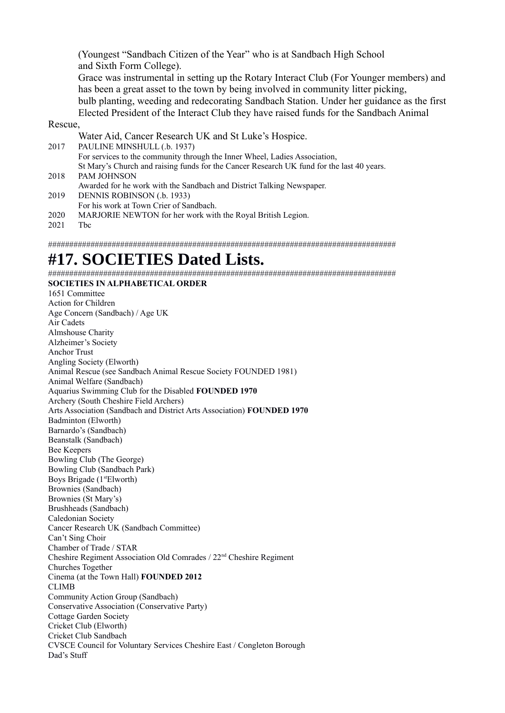(Youngest "Sandbach Citizen of the Year" who is at Sandbach High School and Sixth Form College).

Grace was instrumental in setting up the Rotary Interact Club (For Younger members) and has been a great asset to the town by being involved in community litter picking, bulb planting, weeding and redecorating Sandbach Station. Under her guidance as the first Elected President of the Interact Club they have raised funds for the Sandbach Animal

#### Rescue,

Water Aid, Cancer Research UK and St Luke's Hospice. 2017 PAULINE MINSHULL (.b. 1937) For services to the community through the Inner Wheel, Ladies Association, St Mary's Church and raising funds for the Cancer Research UK fund for the last 40 years. 2018 PAM JOHNSON Awarded for he work with the Sandbach and District Talking Newspaper. 2019 DENNIS ROBINSON (.b. 1933)

- For his work at Town Crier of Sandbach.
- 2020 MARJORIE NEWTON for her work with the Royal British Legion.
- 2021 Tbc

##################################################################################

# **#17. SOCIETIES Dated Lists.**

################################################################################## **SOCIETIES IN ALPHABETICAL ORDER** 

1651 Committee Action for Children Age Concern (Sandbach) / Age UK Air Cadets Almshouse Charity Alzheimer's Society Anchor Trust Angling Society (Elworth) Animal Rescue (see Sandbach Animal Rescue Society FOUNDED 1981) Animal Welfare (Sandbach) Aquarius Swimming Club for the Disabled **FOUNDED 1970** Archery (South Cheshire Field Archers) Arts Association (Sandbach and District Arts Association) **FOUNDED 1970** Badminton (Elworth) Barnardo's (Sandbach) Beanstalk (Sandbach) Bee Keepers Bowling Club (The George) Bowling Club (Sandbach Park) Boys Brigade (1<sup>st</sup>Elworth) Brownies (Sandbach) Brownies (St Mary's) Brushheads (Sandbach) Caledonian Society Cancer Research UK (Sandbach Committee) Can't Sing Choir Chamber of Trade / STAR Cheshire Regiment Association Old Comrades / 22nd Cheshire Regiment Churches Together Cinema (at the Town Hall) **FOUNDED 2012** CLIMB Community Action Group (Sandbach) Conservative Association (Conservative Party) Cottage Garden Society Cricket Club (Elworth) Cricket Club Sandbach CVSCE Council for Voluntary Services Cheshire East / Congleton Borough Dad's Stuff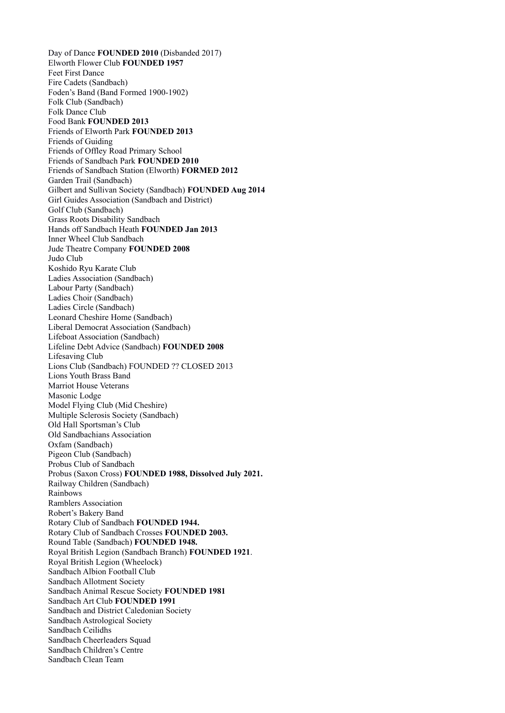Day of Dance **FOUNDED 2010** (Disbanded 2017) Elworth Flower Club **FOUNDED 1957**  Feet First Dance Fire Cadets (Sandbach) Foden's Band (Band Formed 1900-1902) Folk Club (Sandbach) Folk Dance Club Food Bank **FOUNDED 2013** Friends of Elworth Park **FOUNDED 2013** Friends of Guiding Friends of Offley Road Primary School Friends of Sandbach Park **FOUNDED 2010** Friends of Sandbach Station (Elworth) **FORMED 2012** Garden Trail (Sandbach) Gilbert and Sullivan Society (Sandbach) **FOUNDED Aug 2014** Girl Guides Association (Sandbach and District) Golf Club (Sandbach) Grass Roots Disability Sandbach Hands off Sandbach Heath **FOUNDED Jan 2013** Inner Wheel Club Sandbach Jude Theatre Company **FOUNDED 2008** Judo Club Koshido Ryu Karate Club Ladies Association (Sandbach) Labour Party (Sandbach) Ladies Choir (Sandbach) Ladies Circle (Sandbach) Leonard Cheshire Home (Sandbach) Liberal Democrat Association (Sandbach) Lifeboat Association (Sandbach) Lifeline Debt Advice (Sandbach) **FOUNDED 2008**  Lifesaving Club Lions Club (Sandbach) FOUNDED ?? CLOSED 2013 Lions Youth Brass Band Marriot House Veterans Masonic Lodge Model Flying Club (Mid Cheshire) Multiple Sclerosis Society (Sandbach) Old Hall Sportsman's Club Old Sandbachians Association Oxfam (Sandbach) Pigeon Club (Sandbach) Probus Club of Sandbach Probus (Saxon Cross) **FOUNDED 1988, Dissolved July 2021.**  Railway Children (Sandbach) Rainbows Ramblers Association Robert's Bakery Band Rotary Club of Sandbach **FOUNDED 1944.** Rotary Club of Sandbach Crosses **FOUNDED 2003.** Round Table (Sandbach) **FOUNDED 1948.** Royal British Legion (Sandbach Branch) **FOUNDED 1921**. Royal British Legion (Wheelock) Sandbach Albion Football Club Sandbach Allotment Society Sandbach Animal Rescue Society **FOUNDED 1981** Sandbach Art Club **FOUNDED 1991** Sandbach and District Caledonian Society Sandbach Astrological Society Sandbach Ceilidhs Sandbach Cheerleaders Squad Sandbach Children's Centre Sandbach Clean Team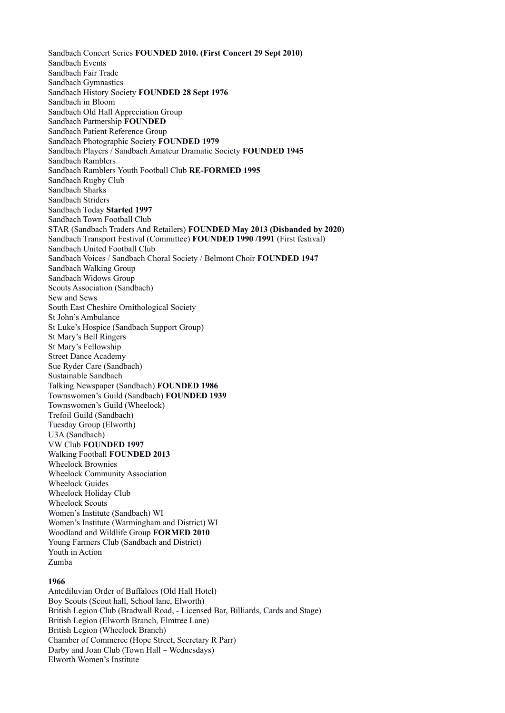Sandbach Concert Series **FOUNDED 2010. (First Concert 29 Sept 2010)** Sandbach Events Sandbach Fair Trade Sandbach Gymnastics Sandbach History Society **FOUNDED 28 Sept 1976** Sandbach in Bloom Sandbach Old Hall Appreciation Group Sandbach Partnership **FOUNDED** Sandbach Patient Reference Group Sandbach Photographic Society **FOUNDED 1979** Sandbach Players / Sandbach Amateur Dramatic Society **FOUNDED 1945** Sandbach Ramblers Sandbach Ramblers Youth Football Club **RE-FORMED 1995** Sandbach Rugby Club Sandbach Sharks Sandbach Striders Sandbach Today **Started 1997** Sandbach Town Football Club STAR (Sandbach Traders And Retailers) **FOUNDED May 2013 (Disbanded by 2020)** Sandbach Transport Festival (Committee) **FOUNDED 1990 /1991** (First festival) Sandbach United Football Club Sandbach Voices / Sandbach Choral Society / Belmont Choir **FOUNDED 1947** Sandbach Walking Group Sandbach Widows Group Scouts Association (Sandbach) Sew and Sews South East Cheshire Ornithological Society St John's Ambulance St Luke's Hospice (Sandbach Support Group) St Mary's Bell Ringers St Mary's Fellowship Street Dance Academy Sue Ryder Care (Sandbach) Sustainable Sandbach Talking Newspaper (Sandbach) **FOUNDED 1986** Townswomen's Guild (Sandbach) **FOUNDED 1939** Townswomen's Guild (Wheelock) Trefoil Guild (Sandbach) Tuesday Group (Elworth) U3A (Sandbach) VW Club **FOUNDED 1997** Walking Football **FOUNDED 2013** Wheelock Brownies Wheelock Community Association Wheelock Guides Wheelock Holiday Club Wheelock Scouts Women's Institute (Sandbach) WI Women's Institute (Warmingham and District) WI Woodland and Wildlife Group **FORMED 2010** Young Farmers Club (Sandbach and District) Youth in Action Zumba **1966** 

Antediluvian Order of Buffaloes (Old Hall Hotel) Boy Scouts (Scout hall, School lane, Elworth) British Legion Club (Bradwall Road, - Licensed Bar, Billiards, Cards and Stage) British Legion (Elworth Branch, Elmtree Lane) British Legion (Wheelock Branch) Chamber of Commerce (Hope Street, Secretary R Parr) Darby and Joan Club (Town Hall – Wednesdays) Elworth Women's Institute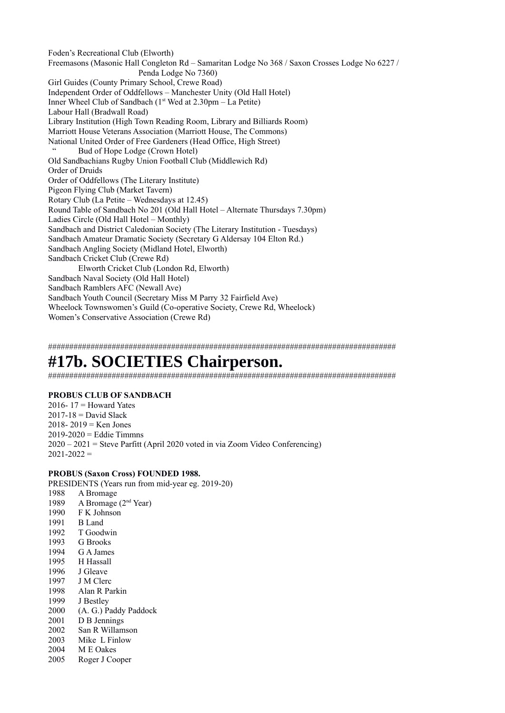Foden's Recreational Club (Elworth) Freemasons (Masonic Hall Congleton Rd – Samaritan Lodge No 368 / Saxon Crosses Lodge No 6227 / Penda Lodge No 7360) Girl Guides (County Primary School, Crewe Road) Independent Order of Oddfellows – Manchester Unity (Old Hall Hotel) Inner Wheel Club of Sandbach  $(1<sup>st</sup>$  Wed at  $2.30$ pm – La Petite) Labour Hall (Bradwall Road) Library Institution (High Town Reading Room, Library and Billiards Room) Marriott House Veterans Association (Marriott House, The Commons) National United Order of Free Gardeners (Head Office, High Street) Bud of Hope Lodge (Crown Hotel) Old Sandbachians Rugby Union Football Club (Middlewich Rd) Order of Druids Order of Oddfellows (The Literary Institute) Pigeon Flying Club (Market Tavern) Rotary Club (La Petite – Wednesdays at 12.45) Round Table of Sandbach No 201 (Old Hall Hotel – Alternate Thursdays 7.30pm) Ladies Circle (Old Hall Hotel – Monthly) Sandbach and District Caledonian Society (The Literary Institution - Tuesdays) Sandbach Amateur Dramatic Society (Secretary G Aldersay 104 Elton Rd.) Sandbach Angling Society (Midland Hotel, Elworth) Sandbach Cricket Club (Crewe Rd) Elworth Cricket Club (London Rd, Elworth) Sandbach Naval Society (Old Hall Hotel) Sandbach Ramblers AFC (Newall Ave) Sandbach Youth Council (Secretary Miss M Parry 32 Fairfield Ave) Wheelock Townswomen's Guild (Co-operative Society, Crewe Rd, Wheelock) Women's Conservative Association (Crewe Rd)

##################################################################################

# **#17b. SOCIETIES Chairperson.**

##################################################################################

#### **PROBUS CLUB OF SANDBACH**

2016-  $17 =$  Howard Yates  $2017-18$  = David Slack 2018- 2019 = Ken Jones  $2019-2020 =$  Eddie Timmns  $2020 - 2021$  = Steve Parfitt (April 2020 voted in via Zoom Video Conferencing)  $2021 - 2022 =$ 

#### **PROBUS (Saxon Cross) FOUNDED 1988.**

PRESIDENTS (Years run from mid-year eg. 2019-20)

1988 A Bromage 1989 A Bromage (2nd Year) 1990 F K Johnson 1991 B Land 1992 T Goodwin 1993 G Brooks 1994 G A James 1995 H Hassall 1996 J Gleave 1997 J M Clerc 1998 Alan R Parkin 1999 J Bestley 2000 (A. G.) Paddy Paddock 2001 D B Jennings 2002 San R Willamson 2003 Mike L Finlow 2004 M E Oakes 2005 Roger J Cooper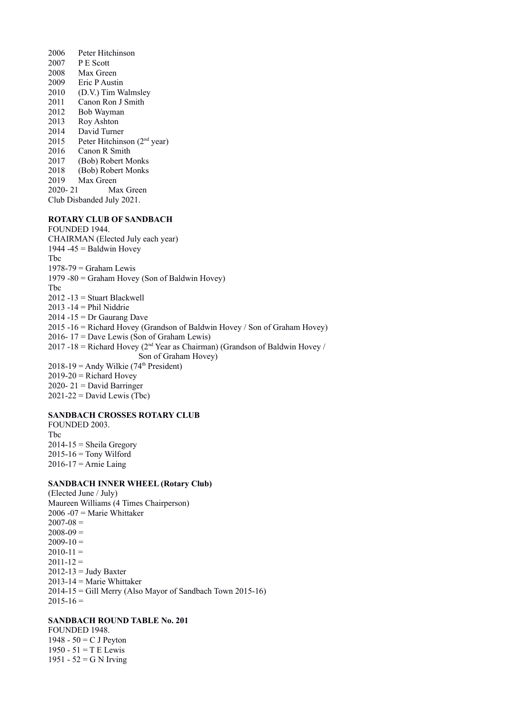2006 Peter Hitchinson 2007 P E Scott 2008 Max Green 2009 Eric P Austin 2010 (D.V.) Tim Walmsley 2011 Canon Ron J Smith 2012 Bob Wayman 2013 Roy Ashton 2014 David Turner 2015 Peter Hitchinson  $(2<sup>nd</sup>$  year) 2016 Canon R Smith 2017 (Bob) Robert Monks 2018 (Bob) Robert Monks 2019 Max Green 2020- 21 Max Green Club Disbanded July 2021.

#### **ROTARY CLUB OF SANDBACH**

FOUNDED 1944. CHAIRMAN (Elected July each year) 1944 -45 = Baldwin Hovey Tbc  $1978-79$  = Graham Lewis 1979 -80 = Graham Hovey (Son of Baldwin Hovey) Tbc  $2012 - 13 =$  Stuart Blackwell 2013 -14 = Phil Niddrie  $2014 - 15 = Dr$  Gaurang Dave 2015 -16 = Richard Hovey (Grandson of Baldwin Hovey / Son of Graham Hovey) 2016- 17 = Dave Lewis (Son of Graham Lewis) 2017 -18 = Richard Hovey ( $2<sup>nd</sup>$  Year as Chairman) (Grandson of Baldwin Hovey / Son of Graham Hovey)  $2018-19$  = Andy Wilkie (74<sup>th</sup> President)  $2019-20$  = Richard Hovey 2020- 21 = David Barringer  $2021-22$  = David Lewis (Tbc)

#### **SANDBACH CROSSES ROTARY CLUB**

FOUNDED 2003. Tbc  $2014-15$  = Sheila Gregory  $2015 - 16 =$  Tony Wilford  $2016-17 =$ Arnie Laing

#### **SANDBACH INNER WHEEL (Rotary Club)**

(Elected June / July) Maureen Williams (4 Times Chairperson)  $2006 - 07 =$  Marie Whittaker  $2007 - 08 =$  $2008 - 09 =$  $2009-10 =$  $2010-11 =$  $2011 - 12 =$  $2012-13 =$  Judy Baxter  $2013-14$  = Marie Whittaker 2014-15 = Gill Merry (Also Mayor of Sandbach Town 2015-16)  $2015 - 16 =$ 

#### **SANDBACH ROUND TABLE No. 201**

FOUNDED 1948. 1948 -  $50 = C$  J Peyton 1950 -  $51 = T E$  Lewis 1951 - 52 = G N Irving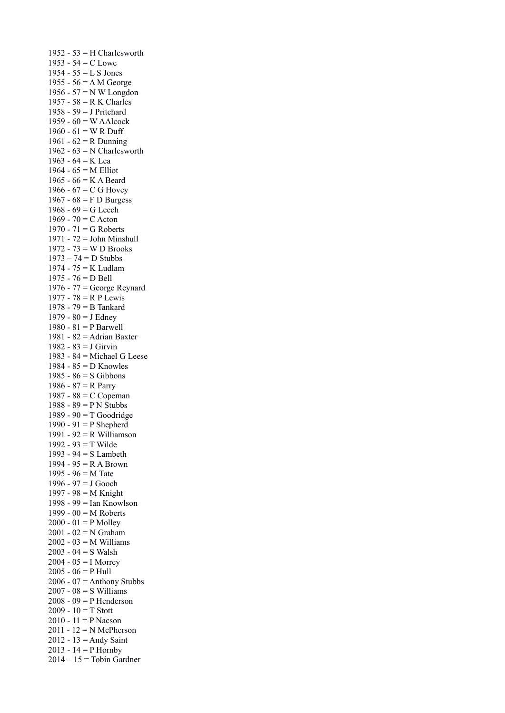1952 - 53 = H Charlesworth 1953 -  $54 = C$  Lowe 1954 -  $55 = L S$  Jones 1955 - 56 = A M George 1956 - 57 = N W Longdon 1957 - 58 = R K Charles 1958 - 59 = J Pritchard 1959 -  $60 = W$  AAlcock 1960 -  $61 = W R$  Duff 1961 -  $62 = R$  Dunning 1962 -  $63 = N$  Charlesworth 1963 - 64 = K Lea 1964 - 65 = M Elliot 1965 - 66 = K A Beard 1966 -  $67 = C$  G Hovey 1967 - 68 = F D Burgess 1968 -  $69 = G$  Leech 1969 - 70 = C Acton 1970 - 71 = G Roberts 1971 - 72 = John Minshull 1972 - 73 = W D Brooks  $1973 - 74 = D$  Stubbs 1974 - 75 = K Ludlam 1975 - 76 = D Bell 1976 - 77 = George Reynard 1977 - 78 = R P Lewis 1978 - 79 = B Tankard 1979 -  $80 = J$  Edney 1980 - 81 = P Barwell 1981 - 82 = Adrian Baxter 1982 - 83 = J Girvin 1983 - 84 = Michael G Leese 1984 - 85 = D Knowles 1985 - 86 = S Gibbons 1986 -  $87 = R$  Parry 1987 - 88 = C Copeman 1988 - 89 = P N Stubbs 1989 - 90 = T Goodridge 1990 - 91 = P Shepherd 1991 - 92 = R Williamson 1992 - 93 = T Wilde 1993 - 94 = S Lambeth 1994 - 95 = R A Brown 1995 - 96 = M Tate 1996 - 97 = J Gooch 1997 - 98 = M Knight 1998 - 99 = Ian Knowlson 1999 - 00 = M Roberts  $2000 - 01 = P$  Molley 2001 - 02 = N Graham 2002 - 03 = M Williams 2003 - 04 =  $S$  Walsh  $2004 - 05 = I$  Morrey  $2005 - 06 = P$  Hull  $2006 - 07 =$  Anthony Stubbs 2007 - 08 =  $S$  Williams  $2008 - 09 = P$  Henderson 2009 -  $10 = T$  Stott 2010 - 11 = P Nacson  $2011 - 12 = N$  McPherson 2012 - 13 = Andy Saint 2013 -  $14 = P$  Hornby  $2014 - 15 =$ Tobin Gardner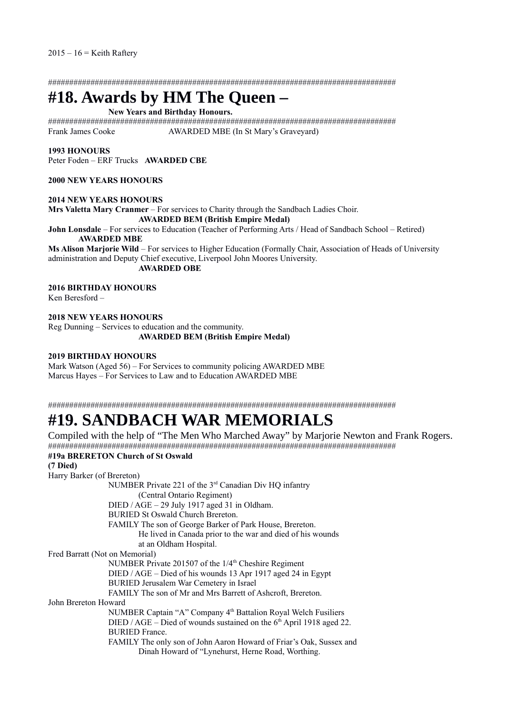##################################################################################

# **#18. Awards by HM The Queen –**

#### **New Years and Birthday Honours.**

################################################################################## Frank James Cooke AWARDED MBE (In St Mary's Graveyard)

#### **1993 HONOURS**

Peter Foden – ERF Trucks **AWARDED CBE** 

#### **2000 NEW YEARS HONOURS**

#### **2014 NEW YEARS HONOURS**

**Mrs Valetta Mary Cranmer** – For services to Charity through the Sandbach Ladies Choir. **AWARDED BEM (British Empire Medal)** 

**John Lonsdale** – For services to Education (Teacher of Performing Arts / Head of Sandbach School – Retired) **AWARDED MBE**

**Ms Alison Marjorie Wild** – For services to Higher Education (Formally Chair, Association of Heads of University administration and Deputy Chief executive, Liverpool John Moores University.

**AWARDED OBE**

**2016 BIRTHDAY HONOURS** 

Ken Beresford –

**2018 NEW YEARS HONOURS**  Reg Dunning – Services to education and the community. **AWARDED BEM (British Empire Medal)**

#### **2019 BIRTHDAY HONOURS**

Mark Watson (Aged 56) – For Services to community policing AWARDED MBE Marcus Hayes – For Services to Law and to Education AWARDED MBE

##################################################################################

# **#19. SANDBACH WAR MEMORIALS**

Compiled with the help of "The Men Who Marched Away" by Marjorie Newton and Frank Rogers. ##################################################################################

#### **#19a BRERETON Church of St Oswald**

**(7 Died)**  Harry Barker (of Brereton) NUMBER Private 221 of the 3rd Canadian Div HQ infantry (Central Ontario Regiment) DIED / AGE – 29 July 1917 aged 31 in Oldham. BURIED St Oswald Church Brereton. FAMILY The son of George Barker of Park House, Brereton. He lived in Canada prior to the war and died of his wounds at an Oldham Hospital. Fred Barratt (Not on Memorial) NUMBER Private 201507 of the 1/4<sup>th</sup> Cheshire Regiment DIED / AGE – Died of his wounds 13 Apr 1917 aged 24 in Egypt BURIED Jerusalem War Cemetery in Israel FAMILY The son of Mr and Mrs Barrett of Ashcroft, Brereton. John Brereton Howard NUMBER Captain "A" Company 4th Battalion Royal Welch Fusiliers DIED / AGE – Died of wounds sustained on the  $6<sup>th</sup>$  April 1918 aged 22. BURIED France. FAMILY The only son of John Aaron Howard of Friar's Oak, Sussex and Dinah Howard of "Lynehurst, Herne Road, Worthing.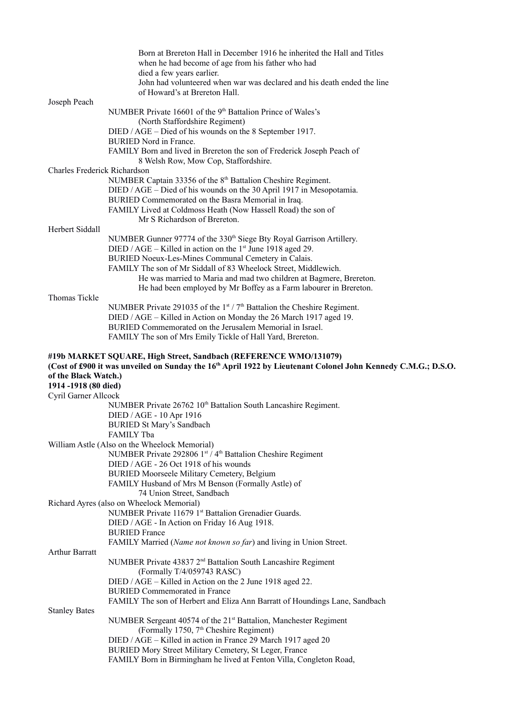|                                                                     | Born at Brereton Hall in December 1916 he inherited the Hall and Titles<br>when he had become of age from his father who had<br>died a few years earlier.<br>John had volunteered when war was declared and his death ended the line<br>of Howard's at Brereton Hall. |
|---------------------------------------------------------------------|-----------------------------------------------------------------------------------------------------------------------------------------------------------------------------------------------------------------------------------------------------------------------|
| Joseph Peach                                                        |                                                                                                                                                                                                                                                                       |
|                                                                     | NUMBER Private 16601 of the 9 <sup>th</sup> Battalion Prince of Wales's<br>(North Staffordshire Regiment)                                                                                                                                                             |
|                                                                     | DIED / AGE – Died of his wounds on the 8 September 1917.<br><b>BURIED</b> Nord in France.                                                                                                                                                                             |
|                                                                     | FAMILY Born and lived in Brereton the son of Frederick Joseph Peach of<br>8 Welsh Row, Mow Cop, Staffordshire.                                                                                                                                                        |
| Charles Frederick Richardson                                        |                                                                                                                                                                                                                                                                       |
|                                                                     | NUMBER Captain 33356 of the 8 <sup>th</sup> Battalion Cheshire Regiment.                                                                                                                                                                                              |
|                                                                     | DIED / AGE – Died of his wounds on the 30 April 1917 in Mesopotamia.                                                                                                                                                                                                  |
|                                                                     | BURIED Commemorated on the Basra Memorial in Iraq.<br>FAMILY Lived at Coldmoss Heath (Now Hassell Road) the son of                                                                                                                                                    |
|                                                                     | Mr S Richardson of Brereton.                                                                                                                                                                                                                                          |
| Herbert Siddall                                                     |                                                                                                                                                                                                                                                                       |
|                                                                     | NUMBER Gunner 97774 of the 330 <sup>th</sup> Siege Bty Royal Garrison Artillery.                                                                                                                                                                                      |
|                                                                     | DIED / AGE – Killed in action on the $1st$ June 1918 aged 29.<br>BURIED Noeux-Les-Mines Communal Cemetery in Calais.                                                                                                                                                  |
|                                                                     | FAMILY The son of Mr Siddall of 83 Wheelock Street, Middlewich.                                                                                                                                                                                                       |
|                                                                     | He was married to Maria and mad two children at Bagmere, Brereton.                                                                                                                                                                                                    |
|                                                                     | He had been employed by Mr Boffey as a Farm labourer in Brereton.                                                                                                                                                                                                     |
| Thomas Tickle                                                       |                                                                                                                                                                                                                                                                       |
|                                                                     | NUMBER Private 291035 of the 1st / 7th Battalion the Cheshire Regiment.<br>DIED / AGE - Killed in Action on Monday the 26 March 1917 aged 19.                                                                                                                         |
|                                                                     | BURIED Commemorated on the Jerusalem Memorial in Israel.                                                                                                                                                                                                              |
|                                                                     | FAMILY The son of Mrs Emily Tickle of Hall Yard, Brereton.                                                                                                                                                                                                            |
| of the Black Watch.)<br>1914-1918 (80 died)<br>Cyril Garner Allcock | (Cost of £900 it was unveiled on Sunday the 16th April 1922 by Lieutenant Colonel John Kennedy C.M.G.; D.S.O.                                                                                                                                                         |
|                                                                     | NUMBER Private 26762 10 <sup>th</sup> Battalion South Lancashire Regiment.                                                                                                                                                                                            |
|                                                                     | DIED / AGE - 10 Apr 1916                                                                                                                                                                                                                                              |
|                                                                     | <b>BURIED St Mary's Sandbach</b>                                                                                                                                                                                                                                      |
|                                                                     | FAMILY Tba<br>William Astle (Also on the Wheelock Memorial)                                                                                                                                                                                                           |
|                                                                     | NUMBER Private 292806 1st / 4th Battalion Cheshire Regiment                                                                                                                                                                                                           |
|                                                                     | DIED / AGE - 26 Oct 1918 of his wounds                                                                                                                                                                                                                                |
|                                                                     | <b>BURIED Moorseele Military Cemetery, Belgium</b>                                                                                                                                                                                                                    |
|                                                                     | FAMILY Husband of Mrs M Benson (Formally Astle) of                                                                                                                                                                                                                    |
|                                                                     | 74 Union Street, Sandbach<br>Richard Ayres (also on Wheelock Memorial)                                                                                                                                                                                                |
|                                                                     | NUMBER Private 11679 1st Battalion Grenadier Guards.                                                                                                                                                                                                                  |
|                                                                     | DIED / AGE - In Action on Friday 16 Aug 1918.                                                                                                                                                                                                                         |
|                                                                     | <b>BURIED France</b>                                                                                                                                                                                                                                                  |
|                                                                     | FAMILY Married (Name not known so far) and living in Union Street.                                                                                                                                                                                                    |
| <b>Arthur Barratt</b>                                               | NUMBER Private 43837 2 <sup>nd</sup> Battalion South Lancashire Regiment                                                                                                                                                                                              |
|                                                                     | (Formally T/4/059743 RASC)<br>DIED / AGE – Killed in Action on the 2 June 1918 aged 22.                                                                                                                                                                               |
|                                                                     | <b>BURIED Commemorated in France</b>                                                                                                                                                                                                                                  |
|                                                                     | FAMILY The son of Herbert and Eliza Ann Barratt of Houndings Lane, Sandbach                                                                                                                                                                                           |
| <b>Stanley Bates</b>                                                |                                                                                                                                                                                                                                                                       |
|                                                                     | NUMBER Sergeant 40574 of the 21 <sup>st</sup> Battalion, Manchester Regiment<br>(Formally 1750, 7 <sup>th</sup> Cheshire Regiment)                                                                                                                                    |
|                                                                     | DIED / AGE - Killed in action in France 29 March 1917 aged 20                                                                                                                                                                                                         |
|                                                                     | BURIED Mory Street Military Cemetery, St Leger, France<br>FAMILY Born in Birmingham he lived at Fenton Villa, Congleton Road,                                                                                                                                         |
|                                                                     |                                                                                                                                                                                                                                                                       |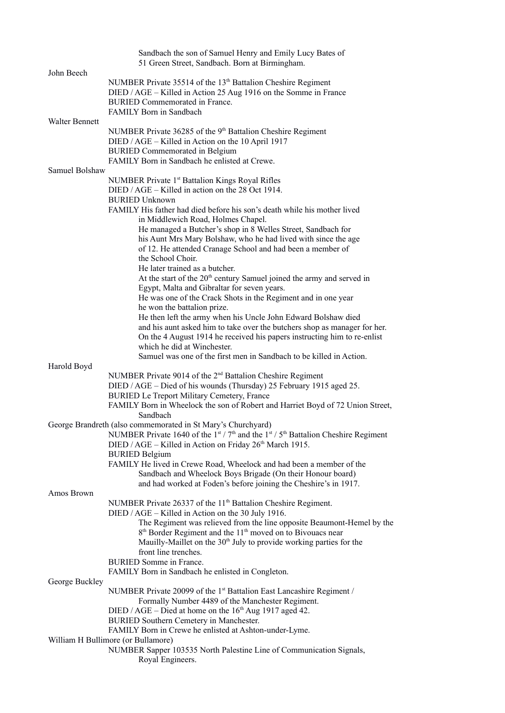| John Beech     | Sandbach the son of Samuel Henry and Emily Lucy Bates of<br>51 Green Street, Sandbach. Born at Birmingham.                                                                                                                                                                                                                                                                                                                                                        |
|----------------|-------------------------------------------------------------------------------------------------------------------------------------------------------------------------------------------------------------------------------------------------------------------------------------------------------------------------------------------------------------------------------------------------------------------------------------------------------------------|
|                | NUMBER Private 35514 of the 13 <sup>th</sup> Battalion Cheshire Regiment<br>DIED / AGE – Killed in Action 25 Aug 1916 on the Somme in France<br><b>BURIED</b> Commemorated in France.<br>FAMILY Born in Sandbach                                                                                                                                                                                                                                                  |
| Walter Bennett | NUMBER Private 36285 of the 9 <sup>th</sup> Battalion Cheshire Regiment<br>DIED / AGE – Killed in Action on the 10 April 1917<br><b>BURIED</b> Commemorated in Belgium<br>FAMILY Born in Sandbach he enlisted at Crewe.                                                                                                                                                                                                                                           |
| Samuel Bolshaw |                                                                                                                                                                                                                                                                                                                                                                                                                                                                   |
|                | NUMBER Private 1 <sup>st</sup> Battalion Kings Royal Rifles<br>DIED / AGE – Killed in action on the 28 Oct 1914.<br><b>BURIED Unknown</b><br>FAMILY His father had died before his son's death while his mother lived<br>in Middlewich Road, Holmes Chapel.                                                                                                                                                                                                       |
|                | He managed a Butcher's shop in 8 Welles Street, Sandbach for<br>his Aunt Mrs Mary Bolshaw, who he had lived with since the age<br>of 12. He attended Cranage School and had been a member of<br>the School Choir.<br>He later trained as a butcher.                                                                                                                                                                                                               |
|                | At the start of the 20 <sup>th</sup> century Samuel joined the army and served in<br>Egypt, Malta and Gibraltar for seven years.<br>He was one of the Crack Shots in the Regiment and in one year<br>he won the battalion prize.                                                                                                                                                                                                                                  |
|                | He then left the army when his Uncle John Edward Bolshaw died<br>and his aunt asked him to take over the butchers shop as manager for her.<br>On the 4 August 1914 he received his papers instructing him to re-enlist<br>which he did at Winchester.<br>Samuel was one of the first men in Sandbach to be killed in Action.                                                                                                                                      |
| Harold Boyd    |                                                                                                                                                                                                                                                                                                                                                                                                                                                                   |
|                | NUMBER Private 9014 of the 2 <sup>nd</sup> Battalion Cheshire Regiment<br>DIED / AGE - Died of his wounds (Thursday) 25 February 1915 aged 25.<br>BURIED Le Treport Military Cemetery, France<br>FAMILY Born in Wheelock the son of Robert and Harriet Boyd of 72 Union Street,<br>Sandbach                                                                                                                                                                       |
|                | George Brandreth (also commemorated in St Mary's Churchyard)<br>NUMBER Private 1640 of the $1st / 7th$ and the $1st / 5th$ Battalion Cheshire Regiment<br>DIED / AGE - Killed in Action on Friday 26 <sup>th</sup> March 1915.<br><b>BURIED Belgium</b><br>FAMILY He lived in Crewe Road, Wheelock and had been a member of the<br>Sandbach and Wheelock Boys Brigade (On their Honour board)<br>and had worked at Foden's before joining the Cheshire's in 1917. |
| Amos Brown     |                                                                                                                                                                                                                                                                                                                                                                                                                                                                   |
|                | NUMBER Private 26337 of the 11 <sup>th</sup> Battalion Cheshire Regiment.<br>DIED / AGE – Killed in Action on the 30 July 1916.<br>The Regiment was relieved from the line opposite Beaumont-Hemel by the<br>8 <sup>th</sup> Border Regiment and the 11 <sup>th</sup> moved on to Bivouacs near<br>Mauilly-Maillet on the 30 <sup>th</sup> July to provide working parties for the<br>front line trenches.                                                        |
|                | <b>BURIED</b> Somme in France.<br>FAMILY Born in Sandbach he enlisted in Congleton.                                                                                                                                                                                                                                                                                                                                                                               |
| George Buckley | NUMBER Private 20099 of the 1 <sup>st</sup> Battalion East Lancashire Regiment /<br>Formally Number 4489 of the Manchester Regiment.<br>DIED / AGE – Died at home on the $16th$ Aug 1917 aged 42.<br>BURIED Southern Cemetery in Manchester.                                                                                                                                                                                                                      |
|                | FAMILY Born in Crewe he enlisted at Ashton-under-Lyme.<br>William H Bullimore (or Bullamore)<br>NUMBER Sapper 103535 North Palestine Line of Communication Signals,<br>Royal Engineers.                                                                                                                                                                                                                                                                           |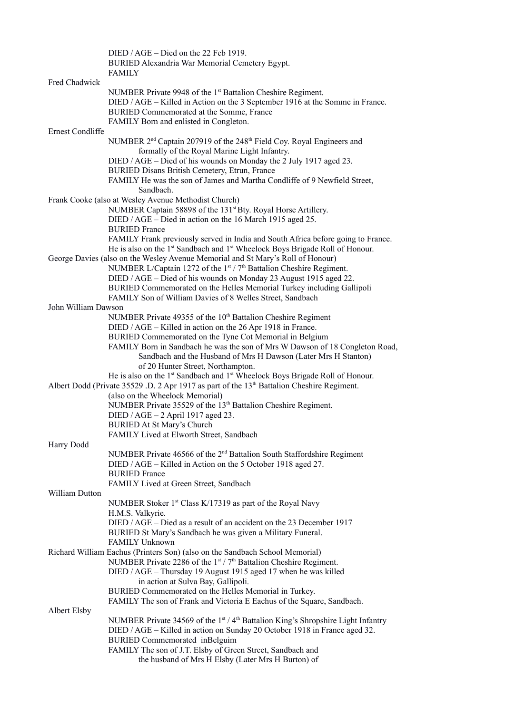|                     | DIED / AGE – Died on the 22 Feb 1919.                                                                    |
|---------------------|----------------------------------------------------------------------------------------------------------|
|                     | BURIED Alexandria War Memorial Cemetery Egypt.                                                           |
|                     | <b>FAMILY</b>                                                                                            |
| Fred Chadwick       |                                                                                                          |
|                     | NUMBER Private 9948 of the 1 <sup>st</sup> Battalion Cheshire Regiment.                                  |
|                     | DIED / AGE – Killed in Action on the 3 September 1916 at the Somme in France.                            |
|                     | BURIED Commemorated at the Somme, France                                                                 |
|                     | FAMILY Born and enlisted in Congleton.                                                                   |
| Ernest Condliffe    |                                                                                                          |
|                     | NUMBER 2 <sup>nd</sup> Captain 207919 of the 248 <sup>th</sup> Field Coy. Royal Engineers and            |
|                     | formally of the Royal Marine Light Infantry.                                                             |
|                     | DIED / AGE – Died of his wounds on Monday the 2 July 1917 aged 23.                                       |
|                     | BURIED Disans British Cemetery, Etrun, France                                                            |
|                     | FAMILY He was the son of James and Martha Condliffe of 9 Newfield Street,                                |
|                     | Sandbach.                                                                                                |
|                     | Frank Cooke (also at Wesley Avenue Methodist Church)                                                     |
|                     | NUMBER Captain 58898 of the 131 <sup>st</sup> Bty. Royal Horse Artillery.                                |
|                     | DIED / AGE – Died in action on the 16 March 1915 aged 25.                                                |
|                     | <b>BURIED France</b>                                                                                     |
|                     | FAMILY Frank previously served in India and South Africa before going to France.                         |
|                     | He is also on the 1 <sup>st</sup> Sandbach and 1 <sup>st</sup> Wheelock Boys Brigade Roll of Honour.     |
|                     | George Davies (also on the Wesley Avenue Memorial and St Mary's Roll of Honour)                          |
|                     | NUMBER L/Captain 1272 of the $1st / 7th$ Battalion Cheshire Regiment.                                    |
|                     | DIED / AGE – Died of his wounds on Monday 23 August 1915 aged 22.                                        |
|                     | BURIED Commemorated on the Helles Memorial Turkey including Gallipoli                                    |
|                     | FAMILY Son of William Davies of 8 Welles Street, Sandbach                                                |
| John William Dawson |                                                                                                          |
|                     | NUMBER Private 49355 of the 10 <sup>th</sup> Battalion Cheshire Regiment                                 |
|                     | DIED / AGE – Killed in action on the 26 Apr 1918 in France.                                              |
|                     | BURIED Commemorated on the Tyne Cot Memorial in Belgium                                                  |
|                     | FAMILY Born in Sandbach he was the son of Mrs W Dawson of 18 Congleton Road,                             |
|                     | Sandbach and the Husband of Mrs H Dawson (Later Mrs H Stanton)                                           |
|                     | of 20 Hunter Street, Northampton.                                                                        |
|                     | He is also on the 1 <sup>st</sup> Sandbach and 1 <sup>st</sup> Wheelock Boys Brigade Roll of Honour.     |
|                     | Albert Dodd (Private 35529 .D. 2 Apr 1917 as part of the 13 <sup>th</sup> Battalion Cheshire Regiment.   |
|                     | (also on the Wheelock Memorial)                                                                          |
|                     | NUMBER Private 35529 of the 13 <sup>th</sup> Battalion Cheshire Regiment.                                |
|                     | DIED / AGE $-2$ April 1917 aged 23.                                                                      |
|                     | BURIED At St Mary's Church                                                                               |
|                     | FAMILY Lived at Elworth Street, Sandbach                                                                 |
| Harry Dodd          |                                                                                                          |
|                     | NUMBER Private 46566 of the 2 <sup>nd</sup> Battalion South Staffordshire Regiment                       |
|                     | DIED / AGE – Killed in Action on the 5 October 1918 aged 27.                                             |
|                     | <b>BURIED France</b>                                                                                     |
|                     | FAMILY Lived at Green Street, Sandbach                                                                   |
| William Dutton      |                                                                                                          |
|                     | NUMBER Stoker 1 <sup>st</sup> Class K/17319 as part of the Royal Navy                                    |
|                     | H.M.S. Valkyrie.                                                                                         |
|                     | DIED / AGE - Died as a result of an accident on the 23 December 1917                                     |
|                     | BURIED St Mary's Sandbach he was given a Military Funeral.                                               |
|                     | <b>FAMILY Unknown</b>                                                                                    |
|                     | Richard William Eachus (Printers Son) (also on the Sandbach School Memorial)                             |
|                     | NUMBER Private 2286 of the 1st / 7 <sup>th</sup> Battalion Cheshire Regiment.                            |
|                     | DIED / AGE - Thursday 19 August 1915 aged 17 when he was killed                                          |
|                     | in action at Sulva Bay, Gallipoli.                                                                       |
|                     | BURIED Commemorated on the Helles Memorial in Turkey.                                                    |
|                     | FAMILY The son of Frank and Victoria E Eachus of the Square, Sandbach.                                   |
| Albert Elsby        |                                                                                                          |
|                     | NUMBER Private 34569 of the 1 <sup>st</sup> / 4 <sup>th</sup> Battalion King's Shropshire Light Infantry |
|                     | DIED / AGE - Killed in action on Sunday 20 October 1918 in France aged 32.                               |
|                     | <b>BURIED Commemorated inBelguim</b><br>FAMILY The son of J.T. Elsby of Green Street, Sandbach and       |
|                     | the husband of Mrs H Elsby (Later Mrs H Burton) of                                                       |
|                     |                                                                                                          |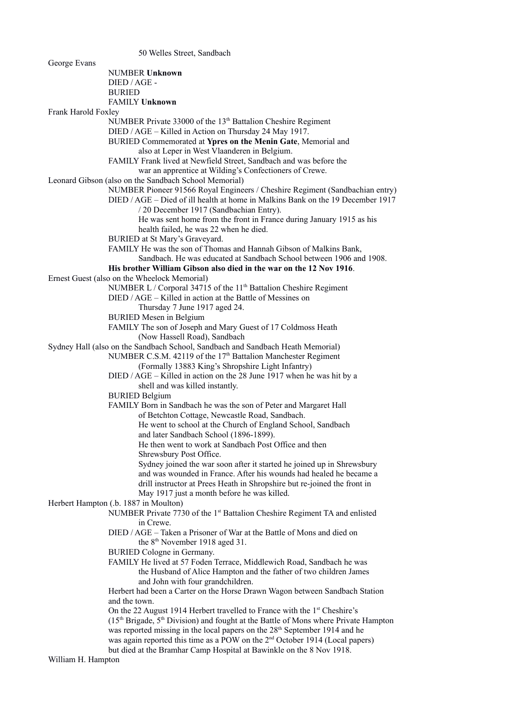50 Welles Street, Sandbach George Evans NUMBER **Unknown** DIED / AGE - BURIED FAMILY **Unknown** Frank Harold Foxley NUMBER Private 33000 of the 13<sup>th</sup> Battalion Cheshire Regiment DIED / AGE – Killed in Action on Thursday 24 May 1917. BURIED Commemorated at **Ypres on the Menin Gate**, Memorial and also at Leper in West Vlaanderen in Belgium. FAMILY Frank lived at Newfield Street, Sandbach and was before the war an apprentice at Wilding's Confectioners of Crewe. Leonard Gibson (also on the Sandbach School Memorial) NUMBER Pioneer 91566 Royal Engineers / Cheshire Regiment (Sandbachian entry) DIED / AGE – Died of ill health at home in Malkins Bank on the 19 December 1917 / 20 December 1917 (Sandbachian Entry). He was sent home from the front in France during January 1915 as his health failed, he was 22 when he died. BURIED at St Mary's Graveyard. FAMILY He was the son of Thomas and Hannah Gibson of Malkins Bank, Sandbach. He was educated at Sandbach School between 1906 and 1908. **His brother William Gibson also died in the war on the 12 Nov 1916**. Ernest Guest (also on the Wheelock Memorial) NUMBER L / Corporal 34715 of the 11<sup>th</sup> Battalion Cheshire Regiment DIED / AGE – Killed in action at the Battle of Messines on Thursday 7 June 1917 aged 24. BURIED Mesen in Belgium FAMILY The son of Joseph and Mary Guest of 17 Coldmoss Heath (Now Hassell Road), Sandbach Sydney Hall (also on the Sandbach School, Sandbach and Sandbach Heath Memorial) NUMBER C.S.M. 42119 of the 17<sup>th</sup> Battalion Manchester Regiment (Formally 13883 King's Shropshire Light Infantry) DIED / AGE – Killed in action on the 28 June 1917 when he was hit by a shell and was killed instantly. BURIED Belgium FAMILY Born in Sandbach he was the son of Peter and Margaret Hall of Betchton Cottage, Newcastle Road, Sandbach. He went to school at the Church of England School, Sandbach and later Sandbach School (1896-1899). He then went to work at Sandbach Post Office and then Shrewsbury Post Office. Sydney joined the war soon after it started he joined up in Shrewsbury and was wounded in France. After his wounds had healed he became a drill instructor at Prees Heath in Shropshire but re-joined the front in May 1917 just a month before he was killed. Herbert Hampton (.b. 1887 in Moulton) NUMBER Private 7730 of the 1<sup>st</sup> Battalion Cheshire Regiment TA and enlisted in Crewe. DIED / AGE – Taken a Prisoner of War at the Battle of Mons and died on the 8<sup>th</sup> November 1918 aged 31. BURIED Cologne in Germany. FAMILY He lived at 57 Foden Terrace, Middlewich Road, Sandbach he was the Husband of Alice Hampton and the father of two children James and John with four grandchildren. Herbert had been a Carter on the Horse Drawn Wagon between Sandbach Station and the town. On the 22 August 1914 Herbert travelled to France with the  $1<sup>st</sup>$  Cheshire's  $(15<sup>th</sup> Brigade, 5<sup>th</sup> Division)$  and fought at the Battle of Mons where Private Hampton was reported missing in the local papers on the 28<sup>th</sup> September 1914 and he was again reported this time as a POW on the 2<sup>nd</sup> October 1914 (Local papers) but died at the Bramhar Camp Hospital at Bawinkle on the 8 Nov 1918. William H. Hampton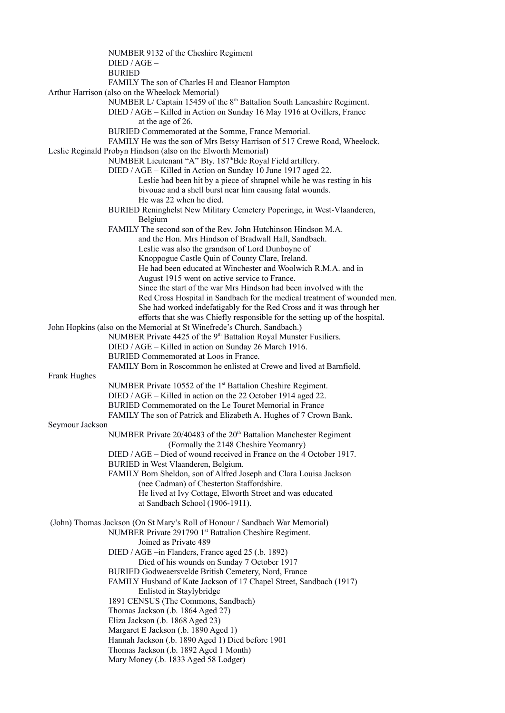|                 | NUMBER 9132 of the Cheshire Regiment                                                             |
|-----------------|--------------------------------------------------------------------------------------------------|
|                 | $DIED / AGE -$                                                                                   |
|                 | <b>BURIED</b>                                                                                    |
|                 | FAMILY The son of Charles H and Eleanor Hampton                                                  |
|                 | Arthur Harrison (also on the Wheelock Memorial)                                                  |
|                 | NUMBER L/ Captain 15459 of the 8 <sup>th</sup> Battalion South Lancashire Regiment.              |
|                 | DIED / AGE - Killed in Action on Sunday 16 May 1916 at Ovillers, France                          |
|                 | at the age of 26.                                                                                |
|                 | BURIED Commemorated at the Somme, France Memorial.                                               |
|                 | FAMILY He was the son of Mrs Betsy Harrison of 517 Crewe Road, Wheelock.                         |
|                 | Leslie Reginald Probyn Hindson (also on the Elworth Memorial)                                    |
|                 | NUMBER Lieutenant "A" Bty. 187 <sup>th</sup> Bde Royal Field artillery.                          |
|                 | DIED / AGE - Killed in Action on Sunday 10 June 1917 aged 22.                                    |
|                 | Leslie had been hit by a piece of shrapnel while he was resting in his                           |
|                 | bivouac and a shell burst near him causing fatal wounds.                                         |
|                 | He was 22 when he died.                                                                          |
|                 | BURIED Reninghelst New Military Cemetery Poperinge, in West-Vlaanderen,                          |
|                 | Belgium                                                                                          |
|                 | FAMILY The second son of the Rev. John Hutchinson Hindson M.A.                                   |
|                 | and the Hon. Mrs Hindson of Bradwall Hall, Sandbach.                                             |
|                 | Leslie was also the grandson of Lord Dunboyne of                                                 |
|                 | Knoppogue Castle Quin of County Clare, Ireland.                                                  |
|                 | He had been educated at Winchester and Woolwich R.M.A. and in                                    |
|                 | August 1915 went on active service to France.                                                    |
|                 | Since the start of the war Mrs Hindson had been involved with the                                |
|                 | Red Cross Hospital in Sandbach for the medical treatment of wounded men.                         |
|                 | She had worked indefatigably for the Red Cross and it was through her                            |
|                 | efforts that she was Chiefly responsible for the setting up of the hospital.                     |
|                 | John Hopkins (also on the Memorial at St Winefrede's Church, Sandbach.)                          |
|                 | NUMBER Private 4425 of the 9 <sup>th</sup> Battalion Royal Munster Fusiliers.                    |
|                 | DIED / AGE - Killed in action on Sunday 26 March 1916.<br>BURIED Commemorated at Loos in France. |
|                 | FAMILY Born in Roscommon he enlisted at Crewe and lived at Barnfield.                            |
| Frank Hughes    |                                                                                                  |
|                 | NUMBER Private 10552 of the 1 <sup>st</sup> Battalion Cheshire Regiment.                         |
|                 | DIED / AGE – Killed in action on the 22 October 1914 aged 22.                                    |
|                 | BURIED Commemorated on the Le Touret Memorial in France                                          |
|                 | FAMILY The son of Patrick and Elizabeth A. Hughes of 7 Crown Bank.                               |
| Seymour Jackson |                                                                                                  |
|                 | NUMBER Private 20/40483 of the 20 <sup>th</sup> Battalion Manchester Regiment                    |
|                 | (Formally the 2148 Cheshire Yeomanry)                                                            |
|                 | DIED / AGE – Died of wound received in France on the 4 October 1917.                             |
|                 | BURIED in West Vlaanderen, Belgium.                                                              |
|                 | FAMILY Born Sheldon, son of Alfred Joseph and Clara Louisa Jackson                               |
|                 | (nee Cadman) of Chesterton Staffordshire.                                                        |
|                 | He lived at Ivy Cottage, Elworth Street and was educated                                         |
|                 | at Sandbach School (1906-1911).                                                                  |
|                 |                                                                                                  |
|                 | (John) Thomas Jackson (On St Mary's Roll of Honour / Sandbach War Memorial)                      |
|                 | NUMBER Private 291790 1st Battalion Cheshire Regiment.                                           |
|                 | Joined as Private 489                                                                            |
|                 | DIED / AGE -in Flanders, France aged 25 (.b. 1892)                                               |
|                 | Died of his wounds on Sunday 7 October 1917                                                      |
|                 | BURIED Godweaersvelde British Cemetery, Nord, France                                             |
|                 | FAMILY Husband of Kate Jackson of 17 Chapel Street, Sandbach (1917)                              |
|                 | Enlisted in Staylybridge                                                                         |
|                 | 1891 CENSUS (The Commons, Sandbach)                                                              |
|                 | Thomas Jackson (.b. 1864 Aged 27)                                                                |
|                 | Eliza Jackson (.b. 1868 Aged 23)                                                                 |
|                 | Margaret E Jackson (.b. 1890 Aged 1)                                                             |
|                 | Hannah Jackson (.b. 1890 Aged 1) Died before 1901                                                |
|                 | Thomas Jackson (.b. 1892 Aged 1 Month)                                                           |
|                 | Mary Money (.b. 1833 Aged 58 Lodger)                                                             |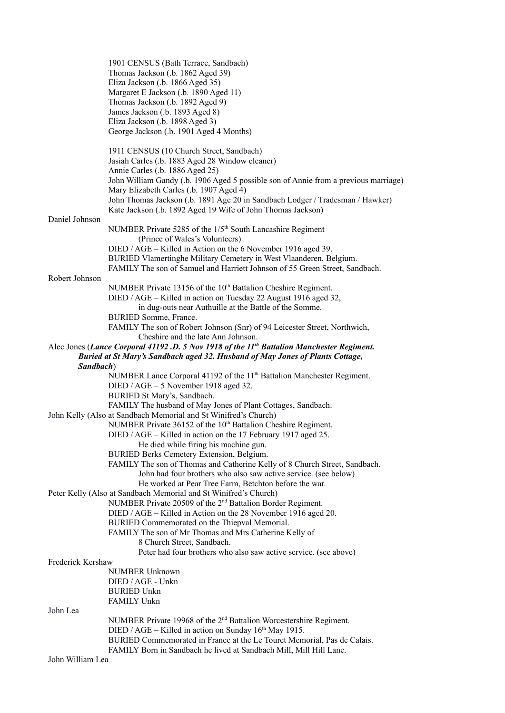|                   | 1901 CENSUS (Bath Terrace, Sandbach)                                                                                                          |
|-------------------|-----------------------------------------------------------------------------------------------------------------------------------------------|
|                   | Thomas Jackson (.b. 1862 Aged 39)                                                                                                             |
|                   | Eliza Jackson (.b. 1866 Aged 35)                                                                                                              |
|                   | Margaret E Jackson (.b. 1890 Aged 11)                                                                                                         |
|                   | Thomas Jackson (.b. 1892 Aged 9)                                                                                                              |
|                   | James Jackson (.b. 1893 Aged 8)                                                                                                               |
|                   | Eliza Jackson (.b. 1898 Aged 3)                                                                                                               |
|                   | George Jackson (.b. 1901 Aged 4 Months)                                                                                                       |
|                   | 1911 CENSUS (10 Church Street, Sandbach)                                                                                                      |
|                   | Jasiah Carles (.b. 1883 Aged 28 Window cleaner)                                                                                               |
|                   | Annie Carles (.b. 1886 Aged 25)                                                                                                               |
|                   | John William Gandy (.b. 1906 Aged 5 possible son of Annie from a previous marriage)                                                           |
|                   | Mary Elizabeth Carles (.b. 1907 Aged 4)                                                                                                       |
|                   | John Thomas Jackson (.b. 1891 Age 20 in Sandbach Lodger / Tradesman / Hawker)                                                                 |
|                   | Kate Jackson (.b. 1892 Aged 19 Wife of John Thomas Jackson)                                                                                   |
| Daniel Johnson    | NUMBER Private 5285 of the 1/5 <sup>th</sup> South Lancashire Regiment                                                                        |
|                   | (Prince of Wales's Volunteers)                                                                                                                |
|                   | DIED / AGE – Killed in Action on the 6 November 1916 aged 39.                                                                                 |
|                   | BURIED Vlamertinghe Military Cemetery in West Vlaanderen, Belgium.                                                                            |
|                   | FAMILY The son of Samuel and Harriett Johnson of 55 Green Street, Sandbach.                                                                   |
| Robert Johnson    |                                                                                                                                               |
|                   | NUMBER Private 13156 of the 10 <sup>th</sup> Battalion Cheshire Regiment.                                                                     |
|                   | DIED / AGE - Killed in action on Tuesday 22 August 1916 aged 32,                                                                              |
|                   | in dug-outs near Authuille at the Battle of the Somme.                                                                                        |
|                   | BURIED Somme, France.                                                                                                                         |
|                   | FAMILY The son of Robert Johnson (Snr) of 94 Leicester Street, Northwich,                                                                     |
|                   | Cheshire and the late Ann Johnson.                                                                                                            |
|                   | Alec Jones (Lance Corporal 41192.D. 5 Nov 1918 of the 11th Battalion Manchester Regiment.                                                     |
|                   | Buried at St Mary's Sandbach aged 32. Husband of May Jones of Plants Cottage,                                                                 |
| Sandbach)         |                                                                                                                                               |
|                   | NUMBER Lance Corporal 41192 of the 11 <sup>th</sup> Battalion Manchester Regiment.                                                            |
|                   | DIED / AGE - 5 November 1918 aged 32.                                                                                                         |
|                   | BURIED St Mary's, Sandbach.                                                                                                                   |
|                   | FAMILY The husband of May Jones of Plant Cottages, Sandbach.                                                                                  |
|                   | John Kelly (Also at Sandbach Memorial and St Winifred's Church)                                                                               |
|                   | NUMBER Private 36152 of the 10 <sup>th</sup> Battalion Cheshire Regiment.                                                                     |
|                   | DIED / AGE - Killed in action on the 17 February 1917 aged 25.                                                                                |
|                   | He died while firing his machine gun.                                                                                                         |
|                   | BURIED Berks Cemetery Extension, Belgium.                                                                                                     |
|                   | FAMILY The son of Thomas and Catherine Kelly of 8 Church Street, Sandbach.<br>John had four brothers who also saw active service. (see below) |
|                   | He worked at Pear Tree Farm, Betchton before the war.                                                                                         |
|                   | Peter Kelly (Also at Sandbach Memorial and St Winifred's Church)                                                                              |
|                   | NUMBER Private 20509 of the 2 <sup>nd</sup> Battalion Border Regiment.                                                                        |
|                   | DIED / AGE - Killed in Action on the 28 November 1916 aged 20.                                                                                |
|                   | BURIED Commemorated on the Thiepval Memorial.                                                                                                 |
|                   | FAMILY The son of Mr Thomas and Mrs Catherine Kelly of                                                                                        |
|                   | 8 Church Street, Sandbach.                                                                                                                    |
|                   | Peter had four brothers who also saw active service. (see above)                                                                              |
| Frederick Kershaw |                                                                                                                                               |
|                   | <b>NUMBER Unknown</b>                                                                                                                         |
|                   | DIED / AGE - Unkn                                                                                                                             |
|                   | <b>BURIED Unkn</b>                                                                                                                            |
|                   | FAMILY Unkn                                                                                                                                   |
| John Lea          |                                                                                                                                               |
|                   | NUMBER Private 19968 of the 2 <sup>nd</sup> Battalion Worcestershire Regiment.                                                                |
|                   | DIED / AGE - Killed in action on Sunday 16 <sup>th</sup> May 1915.                                                                            |
|                   | BURIED Commemorated in France at the Le Touret Memorial, Pas de Calais.                                                                       |
|                   | FAMILY Born in Sandbach he lived at Sandbach Mill, Mill Hill Lane.                                                                            |
| John William Lea  |                                                                                                                                               |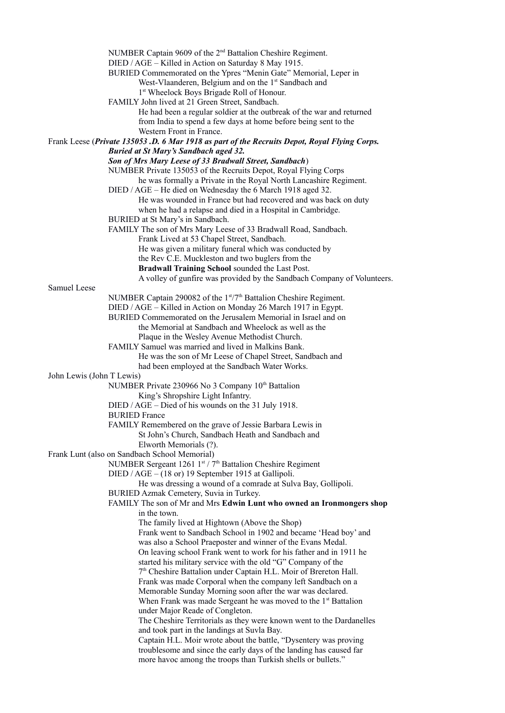NUMBER Captain 9609 of the 2nd Battalion Cheshire Regiment. DIED / AGE – Killed in Action on Saturday 8 May 1915. BURIED Commemorated on the Ypres "Menin Gate" Memorial, Leper in West-Vlaanderen, Belgium and on the 1<sup>st</sup> Sandbach and 1 st Wheelock Boys Brigade Roll of Honour. FAMILY John lived at 21 Green Street, Sandbach. He had been a regular soldier at the outbreak of the war and returned from India to spend a few days at home before being sent to the Western Front in France. Frank Leese (*Private 135053 .D. 6 Mar 1918 as part of the Recruits Depot, Royal Flying Corps. Buried at St Mary's Sandbach aged 32. Son of Mrs Mary Leese of 33 Bradwall Street, Sandbach*) NUMBER Private 135053 of the Recruits Depot, Royal Flying Corps he was formally a Private in the Royal North Lancashire Regiment. DIED / AGE – He died on Wednesday the 6 March 1918 aged 32. He was wounded in France but had recovered and was back on duty when he had a relapse and died in a Hospital in Cambridge. BURIED at St Mary's in Sandbach. FAMILY The son of Mrs Mary Leese of 33 Bradwall Road, Sandbach. Frank Lived at 53 Chapel Street, Sandbach. He was given a military funeral which was conducted by the Rev C.E. Muckleston and two buglers from the **Bradwall Training School** sounded the Last Post. A volley of gunfire was provided by the Sandbach Company of Volunteers. Samuel Leese NUMBER Captain 290082 of the 1<sup>st</sup>/7<sup>th</sup> Battalion Cheshire Regiment. DIED / AGE – Killed in Action on Monday 26 March 1917 in Egypt. BURIED Commemorated on the Jerusalem Memorial in Israel and on the Memorial at Sandbach and Wheelock as well as the Plaque in the Wesley Avenue Methodist Church. FAMILY Samuel was married and lived in Malkins Bank. He was the son of Mr Leese of Chapel Street, Sandbach and had been employed at the Sandbach Water Works. John Lewis (John T Lewis) NUMBER Private 230966 No 3 Company 10<sup>th</sup> Battalion King's Shropshire Light Infantry. DIED / AGE – Died of his wounds on the 31 July 1918. BURIED France FAMILY Remembered on the grave of Jessie Barbara Lewis in St John's Church, Sandbach Heath and Sandbach and Elworth Memorials (?). Frank Lunt (also on Sandbach School Memorial) NUMBER Sergeant 1261 1st / 7<sup>th</sup> Battalion Cheshire Regiment DIED / AGE – (18 or) 19 September 1915 at Gallipoli. He was dressing a wound of a comrade at Sulva Bay, Gollipoli. BURIED Azmak Cemetery, Suvia in Turkey. FAMILY The son of Mr and Mrs **Edwin Lunt who owned an Ironmongers shop** in the town. The family lived at Hightown (Above the Shop) Frank went to Sandbach School in 1902 and became 'Head boy' and was also a School Praeposter and winner of the Evans Medal. On leaving school Frank went to work for his father and in 1911 he started his military service with the old "G" Company of the 7 th Cheshire Battalion under Captain H.L. Moir of Brereton Hall. Frank was made Corporal when the company left Sandbach on a Memorable Sunday Morning soon after the war was declared. When Frank was made Sergeant he was moved to the  $1<sup>st</sup>$  Battalion under Major Reade of Congleton. The Cheshire Territorials as they were known went to the Dardanelles and took part in the landings at Suvla Bay. Captain H.L. Moir wrote about the battle, "Dysentery was proving troublesome and since the early days of the landing has caused far more havoc among the troops than Turkish shells or bullets."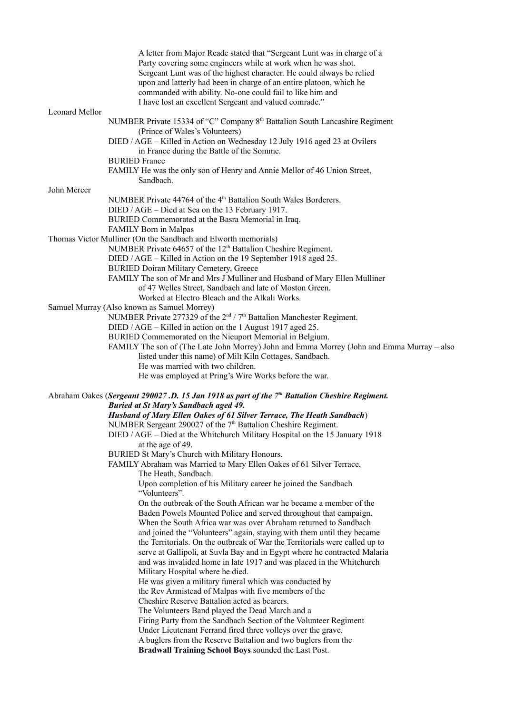|                | A letter from Major Reade stated that "Sergeant Lunt was in charge of a                                   |
|----------------|-----------------------------------------------------------------------------------------------------------|
|                | Party covering some engineers while at work when he was shot.                                             |
|                | Sergeant Lunt was of the highest character. He could always be relied                                     |
|                | upon and latterly had been in charge of an entire platoon, which he                                       |
|                | commanded with ability. No-one could fail to like him and                                                 |
|                | I have lost an excellent Sergeant and valued comrade."                                                    |
| Leonard Mellor |                                                                                                           |
|                | NUMBER Private 15334 of "C" Company 8 <sup>th</sup> Battalion South Lancashire Regiment                   |
|                | (Prince of Wales's Volunteers)                                                                            |
|                | DIED / AGE - Killed in Action on Wednesday 12 July 1916 aged 23 at Ovilers                                |
|                | in France during the Battle of the Somme.                                                                 |
|                | <b>BURIED France</b>                                                                                      |
|                | FAMILY He was the only son of Henry and Annie Mellor of 46 Union Street,                                  |
|                | Sandbach.                                                                                                 |
| John Mercer    |                                                                                                           |
|                | NUMBER Private 44764 of the 4 <sup>th</sup> Battalion South Wales Borderers.                              |
|                | DIED / AGE - Died at Sea on the 13 February 1917.                                                         |
|                | BURIED Commemorated at the Basra Memorial in Iraq.                                                        |
|                | FAMILY Born in Malpas                                                                                     |
|                | Thomas Victor Mulliner (On the Sandbach and Elworth memorials)                                            |
|                | NUMBER Private 64657 of the 12 <sup>th</sup> Battalion Cheshire Regiment.                                 |
|                | DIED / AGE – Killed in Action on the 19 September 1918 aged 25.                                           |
|                | <b>BURIED Doiran Military Cemetery, Greece</b>                                                            |
|                | FAMILY The son of Mr and Mrs J Mulliner and Husband of Mary Ellen Mulliner                                |
|                | of 47 Welles Street, Sandbach and late of Moston Green.                                                   |
|                | Worked at Electro Bleach and the Alkali Works.                                                            |
|                | Samuel Murray (Also known as Samuel Morrey)                                                               |
|                | NUMBER Private 277329 of the 2 <sup>nd</sup> / 7 <sup>th</sup> Battalion Manchester Regiment.             |
|                | DIED / AGE – Killed in action on the 1 August 1917 aged 25.                                               |
|                | BURIED Commemorated on the Nieuport Memorial in Belgium.                                                  |
|                | FAMILY The son of (The Late John Morrey) John and Emma Morrey (John and Emma Murray - also                |
|                | listed under this name) of Milt Kiln Cottages, Sandbach.                                                  |
|                | He was married with two children.                                                                         |
|                | He was employed at Pring's Wire Works before the war.                                                     |
|                | Abraham Oakes (Sergeant 290027.D. 15 Jan 1918 as part of the 7 <sup>th</sup> Battalion Cheshire Regiment. |
|                | <b>Buried at St Mary's Sandbach aged 49.</b>                                                              |
|                | Husband of Mary Ellen Oakes of 61 Silver Terrace, The Heath Sandbach)                                     |
|                | NUMBER Sergeant 290027 of the 7 <sup>th</sup> Battalion Cheshire Regiment.                                |
|                | DIED / AGE – Died at the Whitchurch Military Hospital on the 15 January 1918                              |
|                | at the age of 49.                                                                                         |
|                | BURIED St Mary's Church with Military Honours.                                                            |
|                | FAMILY Abraham was Married to Mary Ellen Oakes of 61 Silver Terrace,                                      |
|                | The Heath, Sandbach.                                                                                      |
|                | Upon completion of his Military career he joined the Sandbach                                             |
|                | "Volunteers".                                                                                             |
|                | On the outbreak of the South African war he became a member of the                                        |
|                | Baden Powels Mounted Police and served throughout that campaign.                                          |
|                | When the South Africa war was over Abraham returned to Sandbach                                           |
|                | and joined the "Volunteers" again, staying with them until they became                                    |
|                | the Territorials. On the outbreak of War the Territorials were called up to                               |
|                | serve at Gallipoli, at Suvla Bay and in Egypt where he contracted Malaria                                 |
|                | and was invalided home in late 1917 and was placed in the Whitchurch                                      |
|                | Military Hospital where he died.                                                                          |
|                | He was given a military funeral which was conducted by                                                    |
|                | the Rev Armistead of Malpas with five members of the                                                      |
|                | Cheshire Reserve Battalion acted as bearers.                                                              |
|                | The Volunteers Band played the Dead March and a                                                           |
|                | Firing Party from the Sandbach Section of the Volunteer Regiment                                          |
|                | Under Lieutenant Ferrand fired three volleys over the grave.                                              |
|                | A buglers from the Reserve Battalion and two buglers from the                                             |
|                | Bradwall Training School Boys sounded the Last Post.                                                      |
|                |                                                                                                           |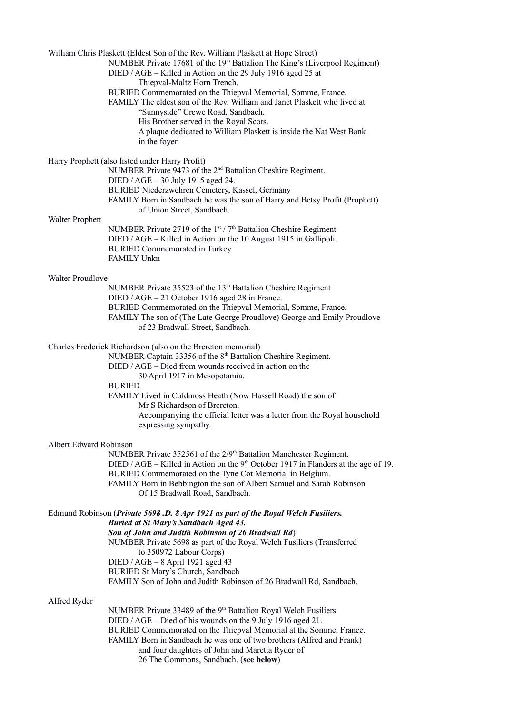William Chris Plaskett (Eldest Son of the Rev. William Plaskett at Hope Street) NUMBER Private 17681 of the 19<sup>th</sup> Battalion The King's (Liverpool Regiment) DIED / AGE – Killed in Action on the 29 July 1916 aged 25 at Thiepval-Maltz Horn Trench. BURIED Commemorated on the Thiepval Memorial, Somme, France. FAMILY The eldest son of the Rev. William and Janet Plaskett who lived at "Sunnyside" Crewe Road, Sandbach. His Brother served in the Royal Scots. A plaque dedicated to William Plaskett is inside the Nat West Bank in the foyer. Harry Prophett (also listed under Harry Profit) NUMBER Private 9473 of the 2nd Battalion Cheshire Regiment. DIED / AGE – 30 July 1915 aged 24. BURIED Niederzwehren Cemetery, Kassel, Germany FAMILY Born in Sandbach he was the son of Harry and Betsy Profit (Prophett) of Union Street, Sandbach. Walter Prophett NUMBER Private 2719 of the  $1<sup>st</sup> / 7<sup>th</sup>$  Battalion Cheshire Regiment DIED / AGE – Killed in Action on the 10 August 1915 in Gallipoli. BURIED Commemorated in Turkey FAMILY Unkn Walter Proudlove NUMBER Private 35523 of the 13<sup>th</sup> Battalion Cheshire Regiment DIED / AGE – 21 October 1916 aged 28 in France. BURIED Commemorated on the Thiepval Memorial, Somme, France. FAMILY The son of (The Late George Proudlove) George and Emily Proudlove of 23 Bradwall Street, Sandbach. Charles Frederick Richardson (also on the Brereton memorial) NUMBER Captain 33356 of the 8<sup>th</sup> Battalion Cheshire Regiment. DIED / AGE – Died from wounds received in action on the 30 April 1917 in Mesopotamia. BURIED FAMILY Lived in Coldmoss Heath (Now Hassell Road) the son of Mr S Richardson of Brereton. Accompanying the official letter was a letter from the Royal household expressing sympathy. Albert Edward Robinson NUMBER Private 352561 of the 2/9<sup>th</sup> Battalion Manchester Regiment. DIED / AGE – Killed in Action on the  $9<sup>th</sup>$  October 1917 in Flanders at the age of 19. BURIED Commemorated on the Tyne Cot Memorial in Belgium. FAMILY Born in Bebbington the son of Albert Samuel and Sarah Robinson Of 15 Bradwall Road, Sandbach. Edmund Robinson (*Private 5698 .D. 8 Apr 1921 as part of the Royal Welch Fusiliers. Buried at St Mary's Sandbach Aged 43. Son of John and Judith Robinson of 26 Bradwall Rd*) NUMBER Private 5698 as part of the Royal Welch Fusiliers (Transferred to 350972 Labour Corps) DIED / AGE – 8 April 1921 aged 43 BURIED St Mary's Church, Sandbach FAMILY Son of John and Judith Robinson of 26 Bradwall Rd, Sandbach. Alfred Ryder NUMBER Private 33489 of the 9<sup>th</sup> Battalion Royal Welch Fusiliers. DIED / AGE – Died of his wounds on the 9 July 1916 aged 21. BURIED Commemorated on the Thiepval Memorial at the Somme, France. FAMILY Born in Sandbach he was one of two brothers (Alfred and Frank) and four daughters of John and Maretta Ryder of

26 The Commons, Sandbach. (**see below**)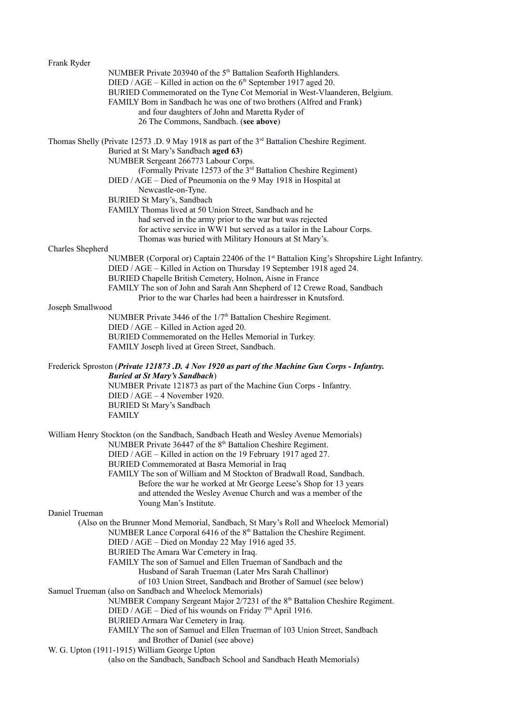| Frank Ryder      |                                                                                                                                                                                                                                                       |
|------------------|-------------------------------------------------------------------------------------------------------------------------------------------------------------------------------------------------------------------------------------------------------|
|                  | NUMBER Private 203940 of the 5 <sup>th</sup> Battalion Seaforth Highlanders.<br>DIED / AGE – Killed in action on the $6th$ September 1917 aged 20.<br>BURIED Commemorated on the Tyne Cot Memorial in West-Vlaanderen, Belgium.                       |
|                  | FAMILY Born in Sandbach he was one of two brothers (Alfred and Frank)<br>and four daughters of John and Maretta Ryder of<br>26 The Commons, Sandbach. (see above)                                                                                     |
|                  | Thomas Shelly (Private 12573 .D. 9 May 1918 as part of the 3 <sup>rd</sup> Battalion Cheshire Regiment.<br>Buried at St Mary's Sandbach aged 63)                                                                                                      |
|                  | NUMBER Sergeant 266773 Labour Corps.<br>(Formally Private 12573 of the 3 <sup>rd</sup> Battalion Cheshire Regiment)<br>DIED / AGE - Died of Pneumonia on the 9 May 1918 in Hospital at                                                                |
|                  | Newcastle-on-Tyne.<br>BURIED St Mary's, Sandbach                                                                                                                                                                                                      |
|                  | FAMILY Thomas lived at 50 Union Street, Sandbach and he<br>had served in the army prior to the war but was rejected<br>for active service in WW1 but served as a tailor in the Labour Corps.<br>Thomas was buried with Military Honours at St Mary's. |
| Charles Shepherd |                                                                                                                                                                                                                                                       |
|                  | NUMBER (Corporal or) Captain 22406 of the 1 <sup>st</sup> Battalion King's Shropshire Light Infantry.<br>DIED / AGE - Killed in Action on Thursday 19 September 1918 aged 24.<br>BURIED Chapelle British Cemetery, Holnon, Aisne in France            |
|                  | FAMILY The son of John and Sarah Ann Shepherd of 12 Crewe Road, Sandbach<br>Prior to the war Charles had been a hairdresser in Knutsford.                                                                                                             |
| Joseph Smallwood |                                                                                                                                                                                                                                                       |
|                  | NUMBER Private 3446 of the 1/7 <sup>th</sup> Battalion Cheshire Regiment.<br>DIED / AGE – Killed in Action aged 20.<br>BURIED Commemorated on the Helles Memorial in Turkey.                                                                          |
|                  | FAMILY Joseph lived at Green Street, Sandbach.                                                                                                                                                                                                        |
|                  | Frederick Sproston (Private 121873 .D. 4 Nov 1920 as part of the Machine Gun Corps - Infantry.<br><b>Buried at St Mary's Sandbach</b> )                                                                                                               |
|                  | NUMBER Private 121873 as part of the Machine Gun Corps - Infantry.<br>$DIED / AGE - 4 November 1920.$<br><b>BURIED St Mary's Sandbach</b>                                                                                                             |
|                  | <b>FAMILY</b>                                                                                                                                                                                                                                         |
|                  | William Henry Stockton (on the Sandbach, Sandbach Heath and Wesley Avenue Memorials)<br>NUMBER Private 36447 of the 8 <sup>th</sup> Battalion Cheshire Regiment.                                                                                      |
|                  | DIED / AGE – Killed in action on the 19 February 1917 aged 27.<br>BURIED Commemorated at Basra Memorial in Iraq                                                                                                                                       |
|                  | FAMILY The son of William and M Stockton of Bradwall Road, Sandbach.<br>Before the war he worked at Mr George Leese's Shop for 13 years                                                                                                               |
| Daniel Trueman   | and attended the Wesley Avenue Church and was a member of the<br>Young Man's Institute.                                                                                                                                                               |
|                  | (Also on the Brunner Mond Memorial, Sandbach, St Mary's Roll and Wheelock Memorial)                                                                                                                                                                   |
|                  | NUMBER Lance Corporal 6416 of the 8 <sup>th</sup> Battalion the Cheshire Regiment.<br>DIED / AGE - Died on Monday 22 May 1916 aged 35.                                                                                                                |
|                  | BURIED The Amara War Cemetery in Iraq.<br>FAMILY The son of Samuel and Ellen Trueman of Sandbach and the                                                                                                                                              |
|                  | Husband of Sarah Trueman (Later Mrs Sarah Challinor)<br>of 103 Union Street, Sandbach and Brother of Samuel (see below)<br>Samuel Trueman (also on Sandbach and Wheelock Memorials)                                                                   |
|                  | NUMBER Company Sergeant Major 2/7231 of the 8 <sup>th</sup> Battalion Cheshire Regiment.<br>DIED / AGE - Died of his wounds on Friday 7 <sup>th</sup> April 1916.<br>BURIED Armara War Cemetery in Iraq.                                              |
|                  | FAMILY The son of Samuel and Ellen Trueman of 103 Union Street, Sandbach<br>and Brother of Daniel (see above)                                                                                                                                         |
|                  | W. G. Upton (1911-1915) William George Upton<br>(also on the Sandbach, Sandbach School and Sandbach Heath Memorials)                                                                                                                                  |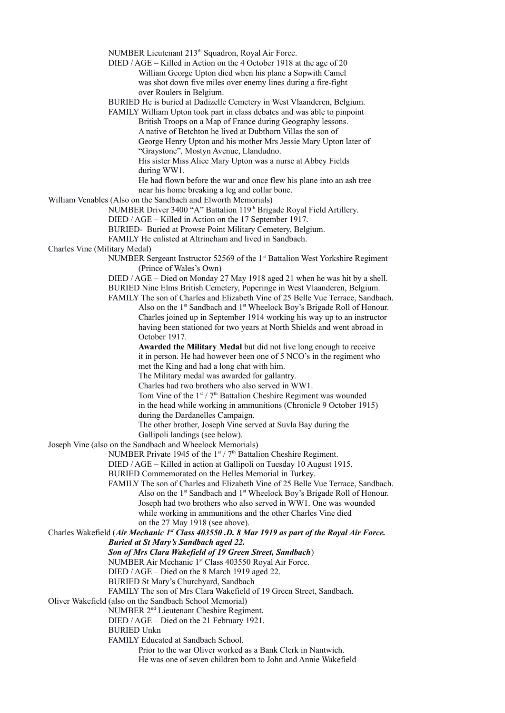NUMBER Lieutenant 213<sup>th</sup> Squadron, Royal Air Force.

DIED / AGE – Killed in Action on the 4 October 1918 at the age of 20 William George Upton died when his plane a Sopwith Camel was shot down five miles over enemy lines during a fire-fight over Roulers in Belgium.

BURIED He is buried at Dadizelle Cemetery in West Vlaanderen, Belgium.

FAMILY William Upton took part in class debates and was able to pinpoint British Troops on a Map of France during Geography lessons. A native of Betchton he lived at Dubthorn Villas the son of George Henry Upton and his mother Mrs Jessie Mary Upton later of "Graystone", Mostyn Avenue, Llandudno.

His sister Miss Alice Mary Upton was a nurse at Abbey Fields during WW1.

He had flown before the war and once flew his plane into an ash tree near his home breaking a leg and collar bone.

William Venables (Also on the Sandbach and Elworth Memorials)

NUMBER Driver 3400 "A" Battalion 119th Brigade Royal Field Artillery.

DIED / AGE – Killed in Action on the 17 September 1917.

BURIED- Buried at Prowse Point Military Cemetery, Belgium.

FAMILY He enlisted at Altrincham and lived in Sandbach.

Charles Vine (Military Medal)

NUMBER Sergeant Instructor 52569 of the 1<sup>st</sup> Battalion West Yorkshire Regiment (Prince of Wales's Own)

DIED / AGE – Died on Monday 27 May 1918 aged 21 when he was hit by a shell. BURIED Nine Elms British Cemetery, Poperinge in West Vlaanderen, Belgium. FAMILY The son of Charles and Elizabeth Vine of 25 Belle Vue Terrace, Sandbach.

Also on the 1<sup>st</sup> Sandbach and 1<sup>st</sup> Wheelock Boy's Brigade Roll of Honour. Charles joined up in September 1914 working his way up to an instructor having been stationed for two years at North Shields and went abroad in October 1917.

**Awarded the Military Medal** but did not live long enough to receive it in person. He had however been one of 5 NCO's in the regiment who met the King and had a long chat with him.

The Military medal was awarded for gallantry.

Charles had two brothers who also served in WW1.

Tom Vine of the  $1<sup>st</sup> / 7<sup>th</sup>$  Battalion Cheshire Regiment was wounded in the head while working in ammunitions (Chronicle 9 October 1915)

during the Dardanelles Campaign.

The other brother, Joseph Vine served at Suvla Bay during the Gallipoli landings (see below).

Joseph Vine (also on the Sandbach and Wheelock Memorials)

NUMBER Private 1945 of the  $1<sup>st</sup> / 7<sup>th</sup>$  Battalion Cheshire Regiment.

DIED / AGE – Killed in action at Gallipoli on Tuesday 10 August 1915.

BURIED Commemorated on the Helles Memorial in Turkey.

FAMILY The son of Charles and Elizabeth Vine of 25 Belle Vue Terrace, Sandbach. Also on the 1<sup>st</sup> Sandbach and 1<sup>st</sup> Wheelock Boy's Brigade Roll of Honour. Joseph had two brothers who also served in WW1. One was wounded while working in ammunitions and the other Charles Vine died on the 27 May 1918 (see above).

Charles Wakefield (*Air Mechanic 1st Class 403550 .D. 8 Mar 1919 as part of the Royal Air Force.* 

*Buried at St Mary's Sandbach aged 22.* 

*Son of Mrs Clara Wakefield of 19 Green Street, Sandbach*)

NUMBER Air Mechanic 1st Class 403550 Royal Air Force.

DIED / AGE – Died on the 8 March 1919 aged 22.

BURIED St Mary's Churchyard, Sandbach

FAMILY The son of Mrs Clara Wakefield of 19 Green Street, Sandbach.

Oliver Wakefield (also on the Sandbach School Memorial)

NUMBER 2nd Lieutenant Cheshire Regiment.

DIED / AGE – Died on the 21 February 1921.

BURIED Unkn

FAMILY Educated at Sandbach School.

Prior to the war Oliver worked as a Bank Clerk in Nantwich.

He was one of seven children born to John and Annie Wakefield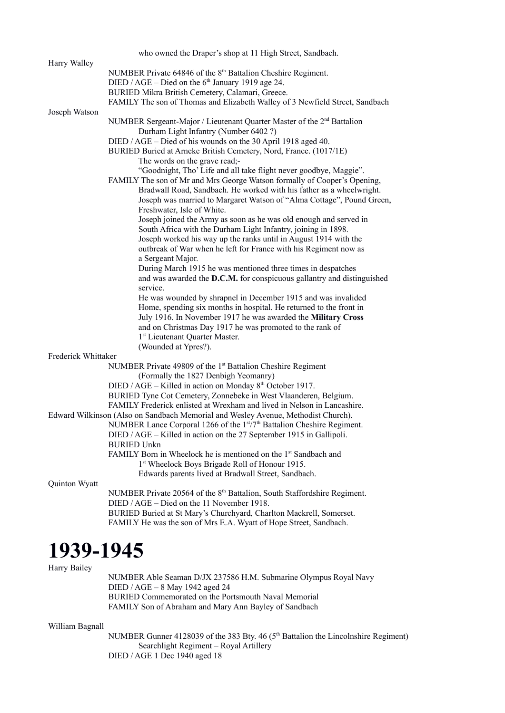|                     | who owned the Draper's shop at 11 High Street, Sandbach.                             |
|---------------------|--------------------------------------------------------------------------------------|
| Harry Walley        |                                                                                      |
|                     | NUMBER Private 64846 of the 8 <sup>th</sup> Battalion Cheshire Regiment.             |
|                     | DIED / AGE – Died on the $6th$ January 1919 age 24.                                  |
|                     | BURIED Mikra British Cemetery, Calamari, Greece.                                     |
|                     | FAMILY The son of Thomas and Elizabeth Walley of 3 Newfield Street, Sandbach         |
| Joseph Watson       |                                                                                      |
|                     | NUMBER Sergeant-Major / Lieutenant Quarter Master of the 2 <sup>nd</sup> Battalion   |
|                     | Durham Light Infantry (Number 6402 ?)                                                |
|                     | DIED / AGE – Died of his wounds on the 30 April 1918 aged 40.                        |
|                     | BURIED Buried at Arneke British Cemetery, Nord, France. (1017/1E)                    |
|                     | The words on the grave read;-                                                        |
|                     | "Goodnight, Tho' Life and all take flight never goodbye, Maggie".                    |
|                     | FAMILY The son of Mr and Mrs George Watson formally of Cooper's Opening,             |
|                     | Bradwall Road, Sandbach. He worked with his father as a wheelwright.                 |
|                     | Joseph was married to Margaret Watson of "Alma Cottage", Pound Green,                |
|                     | Freshwater, Isle of White.                                                           |
|                     | Joseph joined the Army as soon as he was old enough and served in                    |
|                     | South Africa with the Durham Light Infantry, joining in 1898.                        |
|                     | Joseph worked his way up the ranks until in August 1914 with the                     |
|                     | outbreak of War when he left for France with his Regiment now as                     |
|                     | a Sergeant Major.                                                                    |
|                     | During March 1915 he was mentioned three times in despatches                         |
|                     | and was awarded the D.C.M. for conspicuous gallantry and distinguished               |
|                     | service.                                                                             |
|                     | He was wounded by shrapnel in December 1915 and was invalided                        |
|                     | Home, spending six months in hospital. He returned to the front in                   |
|                     | July 1916. In November 1917 he was awarded the Military Cross                        |
|                     | and on Christmas Day 1917 he was promoted to the rank of                             |
|                     | 1st Lieutenant Quarter Master.                                                       |
|                     | (Wounded at Ypres?).                                                                 |
| Frederick Whittaker |                                                                                      |
|                     | NUMBER Private 49809 of the 1 <sup>st</sup> Battalion Cheshire Regiment              |
|                     | (Formally the 1827 Denbigh Yeomanry)                                                 |
|                     | DIED / AGE – Killed in action on Monday 8 <sup>th</sup> October 1917.                |
|                     | BURIED Tyne Cot Cemetery, Zonnebeke in West Vlaanderen, Belgium.                     |
|                     | FAMILY Frederick enlisted at Wrexham and lived in Nelson in Lancashire.              |
|                     | Edward Wilkinson (Also on Sandbach Memorial and Wesley Avenue, Methodist Church).    |
|                     | NUMBER Lance Corporal 1266 of the 1st/7 <sup>th</sup> Battalion Cheshire Regiment.   |
|                     | DIED / AGE - Killed in action on the 27 September 1915 in Gallipoli.                 |
|                     | <b>BURIED Unkn</b>                                                                   |
|                     | FAMILY Born in Wheelock he is mentioned on the 1 <sup>st</sup> Sandbach and          |
|                     | 1st Wheelock Boys Brigade Roll of Honour 1915.                                       |
|                     | Edwards parents lived at Bradwall Street, Sandbach.                                  |
| Quinton Wyatt       |                                                                                      |
|                     | NUMBER Private 20564 of the 8 <sup>th</sup> Battalion, South Staffordshire Regiment. |
|                     | DIED / AGE – Died on the 11 November 1918.                                           |
|                     | BURIED Buried at St Mary's Churchyard, Charlton Mackrell, Somerset.                  |
|                     | FAMILY He was the son of Mrs E.A. Wyatt of Hope Street, Sandbach.                    |
|                     |                                                                                      |

# **1939-1945**

Harry Bailey

NUMBER Able Seaman D/JX 237586 H.M. Submarine Olympus Royal Navy DIED / AGE – 8 May 1942 aged 24 BURIED Commemorated on the Portsmouth Naval Memorial FAMILY Son of Abraham and Mary Ann Bayley of Sandbach

# William Bagnall

NUMBER Gunner 4128039 of the 383 Bty. 46 (5<sup>th</sup> Battalion the Lincolnshire Regiment) Searchlight Regiment – Royal Artillery DIED / AGE 1 Dec 1940 aged 18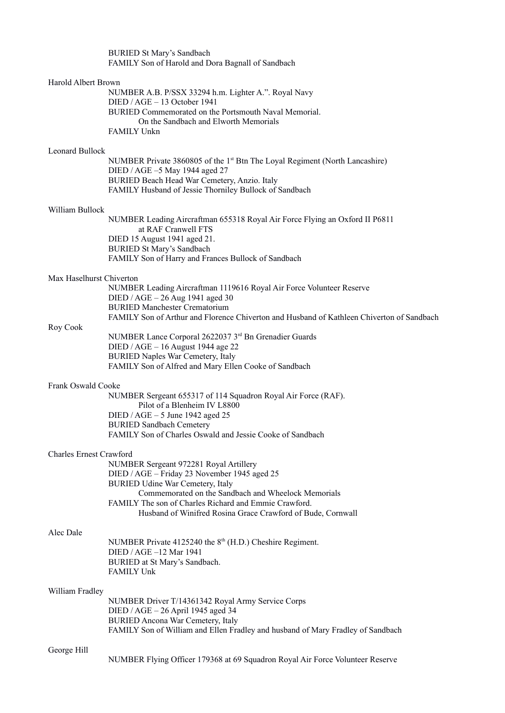|                                | <b>BURIED St Mary's Sandbach</b><br>FAMILY Son of Harold and Dora Bagnall of Sandbach                                                                                                                                                                                                                     |
|--------------------------------|-----------------------------------------------------------------------------------------------------------------------------------------------------------------------------------------------------------------------------------------------------------------------------------------------------------|
| Harold Albert Brown            | NUMBER A.B. P/SSX 33294 h.m. Lighter A.". Royal Navy<br>$DIED / AGE - 13 October 1941$<br>BURIED Commemorated on the Portsmouth Naval Memorial.<br>On the Sandbach and Elworth Memorials<br><b>FAMILY Unkn</b>                                                                                            |
| <b>Leonard Bullock</b>         |                                                                                                                                                                                                                                                                                                           |
|                                | NUMBER Private 3860805 of the 1 <sup>st</sup> Btn The Loyal Regiment (North Lancashire)<br>DIED / AGE -5 May 1944 aged 27<br>BURIED Beach Head War Cemetery, Anzio. Italy<br>FAMILY Husband of Jessie Thorniley Bullock of Sandbach                                                                       |
| William Bullock                |                                                                                                                                                                                                                                                                                                           |
|                                | NUMBER Leading Aircraftman 655318 Royal Air Force Flying an Oxford II P6811<br>at RAF Cranwell FTS<br>DIED 15 August 1941 aged 21.<br><b>BURIED St Mary's Sandbach</b><br>FAMILY Son of Harry and Frances Bullock of Sandbach                                                                             |
|                                |                                                                                                                                                                                                                                                                                                           |
| Max Haselhurst Chiverton       | NUMBER Leading Aircraftman 1119616 Royal Air Force Volunteer Reserve<br>DIED / AGE $-26$ Aug 1941 aged 30<br><b>BURIED Manchester Crematorium</b>                                                                                                                                                         |
|                                | FAMILY Son of Arthur and Florence Chiverton and Husband of Kathleen Chiverton of Sandbach                                                                                                                                                                                                                 |
| Roy Cook                       | NUMBER Lance Corporal 2622037 3rd Bn Grenadier Guards<br>DIED / AGE - 16 August 1944 age 22<br><b>BURIED Naples War Cemetery, Italy</b><br>FAMILY Son of Alfred and Mary Ellen Cooke of Sandbach                                                                                                          |
| Frank Oswald Cooke             |                                                                                                                                                                                                                                                                                                           |
|                                | NUMBER Sergeant 655317 of 114 Squadron Royal Air Force (RAF).<br>Pilot of a Blenheim IV L8800<br>DIED / AGE $-5$ June 1942 aged 25<br><b>BURIED Sandbach Cemetery</b><br>FAMILY Son of Charles Oswald and Jessie Cooke of Sandbach                                                                        |
| <b>Charles Ernest Crawford</b> |                                                                                                                                                                                                                                                                                                           |
|                                | NUMBER Sergeant 972281 Royal Artillery<br>DIED / AGE - Friday 23 November 1945 aged 25<br>BURIED Udine War Cemetery, Italy<br>Commemorated on the Sandbach and Wheelock Memorials<br>FAMILY The son of Charles Richard and Emmie Crawford.<br>Husband of Winifred Rosina Grace Crawford of Bude, Cornwall |
| Alec Dale                      | NUMBER Private 4125240 the 8 <sup>th</sup> (H.D.) Cheshire Regiment.<br>DIED / AGE $-12$ Mar 1941<br>BURIED at St Mary's Sandbach.<br><b>FAMILY Unk</b>                                                                                                                                                   |
| William Fradley                |                                                                                                                                                                                                                                                                                                           |
|                                | NUMBER Driver T/14361342 Royal Army Service Corps<br>DIED / AGE $-26$ April 1945 aged 34<br><b>BURIED Ancona War Cemetery, Italy</b><br>FAMILY Son of William and Ellen Fradley and husband of Mary Fradley of Sandbach                                                                                   |
| George Hill                    |                                                                                                                                                                                                                                                                                                           |
|                                | NUMBER Flying Officer 179368 at 69 Squadron Royal Air Force Volunteer Reserve                                                                                                                                                                                                                             |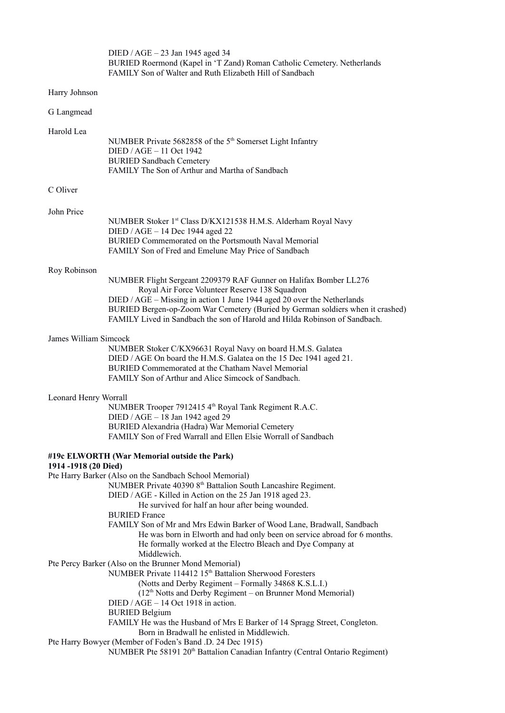|                       | DIED / AGE - 23 Jan 1945 aged 34<br>BURIED Roermond (Kapel in 'T Zand) Roman Catholic Cemetery. Netherlands<br>FAMILY Son of Walter and Ruth Elizabeth Hill of Sandbach                                                                                                                                                                                                                                                                                                                                                |
|-----------------------|------------------------------------------------------------------------------------------------------------------------------------------------------------------------------------------------------------------------------------------------------------------------------------------------------------------------------------------------------------------------------------------------------------------------------------------------------------------------------------------------------------------------|
| Harry Johnson         |                                                                                                                                                                                                                                                                                                                                                                                                                                                                                                                        |
| G Langmead            |                                                                                                                                                                                                                                                                                                                                                                                                                                                                                                                        |
| Harold Lea            | NUMBER Private 5682858 of the 5 <sup>th</sup> Somerset Light Infantry<br>DIED / AGE - 11 Oct 1942<br><b>BURIED Sandbach Cemetery</b><br>FAMILY The Son of Arthur and Martha of Sandbach                                                                                                                                                                                                                                                                                                                                |
| C Oliver              |                                                                                                                                                                                                                                                                                                                                                                                                                                                                                                                        |
| John Price            | NUMBER Stoker 1st Class D/KX121538 H.M.S. Alderham Royal Navy<br>DIED / AGE - 14 Dec 1944 aged 22<br>BURIED Commemorated on the Portsmouth Naval Memorial<br>FAMILY Son of Fred and Emelune May Price of Sandbach                                                                                                                                                                                                                                                                                                      |
| Roy Robinson          | NUMBER Flight Sergeant 2209379 RAF Gunner on Halifax Bomber LL276<br>Royal Air Force Volunteer Reserve 138 Squadron<br>DIED / AGE - Missing in action 1 June 1944 aged 20 over the Netherlands<br>BURIED Bergen-op-Zoom War Cemetery (Buried by German soldiers when it crashed)<br>FAMILY Lived in Sandbach the son of Harold and Hilda Robinson of Sandbach.                                                                                                                                                         |
| James William Simcock | NUMBER Stoker C/KX96631 Royal Navy on board H.M.S. Galatea<br>DIED / AGE On board the H.M.S. Galatea on the 15 Dec 1941 aged 21.<br>BURIED Commemorated at the Chatham Navel Memorial<br>FAMILY Son of Arthur and Alice Simcock of Sandbach.                                                                                                                                                                                                                                                                           |
| Leonard Henry Worrall | NUMBER Trooper 7912415 4th Royal Tank Regiment R.A.C.<br>DIED / AGE - 18 Jan 1942 aged 29<br>BURIED Alexandria (Hadra) War Memorial Cemetery<br>FAMILY Son of Fred Warrall and Ellen Elsie Worrall of Sandbach                                                                                                                                                                                                                                                                                                         |
|                       | #19c ELWORTH (War Memorial outside the Park)                                                                                                                                                                                                                                                                                                                                                                                                                                                                           |
| 1914 -1918 (20 Died)  | Pte Harry Barker (Also on the Sandbach School Memorial)<br>NUMBER Private 40390 8 <sup>th</sup> Battalion South Lancashire Regiment.<br>DIED / AGE - Killed in Action on the 25 Jan 1918 aged 23.<br>He survived for half an hour after being wounded.<br><b>BURIED France</b><br>FAMILY Son of Mr and Mrs Edwin Barker of Wood Lane, Bradwall, Sandbach<br>He was born in Elworth and had only been on service abroad for 6 months.<br>He formally worked at the Electro Bleach and Dye Company at<br>Middlewich.     |
|                       | Pte Percy Barker (Also on the Brunner Mond Memorial)<br>NUMBER Private 114412 15 <sup>th</sup> Battalion Sherwood Foresters<br>(Notts and Derby Regiment - Formally 34868 K.S.L.I.)<br>(12 <sup>th</sup> Notts and Derby Regiment – on Brunner Mond Memorial)<br>DIED / AGE - 14 Oct 1918 in action.<br><b>BURIED Belgium</b><br>FAMILY He was the Husband of Mrs E Barker of 14 Spragg Street, Congleton.<br>Born in Bradwall he enlisted in Middlewich.<br>Pte Harry Bowyer (Member of Foden's Band .D. 24 Dec 1915) |
|                       | NUMBER Pte 58191 20 <sup>th</sup> Battalion Canadian Infantry (Central Ontario Regiment)                                                                                                                                                                                                                                                                                                                                                                                                                               |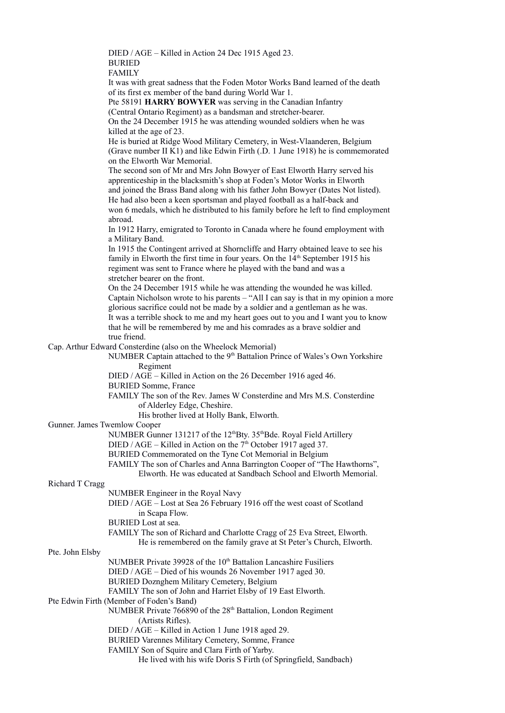DIED / AGE – Killed in Action 24 Dec 1915 Aged 23. BURIED FAMILY

It was with great sadness that the Foden Motor Works Band learned of the death of its first ex member of the band during World War 1.

Pte 58191 **HARRY BOWYER** was serving in the Canadian Infantry

(Central Ontario Regiment) as a bandsman and stretcher-bearer. On the 24 December 1915 he was attending wounded soldiers when he was killed at the age of 23.

He is buried at Ridge Wood Military Cemetery, in West-Vlaanderen, Belgium (Grave number II K1) and like Edwin Firth (.D. 1 June 1918) he is commemorated on the Elworth War Memorial.

The second son of Mr and Mrs John Bowyer of East Elworth Harry served his apprenticeship in the blacksmith's shop at Foden's Motor Works in Elworth and joined the Brass Band along with his father John Bowyer (Dates Not listed). He had also been a keen sportsman and played football as a half-back and won 6 medals, which he distributed to his family before he left to find employment abroad.

In 1912 Harry, emigrated to Toronto in Canada where he found employment with a Military Band.

In 1915 the Contingent arrived at Shorncliffe and Harry obtained leave to see his family in Elworth the first time in four years. On the  $14<sup>th</sup>$  September 1915 his regiment was sent to France where he played with the band and was a stretcher bearer on the front.

On the 24 December 1915 while he was attending the wounded he was killed. Captain Nicholson wrote to his parents – "All I can say is that in my opinion a more glorious sacrifice could not be made by a soldier and a gentleman as he was. It was a terrible shock to me and my heart goes out to you and I want you to know that he will be remembered by me and his comrades as a brave soldier and true friend.

Cap. Arthur Edward Consterdine (also on the Wheelock Memorial)

NUMBER Captain attached to the  $9<sup>th</sup>$  Battalion Prince of Wales's Own Yorkshire Regiment

DIED / AGE – Killed in Action on the 26 December 1916 aged 46.

BURIED Somme, France

FAMILY The son of the Rev. James W Consterdine and Mrs M.S. Consterdine of Alderley Edge, Cheshire.

His brother lived at Holly Bank, Elworth.

# Gunner. James Twemlow Cooper

NUMBER Gunner 131217 of the 12<sup>th</sup>Bty. 35<sup>th</sup>Bde. Royal Field Artillery

DIED / AGE – Killed in Action on the  $7<sup>th</sup>$  October 1917 aged 37.

BURIED Commemorated on the Tyne Cot Memorial in Belgium

FAMILY The son of Charles and Anna Barrington Cooper of "The Hawthorns",

Elworth. He was educated at Sandbach School and Elworth Memorial.

# Richard T Cragg

NUMBER Engineer in the Royal Navy DIED / AGE – Lost at Sea 26 February 1916 off the west coast of Scotland in Scapa Flow. BURIED Lost at sea. FAMILY The son of Richard and Charlotte Cragg of 25 Eva Street, Elworth. He is remembered on the family grave at St Peter's Church, Elworth.

# Pte. John Elsby

NUMBER Private 39928 of the 10<sup>th</sup> Battalion Lancashire Fusiliers DIED / AGE – Died of his wounds 26 November 1917 aged 30. BURIED Doznghem Military Cemetery, Belgium FAMILY The son of John and Harriet Elsby of 19 East Elworth. Pte Edwin Firth (Member of Foden's Band) NUMBER Private 766890 of the 28<sup>th</sup> Battalion, London Regiment (Artists Rifles). DIED / AGE – Killed in Action 1 June 1918 aged 29. BURIED Varennes Military Cemetery, Somme, France

FAMILY Son of Squire and Clara Firth of Yarby.

He lived with his wife Doris S Firth (of Springfield, Sandbach)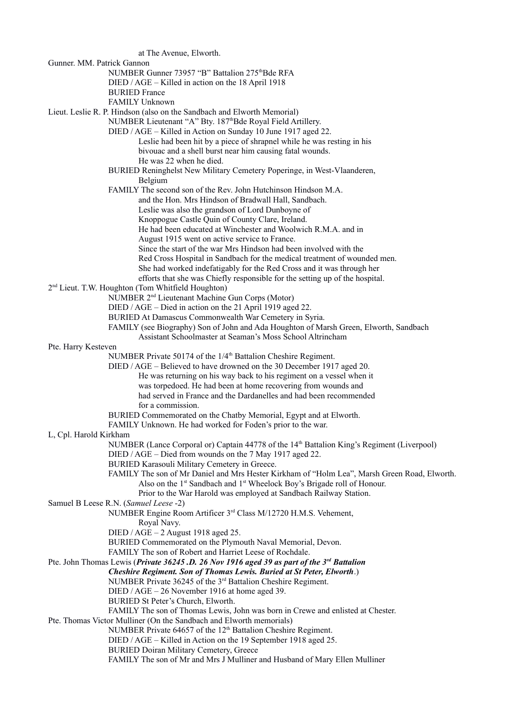at The Avenue, Elworth. Gunner. MM. Patrick Gannon NUMBER Gunner 73957 "B" Battalion 275<sup>th</sup>Bde RFA DIED / AGE – Killed in action on the 18 April 1918 BURIED France FAMILY Unknown Lieut. Leslie R. P. Hindson (also on the Sandbach and Elworth Memorial) NUMBER Lieutenant "A" Bty. 187thBde Royal Field Artillery. DIED / AGE – Killed in Action on Sunday 10 June 1917 aged 22. Leslie had been hit by a piece of shrapnel while he was resting in his bivouac and a shell burst near him causing fatal wounds. He was 22 when he died. BURIED Reninghelst New Military Cemetery Poperinge, in West-Vlaanderen, Belgium FAMILY The second son of the Rev. John Hutchinson Hindson M.A. and the Hon. Mrs Hindson of Bradwall Hall, Sandbach. Leslie was also the grandson of Lord Dunboyne of Knoppogue Castle Quin of County Clare, Ireland. He had been educated at Winchester and Woolwich R.M.A. and in August 1915 went on active service to France. Since the start of the war Mrs Hindson had been involved with the Red Cross Hospital in Sandbach for the medical treatment of wounded men. She had worked indefatigably for the Red Cross and it was through her efforts that she was Chiefly responsible for the setting up of the hospital. 2<sup>nd</sup> Lieut. T.W. Houghton (Tom Whitfield Houghton) NUMBER 2nd Lieutenant Machine Gun Corps (Motor) DIED / AGE – Died in action on the 21 April 1919 aged 22. BURIED At Damascus Commonwealth War Cemetery in Syria. FAMILY (see Biography) Son of John and Ada Houghton of Marsh Green, Elworth, Sandbach Assistant Schoolmaster at Seaman's Moss School Altrincham Pte. Harry Kesteven NUMBER Private 50174 of the 1/4<sup>th</sup> Battalion Cheshire Regiment. DIED / AGE – Believed to have drowned on the 30 December 1917 aged 20. He was returning on his way back to his regiment on a vessel when it was torpedoed. He had been at home recovering from wounds and had served in France and the Dardanelles and had been recommended for a commission. BURIED Commemorated on the Chatby Memorial, Egypt and at Elworth. FAMILY Unknown. He had worked for Foden's prior to the war. L, Cpl. Harold Kirkham NUMBER (Lance Corporal or) Captain 44778 of the 14th Battalion King's Regiment (Liverpool) DIED / AGE – Died from wounds on the 7 May 1917 aged 22. BURIED Karasouli Military Cemetery in Greece. FAMILY The son of Mr Daniel and Mrs Hester Kirkham of "Holm Lea", Marsh Green Road, Elworth. Also on the  $1<sup>st</sup>$  Sandbach and  $1<sup>st</sup>$  Wheelock Boy's Brigade roll of Honour. Prior to the War Harold was employed at Sandbach Railway Station. Samuel B Leese R.N. (*Samuel Leese* -2) NUMBER Engine Room Artificer 3rd Class M/12720 H.M.S. Vehement, Royal Navy. DIED / AGE – 2 August 1918 aged 25. BURIED Commemorated on the Plymouth Naval Memorial, Devon. FAMILY The son of Robert and Harriet Leese of Rochdale. Pte. John Thomas Lewis (*Private 36245 .D. 26 Nov 1916 aged 39 as part of the 3rd Battalion Cheshire Regiment. Son of Thomas Lewis. Buried at St Peter, Elworth*.) NUMBER Private 36245 of the 3<sup>rd</sup> Battalion Cheshire Regiment. DIED / AGE – 26 November 1916 at home aged 39. BURIED St Peter's Church, Elworth. FAMILY The son of Thomas Lewis, John was born in Crewe and enlisted at Chester. Pte. Thomas Victor Mulliner (On the Sandbach and Elworth memorials) NUMBER Private 64657 of the  $12<sup>th</sup>$  Battalion Cheshire Regiment. DIED / AGE – Killed in Action on the 19 September 1918 aged 25. BURIED Doiran Military Cemetery, Greece FAMILY The son of Mr and Mrs J Mulliner and Husband of Mary Ellen Mulliner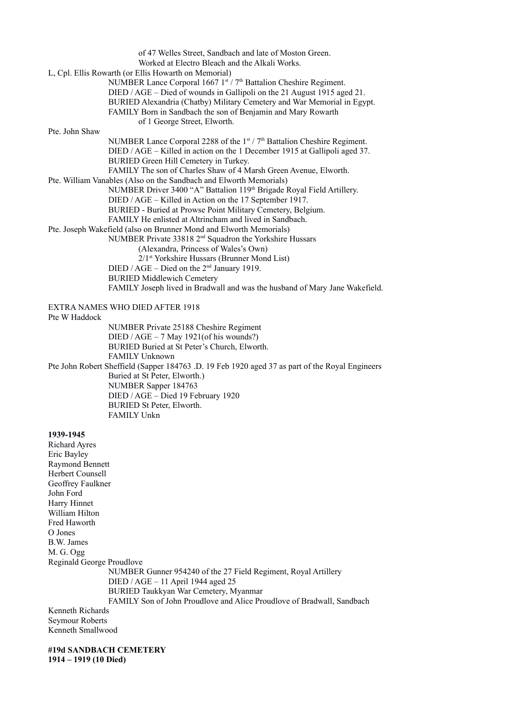|                           | of 47 Welles Street, Sandbach and late of Moston Green.                                         |
|---------------------------|-------------------------------------------------------------------------------------------------|
|                           | Worked at Electro Bleach and the Alkali Works.                                                  |
|                           | L, Cpl. Ellis Rowarth (or Ellis Howarth on Memorial)                                            |
|                           | NUMBER Lance Corporal 1667 1st / 7 <sup>th</sup> Battalion Cheshire Regiment.                   |
|                           | DIED / AGE – Died of wounds in Gallipoli on the 21 August 1915 aged 21.                         |
|                           | BURIED Alexandria (Chatby) Military Cemetery and War Memorial in Egypt.                         |
|                           | FAMILY Born in Sandbach the son of Benjamin and Mary Rowarth                                    |
|                           | of 1 George Street, Elworth.                                                                    |
| Pte. John Shaw            |                                                                                                 |
|                           | NUMBER Lance Corporal 2288 of the $1st / 7th$ Battalion Cheshire Regiment.                      |
|                           | DIED / AGE – Killed in action on the 1 December 1915 at Gallipoli aged 37.                      |
|                           | BURIED Green Hill Cemetery in Turkey.                                                           |
|                           | FAMILY The son of Charles Shaw of 4 Marsh Green Avenue, Elworth.                                |
|                           | Pte. William Vanables (Also on the Sandbach and Elworth Memorials)                              |
|                           | NUMBER Driver 3400 "A" Battalion 119th Brigade Royal Field Artillery.                           |
|                           | DIED / AGE – Killed in Action on the 17 September 1917.                                         |
|                           | BURIED - Buried at Prowse Point Military Cemetery, Belgium.                                     |
|                           | FAMILY He enlisted at Altrincham and lived in Sandbach.                                         |
|                           |                                                                                                 |
|                           | Pte. Joseph Wakefield (also on Brunner Mond and Elworth Memorials)                              |
|                           | NUMBER Private 33818 2 <sup>nd</sup> Squadron the Yorkshire Hussars                             |
|                           | (Alexandra, Princess of Wales's Own)                                                            |
|                           | 2/1st Yorkshire Hussars (Brunner Mond List)                                                     |
|                           | DIED / AGE – Died on the $2nd$ January 1919.                                                    |
|                           | <b>BURIED Middlewich Cemetery</b>                                                               |
|                           | FAMILY Joseph lived in Bradwall and was the husband of Mary Jane Wakefield.                     |
|                           | EXTRA NAMES WHO DIED AFTER 1918                                                                 |
| Pte W Haddock             |                                                                                                 |
|                           | NUMBER Private 25188 Cheshire Regiment                                                          |
|                           | DIED / AGE $-7$ May 1921(of his wounds?)                                                        |
|                           | BURIED Buried at St Peter's Church, Elworth.                                                    |
|                           | <b>FAMILY Unknown</b>                                                                           |
|                           | Pte John Robert Sheffield (Sapper 184763 .D. 19 Feb 1920 aged 37 as part of the Royal Engineers |
|                           | Buried at St Peter, Elworth.)                                                                   |
|                           | NUMBER Sapper 184763                                                                            |
|                           | DIED / AGE - Died 19 February 1920                                                              |
|                           | BURIED St Peter, Elworth.                                                                       |
|                           | FAMILY Unkn                                                                                     |
|                           |                                                                                                 |
| 1939-1945                 |                                                                                                 |
| <b>Richard Ayres</b>      |                                                                                                 |
| Eric Bayley               |                                                                                                 |
| <b>Raymond Bennett</b>    |                                                                                                 |
| Herbert Counsell          |                                                                                                 |
| Geoffrey Faulkner         |                                                                                                 |
| John Ford                 |                                                                                                 |
| Harry Hinnet              |                                                                                                 |
| William Hilton            |                                                                                                 |
| Fred Haworth              |                                                                                                 |
| O Jones                   |                                                                                                 |
| B.W. James                |                                                                                                 |
| M. G. Ogg                 |                                                                                                 |
|                           |                                                                                                 |
| Reginald George Proudlove |                                                                                                 |
|                           | NUMBER Gunner 954240 of the 27 Field Regiment, Royal Artillery                                  |
|                           | DIED / AGE - 11 April 1944 aged 25                                                              |
|                           | BURIED Taukkyan War Cemetery, Myanmar                                                           |
|                           | FAMILY Son of John Proudlove and Alice Proudlove of Bradwall, Sandbach                          |
| Kenneth Richards          |                                                                                                 |
| Seymour Roberts           |                                                                                                 |
| Kenneth Smallwood         |                                                                                                 |
|                           |                                                                                                 |

**#19d SANDBACH CEMETERY 1914 – 1919 (10 Died)**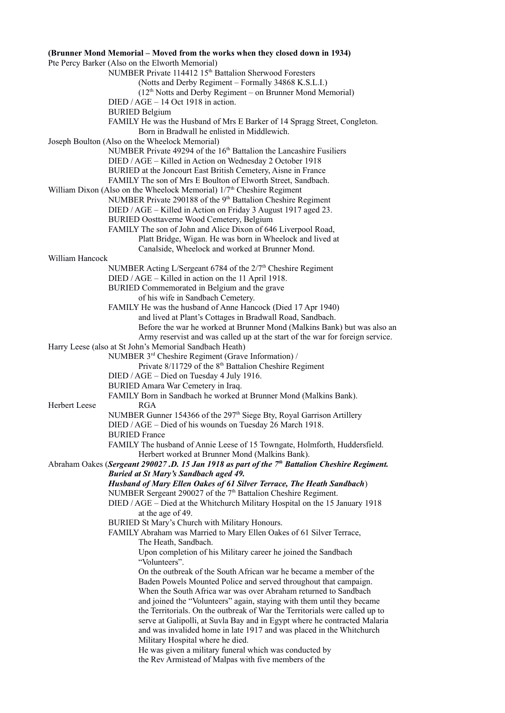# **(Brunner Mond Memorial – Moved from the works when they closed down in 1934)**  Pte Percy Barker (Also on the Elworth Memorial) NUMBER Private 114412 15th Battalion Sherwood Foresters (Notts and Derby Regiment – Formally 34868 K.S.L.I.)  $(12<sup>th</sup> Notts and Derby Regiment – on Brunner Mond Memorial)$ DIED / AGE – 14 Oct 1918 in action. BURIED Belgium FAMILY He was the Husband of Mrs E Barker of 14 Spragg Street, Congleton. Born in Bradwall he enlisted in Middlewich. Joseph Boulton (Also on the Wheelock Memorial) NUMBER Private 49294 of the 16<sup>th</sup> Battalion the Lancashire Fusiliers DIED / AGE – Killed in Action on Wednesday 2 October 1918 BURIED at the Joncourt East British Cemetery, Aisne in France FAMILY The son of Mrs E Boulton of Elworth Street, Sandbach. William Dixon (Also on the Wheelock Memorial)  $1/7<sup>th</sup>$  Cheshire Regiment NUMBER Private 290188 of the 9<sup>th</sup> Battalion Cheshire Regiment DIED / AGE – Killed in Action on Friday 3 August 1917 aged 23. BURIED Oosttaverne Wood Cemetery, Belgium FAMILY The son of John and Alice Dixon of 646 Liverpool Road, Platt Bridge, Wigan. He was born in Wheelock and lived at Canalside, Wheelock and worked at Brunner Mond. William Hancock NUMBER Acting L/Sergeant  $6784$  of the  $2/7<sup>th</sup>$  Cheshire Regiment DIED / AGE – Killed in action on the 11 April 1918. BURIED Commemorated in Belgium and the grave of his wife in Sandbach Cemetery. FAMILY He was the husband of Anne Hancock (Died 17 Apr 1940) and lived at Plant's Cottages in Bradwall Road, Sandbach. Before the war he worked at Brunner Mond (Malkins Bank) but was also an Army reservist and was called up at the start of the war for foreign service. Harry Leese (also at St John's Memorial Sandbach Heath) NUMBER 3rd Cheshire Regiment (Grave Information) / Private  $8/11729$  of the  $8<sup>th</sup>$  Battalion Cheshire Regiment DIED / AGE – Died on Tuesday 4 July 1916. BURIED Amara War Cemetery in Iraq. FAMILY Born in Sandbach he worked at Brunner Mond (Malkins Bank). Herbert Leese RGA NUMBER Gunner 154366 of the 297<sup>th</sup> Siege Bty, Royal Garrison Artillery DIED / AGE – Died of his wounds on Tuesday 26 March 1918. BURIED France FAMILY The husband of Annie Leese of 15 Towngate, Holmforth, Huddersfield. Herbert worked at Brunner Mond (Malkins Bank). Abraham Oakes (*Sergeant 290027 .D. 15 Jan 1918 as part of the 7th Battalion Cheshire Regiment. Buried at St Mary's Sandbach aged 49. Husband of Mary Ellen Oakes of 61 Silver Terrace, The Heath Sandbach*) NUMBER Sergeant 290027 of the 7<sup>th</sup> Battalion Cheshire Regiment. DIED / AGE – Died at the Whitchurch Military Hospital on the 15 January 1918 at the age of 49. BURIED St Mary's Church with Military Honours. FAMILY Abraham was Married to Mary Ellen Oakes of 61 Silver Terrace, The Heath, Sandbach. Upon completion of his Military career he joined the Sandbach "Volunteers". On the outbreak of the South African war he became a member of the Baden Powels Mounted Police and served throughout that campaign. When the South Africa war was over Abraham returned to Sandbach and joined the "Volunteers" again, staying with them until they became the Territorials. On the outbreak of War the Territorials were called up to serve at Galipolli, at Suvla Bay and in Egypt where he contracted Malaria and was invalided home in late 1917 and was placed in the Whitchurch Military Hospital where he died. He was given a military funeral which was conducted by the Rev Armistead of Malpas with five members of the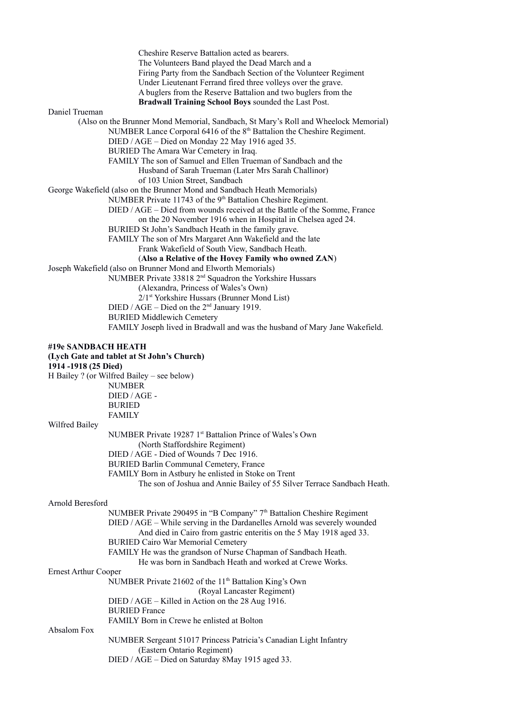|                             | Cheshire Reserve Battalion acted as bearers.                                        |
|-----------------------------|-------------------------------------------------------------------------------------|
|                             | The Volunteers Band played the Dead March and a                                     |
|                             | Firing Party from the Sandbach Section of the Volunteer Regiment                    |
|                             | Under Lieutenant Ferrand fired three volleys over the grave.                        |
|                             | A buglers from the Reserve Battalion and two buglers from the                       |
|                             | Bradwall Training School Boys sounded the Last Post.                                |
| Daniel Trueman              |                                                                                     |
|                             | (Also on the Brunner Mond Memorial, Sandbach, St Mary's Roll and Wheelock Memorial) |
|                             | NUMBER Lance Corporal 6416 of the 8 <sup>th</sup> Battalion the Cheshire Regiment.  |
|                             | DIED / AGE - Died on Monday 22 May 1916 aged 35.                                    |
|                             | BURIED The Amara War Cemetery in Iraq.                                              |
|                             | FAMILY The son of Samuel and Ellen Trueman of Sandbach and the                      |
|                             |                                                                                     |
|                             | Husband of Sarah Trueman (Later Mrs Sarah Challinor)                                |
|                             | of 103 Union Street, Sandbach                                                       |
|                             | George Wakefield (also on the Brunner Mond and Sandbach Heath Memorials)            |
|                             | NUMBER Private 11743 of the 9 <sup>th</sup> Battalion Cheshire Regiment.            |
|                             | DIED / AGE – Died from wounds received at the Battle of the Somme, France           |
|                             | on the 20 November 1916 when in Hospital in Chelsea aged 24.                        |
|                             | BURIED St John's Sandbach Heath in the family grave.                                |
|                             | FAMILY The son of Mrs Margaret Ann Wakefield and the late                           |
|                             | Frank Wakefield of South View, Sandbach Heath.                                      |
|                             | (Also a Relative of the Hovey Family who owned ZAN)                                 |
|                             | Joseph Wakefield (also on Brunner Mond and Elworth Memorials)                       |
|                             | NUMBER Private 33818 2 <sup>nd</sup> Squadron the Yorkshire Hussars                 |
|                             | (Alexandra, Princess of Wales's Own)                                                |
|                             | 2/1 <sup>st</sup> Yorkshire Hussars (Brunner Mond List)                             |
|                             | DIED / AGE - Died on the $2nd$ January 1919.                                        |
|                             | <b>BURIED Middlewich Cemetery</b>                                                   |
|                             | FAMILY Joseph lived in Bradwall and was the husband of Mary Jane Wakefield.         |
|                             |                                                                                     |
| #19e SANDBACH HEATH         | (Lych Gate and tablet at St John's Church)                                          |
| 1914 -1918 (25 Died)        |                                                                                     |
|                             | H Bailey ? (or Wilfred Bailey - see below)                                          |
|                             | <b>NUMBER</b>                                                                       |
|                             | DIED / AGE -                                                                        |
|                             | <b>BURIED</b>                                                                       |
|                             | <b>FAMILY</b>                                                                       |
| Wilfred Bailey              |                                                                                     |
|                             | NUMBER Private 19287 1st Battalion Prince of Wales's Own                            |
|                             | (North Staffordshire Regiment)                                                      |
|                             | DIED / AGE - Died of Wounds 7 Dec 1916.                                             |
|                             | BURIED Barlin Communal Cemetery, France                                             |
|                             | FAMILY Born in Astbury he enlisted in Stoke on Trent                                |
|                             | The son of Joshua and Annie Bailey of 55 Silver Terrace Sandbach Heath.             |
|                             |                                                                                     |
|                             |                                                                                     |
| Arnold Beresford            |                                                                                     |
|                             | NUMBER Private 290495 in "B Company" 7 <sup>th</sup> Battalion Cheshire Regiment    |
|                             | DIED / AGE - While serving in the Dardanelles Arnold was severely wounded           |
|                             | And died in Cairo from gastric enteritis on the 5 May 1918 aged 33.                 |
|                             | <b>BURIED Cairo War Memorial Cemetery</b>                                           |
|                             | FAMILY He was the grandson of Nurse Chapman of Sandbach Heath.                      |
|                             | He was born in Sandbach Heath and worked at Crewe Works.                            |
| <b>Ernest Arthur Cooper</b> |                                                                                     |
|                             | NUMBER Private 21602 of the 11 <sup>th</sup> Battalion King's Own                   |
|                             | (Royal Lancaster Regiment)                                                          |
|                             | DIED / AGE – Killed in Action on the 28 Aug 1916.                                   |
|                             | <b>BURIED France</b>                                                                |
|                             | FAMILY Born in Crewe he enlisted at Bolton                                          |
| Absalom Fox                 |                                                                                     |
|                             | NUMBER Sergeant 51017 Princess Patricia's Canadian Light Infantry                   |
|                             | (Eastern Ontario Regiment)                                                          |
|                             | DIED / AGE - Died on Saturday 8May 1915 aged 33.                                    |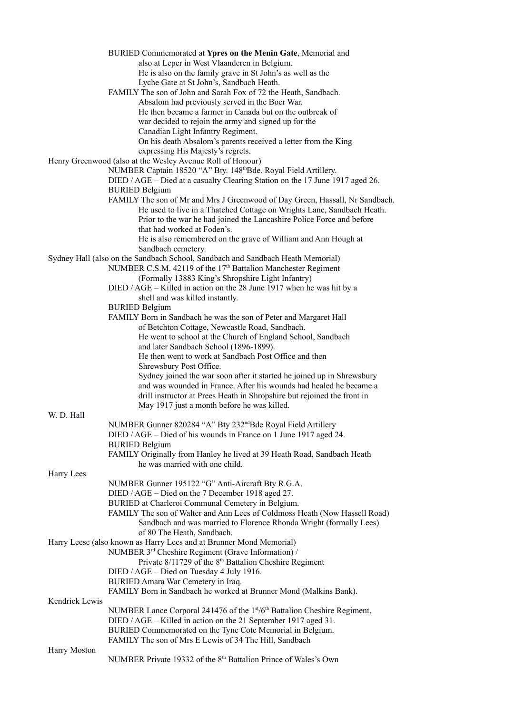| BURIED Commemorated at Ypres on the Menin Gate, Memorial and                                                        |
|---------------------------------------------------------------------------------------------------------------------|
| also at Leper in West Vlaanderen in Belgium.                                                                        |
| He is also on the family grave in St John's as well as the                                                          |
| Lyche Gate at St John's, Sandbach Heath.                                                                            |
| FAMILY The son of John and Sarah Fox of 72 the Heath, Sandbach.                                                     |
| Absalom had previously served in the Boer War.                                                                      |
| He then became a farmer in Canada but on the outbreak of                                                            |
| war decided to rejoin the army and signed up for the                                                                |
| Canadian Light Infantry Regiment.                                                                                   |
| On his death Absalom's parents received a letter from the King                                                      |
| expressing His Majesty's regrets.                                                                                   |
| Henry Greenwood (also at the Wesley Avenue Roll of Honour)                                                          |
| NUMBER Captain 18520 "A" Bty. 148thBde. Royal Field Artillery.                                                      |
| DIED / AGE – Died at a casualty Clearing Station on the 17 June 1917 aged 26.                                       |
| <b>BURIED Belgium</b>                                                                                               |
| FAMILY The son of Mr and Mrs J Greenwood of Day Green, Hassall, Nr Sandbach.                                        |
| He used to live in a Thatched Cottage on Wrights Lane, Sandbach Heath.                                              |
| Prior to the war he had joined the Lancashire Police Force and before                                               |
| that had worked at Foden's.                                                                                         |
| He is also remembered on the grave of William and Ann Hough at                                                      |
| Sandbach cemetery.                                                                                                  |
| Sydney Hall (also on the Sandbach School, Sandbach and Sandbach Heath Memorial)                                     |
| NUMBER C.S.M. 42119 of the 17 <sup>th</sup> Battalion Manchester Regiment                                           |
| (Formally 13883 King's Shropshire Light Infantry)                                                                   |
| DIED / AGE - Killed in action on the 28 June 1917 when he was hit by a                                              |
| shell and was killed instantly.                                                                                     |
| <b>BURIED Belgium</b>                                                                                               |
| FAMILY Born in Sandbach he was the son of Peter and Margaret Hall                                                   |
| of Betchton Cottage, Newcastle Road, Sandbach.                                                                      |
| He went to school at the Church of England School, Sandbach                                                         |
| and later Sandbach School (1896-1899).                                                                              |
| He then went to work at Sandbach Post Office and then                                                               |
|                                                                                                                     |
| Shrewsbury Post Office.                                                                                             |
| Sydney joined the war soon after it started he joined up in Shrewsbury                                              |
|                                                                                                                     |
| and was wounded in France. After his wounds had healed he became a                                                  |
| drill instructor at Prees Heath in Shropshire but rejoined the front in                                             |
| May 1917 just a month before he was killed.                                                                         |
|                                                                                                                     |
| NUMBER Gunner 820284 "A" Bty 232 <sup>nd</sup> Bde Royal Field Artillery                                            |
| DIED / AGE – Died of his wounds in France on 1 June 1917 aged 24.                                                   |
| <b>BURIED Belgium</b>                                                                                               |
| FAMILY Originally from Hanley he lived at 39 Heath Road, Sandbach Heath                                             |
| he was married with one child.                                                                                      |
|                                                                                                                     |
| NUMBER Gunner 195122 "G" Anti-Aircraft Bty R.G.A.                                                                   |
| DIED / AGE – Died on the 7 December 1918 aged 27.                                                                   |
| BURIED at Charleroi Communal Cemetery in Belgium.                                                                   |
| FAMILY The son of Walter and Ann Lees of Coldmoss Heath (Now Hassell Road)                                          |
| Sandbach and was married to Florence Rhonda Wright (formally Lees)                                                  |
| of 80 The Heath, Sandbach.                                                                                          |
| Harry Leese (also known as Harry Lees and at Brunner Mond Memorial)                                                 |
| NUMBER 3 <sup>rd</sup> Cheshire Regiment (Grave Information) /                                                      |
| Private 8/11729 of the 8 <sup>th</sup> Battalion Cheshire Regiment                                                  |
| DIED / AGE - Died on Tuesday 4 July 1916.                                                                           |
| BURIED Amara War Cemetery in Iraq.                                                                                  |
|                                                                                                                     |
| FAMILY Born in Sandbach he worked at Brunner Mond (Malkins Bank).                                                   |
| NUMBER Lance Corporal 241476 of the 1st/6th Battalion Cheshire Regiment.                                            |
| DIED / AGE – Killed in action on the 21 September 1917 aged 31.                                                     |
|                                                                                                                     |
| BURIED Commemorated on the Tyne Cote Memorial in Belgium.<br>FAMILY The son of Mrs E Lewis of 34 The Hill, Sandbach |
|                                                                                                                     |
|                                                                                                                     |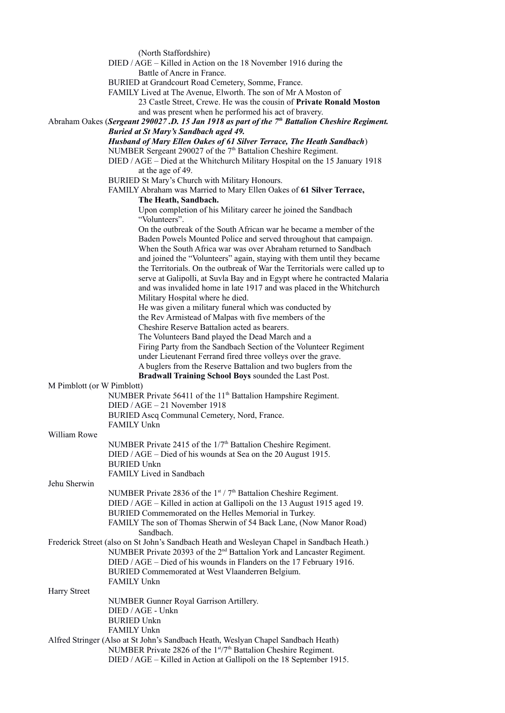|                            | (North Staffordshire)<br>DIED / AGE - Killed in Action on the 18 November 1916 during the                                                         |
|----------------------------|---------------------------------------------------------------------------------------------------------------------------------------------------|
|                            | Battle of Ancre in France.                                                                                                                        |
|                            | BURIED at Grandcourt Road Cemetery, Somme, France.                                                                                                |
|                            | FAMILY Lived at The Avenue, Elworth. The son of Mr A Moston of                                                                                    |
|                            | 23 Castle Street, Crewe. He was the cousin of Private Ronald Moston<br>and was present when he performed his act of bravery.                      |
|                            | Abraham Oakes (Sergeant 290027.D. 15 Jan 1918 as part of the 7 <sup>th</sup> Battalion Cheshire Regiment.                                         |
|                            | <b>Buried at St Mary's Sandbach aged 49.</b><br>Husband of Mary Ellen Oakes of 61 Silver Terrace, The Heath Sandbach)                             |
|                            | NUMBER Sergeant 290027 of the 7 <sup>th</sup> Battalion Cheshire Regiment.                                                                        |
|                            | DIED / AGE - Died at the Whitchurch Military Hospital on the 15 January 1918                                                                      |
|                            | at the age of 49.                                                                                                                                 |
|                            | BURIED St Mary's Church with Military Honours.<br>FAMILY Abraham was Married to Mary Ellen Oakes of 61 Silver Terrace,                            |
|                            | The Heath, Sandbach.                                                                                                                              |
|                            | Upon completion of his Military career he joined the Sandbach<br>"Volunteers".                                                                    |
|                            | On the outbreak of the South African war he became a member of the                                                                                |
|                            | Baden Powels Mounted Police and served throughout that campaign.<br>When the South Africa war was over Abraham returned to Sandbach               |
|                            | and joined the "Volunteers" again, staying with them until they became                                                                            |
|                            | the Territorials. On the outbreak of War the Territorials were called up to                                                                       |
|                            | serve at Galipolli, at Suvla Bay and in Egypt where he contracted Malaria<br>and was invalided home in late 1917 and was placed in the Whitchurch |
|                            | Military Hospital where he died.                                                                                                                  |
|                            | He was given a military funeral which was conducted by                                                                                            |
|                            | the Rev Armistead of Malpas with five members of the                                                                                              |
|                            | Cheshire Reserve Battalion acted as bearers.<br>The Volunteers Band played the Dead March and a                                                   |
|                            | Firing Party from the Sandbach Section of the Volunteer Regiment                                                                                  |
|                            | under Lieutenant Ferrand fired three volleys over the grave.                                                                                      |
|                            | A buglers from the Reserve Battalion and two buglers from the                                                                                     |
| M Pimblott (or W Pimblott) | Bradwall Training School Boys sounded the Last Post.                                                                                              |
|                            | NUMBER Private 56411 of the 11 <sup>th</sup> Battalion Hampshire Regiment.                                                                        |
|                            | DIED / AGE - 21 November 1918                                                                                                                     |
|                            | BURIED Ascq Communal Cemetery, Nord, France.                                                                                                      |
| William Rowe               | <b>FAMILY Unkn</b>                                                                                                                                |
|                            | NUMBER Private 2415 of the 1/7 <sup>th</sup> Battalion Cheshire Regiment.                                                                         |
|                            | DIED / AGE – Died of his wounds at Sea on the 20 August 1915.                                                                                     |
|                            | <b>BURIED Unkn</b>                                                                                                                                |
|                            | FAMILY Lived in Sandbach                                                                                                                          |
| Jehu Sherwin               | NUMBER Private 2836 of the 1st / 7 <sup>th</sup> Battalion Cheshire Regiment.                                                                     |
|                            | DIED / AGE - Killed in action at Gallipoli on the 13 August 1915 aged 19.                                                                         |
|                            | BURIED Commemorated on the Helles Memorial in Turkey.                                                                                             |
|                            | FAMILY The son of Thomas Sherwin of 54 Back Lane, (Now Manor Road)<br>Sandbach.                                                                   |
|                            | Frederick Street (also on St John's Sandbach Heath and Wesleyan Chapel in Sandbach Heath.)                                                        |
|                            | NUMBER Private 20393 of the 2 <sup>nd</sup> Battalion York and Lancaster Regiment.                                                                |
|                            | DIED / AGE - Died of his wounds in Flanders on the 17 February 1916.<br>BURIED Commemorated at West Vlaanderren Belgium.                          |
|                            | <b>FAMILY Unkn</b>                                                                                                                                |
| Harry Street               |                                                                                                                                                   |
|                            | NUMBER Gunner Royal Garrison Artillery.                                                                                                           |
|                            | DIED / AGE - Unkn<br><b>BURIED Unkn</b>                                                                                                           |
|                            | <b>FAMILY Unkn</b>                                                                                                                                |
|                            | Alfred Stringer (Also at St John's Sandbach Heath, Weslyan Chapel Sandbach Heath)                                                                 |
|                            | NUMBER Private 2826 of the 1st/7 <sup>th</sup> Battalion Cheshire Regiment.                                                                       |

DIED / AGE – Killed in Action at Gallipoli on the 18 September 1915.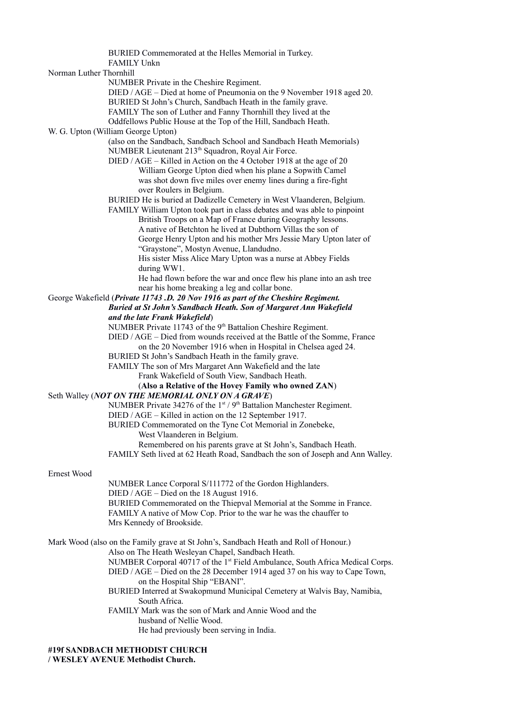BURIED Commemorated at the Helles Memorial in Turkey. FAMILY Unkn Norman Luther Thornhill NUMBER Private in the Cheshire Regiment. DIED / AGE – Died at home of Pneumonia on the 9 November 1918 aged 20. BURIED St John's Church, Sandbach Heath in the family grave. FAMILY The son of Luther and Fanny Thornhill they lived at the Oddfellows Public House at the Top of the Hill, Sandbach Heath. W. G. Upton (William George Upton) (also on the Sandbach, Sandbach School and Sandbach Heath Memorials) NUMBER Lieutenant 213<sup>th</sup> Squadron, Royal Air Force. DIED / AGE – Killed in Action on the 4 October 1918 at the age of 20 William George Upton died when his plane a Sopwith Camel was shot down five miles over enemy lines during a fire-fight over Roulers in Belgium. BURIED He is buried at Dadizelle Cemetery in West Vlaanderen, Belgium. FAMILY William Upton took part in class debates and was able to pinpoint British Troops on a Map of France during Geography lessons. A native of Betchton he lived at Dubthorn Villas the son of George Henry Upton and his mother Mrs Jessie Mary Upton later of "Graystone", Mostyn Avenue, Llandudno. His sister Miss Alice Mary Upton was a nurse at Abbey Fields during WW1. He had flown before the war and once flew his plane into an ash tree near his home breaking a leg and collar bone. George Wakefield (*Private 11743 .D. 20 Nov 1916 as part of the Cheshire Regiment. Buried at St John's Sandbach Heath. Son of Margaret Ann Wakefield and the late Frank Wakefield*) NUMBER Private 11743 of the 9<sup>th</sup> Battalion Cheshire Regiment. DIED / AGE – Died from wounds received at the Battle of the Somme, France on the 20 November 1916 when in Hospital in Chelsea aged 24. BURIED St John's Sandbach Heath in the family grave. FAMILY The son of Mrs Margaret Ann Wakefield and the late Frank Wakefield of South View, Sandbach Heath. (**Also a Relative of the Hovey Family who owned ZAN**) Seth Walley (*NOT ON THE MEMORIAL ONLY ON A GRAVE*) NUMBER Private 34276 of the  $1<sup>st</sup> / 9<sup>th</sup>$  Battalion Manchester Regiment. DIED / AGE – Killed in action on the 12 September 1917. BURIED Commemorated on the Tyne Cot Memorial in Zonebeke, West Vlaanderen in Belgium. Remembered on his parents grave at St John's, Sandbach Heath. FAMILY Seth lived at 62 Heath Road, Sandbach the son of Joseph and Ann Walley. Ernest Wood NUMBER Lance Corporal S/111772 of the Gordon Highlanders. DIED / AGE – Died on the 18 August 1916. BURIED Commemorated on the Thiepval Memorial at the Somme in France. FAMILY A native of Mow Cop. Prior to the war he was the chauffer to Mrs Kennedy of Brookside. Mark Wood (also on the Family grave at St John's, Sandbach Heath and Roll of Honour.) Also on The Heath Wesleyan Chapel, Sandbach Heath. NUMBER Corporal 40717 of the 1<sup>st</sup> Field Ambulance, South Africa Medical Corps. DIED / AGE – Died on the 28 December 1914 aged 37 on his way to Cape Town, on the Hospital Ship "EBANI". BURIED Interred at Swakopmund Municipal Cemetery at Walvis Bay, Namibia, South Africa. FAMILY Mark was the son of Mark and Annie Wood and the husband of Nellie Wood. He had previously been serving in India.

# **#19f SANDBACH METHODIST CHURCH**

**/ WESLEY AVENUE Methodist Church.**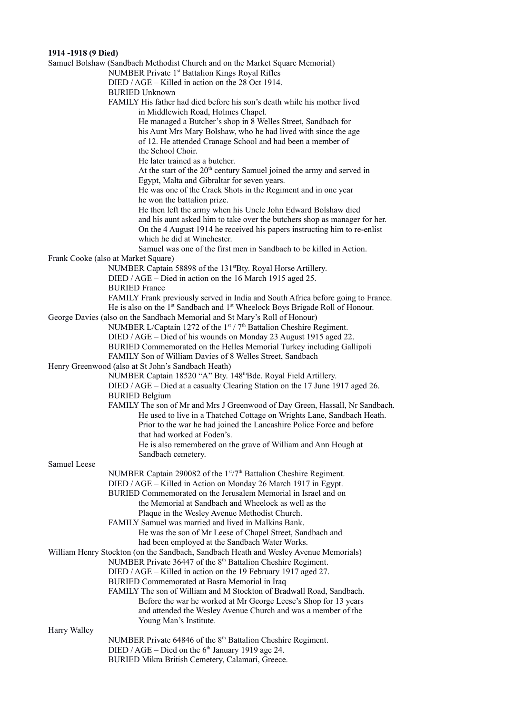# **1914 -1918 (9 Died)**

|                     | Samuel Bolshaw (Sandbach Methodist Church and on the Market Square Memorial)                                                           |
|---------------------|----------------------------------------------------------------------------------------------------------------------------------------|
|                     | NUMBER Private 1 <sup>st</sup> Battalion Kings Royal Rifles                                                                            |
|                     | DIED / AGE – Killed in action on the 28 Oct 1914.                                                                                      |
|                     | <b>BURIED Unknown</b>                                                                                                                  |
|                     | FAMILY His father had died before his son's death while his mother lived                                                               |
|                     | in Middlewich Road, Holmes Chapel.                                                                                                     |
|                     | He managed a Butcher's shop in 8 Welles Street, Sandbach for                                                                           |
|                     | his Aunt Mrs Mary Bolshaw, who he had lived with since the age                                                                         |
|                     | of 12. He attended Cranage School and had been a member of                                                                             |
|                     | the School Choir.                                                                                                                      |
|                     | He later trained as a butcher.                                                                                                         |
|                     | At the start of the 20 <sup>th</sup> century Samuel joined the army and served in                                                      |
|                     | Egypt, Malta and Gibraltar for seven years.                                                                                            |
|                     | He was one of the Crack Shots in the Regiment and in one year                                                                          |
|                     | he won the battalion prize.                                                                                                            |
|                     | He then left the army when his Uncle John Edward Bolshaw died                                                                          |
|                     | and his aunt asked him to take over the butchers shop as manager for her.                                                              |
|                     | On the 4 August 1914 he received his papers instructing him to re-enlist                                                               |
|                     | which he did at Winchester.                                                                                                            |
|                     | Samuel was one of the first men in Sandbach to be killed in Action.                                                                    |
|                     | Frank Cooke (also at Market Square)                                                                                                    |
|                     | NUMBER Captain 58898 of the 131stBty. Royal Horse Artillery.                                                                           |
|                     | DIED / AGE – Died in action on the 16 March 1915 aged 25.                                                                              |
|                     | <b>BURIED France</b>                                                                                                                   |
|                     | FAMILY Frank previously served in India and South Africa before going to France.                                                       |
|                     | He is also on the 1 <sup>st</sup> Sandbach and 1 <sup>st</sup> Wheelock Boys Brigade Roll of Honour.                                   |
|                     | George Davies (also on the Sandbach Memorial and St Mary's Roll of Honour)                                                             |
|                     | NUMBER L/Captain 1272 of the $1st / 7th$ Battalion Cheshire Regiment.                                                                  |
|                     | DIED / AGE - Died of his wounds on Monday 23 August 1915 aged 22.                                                                      |
|                     | BURIED Commemorated on the Helles Memorial Turkey including Gallipoli                                                                  |
|                     | FAMILY Son of William Davies of 8 Welles Street, Sandbach                                                                              |
|                     | Henry Greenwood (also at St John's Sandbach Heath)                                                                                     |
|                     | NUMBER Captain 18520 "A" Bty. 148 <sup>th</sup> Bde. Royal Field Artillery.                                                            |
|                     | DIED / AGE - Died at a casualty Clearing Station on the 17 June 1917 aged 26.                                                          |
|                     | <b>BURIED Belgium</b>                                                                                                                  |
|                     | FAMILY The son of Mr and Mrs J Greenwood of Day Green, Hassall, Nr Sandbach.                                                           |
|                     | He used to live in a Thatched Cottage on Wrights Lane, Sandbach Heath.                                                                 |
|                     | Prior to the war he had joined the Lancashire Police Force and before                                                                  |
|                     | that had worked at Foden's.                                                                                                            |
|                     | He is also remembered on the grave of William and Ann Hough at                                                                         |
|                     | Sandbach cemetery.                                                                                                                     |
| <b>Samuel Leese</b> |                                                                                                                                        |
|                     | NUMBER Captain 290082 of the 1st/7 <sup>th</sup> Battalion Cheshire Regiment.                                                          |
|                     | DIED / AGE - Killed in Action on Monday 26 March 1917 in Egypt.<br>BURIED Commemorated on the Jerusalem Memorial in Israel and on      |
|                     | the Memorial at Sandbach and Wheelock as well as the                                                                                   |
|                     |                                                                                                                                        |
|                     | Plaque in the Wesley Avenue Methodist Church.<br>FAMILY Samuel was married and lived in Malkins Bank.                                  |
|                     |                                                                                                                                        |
|                     | He was the son of Mr Leese of Chapel Street, Sandbach and                                                                              |
|                     | had been employed at the Sandbach Water Works.<br>William Henry Stockton (on the Sandbach, Sandbach Heath and Wesley Avenue Memorials) |
|                     | NUMBER Private 36447 of the 8 <sup>th</sup> Battalion Cheshire Regiment.                                                               |
|                     | DIED / AGE - Killed in action on the 19 February 1917 aged 27.                                                                         |
|                     | BURIED Commemorated at Basra Memorial in Iraq                                                                                          |
|                     | FAMILY The son of William and M Stockton of Bradwall Road, Sandbach.                                                                   |
|                     | Before the war he worked at Mr George Leese's Shop for 13 years                                                                        |
|                     | and attended the Wesley Avenue Church and was a member of the                                                                          |
|                     | Young Man's Institute.                                                                                                                 |
| Harry Walley        |                                                                                                                                        |
|                     | NUMBER Private 64846 of the 8 <sup>th</sup> Battalion Cheshire Regiment.                                                               |
|                     | DIED / AGE – Died on the $6th$ January 1919 age 24.                                                                                    |
|                     | BURIED Mikra British Cemetery, Calamari, Greece.                                                                                       |
|                     |                                                                                                                                        |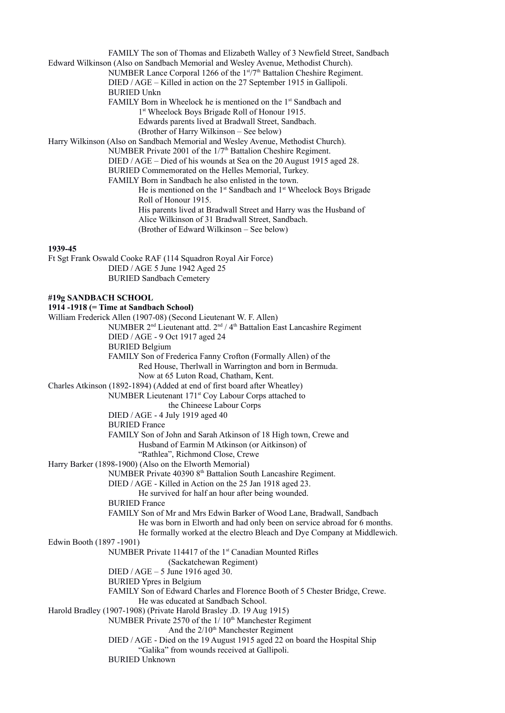FAMILY The son of Thomas and Elizabeth Walley of 3 Newfield Street, Sandbach Edward Wilkinson (Also on Sandbach Memorial and Wesley Avenue, Methodist Church). NUMBER Lance Corporal 1266 of the 1st/7<sup>th</sup> Battalion Cheshire Regiment. DIED / AGE – Killed in action on the 27 September 1915 in Gallipoli. BURIED Unkn FAMILY Born in Wheelock he is mentioned on the 1<sup>st</sup> Sandbach and 1 st Wheelock Boys Brigade Roll of Honour 1915. Edwards parents lived at Bradwall Street, Sandbach. (Brother of Harry Wilkinson – See below) Harry Wilkinson (Also on Sandbach Memorial and Wesley Avenue, Methodist Church). NUMBER Private 2001 of the 1/7<sup>th</sup> Battalion Cheshire Regiment. DIED / AGE – Died of his wounds at Sea on the 20 August 1915 aged 28. BURIED Commemorated on the Helles Memorial, Turkey. FAMILY Born in Sandbach he also enlisted in the town. He is mentioned on the 1<sup>st</sup> Sandbach and 1<sup>st</sup> Wheelock Boys Brigade Roll of Honour 1915. His parents lived at Bradwall Street and Harry was the Husband of Alice Wilkinson of 31 Bradwall Street, Sandbach. (Brother of Edward Wilkinson – See below) **1939-45**  Ft Sgt Frank Oswald Cooke RAF (114 Squadron Royal Air Force) DIED / AGE 5 June 1942 Aged 25 BURIED Sandbach Cemetery **#19g SANDBACH SCHOOL 1914 -1918 (= Time at Sandbach School)**  William Frederick Allen (1907-08) (Second Lieutenant W. F. Allen) NUMBER 2<sup>nd</sup> Lieutenant attd. 2<sup>nd</sup> / 4<sup>th</sup> Battalion East Lancashire Regiment DIED / AGE - 9 Oct 1917 aged 24 BURIED Belgium FAMILY Son of Frederica Fanny Crofton (Formally Allen) of the Red House, Therlwall in Warrington and born in Bermuda. Now at 65 Luton Road, Chatham, Kent. Charles Atkinson (1892-1894) (Added at end of first board after Wheatley) NUMBER Lieutenant 171<sup>st</sup> Coy Labour Corps attached to

the Chineese Labour Corps DIED / AGE - 4 July 1919 aged 40

BURIED France

FAMILY Son of John and Sarah Atkinson of 18 High town, Crewe and

Husband of Earmin M Atkinson (or Aitkinson) of

"Rathlea", Richmond Close, Crewe

Harry Barker (1898-1900) (Also on the Elworth Memorial)

NUMBER Private 40390 8<sup>th</sup> Battalion South Lancashire Regiment.

DIED / AGE - Killed in Action on the 25 Jan 1918 aged 23.

He survived for half an hour after being wounded.

BURIED France

FAMILY Son of Mr and Mrs Edwin Barker of Wood Lane, Bradwall, Sandbach

He was born in Elworth and had only been on service abroad for 6 months.

He formally worked at the electro Bleach and Dye Company at Middlewich.

Edwin Booth (1897 -1901)

NUMBER Private 114417 of the 1<sup>st</sup> Canadian Mounted Rifles

(Sackatchewan Regiment) DIED / AGE – 5 June 1916 aged 30.

BURIED Ypres in Belgium

FAMILY Son of Edward Charles and Florence Booth of 5 Chester Bridge, Crewe. He was educated at Sandbach School.

Harold Bradley (1907-1908) (Private Harold Brasley .D. 19 Aug 1915) NUMBER Private 2570 of the  $1/10<sup>th</sup>$  Manchester Regiment

And the  $2/10<sup>th</sup>$  Manchester Regiment

DIED / AGE - Died on the 19 August 1915 aged 22 on board the Hospital Ship "Galika" from wounds received at Gallipoli.

BURIED Unknown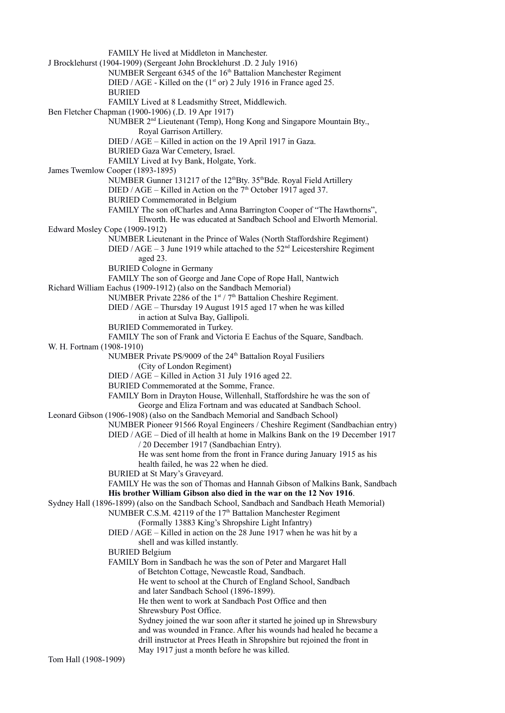FAMILY He lived at Middleton in Manchester. J Brocklehurst (1904-1909) (Sergeant John Brocklehurst .D. 2 July 1916) NUMBER Sergeant 6345 of the 16<sup>th</sup> Battalion Manchester Regiment DIED / AGE - Killed on the  $(1<sup>st</sup>$  or) 2 July 1916 in France aged 25. BURIED FAMILY Lived at 8 Leadsmithy Street, Middlewich. Ben Fletcher Chapman (1900-1906) (.D. 19 Apr 1917) NUMBER 2nd Lieutenant (Temp), Hong Kong and Singapore Mountain Bty., Royal Garrison Artillery. DIED / AGE – Killed in action on the 19 April 1917 in Gaza. BURIED Gaza War Cemetery, Israel. FAMILY Lived at Ivy Bank, Holgate, York. James Twemlow Cooper (1893-1895) NUMBER Gunner 131217 of the 12<sup>th</sup>Bty. 35<sup>th</sup>Bde. Royal Field Artillery DIED / AGE – Killed in Action on the  $7<sup>th</sup>$  October 1917 aged 37. BURIED Commemorated in Belgium FAMILY The son ofCharles and Anna Barrington Cooper of "The Hawthorns", Elworth. He was educated at Sandbach School and Elworth Memorial. Edward Mosley Cope (1909-1912) NUMBER Lieutenant in the Prince of Wales (North Staffordshire Regiment) DIED / AGE – 3 June 1919 while attached to the  $52<sup>nd</sup>$  Leicestershire Regiment aged 23. BURIED Cologne in Germany FAMILY The son of George and Jane Cope of Rope Hall, Nantwich Richard William Eachus (1909-1912) (also on the Sandbach Memorial) NUMBER Private 2286 of the 1<sup>st</sup> / 7<sup>th</sup> Battalion Cheshire Regiment. DIED / AGE – Thursday 19 August 1915 aged 17 when he was killed in action at Sulva Bay, Gallipoli. BURIED Commemorated in Turkey. FAMILY The son of Frank and Victoria E Eachus of the Square, Sandbach. W. H. Fortnam (1908-1910) NUMBER Private PS/9009 of the 24<sup>th</sup> Battalion Royal Fusiliers (City of London Regiment) DIED / AGE – Killed in Action 31 July 1916 aged 22. BURIED Commemorated at the Somme, France. FAMILY Born in Drayton House, Willenhall, Staffordshire he was the son of George and Eliza Fortnam and was educated at Sandbach School. Leonard Gibson (1906-1908) (also on the Sandbach Memorial and Sandbach School) NUMBER Pioneer 91566 Royal Engineers / Cheshire Regiment (Sandbachian entry) DIED / AGE – Died of ill health at home in Malkins Bank on the 19 December 1917 / 20 December 1917 (Sandbachian Entry). He was sent home from the front in France during January 1915 as his health failed, he was 22 when he died. BURIED at St Mary's Graveyard. FAMILY He was the son of Thomas and Hannah Gibson of Malkins Bank, Sandbach **His brother William Gibson also died in the war on the 12 Nov 1916**. Sydney Hall (1896-1899) (also on the Sandbach School, Sandbach and Sandbach Heath Memorial) NUMBER C.S.M. 42119 of the 17<sup>th</sup> Battalion Manchester Regiment (Formally 13883 King's Shropshire Light Infantry) DIED / AGE – Killed in action on the 28 June 1917 when he was hit by a shell and was killed instantly. BURIED Belgium FAMILY Born in Sandbach he was the son of Peter and Margaret Hall of Betchton Cottage, Newcastle Road, Sandbach. He went to school at the Church of England School, Sandbach and later Sandbach School (1896-1899). He then went to work at Sandbach Post Office and then Shrewsbury Post Office. Sydney joined the war soon after it started he joined up in Shrewsbury and was wounded in France. After his wounds had healed he became a drill instructor at Prees Heath in Shropshire but rejoined the front in May 1917 just a month before he was killed.

Tom Hall (1908-1909)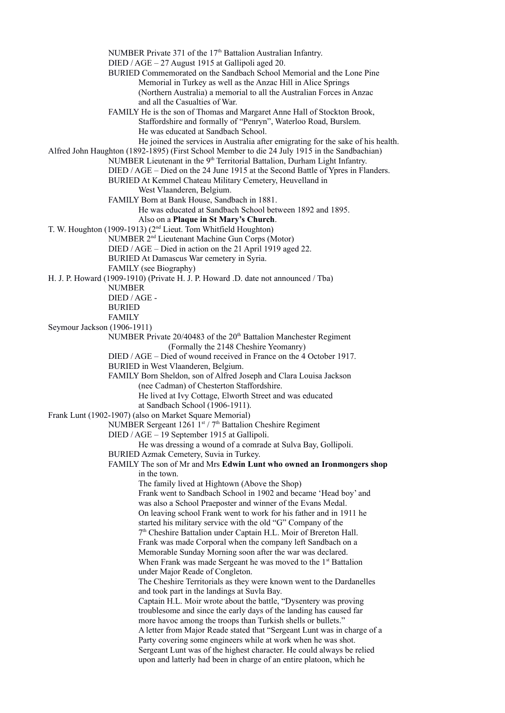NUMBER Private 371 of the 17<sup>th</sup> Battalion Australian Infantry. DIED / AGE – 27 August 1915 at Gallipoli aged 20. BURIED Commemorated on the Sandbach School Memorial and the Lone Pine Memorial in Turkey as well as the Anzac Hill in Alice Springs (Northern Australia) a memorial to all the Australian Forces in Anzac and all the Casualties of War. FAMILY He is the son of Thomas and Margaret Anne Hall of Stockton Brook, Staffordshire and formally of "Penryn", Waterloo Road, Burslem. He was educated at Sandbach School. He joined the services in Australia after emigrating for the sake of his health. Alfred John Haughton (1892-1895) (First School Member to die 24 July 1915 in the Sandbachian) NUMBER Lieutenant in the 9<sup>th</sup> Territorial Battalion, Durham Light Infantry. DIED / AGE – Died on the 24 June 1915 at the Second Battle of Ypres in Flanders. BURIED At Kemmel Chateau Military Cemetery, Heuvelland in West Vlaanderen, Belgium. FAMILY Born at Bank House, Sandbach in 1881. He was educated at Sandbach School between 1892 and 1895. Also on a **Plaque in St Mary's Church**. T. W. Houghton (1909-1913) (2nd Lieut. Tom Whitfield Houghton) NUMBER 2nd Lieutenant Machine Gun Corps (Motor) DIED / AGE – Died in action on the 21 April 1919 aged 22. BURIED At Damascus War cemetery in Syria. FAMILY (see Biography) H. J. P. Howard (1909-1910) (Private H. J. P. Howard .D. date not announced / Tba) NUMBER DIED / AGE - BURIED FAMILY Seymour Jackson (1906-1911) NUMBER Private 20/40483 of the 20<sup>th</sup> Battalion Manchester Regiment (Formally the 2148 Cheshire Yeomanry) DIED / AGE – Died of wound received in France on the 4 October 1917. BURIED in West Vlaanderen, Belgium. FAMILY Born Sheldon, son of Alfred Joseph and Clara Louisa Jackson (nee Cadman) of Chesterton Staffordshire. He lived at Ivy Cottage, Elworth Street and was educated at Sandbach School (1906-1911). Frank Lunt (1902-1907) (also on Market Square Memorial) NUMBER Sergeant  $1261 \text{ J}^{\text{st}}$  / 7<sup>th</sup> Battalion Cheshire Regiment DIED / AGE – 19 September 1915 at Gallipoli. He was dressing a wound of a comrade at Sulva Bay, Gollipoli. BURIED Azmak Cemetery, Suvia in Turkey. FAMILY The son of Mr and Mrs **Edwin Lunt who owned an Ironmongers shop** in the town. The family lived at Hightown (Above the Shop) Frank went to Sandbach School in 1902 and became 'Head boy' and was also a School Praeposter and winner of the Evans Medal. On leaving school Frank went to work for his father and in 1911 he started his military service with the old "G" Company of the 7 th Cheshire Battalion under Captain H.L. Moir of Brereton Hall. Frank was made Corporal when the company left Sandbach on a Memorable Sunday Morning soon after the war was declared. When Frank was made Sergeant he was moved to the 1<sup>st</sup> Battalion under Major Reade of Congleton. The Cheshire Territorials as they were known went to the Dardanelles and took part in the landings at Suvla Bay. Captain H.L. Moir wrote about the battle, "Dysentery was proving troublesome and since the early days of the landing has caused far more havoc among the troops than Turkish shells or bullets." A letter from Major Reade stated that "Sergeant Lunt was in charge of a Party covering some engineers while at work when he was shot. Sergeant Lunt was of the highest character. He could always be relied upon and latterly had been in charge of an entire platoon, which he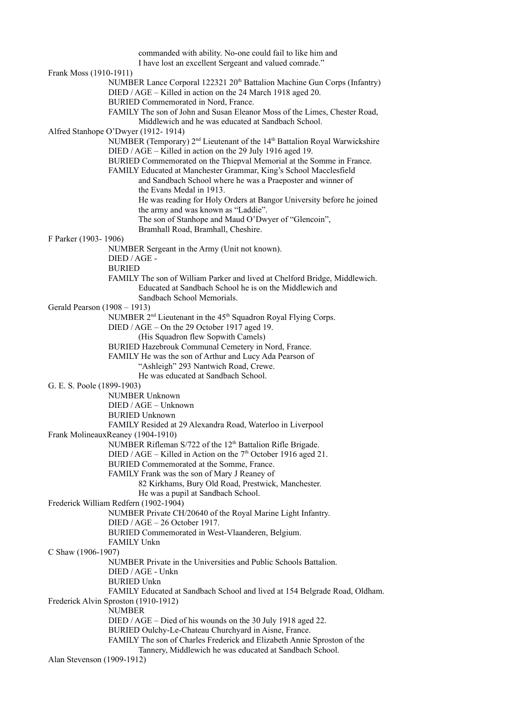|                              | commanded with ability. No-one could fail to like him and                                          |
|------------------------------|----------------------------------------------------------------------------------------------------|
|                              | I have lost an excellent Sergeant and valued comrade."                                             |
| Frank Moss (1910-1911)       |                                                                                                    |
|                              | NUMBER Lance Corporal 122321 20 <sup>th</sup> Battalion Machine Gun Corps (Infantry)               |
|                              | DIED / AGE - Killed in action on the 24 March 1918 aged 20.                                        |
|                              | BURIED Commemorated in Nord, France.                                                               |
|                              |                                                                                                    |
|                              | FAMILY The son of John and Susan Eleanor Moss of the Limes, Chester Road,                          |
|                              | Middlewich and he was educated at Sandbach School.                                                 |
|                              | Alfred Stanhope O'Dwyer (1912-1914)                                                                |
|                              | NUMBER (Temporary) 2 <sup>nd</sup> Lieutenant of the 14 <sup>th</sup> Battalion Royal Warwickshire |
|                              | DIED / AGE - Killed in action on the 29 July 1916 aged 19.                                         |
|                              | BURIED Commemorated on the Thiepval Memorial at the Somme in France.                               |
|                              | FAMILY Educated at Manchester Grammar, King's School Macclesfield                                  |
|                              | and Sandbach School where he was a Praeposter and winner of                                        |
|                              | the Evans Medal in 1913.                                                                           |
|                              | He was reading for Holy Orders at Bangor University before he joined                               |
|                              | the army and was known as "Laddie".                                                                |
|                              | The son of Stanhope and Maud O'Dwyer of "Glencoin",                                                |
|                              |                                                                                                    |
|                              | Bramhall Road, Bramhall, Cheshire.                                                                 |
| F Parker (1903-1906)         |                                                                                                    |
|                              | NUMBER Sergeant in the Army (Unit not known).                                                      |
|                              | $DIED /AGE -$                                                                                      |
|                              | <b>BURIED</b>                                                                                      |
|                              | FAMILY The son of William Parker and lived at Chelford Bridge, Middlewich.                         |
|                              | Educated at Sandbach School he is on the Middlewich and                                            |
|                              | Sandbach School Memorials.                                                                         |
| Gerald Pearson (1908 – 1913) |                                                                                                    |
|                              | NUMBER 2 <sup>nd</sup> Lieutenant in the 45 <sup>th</sup> Squadron Royal Flying Corps.             |
|                              | DIED / AGE - On the 29 October 1917 aged 19.                                                       |
|                              | (His Squadron flew Sopwith Camels)                                                                 |
|                              | BURIED Hazebrouk Communal Cemetery in Nord, France.                                                |
|                              | FAMILY He was the son of Arthur and Lucy Ada Pearson of                                            |
|                              | "Ashleigh" 293 Nantwich Road, Crewe.                                                               |
|                              | He was educated at Sandbach School.                                                                |
|                              |                                                                                                    |
| G. E. S. Poole (1899-1903)   |                                                                                                    |
|                              | <b>NUMBER Unknown</b>                                                                              |
|                              | $DIED / AGE - Unknown$                                                                             |
|                              | <b>BURIED Unknown</b>                                                                              |
|                              | FAMILY Resided at 29 Alexandra Road, Waterloo in Liverpool                                         |
|                              | Frank MolineauxReaney (1904-1910)                                                                  |
|                              | NUMBER Rifleman S/722 of the 12 <sup>th</sup> Battalion Rifle Brigade.                             |
|                              | DIED / AGE – Killed in Action on the $7th$ October 1916 aged 21.                                   |
|                              | BURIED Commemorated at the Somme, France.                                                          |
|                              | FAMILY Frank was the son of Mary J Reaney of                                                       |
|                              | 82 Kirkhams, Bury Old Road, Prestwick, Manchester.                                                 |
|                              | He was a pupil at Sandbach School.                                                                 |
|                              | Frederick William Redfern (1902-1904)                                                              |
|                              | NUMBER Private CH/20640 of the Royal Marine Light Infantry.                                        |
|                              | DIED / AGE - 26 October 1917.                                                                      |
|                              | BURIED Commemorated in West-Vlaanderen, Belgium.                                                   |
|                              | <b>FAMILY Unkn</b>                                                                                 |
| C Shaw (1906-1907)           |                                                                                                    |
|                              | NUMBER Private in the Universities and Public Schools Battalion.                                   |
|                              | DIED / AGE - Unkn                                                                                  |
|                              | <b>BURIED Unkn</b>                                                                                 |
|                              | FAMILY Educated at Sandbach School and lived at 154 Belgrade Road, Oldham.                         |
|                              |                                                                                                    |
|                              | Frederick Alvin Sproston (1910-1912)                                                               |
|                              | <b>NUMBER</b>                                                                                      |
|                              | DIED / AGE – Died of his wounds on the 30 July 1918 aged 22.                                       |
|                              | BURIED Oulchy-Le-Chateau Churchyard in Aisne, France.                                              |
|                              | FAMILY The son of Charles Frederick and Elizabeth Annie Sproston of the                            |
|                              | Tannery, Middlewich he was educated at Sandbach School.                                            |
| Alan Stevenson (1909-1912)   |                                                                                                    |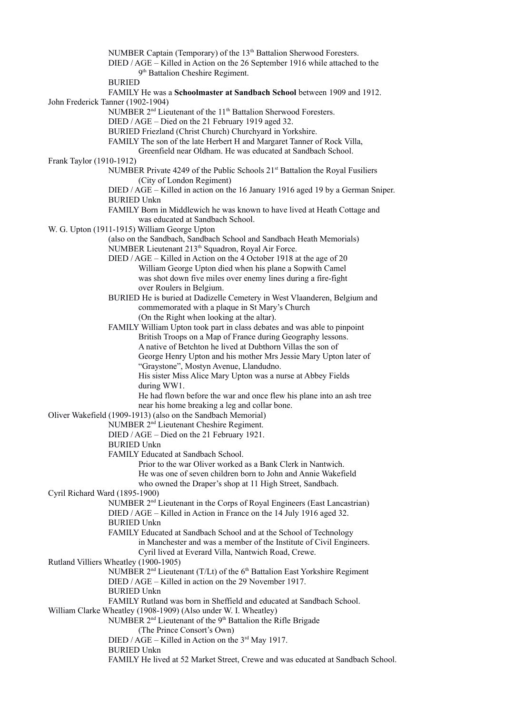NUMBER Captain (Temporary) of the 13<sup>th</sup> Battalion Sherwood Foresters. DIED / AGE – Killed in Action on the 26 September 1916 while attached to the 9<sup>th</sup> Battalion Cheshire Regiment. **BURIED** FAMILY He was a **Schoolmaster at Sandbach School** between 1909 and 1912. John Frederick Tanner (1902-1904) NUMBER 2<sup>nd</sup> Lieutenant of the 11<sup>th</sup> Battalion Sherwood Foresters. DIED / AGE – Died on the 21 February 1919 aged 32. BURIED Friezland (Christ Church) Churchyard in Yorkshire. FAMILY The son of the late Herbert H and Margaret Tanner of Rock Villa, Greenfield near Oldham. He was educated at Sandbach School. Frank Taylor (1910-1912) NUMBER Private 4249 of the Public Schools 21<sup>st</sup> Battalion the Royal Fusiliers (City of London Regiment) DIED / AGE – Killed in action on the 16 January 1916 aged 19 by a German Sniper. BURIED Unkn FAMILY Born in Middlewich he was known to have lived at Heath Cottage and was educated at Sandbach School. W. G. Upton (1911-1915) William George Upton (also on the Sandbach, Sandbach School and Sandbach Heath Memorials) NUMBER Lieutenant 213<sup>th</sup> Squadron, Royal Air Force. DIED / AGE – Killed in Action on the 4 October 1918 at the age of 20 William George Upton died when his plane a Sopwith Camel was shot down five miles over enemy lines during a fire-fight over Roulers in Belgium. BURIED He is buried at Dadizelle Cemetery in West Vlaanderen, Belgium and commemorated with a plaque in St Mary's Church (On the Right when looking at the altar). FAMILY William Upton took part in class debates and was able to pinpoint British Troops on a Map of France during Geography lessons. A native of Betchton he lived at Dubthorn Villas the son of George Henry Upton and his mother Mrs Jessie Mary Upton later of "Graystone", Mostyn Avenue, Llandudno. His sister Miss Alice Mary Upton was a nurse at Abbey Fields during WW1. He had flown before the war and once flew his plane into an ash tree near his home breaking a leg and collar bone. Oliver Wakefield (1909-1913) (also on the Sandbach Memorial) NUMBER 2nd Lieutenant Cheshire Regiment. DIED / AGE – Died on the 21 February 1921. BURIED Unkn FAMILY Educated at Sandbach School. Prior to the war Oliver worked as a Bank Clerk in Nantwich. He was one of seven children born to John and Annie Wakefield who owned the Draper's shop at 11 High Street, Sandbach. Cyril Richard Ward (1895-1900) NUMBER 2nd Lieutenant in the Corps of Royal Engineers (East Lancastrian) DIED / AGE – Killed in Action in France on the 14 July 1916 aged 32. BURIED Unkn FAMILY Educated at Sandbach School and at the School of Technology in Manchester and was a member of the Institute of Civil Engineers. Cyril lived at Everard Villa, Nantwich Road, Crewe. Rutland Villiers Wheatley (1900-1905) NUMBER  $2<sup>nd</sup>$  Lieutenant (T/Lt) of the 6<sup>th</sup> Battalion East Yorkshire Regiment DIED / AGE – Killed in action on the 29 November 1917. BURIED Unkn FAMILY Rutland was born in Sheffield and educated at Sandbach School. William Clarke Wheatley (1908-1909) (Also under W. I. Wheatley) NUMBER  $2<sup>nd</sup>$  Lieutenant of the  $9<sup>th</sup>$  Battalion the Rifle Brigade (The Prince Consort's Own) DIED /  $\angle$ AGE – Killed in Action on the 3<sup>rd</sup> May 1917. BURIED Unkn FAMILY He lived at 52 Market Street, Crewe and was educated at Sandbach School.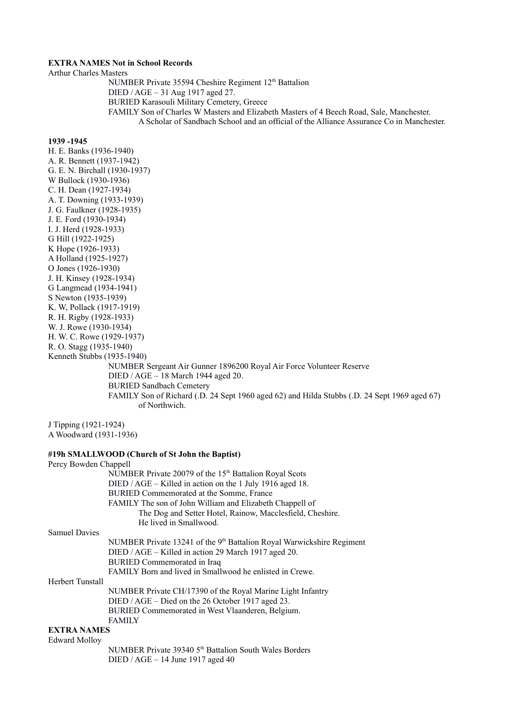# **EXTRA NAMES Not in School Records**

Arthur Charles Masters

NUMBER Private 35594 Cheshire Regiment 12<sup>th</sup> Battalion DIED / AGE – 31 Aug 1917 aged 27. BURIED Karasouli Military Cemetery, Greece FAMILY Son of Charles W Masters and Elizabeth Masters of 4 Beech Road, Sale, Manchester. A Scholar of Sandbach School and an official of the Alliance Assurance Co in Manchester.

# **1939 -1945**

H. E. Banks (1936-1940) A. R. Bennett (1937-1942) G. E. N. Birchall (1930-1937) W Bullock (1930-1936) C. H. Dean (1927-1934) A. T. Downing (1933-1939) J. G. Faulkner (1928-1935) J. E. Ford (1930-1934) I. J. Herd (1928-1933) G Hill (1922-1925) K Hope (1926-1933) A Holland (1925-1927) O Jones (1926-1930) J. H. Kinsey (1928-1934) G Langmead (1934-1941) S Newton (1935-1939) K. W, Pollack (1917-1919) R. H. Rigby (1928-1933) W. J. Rowe (1930-1934) H. W. C. Rowe (1929-1937) R. O. Stagg (1935-1940) Kenneth Stubbs (1935-1940) NUMBER Sergeant Air Gunner 1896200 Royal Air Force Volunteer Reserve DIED / AGE – 18 March 1944 aged 20. BURIED Sandbach Cemetery FAMILY Son of Richard (.D. 24 Sept 1960 aged 62) and Hilda Stubbs (.D. 24 Sept 1969 aged 67) of Northwich.

J Tipping (1921-1924) A Woodward (1931-1936)

# **#19h SMALLWOOD (Church of St John the Baptist)**

| Percy Bowden Chappell |                                                                                     |
|-----------------------|-------------------------------------------------------------------------------------|
|                       | NUMBER Private 20079 of the 15 <sup>th</sup> Battalion Royal Scots                  |
|                       | DIED / AGE – Killed in action on the 1 July 1916 aged 18.                           |
|                       | BURIED Commemorated at the Somme, France                                            |
|                       | FAMILY The son of John William and Elizabeth Chappell of                            |
|                       | The Dog and Setter Hotel, Rainow, Macclesfield, Cheshire.<br>He lived in Smallwood. |
| <b>Samuel Davies</b>  |                                                                                     |
|                       |                                                                                     |
|                       | NUMBER Private 13241 of the 9 <sup>th</sup> Battalion Royal Warwickshire Regiment   |
|                       | DIED / AGE – Killed in action 29 March 1917 aged 20.                                |
|                       | BURIED Commemorated in Iraq                                                         |
|                       | FAMILY Born and lived in Smallwood he enlisted in Crewe.                            |
| Herbert Tunstall      |                                                                                     |
|                       | NUMBER Private CH/17390 of the Royal Marine Light Infantry                          |
|                       | DIED / AGE – Died on the 26 October 1917 aged 23.                                   |
|                       | BURIED Commemorated in West Vlaanderen, Belgium.                                    |
|                       | <b>FAMILY</b>                                                                       |
| <b>EXTRA NAMES</b>    |                                                                                     |
| <b>Edward Molloy</b>  |                                                                                     |
|                       | NUMBER Private 39340 5 <sup>th</sup> Battalion South Wales Borders                  |
|                       | DIED / $AGE - 14$ June 1917 aged 40                                                 |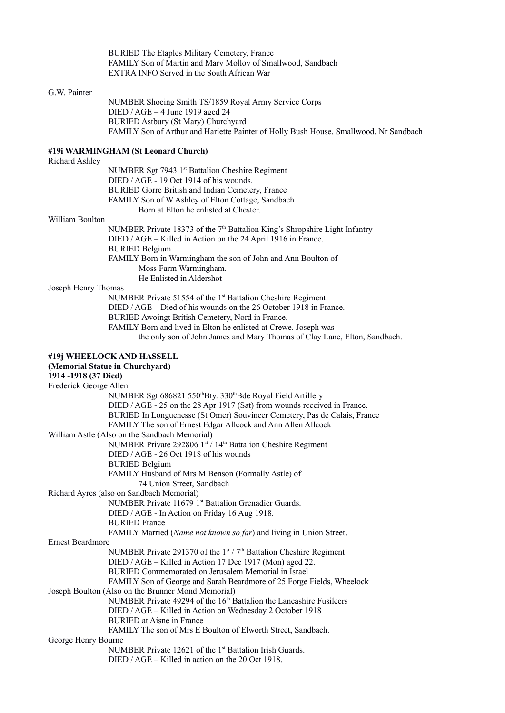BURIED The Etaples Military Cemetery, France FAMILY Son of Martin and Mary Molloy of Smallwood, Sandbach EXTRA INFO Served in the South African War

# G.W. Painter

NUMBER Shoeing Smith TS/1859 Royal Army Service Corps DIED / AGE – 4 June 1919 aged 24 BURIED Astbury (St Mary) Churchyard FAMILY Son of Arthur and Hariette Painter of Holly Bush House, Smallwood, Nr Sandbach

# **#19i WARMINGHAM (St Leonard Church)**

Richard Ashley

| NUMBER Sgt 7943 1st Battalion Cheshire Regiment   |
|---------------------------------------------------|
| DIED / AGE - 19 Oct 1914 of his wounds.           |
| BURIED Gorre British and Indian Cemetery, France  |
| FAMILY Son of W Ashley of Elton Cottage, Sandbach |
| Born at Elton he enlisted at Chester.             |

### William Boulton

NUMBER Private 18373 of the  $7<sup>th</sup>$  Battalion King's Shropshire Light Infantry DIED / AGE – Killed in Action on the 24 April 1916 in France. BURIED Belgium FAMILY Born in Warmingham the son of John and Ann Boulton of Moss Farm Warmingham. He Enlisted in Aldershot

# Joseph Henry Thomas

NUMBER Private 51554 of the 1<sup>st</sup> Battalion Cheshire Regiment.

DIED / AGE – Died of his wounds on the 26 October 1918 in France.

BURIED Awoingt British Cemetery, Nord in France.

FAMILY Born and lived in Elton he enlisted at Crewe. Joseph was

the only son of John James and Mary Thomas of Clay Lane, Elton, Sandbach.

| #19j WHEELOCK AND HASSELL                                                            |  |
|--------------------------------------------------------------------------------------|--|
| (Memorial Statue in Churchyard)                                                      |  |
| 1914-1918 (37 Died)                                                                  |  |
| Frederick George Allen                                                               |  |
| NUMBER Sgt 686821 550 <sup>th</sup> Bty. 330 <sup>th</sup> Bde Royal Field Artillery |  |
| DIED / AGE - 25 on the 28 Apr 1917 (Sat) from wounds received in France.             |  |
| BURIED In Longuenesse (St Omer) Souvineer Cemetery, Pas de Calais, France            |  |
| FAMILY The son of Ernest Edgar Allcock and Ann Allen Allcock                         |  |
| William Astle (Also on the Sandbach Memorial)                                        |  |
| NUMBER Private 292806 1st / 14th Battalion Cheshire Regiment                         |  |
| DIED / AGE - 26 Oct 1918 of his wounds                                               |  |
| <b>BURIED Belgium</b>                                                                |  |
| FAMILY Husband of Mrs M Benson (Formally Astle) of                                   |  |
| 74 Union Street, Sandbach                                                            |  |
| Richard Ayres (also on Sandbach Memorial)                                            |  |
| NUMBER Private 11679 1st Battalion Grenadier Guards.                                 |  |
| DIED / AGE - In Action on Friday 16 Aug 1918.                                        |  |
| <b>BURIED</b> France                                                                 |  |
| FAMILY Married (Name not known so far) and living in Union Street.                   |  |
| <b>Ernest Beardmore</b>                                                              |  |
| NUMBER Private 291370 of the $1st / 7th$ Battalion Cheshire Regiment                 |  |
| DIED / AGE – Killed in Action 17 Dec 1917 (Mon) aged 22.                             |  |
| BURIED Commemorated on Jerusalem Memorial in Israel                                  |  |
| FAMILY Son of George and Sarah Beardmore of 25 Forge Fields, Wheelock                |  |
| Joseph Boulton (Also on the Brunner Mond Memorial)                                   |  |
| NUMBER Private 49294 of the 16 <sup>th</sup> Battalion the Lancashire Fusileers      |  |
| DIED / AGE - Killed in Action on Wednesday 2 October 1918                            |  |
| <b>BURIED</b> at Aisne in France                                                     |  |
| FAMILY The son of Mrs E Boulton of Elworth Street, Sandbach.                         |  |
| George Henry Bourne                                                                  |  |
| NUMBER Private 12621 of the 1 <sup>st</sup> Battalion Irish Guards.                  |  |
| DIED / $AGE - Killed$ in action on the 20 Oct 1918.                                  |  |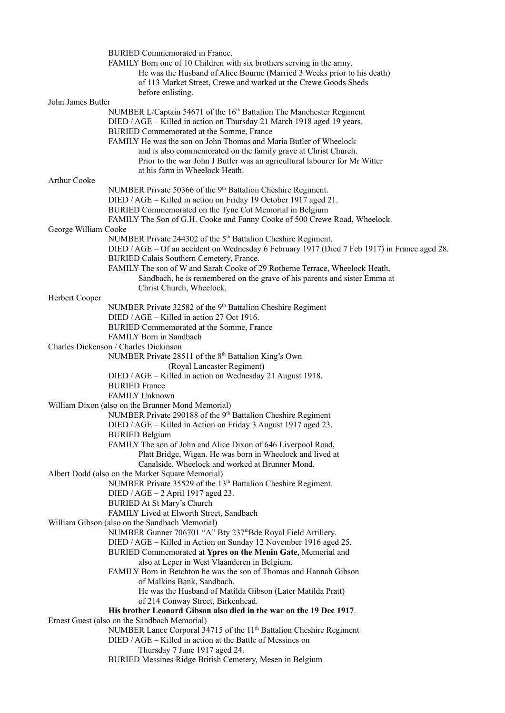|                      | BURIED Commemorated in France.                                                                |
|----------------------|-----------------------------------------------------------------------------------------------|
|                      | FAMILY Born one of 10 Children with six brothers serving in the army.                         |
|                      | He was the Husband of Alice Bourne (Married 3 Weeks prior to his death)                       |
|                      | of 113 Market Street, Crewe and worked at the Crewe Goods Sheds                               |
|                      | before enlisting.                                                                             |
| John James Butler    |                                                                                               |
|                      | NUMBER L/Captain 54671 of the 16 <sup>th</sup> Battalion The Manchester Regiment              |
|                      | DIED / AGE - Killed in action on Thursday 21 March 1918 aged 19 years.                        |
|                      | BURIED Commemorated at the Somme, France                                                      |
|                      | FAMILY He was the son on John Thomas and Maria Butler of Wheelock                             |
|                      | and is also commemorated on the family grave at Christ Church.                                |
|                      | Prior to the war John J Butler was an agricultural labourer for Mr Witter                     |
|                      | at his farm in Wheelock Heath.                                                                |
| Arthur Cooke         |                                                                                               |
|                      | NUMBER Private 50366 of the 9 <sup>th</sup> Battalion Cheshire Regiment.                      |
|                      | DIED / AGE - Killed in action on Friday 19 October 1917 aged 21.                              |
|                      | BURIED Commemorated on the Tyne Cot Memorial in Belgium                                       |
|                      | FAMILY The Son of G.H. Cooke and Fanny Cooke of 500 Crewe Road, Wheelock.                     |
| George William Cooke |                                                                                               |
|                      | NUMBER Private 244302 of the 5 <sup>th</sup> Battalion Cheshire Regiment.                     |
|                      | DIED / AGE – Of an accident on Wednesday 6 February 1917 (Died 7 Feb 1917) in France aged 28. |
|                      | BURIED Calais Southern Cemetery, France.                                                      |
|                      | FAMILY The son of W and Sarah Cooke of 29 Rotherne Terrace, Wheelock Heath,                   |
|                      | Sandbach, he is remembered on the grave of his parents and sister Emma at                     |
|                      | Christ Church, Wheelock.                                                                      |
| Herbert Cooper       |                                                                                               |
|                      | NUMBER Private 32582 of the 9 <sup>th</sup> Battalion Cheshire Regiment                       |
|                      | DIED / AGE – Killed in action 27 Oct 1916.                                                    |
|                      | BURIED Commemorated at the Somme, France                                                      |
|                      | FAMILY Born in Sandbach                                                                       |
|                      | Charles Dickenson / Charles Dickinson                                                         |
|                      | NUMBER Private 28511 of the 8 <sup>th</sup> Battalion King's Own                              |
|                      | (Royal Lancaster Regiment)                                                                    |
|                      | DIED / AGE - Killed in action on Wednesday 21 August 1918.                                    |
|                      | <b>BURIED France</b>                                                                          |
|                      |                                                                                               |
|                      | <b>FAMILY Unknown</b>                                                                         |
|                      | William Dixon (also on the Brunner Mond Memorial)                                             |
|                      | NUMBER Private 290188 of the 9 <sup>th</sup> Battalion Cheshire Regiment                      |
|                      | DIED / AGE - Killed in Action on Friday 3 August 1917 aged 23.                                |
|                      | <b>BURIED Belgium</b>                                                                         |
|                      | FAMILY The son of John and Alice Dixon of 646 Liverpool Road,                                 |
|                      | Platt Bridge, Wigan. He was born in Wheelock and lived at                                     |
|                      | Canalside, Wheelock and worked at Brunner Mond.                                               |
|                      | Albert Dodd (also on the Market Square Memorial)                                              |
|                      | NUMBER Private 35529 of the 13 <sup>th</sup> Battalion Cheshire Regiment.                     |
|                      | DIED / AGE $-2$ April 1917 aged 23.                                                           |
|                      | <b>BURIED At St Mary's Church</b>                                                             |
|                      | FAMILY Lived at Elworth Street, Sandbach                                                      |
|                      | William Gibson (also on the Sandbach Memorial)                                                |
|                      | NUMBER Gunner 706701 "A" Bty 237 <sup>th</sup> Bde Royal Field Artillery.                     |
|                      | DIED / AGE - Killed in Action on Sunday 12 November 1916 aged 25.                             |
|                      | BURIED Commemorated at Ypres on the Menin Gate, Memorial and                                  |
|                      | also at Leper in West Vlaanderen in Belgium.                                                  |
|                      | FAMILY Born in Betchton he was the son of Thomas and Hannah Gibson                            |
|                      | of Malkins Bank, Sandbach.                                                                    |
|                      | He was the Husband of Matilda Gibson (Later Matilda Pratt)                                    |
|                      | of 214 Conway Street, Birkenhead.                                                             |
|                      | His brother Leonard Gibson also died in the war on the 19 Dec 1917.                           |
|                      | Ernest Guest (also on the Sandbach Memorial)                                                  |
|                      | NUMBER Lance Corporal 34715 of the 11 <sup>th</sup> Battalion Cheshire Regiment               |
|                      | DIED / AGE – Killed in action at the Battle of Messines on                                    |
|                      | Thursday 7 June 1917 aged 24.                                                                 |
|                      | BURIED Messines Ridge British Cemetery, Mesen in Belgium                                      |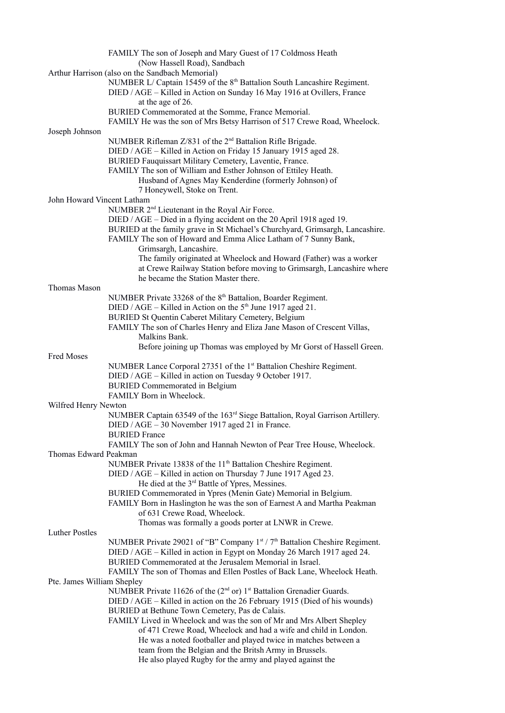|                            | FAMILY The son of Joseph and Mary Guest of 17 Coldmoss Heath                                                       |
|----------------------------|--------------------------------------------------------------------------------------------------------------------|
|                            | (Now Hassell Road), Sandbach                                                                                       |
|                            | Arthur Harrison (also on the Sandbach Memorial)                                                                    |
|                            | NUMBER L/ Captain 15459 of the 8 <sup>th</sup> Battalion South Lancashire Regiment.                                |
|                            | DIED / AGE - Killed in Action on Sunday 16 May 1916 at Ovillers, France                                            |
|                            | at the age of 26.                                                                                                  |
|                            | BURIED Commemorated at the Somme, France Memorial.                                                                 |
|                            | FAMILY He was the son of Mrs Betsy Harrison of 517 Crewe Road, Wheelock.                                           |
| Joseph Johnson             | NUMBER Rifleman Z/831 of the 2 <sup>nd</sup> Battalion Rifle Brigade.                                              |
|                            | DIED / AGE - Killed in Action on Friday 15 January 1915 aged 28.                                                   |
|                            | BURIED Fauquissart Military Cemetery, Laventie, France.                                                            |
|                            | FAMILY The son of William and Esther Johnson of Ettiley Heath.                                                     |
|                            | Husband of Agnes May Kenderdine (formerly Johnson) of                                                              |
|                            | 7 Honeywell, Stoke on Trent.                                                                                       |
| John Howard Vincent Latham |                                                                                                                    |
|                            | NUMBER 2 <sup>nd</sup> Lieutenant in the Royal Air Force.                                                          |
|                            | DIED / AGE - Died in a flying accident on the 20 April 1918 aged 19.                                               |
|                            | BURIED at the family grave in St Michael's Churchyard, Grimsargh, Lancashire.                                      |
|                            | FAMILY The son of Howard and Emma Alice Latham of 7 Sunny Bank,                                                    |
|                            | Grimsargh, Lancashire.                                                                                             |
|                            | The family originated at Wheelock and Howard (Father) was a worker                                                 |
|                            | at Crewe Railway Station before moving to Grimsargh, Lancashire where                                              |
|                            | he became the Station Master there.                                                                                |
| Thomas Mason               |                                                                                                                    |
|                            | NUMBER Private 33268 of the 8 <sup>th</sup> Battalion, Boarder Regiment.                                           |
|                            | DIED / AGE – Killed in Action on the $5th$ June 1917 aged 21.                                                      |
|                            | BURIED St Quentin Caberet Military Cemetery, Belgium                                                               |
|                            | FAMILY The son of Charles Henry and Eliza Jane Mason of Crescent Villas,                                           |
|                            | Malkins Bank.                                                                                                      |
|                            | Before joining up Thomas was employed by Mr Gorst of Hassell Green.                                                |
| Fred Moses                 |                                                                                                                    |
|                            | NUMBER Lance Corporal 27351 of the 1 <sup>st</sup> Battalion Cheshire Regiment.                                    |
|                            | DIED / AGE - Killed in action on Tuesday 9 October 1917.                                                           |
|                            | <b>BURIED Commemorated in Belgium</b>                                                                              |
|                            | FAMILY Born in Wheelock.                                                                                           |
| Wilfred Henry Newton       |                                                                                                                    |
|                            | NUMBER Captain 63549 of the 163 <sup>rd</sup> Siege Battalion, Royal Garrison Artillery.                           |
|                            | DIED / AGE - 30 November 1917 aged 21 in France.                                                                   |
|                            | <b>BURIED</b> France                                                                                               |
|                            | FAMILY The son of John and Hannah Newton of Pear Tree House, Wheelock.                                             |
| Thomas Edward Peakman      |                                                                                                                    |
|                            | NUMBER Private 13838 of the 11 <sup>th</sup> Battalion Cheshire Regiment.                                          |
|                            | DIED / AGE – Killed in action on Thursday 7 June 1917 Aged 23.                                                     |
|                            | He died at the 3 <sup>rd</sup> Battle of Ypres, Messines.                                                          |
|                            | BURIED Commemorated in Ypres (Menin Gate) Memorial in Belgium.                                                     |
|                            | FAMILY Born in Haslington he was the son of Earnest A and Martha Peakman                                           |
|                            | of 631 Crewe Road, Wheelock.                                                                                       |
|                            | Thomas was formally a goods porter at LNWR in Crewe.                                                               |
| <b>Luther Postles</b>      |                                                                                                                    |
|                            | NUMBER Private 29021 of "B" Company $1^{st}$ / $7^{th}$ Battalion Cheshire Regiment.                               |
|                            | DIED / AGE - Killed in action in Egypt on Monday 26 March 1917 aged 24.                                            |
|                            | BURIED Commemorated at the Jerusalem Memorial in Israel.                                                           |
|                            | FAMILY The son of Thomas and Ellen Postles of Back Lane, Wheelock Heath.                                           |
| Pte. James William Shepley |                                                                                                                    |
|                            | NUMBER Private 11626 of the $(2nd$ or) 1 <sup>st</sup> Battalion Grenadier Guards.                                 |
|                            | DIED / AGE – Killed in action on the 26 February 1915 (Died of his wounds)                                         |
|                            | BURIED at Bethune Town Cemetery, Pas de Calais.                                                                    |
|                            |                                                                                                                    |
|                            | FAMILY Lived in Wheelock and was the son of Mr and Mrs Albert Shepley                                              |
|                            | of 471 Crewe Road, Wheelock and had a wife and child in London.                                                    |
|                            | He was a noted footballer and played twice in matches between a                                                    |
|                            | team from the Belgian and the Britsh Army in Brussels.<br>He also played Rugby for the army and played against the |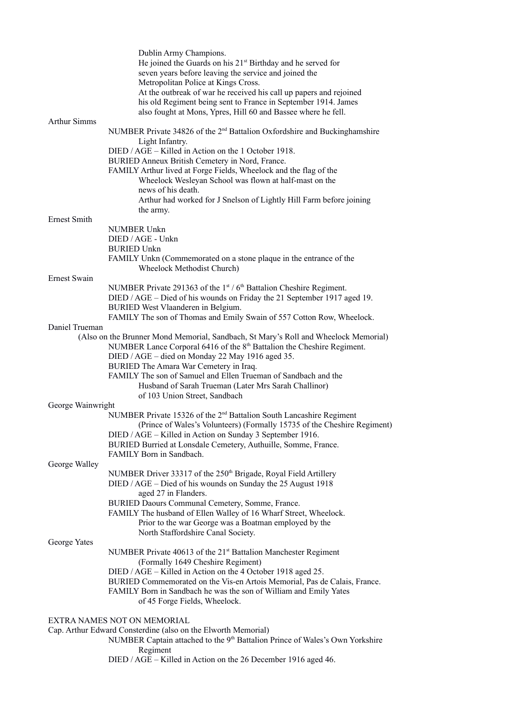|                     | Dublin Army Champions.<br>He joined the Guards on his 21 <sup>st</sup> Birthday and he served for<br>seven years before leaving the service and joined the<br>Metropolitan Police at Kings Cross.<br>At the outbreak of war he received his call up papers and rejoined<br>his old Regiment being sent to France in September 1914. James<br>also fought at Mons, Ypres, Hill 60 and Bassee where he fell. |
|---------------------|------------------------------------------------------------------------------------------------------------------------------------------------------------------------------------------------------------------------------------------------------------------------------------------------------------------------------------------------------------------------------------------------------------|
| <b>Arthur Simms</b> |                                                                                                                                                                                                                                                                                                                                                                                                            |
|                     | NUMBER Private 34826 of the 2 <sup>nd</sup> Battalion Oxfordshire and Buckinghamshire<br>Light Infantry.                                                                                                                                                                                                                                                                                                   |
|                     | DIED / AGE – Killed in Action on the 1 October 1918.                                                                                                                                                                                                                                                                                                                                                       |
|                     | BURIED Anneux British Cemetery in Nord, France.                                                                                                                                                                                                                                                                                                                                                            |
|                     | FAMILY Arthur lived at Forge Fields, Wheelock and the flag of the                                                                                                                                                                                                                                                                                                                                          |
|                     | Wheelock Wesleyan School was flown at half-mast on the                                                                                                                                                                                                                                                                                                                                                     |
|                     | news of his death.                                                                                                                                                                                                                                                                                                                                                                                         |
|                     | Arthur had worked for J Snelson of Lightly Hill Farm before joining                                                                                                                                                                                                                                                                                                                                        |
| <b>Ernest Smith</b> | the army.                                                                                                                                                                                                                                                                                                                                                                                                  |
|                     | NUMBER Unkn                                                                                                                                                                                                                                                                                                                                                                                                |
|                     | DIED / AGE - Unkn                                                                                                                                                                                                                                                                                                                                                                                          |
|                     | <b>BURIED Unkn</b>                                                                                                                                                                                                                                                                                                                                                                                         |
|                     | FAMILY Unkn (Commemorated on a stone plaque in the entrance of the                                                                                                                                                                                                                                                                                                                                         |
| <b>Ernest Swain</b> | Wheelock Methodist Church)                                                                                                                                                                                                                                                                                                                                                                                 |
|                     | NUMBER Private 291363 of the $1st / 6th$ Battalion Cheshire Regiment.                                                                                                                                                                                                                                                                                                                                      |
|                     | DIED / AGE – Died of his wounds on Friday the 21 September 1917 aged 19.                                                                                                                                                                                                                                                                                                                                   |
|                     | BURIED West Vlaanderen in Belgium.                                                                                                                                                                                                                                                                                                                                                                         |
|                     | FAMILY The son of Thomas and Emily Swain of 557 Cotton Row, Wheelock.                                                                                                                                                                                                                                                                                                                                      |
| Daniel Trueman      |                                                                                                                                                                                                                                                                                                                                                                                                            |
|                     | (Also on the Brunner Mond Memorial, Sandbach, St Mary's Roll and Wheelock Memorial)                                                                                                                                                                                                                                                                                                                        |
|                     | NUMBER Lance Corporal 6416 of the 8th Battalion the Cheshire Regiment.<br>DIED / AGE - died on Monday 22 May 1916 aged 35.                                                                                                                                                                                                                                                                                 |
|                     | BURIED The Amara War Cemetery in Iraq.                                                                                                                                                                                                                                                                                                                                                                     |
|                     | FAMILY The son of Samuel and Ellen Trueman of Sandbach and the                                                                                                                                                                                                                                                                                                                                             |
|                     | Husband of Sarah Trueman (Later Mrs Sarah Challinor)                                                                                                                                                                                                                                                                                                                                                       |
|                     | of 103 Union Street, Sandbach                                                                                                                                                                                                                                                                                                                                                                              |
| George Wainwright   |                                                                                                                                                                                                                                                                                                                                                                                                            |
|                     | NUMBER Private 15326 of the 2 <sup>nd</sup> Battalion South Lancashire Regiment                                                                                                                                                                                                                                                                                                                            |
|                     | (Prince of Wales's Volunteers) (Formally 15735 of the Cheshire Regiment)<br>DIED / AGE - Killed in Action on Sunday 3 September 1916.                                                                                                                                                                                                                                                                      |
|                     | BURIED Burried at Lonsdale Cemetery, Authuille, Somme, France.                                                                                                                                                                                                                                                                                                                                             |
|                     | FAMILY Born in Sandbach.                                                                                                                                                                                                                                                                                                                                                                                   |
| George Walley       |                                                                                                                                                                                                                                                                                                                                                                                                            |
|                     | NUMBER Driver 33317 of the 250 <sup>th</sup> Brigade, Royal Field Artillery                                                                                                                                                                                                                                                                                                                                |
|                     | DIED / AGE – Died of his wounds on Sunday the 25 August 1918                                                                                                                                                                                                                                                                                                                                               |
|                     | aged 27 in Flanders.                                                                                                                                                                                                                                                                                                                                                                                       |
|                     | BURIED Daours Communal Cemetery, Somme, France.                                                                                                                                                                                                                                                                                                                                                            |
|                     | FAMILY The husband of Ellen Walley of 16 Wharf Street, Wheelock.<br>Prior to the war George was a Boatman employed by the                                                                                                                                                                                                                                                                                  |
|                     | North Staffordshire Canal Society.                                                                                                                                                                                                                                                                                                                                                                         |
| George Yates        |                                                                                                                                                                                                                                                                                                                                                                                                            |
|                     | NUMBER Private 40613 of the 21 <sup>st</sup> Battalion Manchester Regiment                                                                                                                                                                                                                                                                                                                                 |
|                     | (Formally 1649 Cheshire Regiment)                                                                                                                                                                                                                                                                                                                                                                          |
|                     | DIED / AGE – Killed in Action on the 4 October 1918 aged 25.                                                                                                                                                                                                                                                                                                                                               |
|                     | BURIED Commemorated on the Vis-en Artois Memorial, Pas de Calais, France.                                                                                                                                                                                                                                                                                                                                  |
|                     | FAMILY Born in Sandbach he was the son of William and Emily Yates<br>of 45 Forge Fields, Wheelock.                                                                                                                                                                                                                                                                                                         |
|                     |                                                                                                                                                                                                                                                                                                                                                                                                            |
|                     | EXTRA NAMES NOT ON MEMORIAL                                                                                                                                                                                                                                                                                                                                                                                |
|                     | Cap. Arthur Edward Consterdine (also on the Elworth Memorial)                                                                                                                                                                                                                                                                                                                                              |
|                     | NUMBER Captain attached to the 9 <sup>th</sup> Battalion Prince of Wales's Own Yorkshire                                                                                                                                                                                                                                                                                                                   |
|                     | Regiment                                                                                                                                                                                                                                                                                                                                                                                                   |

DIED / AGE – Killed in Action on the 26 December 1916 aged 46.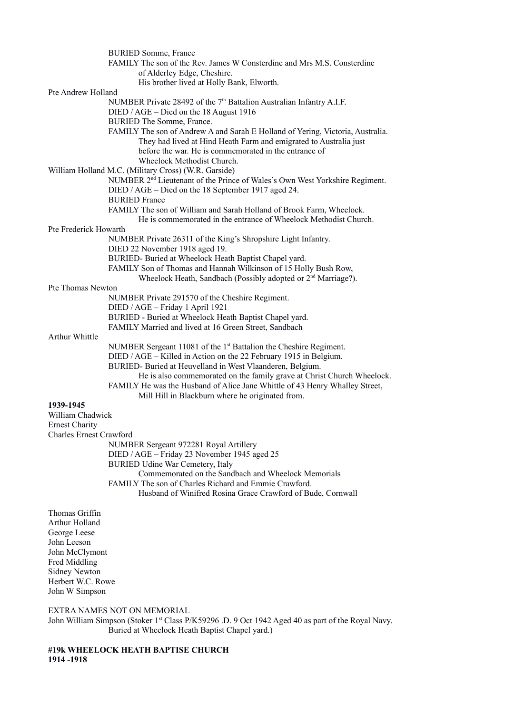|                         | <b>BURIED Somme, France</b>                                                             |
|-------------------------|-----------------------------------------------------------------------------------------|
|                         | FAMILY The son of the Rev. James W Consterdine and Mrs M.S. Consterdine                 |
|                         | of Alderley Edge, Cheshire.                                                             |
|                         | His brother lived at Holly Bank, Elworth.                                               |
| Pte Andrew Holland      |                                                                                         |
|                         | NUMBER Private 28492 of the 7 <sup>th</sup> Battalion Australian Infantry A.I.F.        |
|                         | DIED / AGE - Died on the 18 August 1916                                                 |
|                         | BURIED The Somme, France.                                                               |
|                         | FAMILY The son of Andrew A and Sarah E Holland of Yering, Victoria, Australia.          |
|                         | They had lived at Hind Heath Farm and emigrated to Australia just                       |
|                         | before the war. He is commemorated in the entrance of                                   |
|                         | Wheelock Methodist Church.                                                              |
|                         | William Holland M.C. (Military Cross) (W.R. Garside)                                    |
|                         | NUMBER 2 <sup>nd</sup> Lieutenant of the Prince of Wales's Own West Yorkshire Regiment. |
|                         | DIED / AGE – Died on the 18 September 1917 aged 24.                                     |
|                         | <b>BURIED France</b>                                                                    |
|                         | FAMILY The son of William and Sarah Holland of Brook Farm, Wheelock.                    |
|                         | He is commemorated in the entrance of Wheelock Methodist Church.                        |
| Pte Frederick Howarth   |                                                                                         |
|                         | NUMBER Private 26311 of the King's Shropshire Light Infantry.                           |
|                         | DIED 22 November 1918 aged 19.                                                          |
|                         | BURIED- Buried at Wheelock Heath Baptist Chapel yard.                                   |
|                         | FAMILY Son of Thomas and Hannah Wilkinson of 15 Holly Bush Row,                         |
|                         | Wheelock Heath, Sandbach (Possibly adopted or 2 <sup>nd</sup> Marriage?).               |
| Pte Thomas Newton       |                                                                                         |
|                         | NUMBER Private 291570 of the Cheshire Regiment.                                         |
|                         | DIED / AGE - Friday 1 April 1921                                                        |
|                         | BURIED - Buried at Wheelock Heath Baptist Chapel yard.                                  |
|                         | FAMILY Married and lived at 16 Green Street, Sandbach                                   |
| Arthur Whittle          |                                                                                         |
|                         | NUMBER Sergeant 11081 of the 1 <sup>st</sup> Battalion the Cheshire Regiment.           |
|                         | DIED / AGE - Killed in Action on the 22 February 1915 in Belgium.                       |
|                         | BURIED- Buried at Heuvelland in West Vlaanderen, Belgium.                               |
|                         | He is also commemorated on the family grave at Christ Church Wheelock.                  |
|                         | FAMILY He was the Husband of Alice Jane Whittle of 43 Henry Whalley Street,             |
|                         | Mill Hill in Blackburn where he originated from.                                        |
| 1939-1945               |                                                                                         |
| William Chadwick        |                                                                                         |
| <b>Ernest Charity</b>   |                                                                                         |
| Charles Ernest Crawford |                                                                                         |
|                         | NUMBER Sergeant 972281 Royal Artillery                                                  |
|                         | DIED / AGE - Friday 23 November 1945 aged 25                                            |
|                         | BURIED Udine War Cemetery, Italy                                                        |
|                         | Commemorated on the Sandbach and Wheelock Memorials                                     |
|                         | FAMILY The son of Charles Richard and Emmie Crawford.                                   |
|                         | Husband of Winifred Rosina Grace Crawford of Bude, Cornwall                             |
|                         |                                                                                         |
| Thomas Griffin          |                                                                                         |
| Arthur Holland          |                                                                                         |

Arthur Holland George Leese John Leeson John McClymont Fred Middling Sidney Newton Herbert W.C. Rowe John W Simpson

EXTRA NAMES NOT ON MEMORIAL

John William Simpson (Stoker 1<sup>st</sup> Class P/K59296 .D. 9 Oct 1942 Aged 40 as part of the Royal Navy. Buried at Wheelock Heath Baptist Chapel yard.)

# **#19k WHEELOCK HEATH BAPTISE CHURCH 1914 -1918**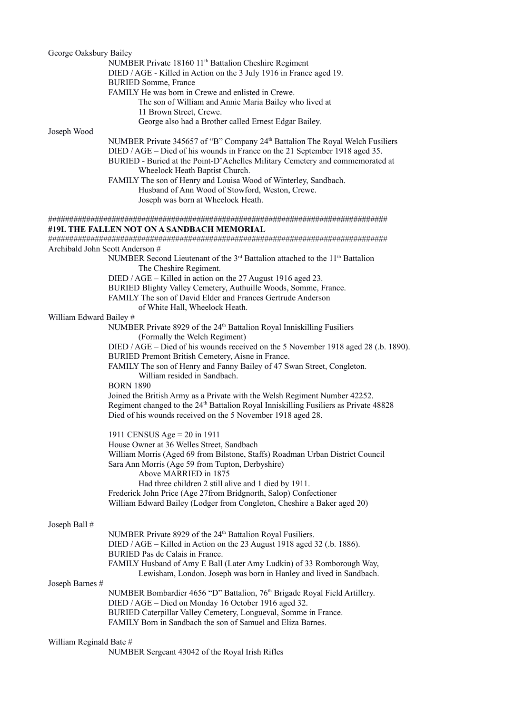| George Oaksbury Bailey          |                                                                                                                                                                 |
|---------------------------------|-----------------------------------------------------------------------------------------------------------------------------------------------------------------|
|                                 | NUMBER Private 18160 11 <sup>th</sup> Battalion Cheshire Regiment                                                                                               |
|                                 | DIED / AGE - Killed in Action on the 3 July 1916 in France aged 19.                                                                                             |
|                                 | <b>BURIED Somme, France</b>                                                                                                                                     |
|                                 | FAMILY He was born in Crewe and enlisted in Crewe.                                                                                                              |
|                                 | The son of William and Annie Maria Bailey who lived at                                                                                                          |
|                                 | 11 Brown Street, Crewe.                                                                                                                                         |
|                                 | George also had a Brother called Ernest Edgar Bailey.                                                                                                           |
| Joseph Wood                     |                                                                                                                                                                 |
|                                 | NUMBER Private 345657 of "B" Company 24th Battalion The Royal Welch Fusiliers                                                                                   |
|                                 | DIED / AGE – Died of his wounds in France on the 21 September 1918 aged 35.                                                                                     |
|                                 | BURIED - Buried at the Point-D'Achelles Military Cemetery and commemorated at                                                                                   |
|                                 | Wheelock Heath Baptist Church.                                                                                                                                  |
|                                 | FAMILY The son of Henry and Louisa Wood of Winterley, Sandbach.                                                                                                 |
|                                 | Husband of Ann Wood of Stowford, Weston, Crewe.                                                                                                                 |
|                                 | Joseph was born at Wheelock Heath.                                                                                                                              |
|                                 |                                                                                                                                                                 |
|                                 |                                                                                                                                                                 |
|                                 | #19L THE FALLEN NOT ON A SANDBACH MEMORIAL                                                                                                                      |
|                                 |                                                                                                                                                                 |
| Archibald John Scott Anderson # |                                                                                                                                                                 |
|                                 | NUMBER Second Lieutenant of the 3 <sup>rd</sup> Battalion attached to the 11 <sup>th</sup> Battalion                                                            |
|                                 | The Cheshire Regiment.                                                                                                                                          |
|                                 | DIED / AGE - Killed in action on the 27 August 1916 aged 23.                                                                                                    |
|                                 | BURIED Blighty Valley Cemetery, Authuille Woods, Somme, France.                                                                                                 |
|                                 | FAMILY The son of David Elder and Frances Gertrude Anderson                                                                                                     |
|                                 | of White Hall, Wheelock Heath.                                                                                                                                  |
| William Edward Bailey #         |                                                                                                                                                                 |
|                                 | NUMBER Private 8929 of the 24 <sup>th</sup> Battalion Royal Inniskilling Fusiliers                                                                              |
|                                 | (Formally the Welch Regiment)                                                                                                                                   |
|                                 | DIED / AGE – Died of his wounds received on the 5 November 1918 aged 28 (.b. 1890).                                                                             |
|                                 | BURIED Premont British Cemetery, Aisne in France.                                                                                                               |
|                                 | FAMILY The son of Henry and Fanny Bailey of 47 Swan Street, Congleton.                                                                                          |
|                                 | William resided in Sandbach.                                                                                                                                    |
|                                 | <b>BORN 1890</b>                                                                                                                                                |
|                                 | Joined the British Army as a Private with the Welsh Regiment Number 42252.                                                                                      |
|                                 |                                                                                                                                                                 |
|                                 | Regiment changed to the 24 <sup>th</sup> Battalion Royal Inniskilling Fusiliers as Private 48828<br>Died of his wounds received on the 5 November 1918 aged 28. |
|                                 |                                                                                                                                                                 |
|                                 | 1911 CENSUS Age = $20$ in 1911                                                                                                                                  |
|                                 | House Owner at 36 Welles Street, Sandbach                                                                                                                       |
|                                 |                                                                                                                                                                 |
|                                 | William Morris (Aged 69 from Bilstone, Staffs) Roadman Urban District Council                                                                                   |
|                                 | Sara Ann Morris (Age 59 from Tupton, Derbyshire)                                                                                                                |
|                                 | Above MARRIED in 1875                                                                                                                                           |
|                                 | Had three children 2 still alive and 1 died by 1911.                                                                                                            |
|                                 | Frederick John Price (Age 27from Bridgnorth, Salop) Confectioner                                                                                                |
|                                 | William Edward Bailey (Lodger from Congleton, Cheshire a Baker aged 20)                                                                                         |
|                                 |                                                                                                                                                                 |
| Joseph Ball #                   |                                                                                                                                                                 |
|                                 | NUMBER Private 8929 of the 24 <sup>th</sup> Battalion Royal Fusiliers.                                                                                          |
|                                 | DIED / AGE – Killed in Action on the 23 August 1918 aged 32 (.b. 1886).                                                                                         |
|                                 | BURIED Pas de Calais in France.                                                                                                                                 |
|                                 | FAMILY Husband of Amy E Ball (Later Amy Ludkin) of 33 Romborough Way,                                                                                           |
|                                 | Lewisham, London. Joseph was born in Hanley and lived in Sandbach.                                                                                              |
| Joseph Barnes #                 |                                                                                                                                                                 |
|                                 | NUMBER Bombardier 4656 "D" Battalion, 76th Brigade Royal Field Artillery.                                                                                       |
|                                 | DIED / AGE - Died on Monday 16 October 1916 aged 32.                                                                                                            |
|                                 | BURIED Caterpillar Valley Cemetery, Longueval, Somme in France.                                                                                                 |
|                                 | FAMILY Born in Sandbach the son of Samuel and Eliza Barnes.                                                                                                     |
|                                 |                                                                                                                                                                 |
| William Reginald Bate #         |                                                                                                                                                                 |
|                                 | NUMBER Sergeant 43042 of the Royal Irish Rifles                                                                                                                 |
|                                 |                                                                                                                                                                 |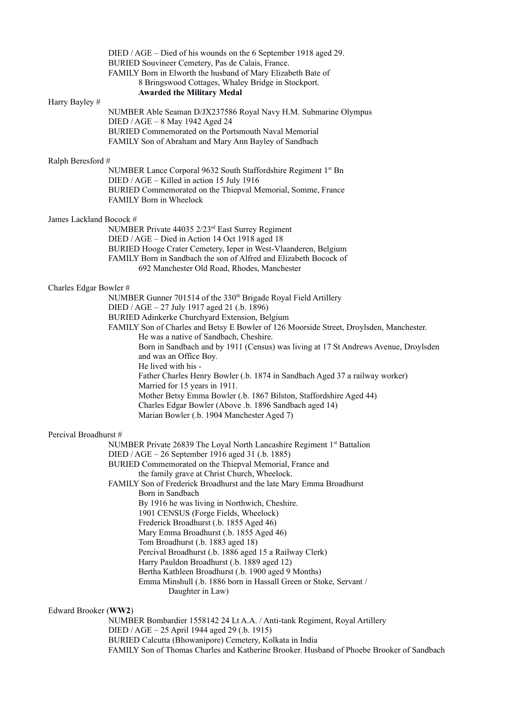|                         | DIED / AGE – Died of his wounds on the 6 September 1918 aged 29.                        |
|-------------------------|-----------------------------------------------------------------------------------------|
|                         | BURIED Souvineer Cemetery, Pas de Calais, France.                                       |
|                         | FAMILY Born in Elworth the husband of Mary Elizabeth Bate of                            |
|                         | 8 Bringswood Cottages, Whaley Bridge in Stockport.                                      |
|                         | <b>Awarded the Military Medal</b>                                                       |
| Harry Bayley #          |                                                                                         |
|                         | NUMBER Able Seaman D/JX237586 Royal Navy H.M. Submarine Olympus                         |
|                         | DIED / AGE - 8 May 1942 Aged 24                                                         |
|                         | BURIED Commemorated on the Portsmouth Naval Memorial                                    |
|                         | FAMILY Son of Abraham and Mary Ann Bayley of Sandbach                                   |
| Ralph Beresford #       |                                                                                         |
|                         | NUMBER Lance Corporal 9632 South Staffordshire Regiment 1st Bn                          |
|                         | DIED / AGE - Killed in action 15 July 1916                                              |
|                         | BURIED Commemorated on the Thiepval Memorial, Somme, France                             |
|                         | FAMILY Born in Wheelock                                                                 |
|                         |                                                                                         |
| James Lackland Bocock # |                                                                                         |
|                         | NUMBER Private 44035 2/23 <sup>rd</sup> East Surrey Regiment                            |
|                         | DIED / AGE – Died in Action 14 Oct 1918 aged 18                                         |
|                         | BURIED Hooge Crater Cemetery, Ieper in West-Vlaanderen, Belgium                         |
|                         | FAMILY Born in Sandbach the son of Alfred and Elizabeth Bocock of                       |
|                         | 692 Manchester Old Road, Rhodes, Manchester                                             |
|                         |                                                                                         |
| Charles Edgar Bowler #  |                                                                                         |
|                         | NUMBER Gunner 701514 of the 330 <sup>th</sup> Brigade Royal Field Artillery             |
|                         | DIED / AGE - 27 July 1917 aged 21 (.b. 1896)                                            |
|                         | BURIED Adinkerke Churchyard Extension, Belgium                                          |
|                         | FAMILY Son of Charles and Betsy E Bowler of 126 Moorside Street, Droylsden, Manchester. |
|                         | He was a native of Sandbach, Cheshire.                                                  |
|                         | Born in Sandbach and by 1911 (Census) was living at 17 St Andrews Avenue, Droylsden     |
|                         | and was an Office Boy.                                                                  |
|                         | He lived with his -                                                                     |
|                         | Father Charles Henry Bowler (.b. 1874 in Sandbach Aged 37 a railway worker)             |
|                         | Married for 15 years in 1911.                                                           |
|                         | Mother Betsy Emma Bowler (.b. 1867 Bilston, Staffordshire Aged 44)                      |
|                         | Charles Edgar Bowler (Above .b. 1896 Sandbach aged 14)                                  |
|                         | Marian Bowler (.b. 1904 Manchester Aged 7)                                              |
|                         |                                                                                         |
| Percival Broadhurst #   |                                                                                         |
|                         | NUMBER Private 26839 The Loyal North Lancashire Regiment 1 <sup>st</sup> Battalion      |
|                         | DIED / AGE - 26 September 1916 aged 31 (.b. 1885)                                       |
|                         | BURIED Commemorated on the Thiepval Memorial, France and                                |
|                         | the family grave at Christ Church, Wheelock.                                            |
|                         | FAMILY Son of Frederick Broadhurst and the late Mary Emma Broadhurst                    |
|                         | Born in Sandbach                                                                        |
|                         | By 1916 he was living in Northwich, Cheshire.                                           |
|                         | 1901 CENSUS (Forge Fields, Wheelock)                                                    |
|                         | Frederick Broadhurst (.b. 1855 Aged 46)                                                 |
|                         | Mary Emma Broadhurst (.b. 1855 Aged 46)                                                 |
|                         | Tom Broadhurst (.b. 1883 aged 18)                                                       |
|                         | Percival Broadhurst (.b. 1886 aged 15 a Railway Clerk)                                  |
|                         | Harry Pauldon Broadhurst (.b. 1889 aged 12)                                             |
|                         | Bertha Kathleen Broadhurst (.b. 1900 aged 9 Months)                                     |
|                         | Emma Minshull (.b. 1886 born in Hassall Green or Stoke, Servant /                       |
|                         | Daughter in Law)                                                                        |
|                         |                                                                                         |
| Edward Brooker (WW2)    |                                                                                         |
|                         | NUMBER Bombardier 1558142 24 Lt A.A. / Anti-tank Regiment, Royal Artillery              |

# DIED / AGE – 25 April 1944 aged 29 (.b. 1915)

BURIED Calcutta (Bhowanipore) Cemetery, Kolkata in India

FAMILY Son of Thomas Charles and Katherine Brooker. Husband of Phoebe Brooker of Sandbach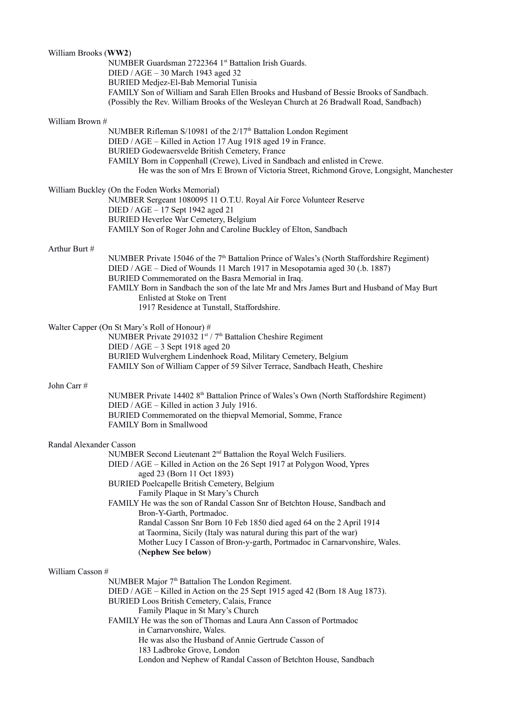| William Brooks (WW2)                          |                                                                                                                                                  |
|-----------------------------------------------|--------------------------------------------------------------------------------------------------------------------------------------------------|
|                                               | NUMBER Guardsman 2722364 1st Battalion Irish Guards.                                                                                             |
|                                               | DIED / AGE - 30 March 1943 aged 32<br>BURIED Medjez-El-Bab Memorial Tunisia                                                                      |
|                                               | FAMILY Son of William and Sarah Ellen Brooks and Husband of Bessie Brooks of Sandbach.                                                           |
|                                               | (Possibly the Rev. William Brooks of the Wesleyan Church at 26 Bradwall Road, Sandbach)                                                          |
| William Brown #                               |                                                                                                                                                  |
|                                               | NUMBER Rifleman S/10981 of the 2/17 <sup>th</sup> Battalion London Regiment                                                                      |
|                                               | DIED / AGE - Killed in Action 17 Aug 1918 aged 19 in France.                                                                                     |
|                                               | BURIED Godewaersvelde British Cemetery, France<br>FAMILY Born in Coppenhall (Crewe), Lived in Sandbach and enlisted in Crewe.                    |
|                                               | He was the son of Mrs E Brown of Victoria Street, Richmond Grove, Longsight, Manchester                                                          |
|                                               | William Buckley (On the Foden Works Memorial)                                                                                                    |
|                                               | NUMBER Sergeant 1080095 11 O.T.U. Royal Air Force Volunteer Reserve                                                                              |
|                                               | DIED / AGE - 17 Sept 1942 aged 21<br>BURIED Heverlee War Cemetery, Belgium                                                                       |
|                                               | FAMILY Son of Roger John and Caroline Buckley of Elton, Sandbach                                                                                 |
| Arthur Burt #                                 |                                                                                                                                                  |
|                                               | NUMBER Private 15046 of the 7 <sup>th</sup> Battalion Prince of Wales's (North Staffordshire Regiment)                                           |
|                                               | DIED / AGE – Died of Wounds 11 March 1917 in Mesopotamia aged 30 (.b. 1887)                                                                      |
|                                               | BURIED Commemorated on the Basra Memorial in Iraq.<br>FAMILY Born in Sandbach the son of the late Mr and Mrs James Burt and Husband of May Burt  |
|                                               | Enlisted at Stoke on Trent                                                                                                                       |
|                                               | 1917 Residence at Tunstall, Staffordshire.                                                                                                       |
| Walter Capper (On St Mary's Roll of Honour) # |                                                                                                                                                  |
|                                               | NUMBER Private 291032 1st / 7 <sup>th</sup> Battalion Cheshire Regiment                                                                          |
|                                               | DIED / $AGE - 3$ Sept 1918 aged 20<br>BURIED Wulverghem Lindenhoek Road, Military Cemetery, Belgium                                              |
|                                               | FAMILY Son of William Capper of 59 Silver Terrace, Sandbach Heath, Cheshire                                                                      |
| John Carr#                                    |                                                                                                                                                  |
|                                               | NUMBER Private 14402 8 <sup>th</sup> Battalion Prince of Wales's Own (North Staffordshire Regiment)                                              |
|                                               | DIED / AGE - Killed in action 3 July 1916.<br>BURIED Commemorated on the thiepval Memorial, Somme, France                                        |
|                                               | FAMILY Born in Smallwood                                                                                                                         |
| Randal Alexander Casson                       |                                                                                                                                                  |
|                                               | NUMBER Second Lieutenant 2 <sup>nd</sup> Battalion the Royal Welch Fusiliers.                                                                    |
|                                               | DIED / AGE – Killed in Action on the 26 Sept 1917 at Polygon Wood, Ypres                                                                         |
|                                               | aged 23 (Born 11 Oct 1893)<br>BURIED Poelcapelle British Cemetery, Belgium                                                                       |
|                                               | Family Plaque in St Mary's Church                                                                                                                |
|                                               | FAMILY He was the son of Randal Casson Snr of Betchton House, Sandbach and                                                                       |
|                                               | Bron-Y-Garth, Portmadoc.                                                                                                                         |
|                                               | Randal Casson Snr Born 10 Feb 1850 died aged 64 on the 2 April 1914                                                                              |
|                                               | at Taormina, Sicily (Italy was natural during this part of the war)<br>Mother Lucy I Casson of Bron-y-garth, Portmadoc in Carnarvonshire, Wales. |
|                                               | (Nephew See below)                                                                                                                               |
| William Casson #                              |                                                                                                                                                  |
|                                               | NUMBER Major 7 <sup>th</sup> Battalion The London Regiment.                                                                                      |
|                                               | DIED / AGE – Killed in Action on the 25 Sept 1915 aged 42 (Born 18 Aug 1873).<br>BURIED Loos British Cemetery, Calais, France                    |
|                                               | Family Plaque in St Mary's Church                                                                                                                |
|                                               | FAMILY He was the son of Thomas and Laura Ann Casson of Portmadoc                                                                                |
|                                               | in Carnarvonshire, Wales.                                                                                                                        |
|                                               | He was also the Husband of Annie Gertrude Casson of<br>183 Ladbroke Grove, London                                                                |
|                                               | London and Nephew of Randal Casson of Betchton House, Sandbach                                                                                   |
|                                               |                                                                                                                                                  |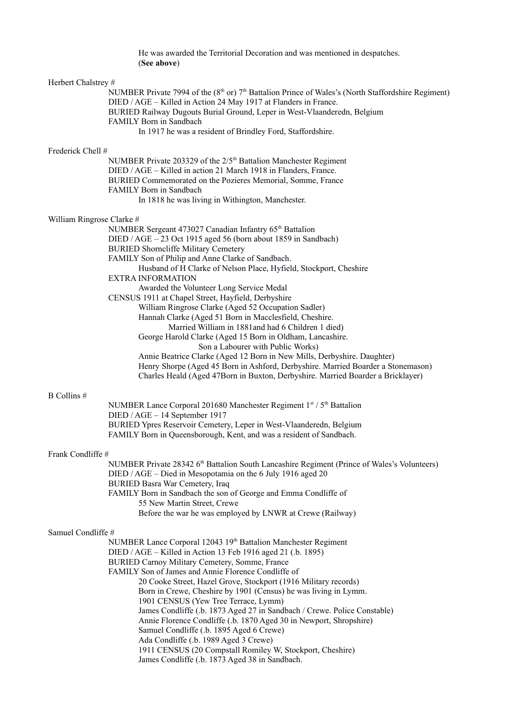He was awarded the Territorial Decoration and was mentioned in despatches. (**See above**)

| Herbert Chalstrey #       |                                                                                                                                                                            |
|---------------------------|----------------------------------------------------------------------------------------------------------------------------------------------------------------------------|
|                           | NUMBER Private 7994 of the $(8th$ or) $7th$ Battalion Prince of Wales's (North Staffordshire Regiment)<br>DIED / AGE - Killed in Action 24 May 1917 at Flanders in France. |
|                           | BURIED Railway Dugouts Burial Ground, Leper in West-Vlaanderedn, Belgium<br>FAMILY Born in Sandbach                                                                        |
|                           | In 1917 he was a resident of Brindley Ford, Staffordshire.                                                                                                                 |
| Frederick Chell #         |                                                                                                                                                                            |
|                           | NUMBER Private 203329 of the 2/5 <sup>th</sup> Battalion Manchester Regiment                                                                                               |
|                           | DIED / AGE - Killed in action 21 March 1918 in Flanders, France.                                                                                                           |
|                           | BURIED Commemorated on the Pozieres Memorial, Somme, France<br>FAMILY Born in Sandbach                                                                                     |
|                           | In 1818 he was living in Withington, Manchester.                                                                                                                           |
| William Ringrose Clarke # |                                                                                                                                                                            |
|                           | NUMBER Sergeant 473027 Canadian Infantry 65 <sup>th</sup> Battalion                                                                                                        |
|                           | DIED / AGE - 23 Oct 1915 aged 56 (born about 1859 in Sandbach)                                                                                                             |
|                           | <b>BURIED Shorncliffe Military Cemetery</b>                                                                                                                                |
|                           | FAMILY Son of Philip and Anne Clarke of Sandbach.                                                                                                                          |
|                           | Husband of H Clarke of Nelson Place, Hyfield, Stockport, Cheshire<br><b>EXTRA INFORMATION</b>                                                                              |
|                           | Awarded the Volunteer Long Service Medal                                                                                                                                   |
|                           | CENSUS 1911 at Chapel Street, Hayfield, Derbyshire                                                                                                                         |
|                           | William Ringrose Clarke (Aged 52 Occupation Sadler)                                                                                                                        |
|                           | Hannah Clarke (Aged 51 Born in Macclesfield, Cheshire.                                                                                                                     |
|                           | Married William in 1881 and had 6 Children 1 died)<br>George Harold Clarke (Aged 15 Born in Oldham, Lancashire.                                                            |
|                           | Son a Labourer with Public Works)                                                                                                                                          |
|                           | Annie Beatrice Clarke (Aged 12 Born in New Mills, Derbyshire. Daughter)                                                                                                    |
|                           | Henry Shorpe (Aged 45 Born in Ashford, Derbyshire. Married Boarder a Stonemason)<br>Charles Heald (Aged 47Born in Buxton, Derbyshire. Married Boarder a Bricklayer)        |
| B Collins #               |                                                                                                                                                                            |
|                           | NUMBER Lance Corporal 201680 Manchester Regiment 1st / 5th Battalion                                                                                                       |
|                           | DIED / AGE - 14 September 1917                                                                                                                                             |
|                           | BURIED Ypres Reservoir Cemetery, Leper in West-Vlaanderedn, Belgium<br>FAMILY Born in Queensborough, Kent, and was a resident of Sandbach.                                 |
| Frank Condliffe #         |                                                                                                                                                                            |
|                           | NUMBER Private 28342 6 <sup>th</sup> Battalion South Lancashire Regiment (Prince of Wales's Volunteers)                                                                    |
|                           | DIED / AGE – Died in Mesopotamia on the 6 July 1916 aged 20<br><b>BURIED Basra War Cemetery, Iraq</b>                                                                      |
|                           | FAMILY Born in Sandbach the son of George and Emma Condliffe of                                                                                                            |
|                           | 55 New Martin Street, Crewe                                                                                                                                                |
|                           | Before the war he was employed by LNWR at Crewe (Railway)                                                                                                                  |
| Samuel Condliffe #        |                                                                                                                                                                            |
|                           | NUMBER Lance Corporal 12043 19th Battalion Manchester Regiment                                                                                                             |
|                           | DIED / AGE – Killed in Action 13 Feb 1916 aged 21 (.b. 1895)                                                                                                               |
|                           | BURIED Carnoy Military Cemetery, Somme, France<br>FAMILY Son of James and Annie Florence Condliffe of                                                                      |
|                           | 20 Cooke Street, Hazel Grove, Stockport (1916 Military records)                                                                                                            |
|                           | Born in Crewe, Cheshire by 1901 (Census) he was living in Lymm.                                                                                                            |
|                           | 1901 CENSUS (Yew Tree Terrace, Lymm)                                                                                                                                       |
|                           | James Condliffe (.b. 1873 Aged 27 in Sandbach / Crewe. Police Constable)                                                                                                   |
|                           | Annie Florence Condliffe (.b. 1870 Aged 30 in Newport, Shropshire)<br>Samuel Condliffe (.b. 1895 Aged 6 Crewe)                                                             |
|                           | Ada Condliffe (.b. 1989 Aged 3 Crewe)                                                                                                                                      |
|                           | 1911 CENSUS (20 Compstall Romiley W, Stockport, Cheshire)                                                                                                                  |
|                           | James Condliffe (.b. 1873 Aged 38 in Sandbach.                                                                                                                             |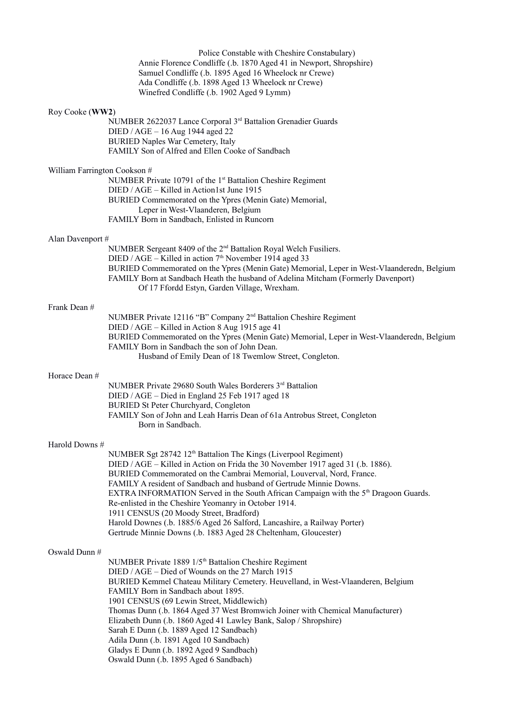|                              | Police Constable with Cheshire Constabulary)<br>Annie Florence Condliffe (.b. 1870 Aged 41 in Newport, Shropshire)<br>Samuel Condliffe (.b. 1895 Aged 16 Wheelock nr Crewe)<br>Ada Condliffe (.b. 1898 Aged 13 Wheelock nr Crewe)<br>Winefred Condliffe (.b. 1902 Aged 9 Lymm)                                                                                                                                                                                                                                                                                                                                                                                      |
|------------------------------|---------------------------------------------------------------------------------------------------------------------------------------------------------------------------------------------------------------------------------------------------------------------------------------------------------------------------------------------------------------------------------------------------------------------------------------------------------------------------------------------------------------------------------------------------------------------------------------------------------------------------------------------------------------------|
| Roy Cooke (WW2)              | NUMBER 2622037 Lance Corporal 3rd Battalion Grenadier Guards<br>DIED / AGE - 16 Aug 1944 aged 22<br><b>BURIED Naples War Cemetery, Italy</b><br>FAMILY Son of Alfred and Ellen Cooke of Sandbach                                                                                                                                                                                                                                                                                                                                                                                                                                                                    |
| William Farrington Cookson # | NUMBER Private 10791 of the 1 <sup>st</sup> Battalion Cheshire Regiment<br>DIED / AGE – Killed in Action1st June 1915<br>BURIED Commemorated on the Ypres (Menin Gate) Memorial,<br>Leper in West-Vlaanderen, Belgium<br>FAMILY Born in Sandbach, Enlisted in Runcorn                                                                                                                                                                                                                                                                                                                                                                                               |
| Alan Davenport #             | NUMBER Sergeant 8409 of the 2 <sup>nd</sup> Battalion Royal Welch Fusiliers.<br>DIED / AGE – Killed in action $7th$ November 1914 aged 33<br>BURIED Commemorated on the Ypres (Menin Gate) Memorial, Leper in West-Vlaanderedn, Belgium<br>FAMILY Born at Sandbach Heath the husband of Adelina Mitcham (Formerly Davenport)<br>Of 17 Ffordd Estyn, Garden Village, Wrexham.                                                                                                                                                                                                                                                                                        |
| Frank Dean #                 | NUMBER Private 12116 "B" Company 2 <sup>nd</sup> Battalion Cheshire Regiment<br>DIED / AGE - Killed in Action 8 Aug 1915 age 41<br>BURIED Commemorated on the Ypres (Menin Gate) Memorial, Leper in West-Vlaanderedn, Belgium<br>FAMILY Born in Sandbach the son of John Dean.<br>Husband of Emily Dean of 18 Twemlow Street, Congleton.                                                                                                                                                                                                                                                                                                                            |
| Horace Dean #                | NUMBER Private 29680 South Wales Borderers 3rd Battalion<br>DIED / AGE - Died in England 25 Feb 1917 aged 18<br>BURIED St Peter Churchyard, Congleton<br>FAMILY Son of John and Leah Harris Dean of 61a Antrobus Street, Congleton<br>Born in Sandbach.                                                                                                                                                                                                                                                                                                                                                                                                             |
| Harold Downs #               | NUMBER Sgt 28742 12 <sup>th</sup> Battalion The Kings (Liverpool Regiment)<br>DIED / AGE – Killed in Action on Frida the 30 November 1917 aged 31 (.b. 1886).<br>BURIED Commemorated on the Cambrai Memorial, Louverval, Nord, France.<br>FAMILY A resident of Sandbach and husband of Gertrude Minnie Downs.<br>EXTRA INFORMATION Served in the South African Campaign with the 5 <sup>th</sup> Dragoon Guards.<br>Re-enlisted in the Cheshire Yeomanry in October 1914.<br>1911 CENSUS (20 Moody Street, Bradford)<br>Harold Downes (.b. 1885/6 Aged 26 Salford, Lancashire, a Railway Porter)<br>Gertrude Minnie Downs (.b. 1883 Aged 28 Cheltenham, Gloucester) |
| Oswald Dunn #                | NUMBER Private 1889 1/5 <sup>th</sup> Battalion Cheshire Regiment<br>DIED / AGE - Died of Wounds on the 27 March 1915<br>BURIED Kemmel Chateau Military Cemetery. Heuvelland, in West-Vlaanderen, Belgium<br>FAMILY Born in Sandbach about 1895.<br>1901 CENSUS (69 Lewin Street, Middlewich)<br>Thomas Dunn (.b. 1864 Aged 37 West Bromwich Joiner with Chemical Manufacturer)<br>Elizabeth Dunn (.b. 1860 Aged 41 Lawley Bank, Salop / Shropshire)<br>Sarah E Dunn (.b. 1889 Aged 12 Sandbach)<br>Adila Dunn (.b. 1891 Aged 10 Sandbach)<br>Gladys E Dunn (.b. 1892 Aged 9 Sandbach)<br>Oswald Dunn (.b. 1895 Aged 6 Sandbach)                                    |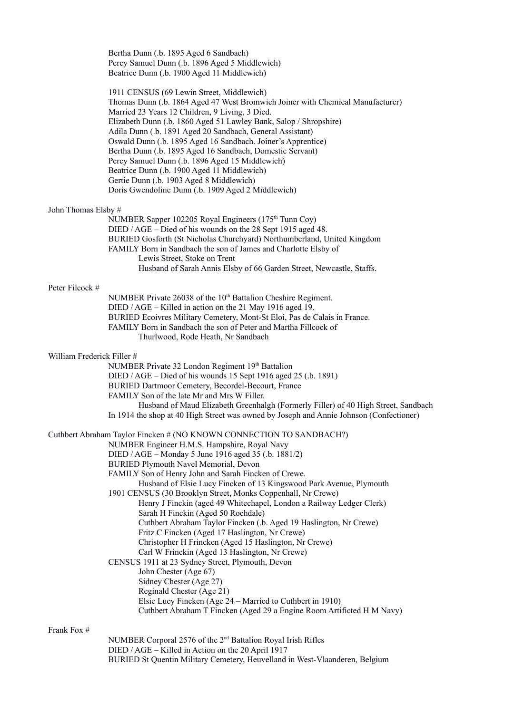Bertha Dunn (.b. 1895 Aged 6 Sandbach) Percy Samuel Dunn (.b. 1896 Aged 5 Middlewich) Beatrice Dunn (.b. 1900 Aged 11 Middlewich)

 1911 CENSUS (69 Lewin Street, Middlewich) Thomas Dunn (.b. 1864 Aged 47 West Bromwich Joiner with Chemical Manufacturer) Married 23 Years 12 Children, 9 Living, 3 Died. Elizabeth Dunn (.b. 1860 Aged 51 Lawley Bank, Salop / Shropshire) Adila Dunn (.b. 1891 Aged 20 Sandbach, General Assistant) Oswald Dunn (.b. 1895 Aged 16 Sandbach. Joiner's Apprentice) Bertha Dunn (.b. 1895 Aged 16 Sandbach, Domestic Servant) Percy Samuel Dunn (.b. 1896 Aged 15 Middlewich) Beatrice Dunn (.b. 1900 Aged 11 Middlewich) Gertie Dunn (.b. 1903 Aged 8 Middlewich) Doris Gwendoline Dunn (.b. 1909 Aged 2 Middlewich)

# John Thomas Elsby #

NUMBER Sapper 102205 Royal Engineers (175<sup>th</sup> Tunn Coy) DIED / AGE – Died of his wounds on the 28 Sept 1915 aged 48. BURIED Gosforth (St Nicholas Churchyard) Northumberland, United Kingdom FAMILY Born in Sandbach the son of James and Charlotte Elsby of Lewis Street, Stoke on Trent Husband of Sarah Annis Elsby of 66 Garden Street, Newcastle, Staffs.

#### Peter Filcock #

NUMBER Private 26038 of the 10<sup>th</sup> Battalion Cheshire Regiment. DIED / AGE – Killed in action on the 21 May 1916 aged 19. BURIED Ecoivres Military Cemetery, Mont-St Eloi, Pas de Calais in France. FAMILY Born in Sandbach the son of Peter and Martha Fillcock of Thurlwood, Rode Heath, Nr Sandbach

# William Frederick Filler #

NUMBER Private 32 London Regiment 19th Battalion

DIED / AGE – Died of his wounds 15 Sept 1916 aged 25 (.b. 1891)

BURIED Dartmoor Cemetery, Becordel-Becourt, France

FAMILY Son of the late Mr and Mrs W Filler.

 Husband of Maud Elizabeth Greenhalgh (Formerly Filler) of 40 High Street, Sandbach In 1914 the shop at 40 High Street was owned by Joseph and Annie Johnson (Confectioner)

#### Cuthbert Abraham Taylor Fincken # (NO KNOWN CONNECTION TO SANDBACH?)

NUMBER Engineer H.M.S. Hampshire, Royal Navy

- DIED / AGE Monday 5 June 1916 aged 35 (.b. 1881/2)
- BURIED Plymouth Navel Memorial, Devon
- FAMILY Son of Henry John and Sarah Fincken of Crewe.

Husband of Elsie Lucy Fincken of 13 Kingswood Park Avenue, Plymouth

 1901 CENSUS (30 Brooklyn Street, Monks Coppenhall, Nr Crewe) Henry J Finckin (aged 49 Whitechapel, London a Railway Ledger Clerk)

 Sarah H Finckin (Aged 50 Rochdale) Cuthbert Abraham Taylor Fincken (.b. Aged 19 Haslington, Nr Crewe)

Fritz C Fincken (Aged 17 Haslington, Nr Crewe)

Christopher H Frincken (Aged 15 Haslington, Nr Crewe)

- Carl W Frinckin (Aged 13 Haslington, Nr Crewe)
- CENSUS 1911 at 23 Sydney Street, Plymouth, Devon

John Chester (Age 67)

- Sidney Chester (Age 27)
- Reginald Chester (Age 21)
- Elsie Lucy Fincken (Age 24 Married to Cuthbert in 1910)
- Cuthbert Abraham T Fincken (Aged 29 a Engine Room Artificted H M Navy)

# Frank Fox #

NUMBER Corporal 2576 of the 2nd Battalion Royal Irish Rifles DIED / AGE – Killed in Action on the 20 April 1917 BURIED St Quentin Military Cemetery, Heuvelland in West-Vlaanderen, Belgium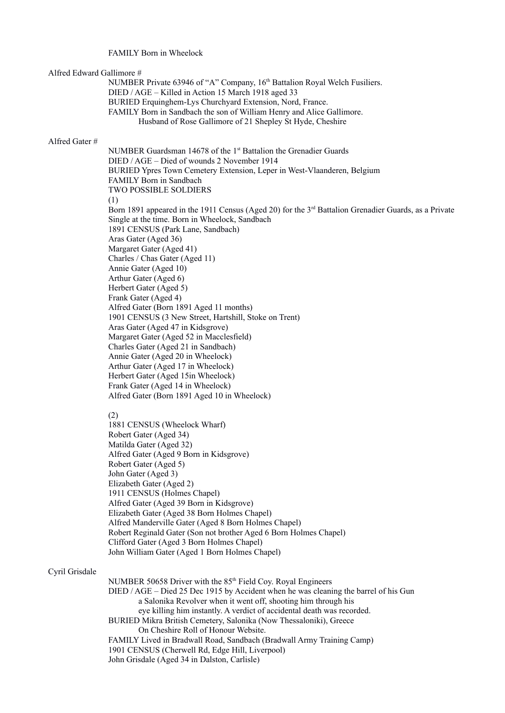# FAMILY Born in Wheelock

# Alfred Edward Gallimore #

NUMBER Private 63946 of "A" Company, 16<sup>th</sup> Battalion Royal Welch Fusiliers. DIED / AGE – Killed in Action 15 March 1918 aged 33 BURIED Erquinghem-Lys Churchyard Extension, Nord, France. FAMILY Born in Sandbach the son of William Henry and Alice Gallimore. Husband of Rose Gallimore of 21 Shepley St Hyde, Cheshire

#### Alfred Gater #

NUMBER Guardsman 14678 of the 1<sup>st</sup> Battalion the Grenadier Guards DIED / AGE – Died of wounds 2 November 1914 BURIED Ypres Town Cemetery Extension, Leper in West-Vlaanderen, Belgium FAMILY Born in Sandbach TWO POSSIBLE SOLDIERS (1) Born 1891 appeared in the 1911 Census (Aged 20) for the 3<sup>rd</sup> Battalion Grenadier Guards, as a Private Single at the time. Born in Wheelock, Sandbach 1891 CENSUS (Park Lane, Sandbach) Aras Gater (Aged 36) Margaret Gater (Aged 41) Charles / Chas Gater (Aged 11) Annie Gater (Aged 10) Arthur Gater (Aged 6) Herbert Gater (Aged 5) Frank Gater (Aged 4) Alfred Gater (Born 1891 Aged 11 months) 1901 CENSUS (3 New Street, Hartshill, Stoke on Trent) Aras Gater (Aged 47 in Kidsgrove) Margaret Gater (Aged 52 in Macclesfield) Charles Gater (Aged 21 in Sandbach) Annie Gater (Aged 20 in Wheelock) Arthur Gater (Aged 17 in Wheelock) Herbert Gater (Aged 15in Wheelock) Frank Gater (Aged 14 in Wheelock) Alfred Gater (Born 1891 Aged 10 in Wheelock)

#### (2)

 1881 CENSUS (Wheelock Wharf) Robert Gater (Aged 34) Matilda Gater (Aged 32) Alfred Gater (Aged 9 Born in Kidsgrove) Robert Gater (Aged 5) John Gater (Aged 3) Elizabeth Gater (Aged 2) 1911 CENSUS (Holmes Chapel) Alfred Gater (Aged 39 Born in Kidsgrove) Elizabeth Gater (Aged 38 Born Holmes Chapel) Alfred Manderville Gater (Aged 8 Born Holmes Chapel) Robert Reginald Gater (Son not brother Aged 6 Born Holmes Chapel) Clifford Gater (Aged 3 Born Holmes Chapel) John William Gater (Aged 1 Born Holmes Chapel)

### Cyril Grisdale

NUMBER 50658 Driver with the  $85<sup>th</sup>$  Field Coy. Royal Engineers DIED / AGE – Died 25 Dec 1915 by Accident when he was cleaning the barrel of his Gun a Salonika Revolver when it went off, shooting him through his eye killing him instantly. A verdict of accidental death was recorded. BURIED Mikra British Cemetery, Salonika (Now Thessaloniki), Greece On Cheshire Roll of Honour Website. FAMILY Lived in Bradwall Road, Sandbach (Bradwall Army Training Camp) 1901 CENSUS (Cherwell Rd, Edge Hill, Liverpool) John Grisdale (Aged 34 in Dalston, Carlisle)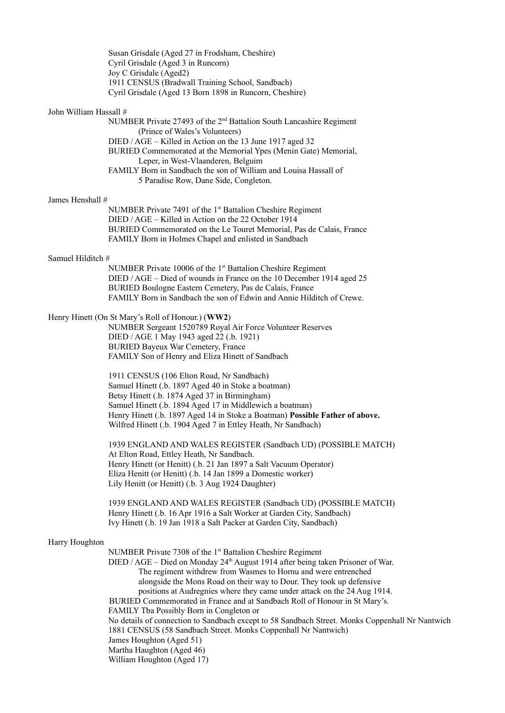Susan Grisdale (Aged 27 in Frodsham, Cheshire) Cyril Grisdale (Aged 3 in Runcorn) Joy C Grisdale (Aged2) 1911 CENSUS (Bradwall Training School, Sandbach) Cyril Grisdale (Aged 13 Born 1898 in Runcorn, Cheshire)

#### John William Hassall #

NUMBER Private 27493 of the 2nd Battalion South Lancashire Regiment (Prince of Wales's Volunteers) DIED / AGE – Killed in Action on the 13 June 1917 aged 32 BURIED Commemorated at the Memorial Ypes (Menin Gate) Memorial, Leper, in West-Vlaanderen, Belguim FAMILY Born in Sandbach the son of William and Louisa Hassall of 5 Paradise Row, Dane Side, Congleton.

# James Henshall #

NUMBER Private 7491 of the 1<sup>st</sup> Battalion Cheshire Regiment DIED / AGE – Killed in Action on the 22 October 1914 BURIED Commemorated on the Le Touret Memorial, Pas de Calais, France FAMILY Born in Holmes Chapel and enlisted in Sandbach

#### Samuel Hilditch #

NUMBER Private 10006 of the 1<sup>st</sup> Battalion Cheshire Regiment DIED / AGE – Died of wounds in France on the 10 December 1914 aged 25 BURIED Boulogne Eastern Cemetery, Pas de Calais, France FAMILY Born in Sandbach the son of Edwin and Annie Hilditch of Crewe.

# Henry Hinett (On St Mary's Roll of Honour.) (**WW2**)

 NUMBER Sergeant 1520789 Royal Air Force Volunteer Reserves DIED / AGE 1 May 1943 aged 22 (.b. 1921) BURIED Bayeux War Cemetery, France FAMILY Son of Henry and Eliza Hinett of Sandbach

 1911 CENSUS (106 Elton Road, Nr Sandbach) Samuel Hinett (.b. 1897 Aged 40 in Stoke a boatman) Betsy Hinett (.b. 1874 Aged 37 in Birmingham) Samuel Hinett (.b. 1894 Aged 17 in Middlewich a boatman) Henry Hinett (.b. 1897 Aged 14 in Stoke a Boatman) **Possible Father of above.** Wilfred Hinett (.b. 1904 Aged 7 in Ettley Heath, Nr Sandbach)

 1939 ENGLAND AND WALES REGISTER (Sandbach UD) (POSSIBLE MATCH) At Elton Road, Ettley Heath, Nr Sandbach. Henry Hinett (or Henitt) (.b. 21 Jan 1897 a Salt Vacuum Operator) Eliza Henitt (or Henitt) (.b. 14 Jan 1899 a Domestic worker) Lily Henitt (or Henitt) (.b. 3 Aug 1924 Daughter)

 1939 ENGLAND AND WALES REGISTER (Sandbach UD) (POSSIBLE MATCH) Henry Hinett (.b. 16 Apr 1916 a Salt Worker at Garden City, Sandbach) Ivy Hinett (.b. 19 Jan 1918 a Salt Packer at Garden City, Sandbach)

### Harry Houghton

NUMBER Private 7308 of the 1<sup>st</sup> Battalion Cheshire Regiment DIED / AGE – Died on Monday 24<sup>th</sup> August 1914 after being taken Prisoner of War. The regiment withdrew from Wasmes to Hornu and were entrenched alongside the Mons Road on their way to Dour. They took up defensive positions at Audregnies where they came under attack on the 24 Aug 1914. BURIED Commemorated in France and at Sandbach Roll of Honour in St Mary's. FAMILY Tba Possibly Born in Congleton or No details of connection to Sandbach except to 58 Sandbach Street. Monks Coppenhall Nr Nantwich 1881 CENSUS (58 Sandbach Street. Monks Coppenhall Nr Nantwich) James Houghton (Aged 51) Martha Haughton (Aged 46) William Houghton (Aged 17)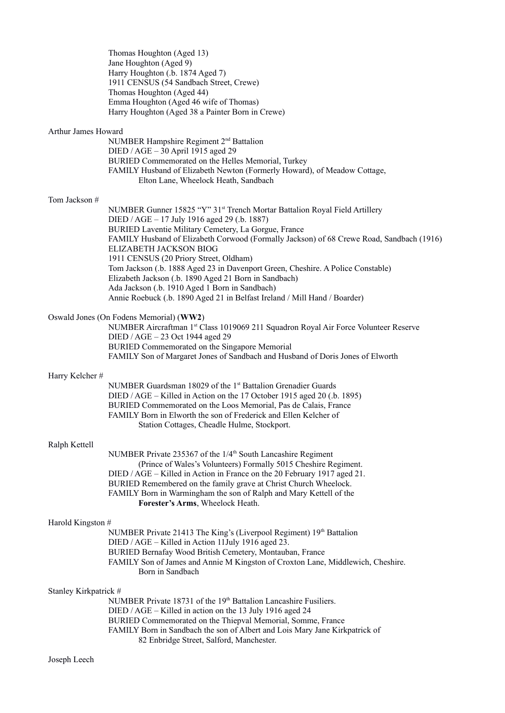Thomas Houghton (Aged 13) Jane Houghton (Aged 9) Harry Houghton (.b. 1874 Aged 7) 1911 CENSUS (54 Sandbach Street, Crewe) Thomas Houghton (Aged 44) Emma Houghton (Aged 46 wife of Thomas) Harry Houghton (Aged 38 a Painter Born in Crewe)

### Arthur James Howard

NUMBER Hampshire Regiment 2nd Battalion DIED / AGE – 30 April 1915 aged 29 BURIED Commemorated on the Helles Memorial, Turkey FAMILY Husband of Elizabeth Newton (Formerly Howard), of Meadow Cottage, Elton Lane, Wheelock Heath, Sandbach

# Tom Jackson #

NUMBER Gunner 15825 "Y" 31st Trench Mortar Battalion Royal Field Artillery DIED / AGE – 17 July 1916 aged 29 (.b. 1887) BURIED Laventie Military Cemetery, La Gorgue, France FAMILY Husband of Elizabeth Corwood (Formally Jackson) of 68 Crewe Road, Sandbach (1916) ELIZABETH JACKSON BIOG 1911 CENSUS (20 Priory Street, Oldham) Tom Jackson (.b. 1888 Aged 23 in Davenport Green, Cheshire. A Police Constable) Elizabeth Jackson (.b. 1890 Aged 21 Born in Sandbach) Ada Jackson (.b. 1910 Aged 1 Born in Sandbach) Annie Roebuck (.b. 1890 Aged 21 in Belfast Ireland / Mill Hand / Boarder)

# Oswald Jones (On Fodens Memorial) (**WW2**)

NUMBER Aircraftman 1st Class 1019069 211 Squadron Royal Air Force Volunteer Reserve DIED / AGE – 23 Oct 1944 aged 29 BURIED Commemorated on the Singapore Memorial FAMILY Son of Margaret Jones of Sandbach and Husband of Doris Jones of Elworth

#### Harry Kelcher #

NUMBER Guardsman 18029 of the 1<sup>st</sup> Battalion Grenadier Guards DIED / AGE – Killed in Action on the 17 October 1915 aged 20 (.b. 1895) BURIED Commemorated on the Loos Memorial, Pas de Calais, France FAMILY Born in Elworth the son of Frederick and Ellen Kelcher of Station Cottages, Cheadle Hulme, Stockport.

#### Ralph Kettell

NUMBER Private 235367 of the 1/4<sup>th</sup> South Lancashire Regiment (Prince of Wales's Volunteers) Formally 5015 Cheshire Regiment. DIED / AGE – Killed in Action in France on the 20 February 1917 aged 21. BURIED Remembered on the family grave at Christ Church Wheelock. FAMILY Born in Warmingham the son of Ralph and Mary Kettell of the **Forester's Arms**, Wheelock Heath.

# Harold Kingston #

NUMBER Private 21413 The King's (Liverpool Regiment) 19<sup>th</sup> Battalion DIED / AGE – Killed in Action 11July 1916 aged 23. BURIED Bernafay Wood British Cemetery, Montauban, France FAMILY Son of James and Annie M Kingston of Croxton Lane, Middlewich, Cheshire. Born in Sandbach

# Stanley Kirkpatrick #

NUMBER Private 18731 of the 19<sup>th</sup> Battalion Lancashire Fusiliers. DIED / AGE – Killed in action on the 13 July 1916 aged 24 BURIED Commemorated on the Thiepval Memorial, Somme, France FAMILY Born in Sandbach the son of Albert and Lois Mary Jane Kirkpatrick of 82 Enbridge Street, Salford, Manchester.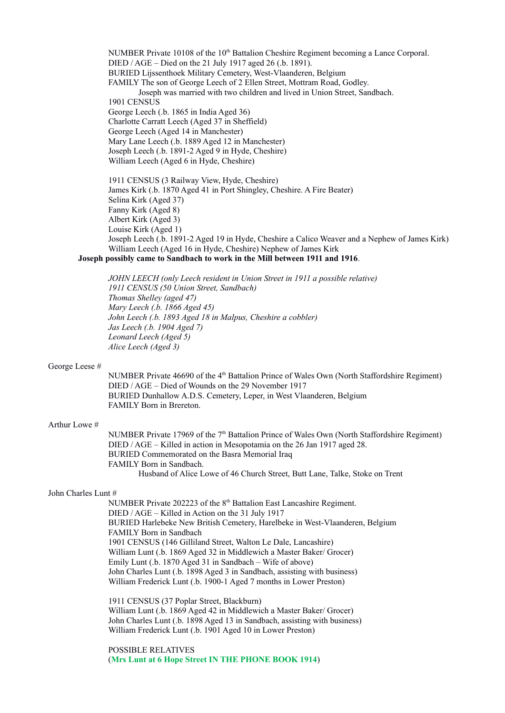NUMBER Private  $10108$  of the  $10<sup>th</sup>$  Battalion Cheshire Regiment becoming a Lance Corporal. DIED / AGE – Died on the 21 July 1917 aged 26 (.b. 1891). BURIED Lijssenthoek Military Cemetery, West-Vlaanderen, Belgium FAMILY The son of George Leech of 2 Ellen Street, Mottram Road, Godley. Joseph was married with two children and lived in Union Street, Sandbach. 1901 CENSUS George Leech (.b. 1865 in India Aged 36) Charlotte Carratt Leech (Aged 37 in Sheffield) George Leech (Aged 14 in Manchester) Mary Lane Leech (.b. 1889 Aged 12 in Manchester) Joseph Leech (.b. 1891-2 Aged 9 in Hyde, Cheshire) William Leech (Aged 6 in Hyde, Cheshire)

1911 CENSUS (3 Railway View, Hyde, Cheshire) James Kirk (.b. 1870 Aged 41 in Port Shingley, Cheshire. A Fire Beater) Selina Kirk (Aged 37) Fanny Kirk (Aged 8) Albert Kirk (Aged 3) Louise Kirk (Aged 1) Joseph Leech (.b. 1891-2 Aged 19 in Hyde, Cheshire a Calico Weaver and a Nephew of James Kirk) William Leech (Aged 16 in Hyde, Cheshire) Nephew of James Kirk

**Joseph possibly came to Sandbach to work in the Mill between 1911 and 1916**.

*JOHN LEECH (only Leech resident in Union Street in 1911 a possible relative) 1911 CENSUS (50 Union Street, Sandbach) Thomas Shelley (aged 47) Mary Leech (.b. 1866 Aged 45) John Leech (.b. 1893 Aged 18 in Malpus, Cheshire a cobbler) Jas Leech (.b. 1904 Aged 7) Leonard Leech (Aged 5) Alice Leech (Aged 3)* 

#### George Leese #

NUMBER Private 46690 of the 4<sup>th</sup> Battalion Prince of Wales Own (North Staffordshire Regiment) DIED / AGE – Died of Wounds on the 29 November 1917 BURIED Dunhallow A.D.S. Cemetery, Leper, in West Vlaanderen, Belgium FAMILY Born in Brereton.

#### Arthur Lowe #

NUMBER Private 17969 of the  $7<sup>th</sup>$  Battalion Prince of Wales Own (North Staffordshire Regiment) DIED / AGE – Killed in action in Mesopotamia on the 26 Jan 1917 aged 28. BURIED Commemorated on the Basra Memorial Iraq FAMILY Born in Sandbach. Husband of Alice Lowe of 46 Church Street, Butt Lane, Talke, Stoke on Trent

#### John Charles Lunt #

NUMBER Private 202223 of the 8<sup>th</sup> Battalion East Lancashire Regiment. DIED / AGE – Killed in Action on the 31 July 1917 BURIED Harlebeke New British Cemetery, Harelbeke in West-Vlaanderen, Belgium FAMILY Born in Sandbach 1901 CENSUS (146 Gilliland Street, Walton Le Dale, Lancashire) William Lunt (.b. 1869 Aged 32 in Middlewich a Master Baker/ Grocer) Emily Lunt (.b. 1870 Aged 31 in Sandbach – Wife of above) John Charles Lunt (.b. 1898 Aged 3 in Sandbach, assisting with business) William Frederick Lunt (.b. 1900-1 Aged 7 months in Lower Preston)

 1911 CENSUS (37 Poplar Street, Blackburn) William Lunt (.b. 1869 Aged 42 in Middlewich a Master Baker/ Grocer) John Charles Lunt (.b. 1898 Aged 13 in Sandbach, assisting with business) William Frederick Lunt (.b. 1901 Aged 10 in Lower Preston)

 POSSIBLE RELATIVES (**Mrs Lunt at 6 Hope Street IN THE PHONE BOOK 1914**)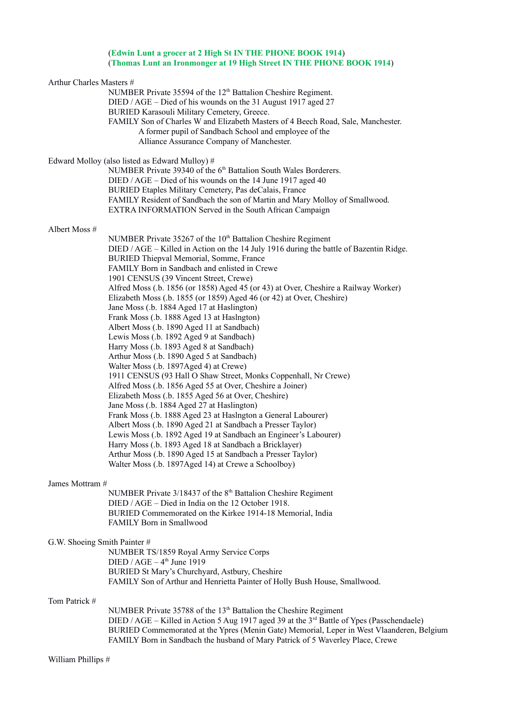# (**Edwin Lunt a grocer at 2 High St IN THE PHONE BOOK 1914**) (**Thomas Lunt an Ironmonger at 19 High Street IN THE PHONE BOOK 1914**)

| Arthur Charles Masters #     | NUMBER Private 35594 of the 12 <sup>th</sup> Battalion Cheshire Regiment.                                                                                                                                                                                                                                                                                             |
|------------------------------|-----------------------------------------------------------------------------------------------------------------------------------------------------------------------------------------------------------------------------------------------------------------------------------------------------------------------------------------------------------------------|
|                              | DIED / AGE – Died of his wounds on the 31 August 1917 aged 27<br>BURIED Karasouli Military Cemetery, Greece.                                                                                                                                                                                                                                                          |
|                              | FAMILY Son of Charles W and Elizabeth Masters of 4 Beech Road, Sale, Manchester.<br>A former pupil of Sandbach School and employee of the<br>Alliance Assurance Company of Manchester.                                                                                                                                                                                |
|                              | Edward Molloy (also listed as Edward Mulloy) #<br>NUMBER Private 39340 of the 6 <sup>th</sup> Battalion South Wales Borderers.                                                                                                                                                                                                                                        |
|                              | DIED / AGE – Died of his wounds on the 14 June 1917 aged 40                                                                                                                                                                                                                                                                                                           |
|                              | BURIED Etaples Military Cemetery, Pas deCalais, France<br>FAMILY Resident of Sandbach the son of Martin and Mary Molloy of Smallwood.<br>EXTRA INFORMATION Served in the South African Campaign                                                                                                                                                                       |
| Albert Moss #                |                                                                                                                                                                                                                                                                                                                                                                       |
|                              | NUMBER Private 35267 of the 10 <sup>th</sup> Battalion Cheshire Regiment<br>DIED / AGE – Killed in Action on the 14 July 1916 during the battle of Bazentin Ridge.<br>BURIED Thiepval Memorial, Somme, France<br>FAMILY Born in Sandbach and enlisted in Crewe                                                                                                        |
|                              | 1901 CENSUS (39 Vincent Street, Crewe)<br>Alfred Moss (.b. 1856 (or 1858) Aged 45 (or 43) at Over, Cheshire a Railway Worker)<br>Elizabeth Moss (.b. 1855 (or 1859) Aged 46 (or 42) at Over, Cheshire)<br>Jane Moss (.b. 1884 Aged 17 at Haslington)                                                                                                                  |
|                              | Frank Moss (.b. 1888 Aged 13 at Haslngton)<br>Albert Moss (.b. 1890 Aged 11 at Sandbach)<br>Lewis Moss (.b. 1892 Aged 9 at Sandbach)                                                                                                                                                                                                                                  |
|                              | Harry Moss (.b. 1893 Aged 8 at Sandbach)<br>Arthur Moss (.b. 1890 Aged 5 at Sandbach)                                                                                                                                                                                                                                                                                 |
|                              | Walter Moss (.b. 1897Aged 4) at Crewe)<br>1911 CENSUS (93 Hall O Shaw Street, Monks Coppenhall, Nr Crewe)<br>Alfred Moss (.b. 1856 Aged 55 at Over, Cheshire a Joiner)                                                                                                                                                                                                |
|                              | Elizabeth Moss (.b. 1855 Aged 56 at Over, Cheshire)<br>Jane Moss (.b. 1884 Aged 27 at Haslington)                                                                                                                                                                                                                                                                     |
|                              | Frank Moss (.b. 1888 Aged 23 at Haslngton a General Labourer)<br>Albert Moss (.b. 1890 Aged 21 at Sandbach a Presser Taylor)                                                                                                                                                                                                                                          |
|                              | Lewis Moss (.b. 1892 Aged 19 at Sandbach an Engineer's Labourer)<br>Harry Moss (.b. 1893 Aged 18 at Sandbach a Bricklayer)                                                                                                                                                                                                                                            |
|                              | Arthur Moss (.b. 1890 Aged 15 at Sandbach a Presser Taylor)<br>Walter Moss (.b. 1897Aged 14) at Crewe a Schoolboy)                                                                                                                                                                                                                                                    |
| James Mottram #              |                                                                                                                                                                                                                                                                                                                                                                       |
|                              | NUMBER Private 3/18437 of the 8 <sup>th</sup> Battalion Cheshire Regiment<br>DIED / AGE - Died in India on the 12 October 1918.                                                                                                                                                                                                                                       |
|                              | BURIED Commemorated on the Kirkee 1914-18 Memorial, India<br>FAMILY Born in Smallwood                                                                                                                                                                                                                                                                                 |
| G.W. Shoeing Smith Painter # | NUMBER TS/1859 Royal Army Service Corps<br>$DIED / AGE - 4th June 1919$                                                                                                                                                                                                                                                                                               |
|                              | BURIED St Mary's Churchyard, Astbury, Cheshire<br>FAMILY Son of Arthur and Henrietta Painter of Holly Bush House, Smallwood.                                                                                                                                                                                                                                          |
| Tom Patrick #                |                                                                                                                                                                                                                                                                                                                                                                       |
|                              | NUMBER Private 35788 of the 13 <sup>th</sup> Battalion the Cheshire Regiment<br>DIED / AGE – Killed in Action 5 Aug 1917 aged 39 at the 3 <sup>rd</sup> Battle of Ypes (Passchendaele)<br>BURIED Commemorated at the Ypres (Menin Gate) Memorial, Leper in West Vlaanderen, Belgium<br>FAMILY Born in Sandbach the husband of Mary Patrick of 5 Waverley Place, Crewe |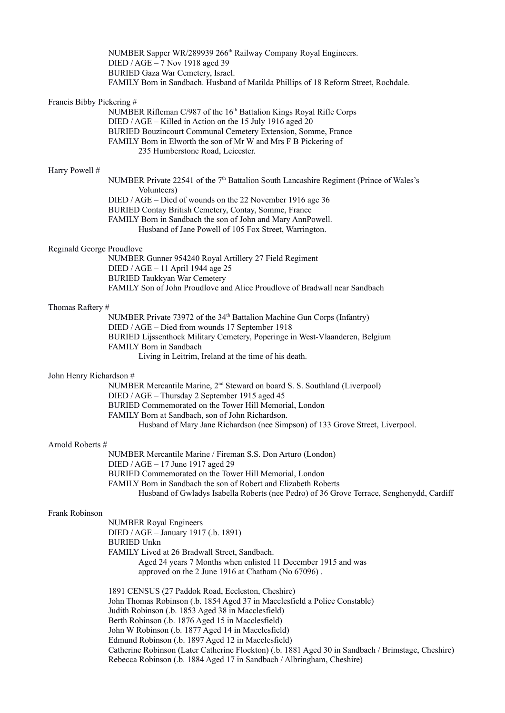|                           | NUMBER Sapper WR/289939 266 <sup>th</sup> Railway Company Royal Engineers.<br>DIED / AGE - 7 Nov 1918 aged 39<br>BURIED Gaza War Cemetery, Israel.<br>FAMILY Born in Sandbach. Husband of Matilda Phillips of 18 Reform Street, Rochdale.                                                                                                                                                                                                                    |
|---------------------------|--------------------------------------------------------------------------------------------------------------------------------------------------------------------------------------------------------------------------------------------------------------------------------------------------------------------------------------------------------------------------------------------------------------------------------------------------------------|
| Francis Bibby Pickering # | NUMBER Rifleman C/987 of the 16 <sup>th</sup> Battalion Kings Royal Rifle Corps<br>DIED / AGE - Killed in Action on the 15 July 1916 aged 20<br>BURIED Bouzincourt Communal Cemetery Extension, Somme, France<br>FAMILY Born in Elworth the son of Mr W and Mrs F B Pickering of<br>235 Humberstone Road, Leicester.                                                                                                                                         |
| Harry Powell #            |                                                                                                                                                                                                                                                                                                                                                                                                                                                              |
|                           | NUMBER Private 22541 of the $7th$ Battalion South Lancashire Regiment (Prince of Wales's<br>Volunteers)<br>DIED / AGE - Died of wounds on the 22 November 1916 age 36<br>BURIED Contay British Cemetery, Contay, Somme, France<br>FAMILY Born in Sandbach the son of John and Mary AnnPowell.<br>Husband of Jane Powell of 105 Fox Street, Warrington.                                                                                                       |
| Reginald George Proudlove |                                                                                                                                                                                                                                                                                                                                                                                                                                                              |
|                           | NUMBER Gunner 954240 Royal Artillery 27 Field Regiment<br>DIED / AGE - 11 April 1944 age 25<br><b>BURIED Taukkyan War Cemetery</b><br>FAMILY Son of John Proudlove and Alice Proudlove of Bradwall near Sandbach                                                                                                                                                                                                                                             |
| Thomas Raftery #          |                                                                                                                                                                                                                                                                                                                                                                                                                                                              |
|                           | NUMBER Private 73972 of the 34 <sup>th</sup> Battalion Machine Gun Corps (Infantry)<br>DIED / AGE - Died from wounds 17 September 1918<br>BURIED Lijssenthock Military Cemetery, Poperinge in West-Vlaanderen, Belgium<br>FAMILY Born in Sandbach<br>Living in Leitrim, Ireland at the time of his death.                                                                                                                                                    |
| John Henry Richardson #   |                                                                                                                                                                                                                                                                                                                                                                                                                                                              |
|                           | NUMBER Mercantile Marine, 2 <sup>nd</sup> Steward on board S. S. Southland (Liverpool)<br>DIED / AGE - Thursday 2 September 1915 aged 45<br>BURIED Commemorated on the Tower Hill Memorial, London<br>FAMILY Born at Sandbach, son of John Richardson.<br>Husband of Mary Jane Richardson (nee Simpson) of 133 Grove Street, Liverpool.                                                                                                                      |
| Arnold Roberts #          |                                                                                                                                                                                                                                                                                                                                                                                                                                                              |
|                           | NUMBER Mercantile Marine / Fireman S.S. Don Arturo (London)<br>DIED / AGE - 17 June 1917 aged 29<br>BURIED Commemorated on the Tower Hill Memorial, London<br>FAMILY Born in Sandbach the son of Robert and Elizabeth Roberts<br>Husband of Gwladys Isabella Roberts (nee Pedro) of 36 Grove Terrace, Senghenydd, Cardiff                                                                                                                                    |
| Frank Robinson            |                                                                                                                                                                                                                                                                                                                                                                                                                                                              |
|                           | <b>NUMBER Royal Engineers</b><br>DIED / AGE - January 1917 (.b. 1891)<br><b>BURIED Unkn</b><br>FAMILY Lived at 26 Bradwall Street, Sandbach.<br>Aged 24 years 7 Months when enlisted 11 December 1915 and was<br>approved on the 2 June 1916 at Chatham (No 67096).                                                                                                                                                                                          |
|                           | 1891 CENSUS (27 Paddok Road, Eccleston, Cheshire)<br>John Thomas Robinson (.b. 1854 Aged 37 in Macclesfield a Police Constable)<br>Judith Robinson (.b. 1853 Aged 38 in Macclesfield)<br>Berth Robinson (.b. 1876 Aged 15 in Macclesfield)<br>John W Robinson (.b. 1877 Aged 14 in Macclesfield)<br>Edmund Robinson (.b. 1897 Aged 12 in Macclesfield)<br>Catherine Robinson (Later Catherine Flockton) (.b. 1881 Aged 30 in Sandbach / Brimstage, Cheshire) |

Rebecca Robinson (.b. 1884 Aged 17 in Sandbach / Albringham, Cheshire)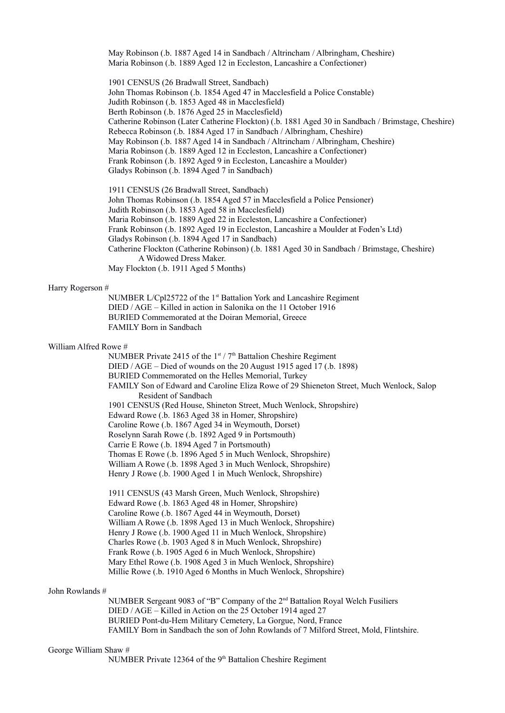May Robinson (.b. 1887 Aged 14 in Sandbach / Altrincham / Albringham, Cheshire) Maria Robinson (.b. 1889 Aged 12 in Eccleston, Lancashire a Confectioner)

 1901 CENSUS (26 Bradwall Street, Sandbach) John Thomas Robinson (.b. 1854 Aged 47 in Macclesfield a Police Constable) Judith Robinson (.b. 1853 Aged 48 in Macclesfield) Berth Robinson (.b. 1876 Aged 25 in Macclesfield) Catherine Robinson (Later Catherine Flockton) (.b. 1881 Aged 30 in Sandbach / Brimstage, Cheshire) Rebecca Robinson (.b. 1884 Aged 17 in Sandbach / Albringham, Cheshire) May Robinson (.b. 1887 Aged 14 in Sandbach / Altrincham / Albringham, Cheshire) Maria Robinson (.b. 1889 Aged 12 in Eccleston, Lancashire a Confectioner) Frank Robinson (.b. 1892 Aged 9 in Eccleston, Lancashire a Moulder) Gladys Robinson (.b. 1894 Aged 7 in Sandbach)

 1911 CENSUS (26 Bradwall Street, Sandbach) John Thomas Robinson (.b. 1854 Aged 57 in Macclesfield a Police Pensioner) Judith Robinson (.b. 1853 Aged 58 in Macclesfield) Maria Robinson (.b. 1889 Aged 22 in Eccleston, Lancashire a Confectioner) Frank Robinson (.b. 1892 Aged 19 in Eccleston, Lancashire a Moulder at Foden's Ltd) Gladys Robinson (.b. 1894 Aged 17 in Sandbach) Catherine Flockton (Catherine Robinson) (.b. 1881 Aged 30 in Sandbach / Brimstage, Cheshire) A Widowed Dress Maker. May Flockton (.b. 1911 Aged 5 Months)

#### Harry Rogerson #

NUMBER L/Cpl25722 of the 1st Battalion York and Lancashire Regiment DIED / AGE – Killed in action in Salonika on the 11 October 1916 BURIED Commemorated at the Doiran Memorial, Greece FAMILY Born in Sandbach

#### William Alfred Rowe #

NUMBER Private 2415 of the 1st / 7<sup>th</sup> Battalion Cheshire Regiment DIED / AGE – Died of wounds on the 20 August 1915 aged 17 (.b. 1898) BURIED Commemorated on the Helles Memorial, Turkey FAMILY Son of Edward and Caroline Eliza Rowe of 29 Shieneton Street, Much Wenlock, Salop Resident of Sandbach 1901 CENSUS (Red House, Shineton Street, Much Wenlock, Shropshire) Edward Rowe (.b. 1863 Aged 38 in Homer, Shropshire) Caroline Rowe (.b. 1867 Aged 34 in Weymouth, Dorset) Roselynn Sarah Rowe (.b. 1892 Aged 9 in Portsmouth) Carrie E Rowe (.b. 1894 Aged 7 in Portsmouth) Thomas E Rowe (.b. 1896 Aged 5 in Much Wenlock, Shropshire) William A Rowe (.b. 1898 Aged 3 in Much Wenlock, Shropshire) Henry J Rowe (.b. 1900 Aged 1 in Much Wenlock, Shropshire)

1911 CENSUS (43 Marsh Green, Much Wenlock, Shropshire) Edward Rowe (.b. 1863 Aged 48 in Homer, Shropshire) Caroline Rowe (.b. 1867 Aged 44 in Weymouth, Dorset) William A Rowe (.b. 1898 Aged 13 in Much Wenlock, Shropshire) Henry J Rowe (.b. 1900 Aged 11 in Much Wenlock, Shropshire) Charles Rowe (.b. 1903 Aged 8 in Much Wenlock, Shropshire) Frank Rowe (.b. 1905 Aged 6 in Much Wenlock, Shropshire) Mary Ethel Rowe (.b. 1908 Aged 3 in Much Wenlock, Shropshire) Millie Rowe (.b. 1910 Aged 6 Months in Much Wenlock, Shropshire)

#### John Rowlands #

NUMBER Sergeant 9083 of "B" Company of the 2nd Battalion Royal Welch Fusiliers DIED / AGE – Killed in Action on the 25 October 1914 aged 27 BURIED Pont-du-Hem Military Cemetery, La Gorgue, Nord, France FAMILY Born in Sandbach the son of John Rowlands of 7 Milford Street, Mold, Flintshire.

#### George William Shaw #

NUMBER Private 12364 of the 9<sup>th</sup> Battalion Cheshire Regiment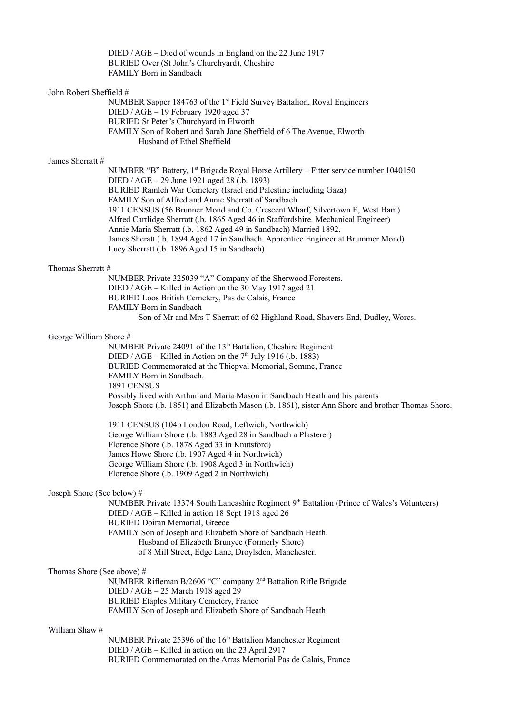DIED / AGE – Died of wounds in England on the 22 June 1917 BURIED Over (St John's Churchyard), Cheshire FAMILY Born in Sandbach

#### John Robert Sheffield #

NUMBER Sapper 184763 of the 1<sup>st</sup> Field Survey Battalion, Royal Engineers DIED / AGE – 19 February 1920 aged 37 BURIED St Peter's Churchyard in Elworth FAMILY Son of Robert and Sarah Jane Sheffield of 6 The Avenue, Elworth Husband of Ethel Sheffield

#### James Sherratt #

NUMBER "B" Battery, 1<sup>st</sup> Brigade Royal Horse Artillery – Fitter service number 1040150 DIED / AGE – 29 June 1921 aged 28 (.b. 1893) BURIED Ramleh War Cemetery (Israel and Palestine including Gaza) FAMILY Son of Alfred and Annie Sherratt of Sandbach 1911 CENSUS (56 Brunner Mond and Co. Crescent Wharf, Silvertown E, West Ham) Alfred Cartlidge Sherratt (.b. 1865 Aged 46 in Staffordshire. Mechanical Engineer) Annie Maria Sherratt (.b. 1862 Aged 49 in Sandbach) Married 1892. James Sheratt (.b. 1894 Aged 17 in Sandbach. Apprentice Engineer at Brummer Mond) Lucy Sherratt (.b. 1896 Aged 15 in Sandbach)

#### Thomas Sherratt #

NUMBER Private 325039 "A" Company of the Sherwood Foresters. DIED / AGE – Killed in Action on the 30 May 1917 aged 21 BURIED Loos British Cemetery, Pas de Calais, France FAMILY Born in Sandbach Son of Mr and Mrs T Sherratt of 62 Highland Road, Shavers End, Dudley, Worcs.

#### George William Shore #

NUMBER Private 24091 of the 13<sup>th</sup> Battalion, Cheshire Regiment DIED / AGE – Killed in Action on the  $7<sup>th</sup>$  July 1916 (.b. 1883) BURIED Commemorated at the Thiepval Memorial, Somme, France FAMILY Born in Sandbach. 1891 CENSUS Possibly lived with Arthur and Maria Mason in Sandbach Heath and his parents Joseph Shore (.b. 1851) and Elizabeth Mason (.b. 1861), sister Ann Shore and brother Thomas Shore.

 1911 CENSUS (104b London Road, Leftwich, Northwich) George William Shore (.b. 1883 Aged 28 in Sandbach a Plasterer) Florence Shore (.b. 1878 Aged 33 in Knutsford) James Howe Shore (.b. 1907 Aged 4 in Northwich) George William Shore (.b. 1908 Aged 3 in Northwich) Florence Shore (.b. 1909 Aged 2 in Northwich)

#### Joseph Shore (See below) #

NUMBER Private 13374 South Lancashire Regiment 9<sup>th</sup> Battalion (Prince of Wales's Volunteers) DIED / AGE – Killed in action 18 Sept 1918 aged 26 BURIED Doiran Memorial, Greece FAMILY Son of Joseph and Elizabeth Shore of Sandbach Heath. Husband of Elizabeth Brunyee (Formerly Shore) of 8 Mill Street, Edge Lane, Droylsden, Manchester.

## Thomas Shore (See above) #

NUMBER Rifleman B/2606 "C" company 2nd Battalion Rifle Brigade DIED / AGE – 25 March 1918 aged 29 BURIED Etaples Military Cemetery, France FAMILY Son of Joseph and Elizabeth Shore of Sandbach Heath

## William Shaw #

NUMBER Private 25396 of the 16<sup>th</sup> Battalion Manchester Regiment DIED / AGE – Killed in action on the 23 April 2917 BURIED Commemorated on the Arras Memorial Pas de Calais, France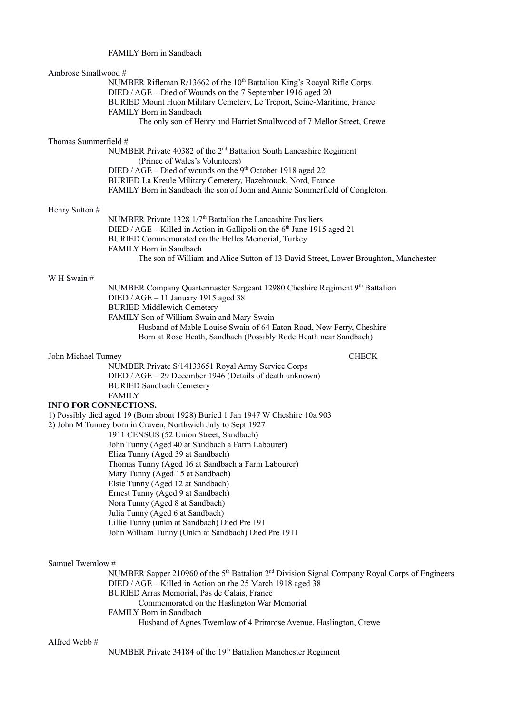# FAMILY Born in Sandbach

| Ambrose Smallwood #          |                                                                                                                                         |
|------------------------------|-----------------------------------------------------------------------------------------------------------------------------------------|
|                              | NUMBER Rifleman R/13662 of the 10 <sup>th</sup> Battalion King's Roayal Rifle Corps.                                                    |
|                              | DIED / AGE - Died of Wounds on the 7 September 1916 aged 20                                                                             |
|                              | BURIED Mount Huon Military Cemetery, Le Treport, Seine-Maritime, France<br>FAMILY Born in Sandbach                                      |
|                              | The only son of Henry and Harriet Smallwood of 7 Mellor Street, Crewe                                                                   |
|                              |                                                                                                                                         |
| Thomas Summerfield #         |                                                                                                                                         |
|                              | NUMBER Private 40382 of the 2 <sup>nd</sup> Battalion South Lancashire Regiment                                                         |
|                              | (Prince of Wales's Volunteers)                                                                                                          |
|                              | DIED / AGE – Died of wounds on the 9 <sup>th</sup> October 1918 aged 22<br>BURIED La Kreule Military Cemetery, Hazebrouck, Nord, France |
|                              | FAMILY Born in Sandbach the son of John and Annie Sommerfield of Congleton.                                                             |
|                              |                                                                                                                                         |
| Henry Sutton #               |                                                                                                                                         |
|                              | NUMBER Private 1328 1/7 <sup>th</sup> Battalion the Lancashire Fusiliers                                                                |
|                              | DIED / AGE – Killed in Action in Gallipoli on the $6th$ June 1915 aged 21                                                               |
|                              | BURIED Commemorated on the Helles Memorial, Turkey<br>FAMILY Born in Sandbach                                                           |
|                              | The son of William and Alice Sutton of 13 David Street, Lower Broughton, Manchester                                                     |
|                              |                                                                                                                                         |
| W H Swain #                  |                                                                                                                                         |
|                              | NUMBER Company Quartermaster Sergeant 12980 Cheshire Regiment 9th Battalion                                                             |
|                              | DIED / AGE - 11 January 1915 aged 38                                                                                                    |
|                              | <b>BURIED Middlewich Cemetery</b><br>FAMILY Son of William Swain and Mary Swain                                                         |
|                              | Husband of Mable Louise Swain of 64 Eaton Road, New Ferry, Cheshire                                                                     |
|                              | Born at Rose Heath, Sandbach (Possibly Rode Heath near Sandbach)                                                                        |
|                              |                                                                                                                                         |
| John Michael Tunney          | <b>CHECK</b>                                                                                                                            |
|                              | NUMBER Private S/14133651 Royal Army Service Corps                                                                                      |
|                              | DIED / AGE - 29 December 1946 (Details of death unknown)<br><b>BURIED Sandbach Cemetery</b>                                             |
|                              | <b>FAMILY</b>                                                                                                                           |
| <b>INFO FOR CONNECTIONS.</b> |                                                                                                                                         |
|                              | 1) Possibly died aged 19 (Born about 1928) Buried 1 Jan 1947 W Cheshire 10a 903                                                         |
|                              | 2) John M Tunney born in Craven, Northwich July to Sept 1927                                                                            |
|                              | 1911 CENSUS (52 Union Street, Sandbach)                                                                                                 |
|                              | John Tunny (Aged 40 at Sandbach a Farm Labourer)                                                                                        |
|                              | Eliza Tunny (Aged 39 at Sandbach)<br>Thomas Tunny (Aged 16 at Sandbach a Farm Labourer)                                                 |
|                              | Mary Tunny (Aged 15 at Sandbach)                                                                                                        |
|                              | Elsie Tunny (Aged 12 at Sandbach)                                                                                                       |
|                              | Ernest Tunny (Aged 9 at Sandbach)                                                                                                       |
|                              | Nora Tunny (Aged 8 at Sandbach)                                                                                                         |
|                              | Julia Tunny (Aged 6 at Sandbach)                                                                                                        |
|                              | Lillie Tunny (unkn at Sandbach) Died Pre 1911<br>John William Tunny (Unkn at Sandbach) Died Pre 1911                                    |
|                              |                                                                                                                                         |
|                              |                                                                                                                                         |
| Samuel Twemlow #             |                                                                                                                                         |
|                              | NUMBER Sapper 210960 of the 5 <sup>th</sup> Battalion 2 <sup>nd</sup> Division Signal Company Royal Corps of Engineers                  |
|                              | DIED / AGE - Killed in Action on the 25 March 1918 aged 38                                                                              |
|                              | BURIED Arras Memorial, Pas de Calais, France                                                                                            |
|                              | Commemorated on the Haslington War Memorial<br>FAMILY Born in Sandbach                                                                  |
|                              | Husband of Agnes Twemlow of 4 Primrose Avenue, Haslington, Crewe                                                                        |
|                              |                                                                                                                                         |

# Alfred Webb $\#$

NUMBER Private 34184 of the 19<sup>th</sup> Battalion Manchester Regiment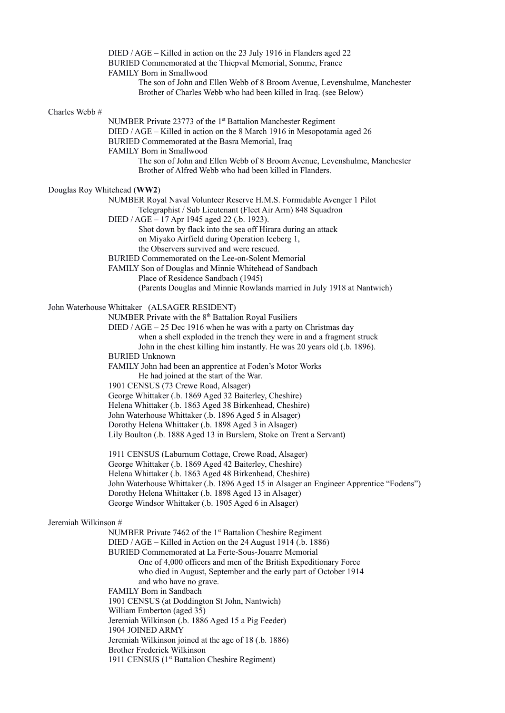DIED / AGE – Killed in action on the 23 July 1916 in Flanders aged 22 BURIED Commemorated at the Thiepval Memorial, Somme, France FAMILY Born in Smallwood The son of John and Ellen Webb of 8 Broom Avenue, Levenshulme, Manchester Brother of Charles Webb who had been killed in Iraq. (see Below) Charles Webb # NUMBER Private 23773 of the 1<sup>st</sup> Battalion Manchester Regiment DIED / AGE – Killed in action on the 8 March 1916 in Mesopotamia aged 26 BURIED Commemorated at the Basra Memorial, Iraq FAMILY Born in Smallwood The son of John and Ellen Webb of 8 Broom Avenue, Levenshulme, Manchester Brother of Alfred Webb who had been killed in Flanders. Douglas Roy Whitehead (**WW2**) NUMBER Royal Naval Volunteer Reserve H.M.S. Formidable Avenger 1 Pilot Telegraphist / Sub Lieutenant (Fleet Air Arm) 848 Squadron DIED / AGE – 17 Apr 1945 aged 22 (.b. 1923). Shot down by flack into the sea off Hirara during an attack on Miyako Airfield during Operation Iceberg 1, the Observers survived and were rescued. BURIED Commemorated on the Lee-on-Solent Memorial FAMILY Son of Douglas and Minnie Whitehead of Sandbach Place of Residence Sandbach (1945) (Parents Douglas and Minnie Rowlands married in July 1918 at Nantwich) John Waterhouse Whittaker (ALSAGER RESIDENT) NUMBER Private with the  $8<sup>th</sup>$  Battalion Royal Fusiliers DIED / AGE – 25 Dec 1916 when he was with a party on Christmas day when a shell exploded in the trench they were in and a fragment struck John in the chest killing him instantly. He was 20 years old (.b. 1896). BURIED Unknown FAMILY John had been an apprentice at Foden's Motor Works He had joined at the start of the War. 1901 CENSUS (73 Crewe Road, Alsager) George Whittaker (.b. 1869 Aged 32 Baiterley, Cheshire) Helena Whittaker (.b. 1863 Aged 38 Birkenhead, Cheshire) John Waterhouse Whittaker (.b. 1896 Aged 5 in Alsager) Dorothy Helena Whittaker (.b. 1898 Aged 3 in Alsager) Lily Boulton (.b. 1888 Aged 13 in Burslem, Stoke on Trent a Servant) 1911 CENSUS (Laburnum Cottage, Crewe Road, Alsager) George Whittaker (.b. 1869 Aged 42 Baiterley, Cheshire) Helena Whittaker (.b. 1863 Aged 48 Birkenhead, Cheshire) John Waterhouse Whittaker (.b. 1896 Aged 15 in Alsager an Engineer Apprentice "Fodens") Dorothy Helena Whittaker (.b. 1898 Aged 13 in Alsager) George Windsor Whittaker (.b. 1905 Aged 6 in Alsager) Jeremiah Wilkinson # NUMBER Private 7462 of the 1<sup>st</sup> Battalion Cheshire Regiment DIED / AGE – Killed in Action on the 24 August 1914 (.b. 1886) BURIED Commemorated at La Ferte-Sous-Jouarre Memorial One of 4,000 officers and men of the British Expeditionary Force who died in August, September and the early part of October 1914 and who have no grave. FAMILY Born in Sandbach 1901 CENSUS (at Doddington St John, Nantwich) William Emberton (aged 35) Jeremiah Wilkinson (.b. 1886 Aged 15 a Pig Feeder) 1904 JOINED ARMY Jeremiah Wilkinson joined at the age of 18 (.b. 1886) Brother Frederick Wilkinson 1911 CENSUS (1<sup>st</sup> Battalion Cheshire Regiment)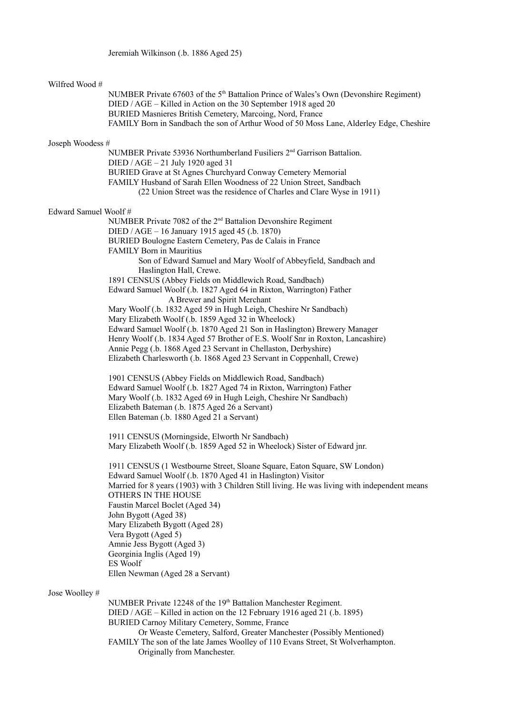## Wilfred Wood #

NUMBER Private 67603 of the 5<sup>th</sup> Battalion Prince of Wales's Own (Devonshire Regiment) DIED / AGE – Killed in Action on the 30 September 1918 aged 20 BURIED Masnieres British Cemetery, Marcoing, Nord, France FAMILY Born in Sandbach the son of Arthur Wood of 50 Moss Lane, Alderley Edge, Cheshire

#### Joseph Woodess #

NUMBER Private 53936 Northumberland Fusiliers 2<sup>nd</sup> Garrison Battalion. DIED / AGE – 21 July 1920 aged 31 BURIED Grave at St Agnes Churchyard Conway Cemetery Memorial FAMILY Husband of Sarah Ellen Woodness of 22 Union Street, Sandbach (22 Union Street was the residence of Charles and Clare Wyse in 1911)

#### Edward Samuel Woolf #

NUMBER Private 7082 of the 2<sup>nd</sup> Battalion Devonshire Regiment DIED / AGE – 16 January 1915 aged 45 (.b. 1870) BURIED Boulogne Eastern Cemetery, Pas de Calais in France FAMILY Born in Mauritius Son of Edward Samuel and Mary Woolf of Abbeyfield, Sandbach and Haslington Hall, Crewe. 1891 CENSUS (Abbey Fields on Middlewich Road, Sandbach) Edward Samuel Woolf (.b. 1827 Aged 64 in Rixton, Warrington) Father A Brewer and Spirit Merchant Mary Woolf (.b. 1832 Aged 59 in Hugh Leigh, Cheshire Nr Sandbach) Mary Elizabeth Woolf (.b. 1859 Aged 32 in Wheelock) Edward Samuel Woolf (.b. 1870 Aged 21 Son in Haslington) Brewery Manager Henry Woolf (.b. 1834 Aged 57 Brother of E.S. Woolf Snr in Roxton, Lancashire) Annie Pegg (.b. 1868 Aged 23 Servant in Chellaston, Derbyshire)

Elizabeth Charlesworth (.b. 1868 Aged 23 Servant in Coppenhall, Crewe)

 1901 CENSUS (Abbey Fields on Middlewich Road, Sandbach) Edward Samuel Woolf (.b. 1827 Aged 74 in Rixton, Warrington) Father Mary Woolf (.b. 1832 Aged 69 in Hugh Leigh, Cheshire Nr Sandbach) Elizabeth Bateman (.b. 1875 Aged 26 a Servant) Ellen Bateman (.b. 1880 Aged 21 a Servant)

 1911 CENSUS (Morningside, Elworth Nr Sandbach) Mary Elizabeth Woolf (.b. 1859 Aged 52 in Wheelock) Sister of Edward jnr.

 1911 CENSUS (1 Westbourne Street, Sloane Square, Eaton Square, SW London) Edward Samuel Woolf (.b. 1870 Aged 41 in Haslington) Visitor Married for 8 years (1903) with 3 Children Still living. He was living with independent means OTHERS IN THE HOUSE Faustin Marcel Boclet (Aged 34) John Bygott (Aged 38) Mary Elizabeth Bygott (Aged 28) Vera Bygott (Aged 5) Amnie Jess Bygott (Aged 3) Georginia Inglis (Aged 19) ES Woolf Ellen Newman (Aged 28 a Servant)

## Jose Woolley #

NUMBER Private 12248 of the 19<sup>th</sup> Battalion Manchester Regiment. DIED / AGE – Killed in action on the 12 February 1916 aged 21 (.b. 1895) BURIED Carnoy Military Cemetery, Somme, France Or Weaste Cemetery, Salford, Greater Manchester (Possibly Mentioned) FAMILY The son of the late James Woolley of 110 Evans Street, St Wolverhampton. Originally from Manchester.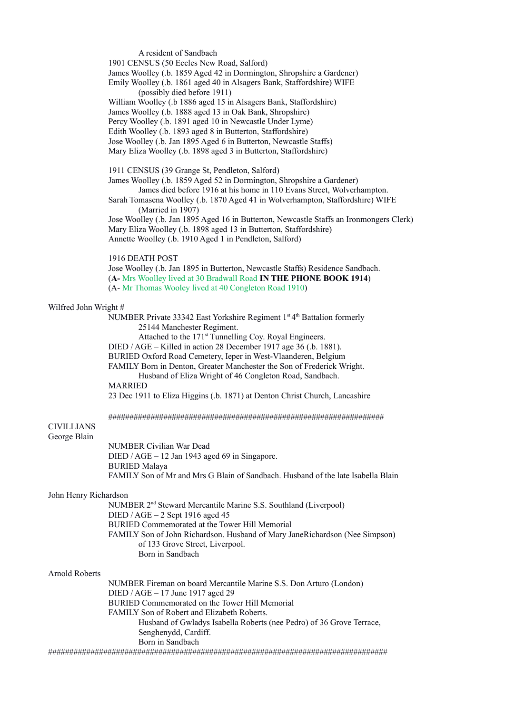A resident of Sandbach

1901 CENSUS (50 Eccles New Road, Salford)

James Woolley (.b. 1859 Aged 42 in Dormington, Shropshire a Gardener)

 Emily Woolley (.b. 1861 aged 40 in Alsagers Bank, Staffordshire) WIFE (possibly died before 1911)

William Woolley (.b 1886 aged 15 in Alsagers Bank, Staffordshire)

James Woolley (.b. 1888 aged 13 in Oak Bank, Shropshire)

Percy Woolley (.b. 1891 aged 10 in Newcastle Under Lyme)

Edith Woolley (.b. 1893 aged 8 in Butterton, Staffordshire)

Jose Woolley (.b. Jan 1895 Aged 6 in Butterton, Newcastle Staffs)

Mary Eliza Woolley (.b. 1898 aged 3 in Butterton, Staffordshire)

1911 CENSUS (39 Grange St, Pendleton, Salford)

 James Woolley (.b. 1859 Aged 52 in Dormington, Shropshire a Gardener) James died before 1916 at his home in 110 Evans Street, Wolverhampton.

 Sarah Tomasena Woolley (.b. 1870 Aged 41 in Wolverhampton, Staffordshire) WIFE (Married in 1907)

 Jose Woolley (.b. Jan 1895 Aged 16 in Butterton, Newcastle Staffs an Ironmongers Clerk) Mary Eliza Woolley (.b. 1898 aged 13 in Butterton, Staffordshire) Annette Woolley (.b. 1910 Aged 1 in Pendleton, Salford)

#### 1916 DEATH POST

 Jose Woolley (.b. Jan 1895 in Butterton, Newcastle Staffs) Residence Sandbach. (**A-** Mrs Woolley lived at 30 Bradwall Road **IN THE PHONE BOOK 1914**) (A- Mr Thomas Wooley lived at 40 Congleton Road 1910)

#### Wilfred John Wright #

NUMBER Private 33342 East Yorkshire Regiment 1<sup>st 4th</sup> Battalion formerly 25144 Manchester Regiment.

Attached to the 171<sup>st</sup> Tunnelling Coy. Royal Engineers.

DIED / AGE – Killed in action 28 December 1917 age 36 (.b. 1881).

BURIED Oxford Road Cemetery, Ieper in West-Vlaanderen, Belgium

FAMILY Born in Denton, Greater Manchester the Son of Frederick Wright.

 Husband of Eliza Wright of 46 Congleton Road, Sandbach. MARRIED

23 Dec 1911 to Eliza Higgins (.b. 1871) at Denton Christ Church, Lancashire

#################################################################

#### CIVILLIANS George Blain

NUMBER Civilian War Dead DIED / AGE – 12 Jan 1943 aged 69 in Singapore. BURIED Malaya FAMILY Son of Mr and Mrs G Blain of Sandbach. Husband of the late Isabella Blain

#### John Henry Richardson

NUMBER 2nd Steward Mercantile Marine S.S. Southland (Liverpool) DIED / AGE – 2 Sept 1916 aged 45 BURIED Commemorated at the Tower Hill Memorial FAMILY Son of John Richardson. Husband of Mary JaneRichardson (Nee Simpson) of 133 Grove Street, Liverpool. Born in Sandbach

#### Arnold Roberts

NUMBER Fireman on board Mercantile Marine S.S. Don Arturo (London) DIED / AGE – 17 June 1917 aged 29 BURIED Commemorated on the Tower Hill Memorial FAMILY Son of Robert and Elizabeth Roberts. Husband of Gwladys Isabella Roberts (nee Pedro) of 36 Grove Terrace, Senghenydd, Cardiff. Born in Sandbach ################################################################################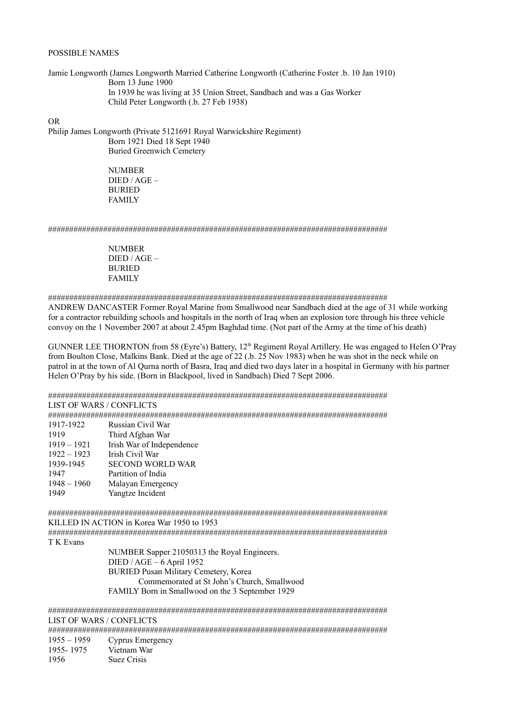#### POSSIBLE NAMES

Jamie Longworth (James Longworth Married Catherine Longworth (Catherine Foster .b. 10 Jan 1910) Born 13 June 1900 In 1939 he was living at 35 Union Street, Sandbach and was a Gas Worker Child Peter Longworth (.b. 27 Feb 1938)

OR

Philip James Longworth (Private 5121691 Royal Warwickshire Regiment) Born 1921 Died 18 Sept 1940 Buried Greenwich Cemetery

> NUMBER DIED / AGE – BURIED FAMILY

################################################################################

NUMBER DIED / AGE – BURIED FAMILY

################################################################################

ANDREW DANCASTER Former Royal Marine from Smallwood near Sandbach died at the age of 31 while working for a contractor rebuilding schools and hospitals in the north of Iraq when an explosion tore through his three vehicle convoy on the 1 November 2007 at about 2.45pm Baghdad time. (Not part of the Army at the time of his death)

GUNNER LEE THORNTON from 58 (Eyre's) Battery, 12<sup>th</sup> Regiment Royal Artillery. He was engaged to Helen O'Pray from Boulton Close, Malkins Bank. Died at the age of 22 (.b. 25 Nov 1983) when he was shot in the neck while on patrol in at the town of Al Qurna north of Basra, Iraq and died two days later in a hospital in Germany with his partner Helen O'Pray by his side. (Born in Blackpool, lived in Sandbach) Died 7 Sept 2006.

################################################################################

LIST OF WARS / CONFLICTS

################################################################################

| 1917-1922     | Russian Civil War         |
|---------------|---------------------------|
| 1919          | Third Afghan War          |
| $1919 - 1921$ | Irish War of Independence |
| $1922 - 1923$ | Irish Civil War           |
| 1939-1945     | <b>SECOND WORLD WAR</b>   |
| 1947          | Partition of India        |
| $1948 - 1960$ | Malayan Emergency         |
| 1949          | Yangtze Incident          |

################################################################################

KILLED IN ACTION in Korea War 1950 to 1953

################################################################################ T K Evans

NUMBER Sapper 21050313 the Royal Engineers. DIED / AGE – 6 April 1952 BURIED Pusan Military Cemetery, Korea Commemorated at St John's Church, Smallwood FAMILY Born in Smallwood on the 3 September 1929

################################################################################ LIST OF WARS / CONFLICTS

################################################################################

1955 – 1959 Cyprus Emergency

1955- 1975 Vietnam War 1956 Suez Crisis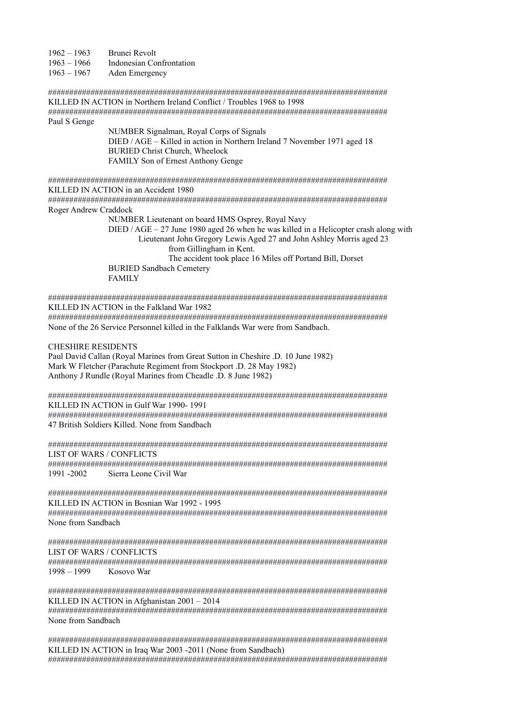1962 – 1963 Brunei Revolt

1963 – 1966 Indonesian Confrontation

1963 – 1967 Aden Emergency

################################################################################ KILLED IN ACTION in Northern Ireland Conflict / Troubles 1968 to 1998 ################################################################################ Paul S Genge

> NUMBER Signalman, Royal Corps of Signals DIED / AGE – Killed in action in Northern Ireland 7 November 1971 aged 18 BURIED Christ Church, Wheelock FAMILY Son of Ernest Anthony Genge

################################################################################ KILLED IN ACTION in an Accident 1980

################################################################################ Roger Andrew Craddock

> NUMBER Lieutenant on board HMS Osprey, Royal Navy DIED  $/$  AGE – 27 June 1980 aged 26 when he was killed in a Helicopter crash along with Lieutenant John Gregory Lewis Aged 27 and John Ashley Morris aged 23 from Gillingham in Kent. The accident took place 16 Miles off Portand Bill, Dorset BURIED Sandbach Cemetery FAMILY

################################################################################ KILLED IN ACTION in the Falkland War 1982

################################################################################ None of the 26 Service Personnel killed in the Falklands War were from Sandbach.

## CHESHIRE RESIDENTS

Paul David Callan (Royal Marines from Great Sutton in Cheshire .D. 10 June 1982) Mark W Fletcher (Parachute Regiment from Stockport .D. 28 May 1982) Anthony J Rundle (Royal Marines from Cheadle .D. 8 June 1982)

################################################################################ KILLED IN ACTION in Gulf War 1990- 1991

################################################################################ 47 British Soldiers Killed. None from Sandbach

################################################################################ LIST OF WARS / CONFLICTS

################################################################################ 1991 -2002 Sierra Leone Civil War

################################################################################ KILLED IN ACTION in Bosnian War 1992 - 1995

################################################################################ None from Sandbach

################################################################################ LIST OF WARS / CONFLICTS ################################################################################

Kosovo War

################################################################################ KILLED IN ACTION in Afghanistan 2001 – 2014

################################################################################ None from Sandbach

################################################################################ KILLED IN ACTION in Iraq War 2003 -2011 (None from Sandbach) ################################################################################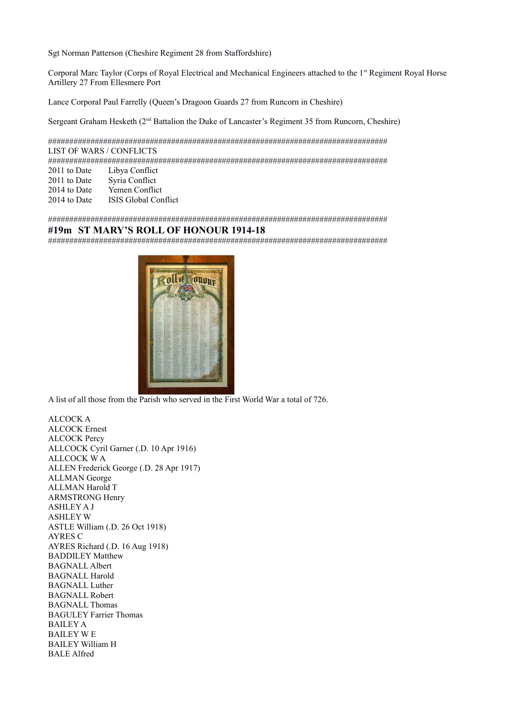Sgt Norman Patterson (Cheshire Regiment 28 from Staffordshire)

Corporal Marc Taylor (Corps of Royal Electrical and Mechanical Engineers attached to the 1<sup>st</sup> Regiment Royal Horse Artillery 27 From Ellesmere Port

Lance Corporal Paul Farrelly (Queen's Dragoon Guards 27 from Runcorn in Cheshire)

Sergeant Graham Hesketh (2nd Battalion the Duke of Lancaster's Regiment 35 from Runcorn, Cheshire)

################################################################################ LIST OF WARS / CONFLICTS

################################################################################

- 2011 to Date Libya Conflict
- 2011 to Date Syria Conflict
- 2014 to Date Yemen Conflict

2014 to Date ISIS Global Conflict

################################################################################

# **#19m ST MARY'S ROLL OF HONOUR 1914-18**

################################################################################



A list of all those from the Parish who served in the First World War a total of 726.

ALCOCK A ALCOCK Ernest ALCOCK Percy ALLCOCK Cyril Garner (.D. 10 Apr 1916) ALLCOCK W A ALLEN Frederick George (.D. 28 Apr 1917) ALLMAN George ALLMAN Harold T ARMSTRONG Henry ASHLEY A J ASHLEY W ASTLE William (.D. 26 Oct 1918) AYRES C AYRES Richard (.D. 16 Aug 1918) BADDILEY Matthew BAGNALL Albert BAGNALL Harold BAGNALL Luther BAGNALL Robert BAGNALL Thomas BAGULEY Farrier Thomas BAILEY A BAILEY W E BAILEY William H BALE Alfred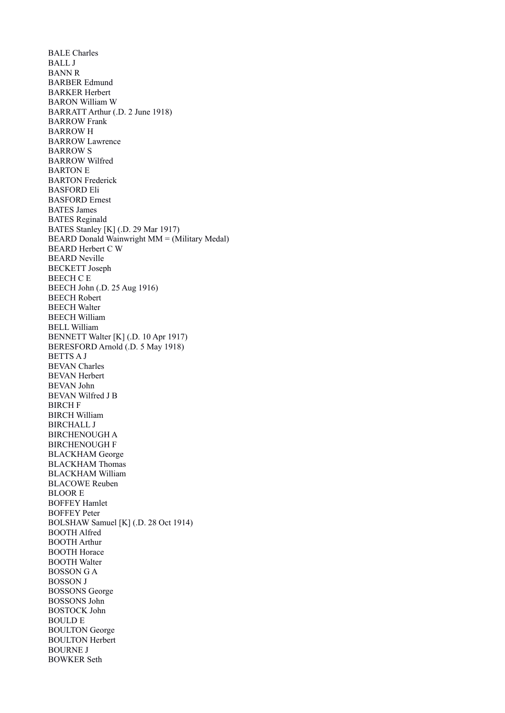BALE Charles BALL J BANN R BARBER Edmund BARKER Herbert BARON William W BARRATT Arthur (.D. 2 June 1918) BARROW Frank BARROW H BARROW Lawrence BARROW S BARROW Wilfred BARTON E BARTON Frederick BASFORD Eli BASFORD Ernest BATES James BATES Reginald BATES Stanley [K] (.D. 29 Mar 1917) BEARD Donald Wainwright MM = (Military Medal) BEARD Herbert C W BEARD Neville BECKETT Joseph BEECH C E BEECH John (.D. 25 Aug 1916) BEECH Robert BEECH Walter BEECH William BELL William BENNETT Walter [K] (.D. 10 Apr 1917) BERESFORD Arnold (.D. 5 May 1918) BETTS A J BEVAN Charles BEVAN Herbert BEVAN John BEVAN Wilfred J B BIRCH F BIRCH William BIRCHALL J BIRCHENOUGH A BIRCHENOUGH F BLACKHAM George BLACKHAM Thomas BLACKHAM William BLACOWE Reuben BLOOR E BOFFEY Hamlet BOFFEY Peter BOLSHAW Samuel [K] (.D. 28 Oct 1914) BOOTH Alfred BOOTH Arthur BOOTH Horace BOOTH Walter BOSSON G A BOSSON J BOSSONS George BOSSONS John BOSTOCK John BOULD E BOULTON George BOULTON Herbert BOURNE J BOWKER Seth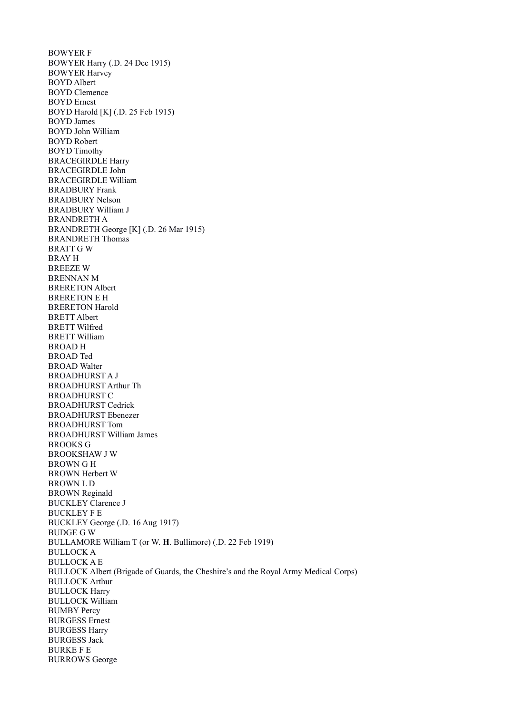BOWYER F BOWYER Harry (.D. 24 Dec 1915) BOWYER Harvey BOYD Albert BOYD Clemence BOYD Ernest BOYD Harold [K] (.D. 25 Feb 1915) BOYD James BOYD John William BOYD Robert BOYD Timothy BRACEGIRDLE Harry BRACEGIRDLE John BRACEGIRDLE William BRADBURY Frank BRADBURY Nelson BRADBURY William J BRANDRETH A BRANDRETH George [K] (.D. 26 Mar 1915) BRANDRETH Thomas BRATT G W BRAY H BREEZE W BRENNAN M BRERETON Albert BRERETON E H BRERETON Harold BRETT Albert BRETT Wilfred BRETT William BROAD H BROAD Ted BROAD Walter BROADHURST A J BROADHURST Arthur Th BROADHURST C BROADHURST Cedrick BROADHURST Ebenezer BROADHURST Tom BROADHURST William James BROOKS G BROOKSHAW J W BROWN G H BROWN Herbert W BROWN L D BROWN Reginald BUCKLEY Clarence J BUCKLEY F E BUCKLEY George (.D. 16 Aug 1917) BUDGE G W BULLAMORE William T (or W. **H**. Bullimore) (.D. 22 Feb 1919) BULLOCK A BULLOCK A E BULLOCK Albert (Brigade of Guards, the Cheshire's and the Royal Army Medical Corps) BULLOCK Arthur BULLOCK Harry BULLOCK William BUMBY Percy BURGESS Ernest BURGESS Harry BURGESS Jack BURKE F E BURROWS George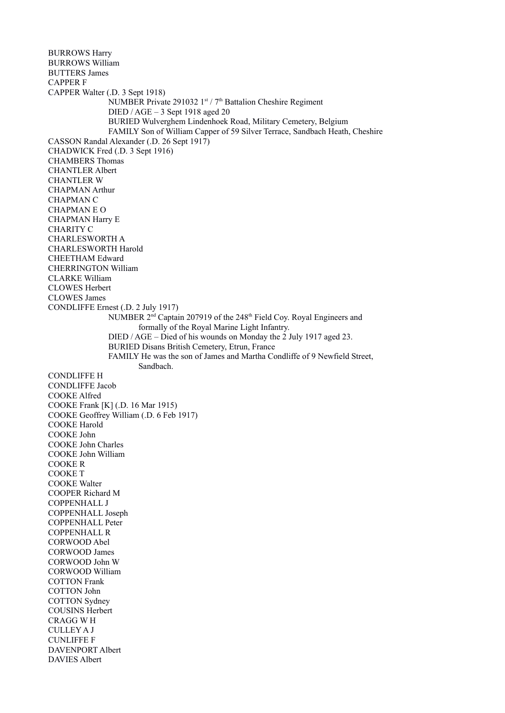BURROWS Harry BURROWS William BUTTERS James CAPPER F CAPPER Walter (.D. 3 Sept 1918) NUMBER Private 291032 1st / 7th Battalion Cheshire Regiment DIED / AGE – 3 Sept 1918 aged 20 BURIED Wulverghem Lindenhoek Road, Military Cemetery, Belgium FAMILY Son of William Capper of 59 Silver Terrace, Sandbach Heath, Cheshire CASSON Randal Alexander (.D. 26 Sept 1917) CHADWICK Fred (.D. 3 Sept 1916) CHAMBERS Thomas CHANTLER Albert CHANTLER W CHAPMAN Arthur CHAPMAN C CHAPMAN E O CHAPMAN Harry E CHARITY C CHARLESWORTH A CHARLESWORTH Harold CHEETHAM Edward CHERRINGTON William CLARKE William CLOWES Herbert CLOWES James CONDLIFFE Ernest (.D. 2 July 1917) NUMBER 2<sup>nd</sup> Captain 207919 of the 248<sup>th</sup> Field Coy. Royal Engineers and formally of the Royal Marine Light Infantry. DIED / AGE – Died of his wounds on Monday the 2 July 1917 aged 23. BURIED Disans British Cemetery, Etrun, France FAMILY He was the son of James and Martha Condliffe of 9 Newfield Street, Sandbach. CONDLIFFE H CONDLIFFE Jacob COOKE Alfred COOKE Frank [K] (.D. 16 Mar 1915) COOKE Geoffrey William (.D. 6 Feb 1917) COOKE Harold COOKE John COOKE John Charles COOKE John William COOKE R COOKE T COOKE Walter COOPER Richard M COPPENHALL J COPPENHALL Joseph COPPENHALL Peter COPPENHALL R CORWOOD Abel CORWOOD James CORWOOD John W CORWOOD William COTTON Frank COTTON John COTTON Sydney COUSINS Herbert CRAGG W H CULLEY A J CUNLIFFE F DAVENPORT Albert DAVIES Albert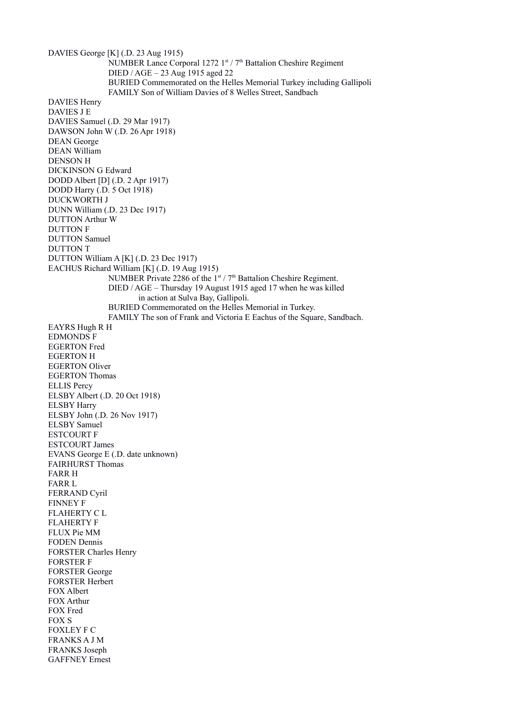DAVIES George [K] (.D. 23 Aug 1915) NUMBER Lance Corporal 1272 1st /  $7<sup>th</sup>$  Battalion Cheshire Regiment DIED / AGE – 23 Aug 1915 aged 22 BURIED Commemorated on the Helles Memorial Turkey including Gallipoli FAMILY Son of William Davies of 8 Welles Street, Sandbach DAVIES Henry DAVIES J E DAVIES Samuel (.D. 29 Mar 1917) DAWSON John W (.D. 26 Apr 1918) DEAN George DEAN William DENSON H DICKINSON G Edward DODD Albert [D] (.D. 2 Apr 1917) DODD Harry (.D. 5 Oct 1918) DUCKWORTH J DUNN William (.D. 23 Dec 1917) DUTTON Arthur W DUTTON F DUTTON Samuel DUTTON T DUTTON William A [K] (.D. 23 Dec 1917) EACHUS Richard William [K] (.D. 19 Aug 1915) NUMBER Private 2286 of the  $1<sup>st</sup> / 7<sup>th</sup>$  Battalion Cheshire Regiment. DIED / AGE – Thursday 19 August 1915 aged 17 when he was killed in action at Sulva Bay, Gallipoli. BURIED Commemorated on the Helles Memorial in Turkey. FAMILY The son of Frank and Victoria E Eachus of the Square, Sandbach. EAYRS Hugh R H EDMONDS F EGERTON Fred EGERTON H EGERTON Oliver EGERTON Thomas ELLIS Percy ELSBY Albert (.D. 20 Oct 1918) ELSBY Harry ELSBY John (.D. 26 Nov 1917) ELSBY Samuel ESTCOURT F ESTCOURT James EVANS George E (.D. date unknown) FAIRHURST Thomas FARR H FARR L FERRAND Cyril FINNEY F FLAHERTY C L FLAHERTY F FLUX Pie MM FODEN Dennis FORSTER Charles Henry FORSTER F FORSTER George FORSTER Herbert FOX Albert FOX Arthur FOX Fred FOX S FOXLEY F C FRANKS A J M FRANKS Joseph GAFFNEY Ernest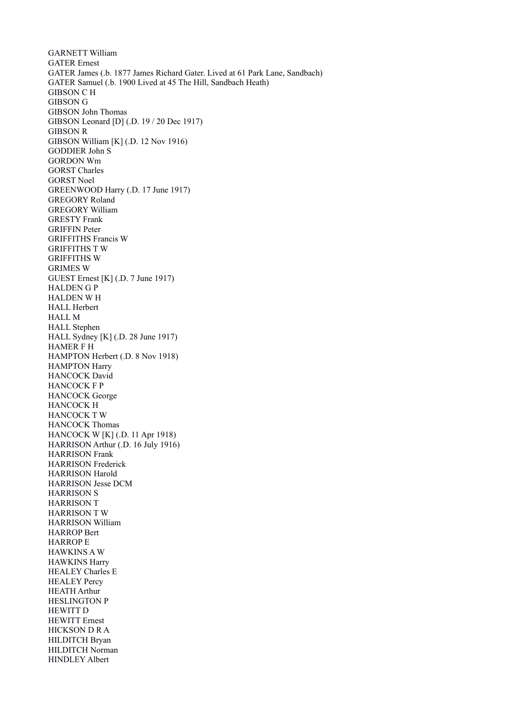GARNETT William GATER Ernest GATER James (.b. 1877 James Richard Gater. Lived at 61 Park Lane, Sandbach) GATER Samuel (.b. 1900 Lived at 45 The Hill, Sandbach Heath) GIBSON C H GIBSON G GIBSON John Thomas GIBSON Leonard [D] (.D. 19 / 20 Dec 1917) GIBSON R GIBSON William [K] (.D. 12 Nov 1916) GODDIER John S GORDON Wm GORST Charles GORST Noel GREENWOOD Harry (.D. 17 June 1917) GREGORY Roland GREGORY William GRESTY Frank GRIFFIN Peter GRIFFITHS Francis W GRIFFITHS T W GRIFFITHS W GRIMES W GUEST Ernest [K] (.D. 7 June 1917) HALDEN G P HALDEN W H HALL Herbert HALL M HALL Stephen HALL Sydney [K] (.D. 28 June 1917) HAMER F H HAMPTON Herbert (.D. 8 Nov 1918) HAMPTON Harry HANCOCK David HANCOCK F P HANCOCK George HANCOCK H HANCOCK T W HANCOCK Thomas HANCOCK W [K] (.D. 11 Apr 1918) HARRISON Arthur (.D. 16 July 1916) HARRISON Frank HARRISON Frederick HARRISON Harold HARRISON Jesse DCM HARRISON S HARRISON T HARRISON T W HARRISON William HARROP Bert HARROP E HAWKINS A W HAWKINS Harry HEALEY Charles E HEALEY Percy HEATH Arthur HESLINGTON P HEWITT D HEWITT Ernest HICKSON D R A HILDITCH Bryan HILDITCH Norman HINDLEY Albert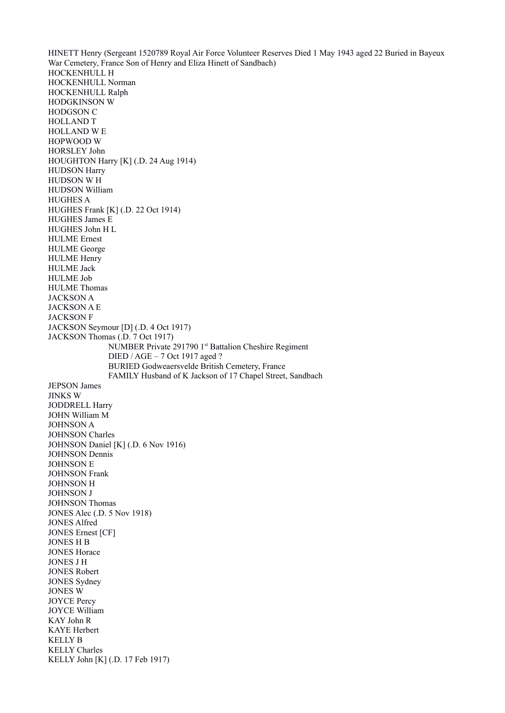HINETT Henry (Sergeant 1520789 Royal Air Force Volunteer Reserves Died 1 May 1943 aged 22 Buried in Bayeux War Cemetery, France Son of Henry and Eliza Hinett of Sandbach) HOCKENHULL H HOCKENHULL Norman HOCKENHULL Ralph HODGKINSON W HODGSON C HOLLAND T HOLLAND W E HOPWOOD W HORSLEY John HOUGHTON Harry [K] (.D. 24 Aug 1914) HUDSON Harry HUDSON W H HUDSON William HUGHES A HUGHES Frank [K] (.D. 22 Oct 1914) HUGHES James E HUGHES John H L HULME Ernest HULME George HULME Henry HULME Jack HULME Job HULME Thomas JACKSON A JACKSON A E JACKSON F JACKSON Seymour [D] (.D. 4 Oct 1917) JACKSON Thomas (.D. 7 Oct 1917) NUMBER Private 291790 1<sup>st</sup> Battalion Cheshire Regiment DIED / AGE – 7 Oct 1917 aged ? BURIED Godweaersvelde British Cemetery, France FAMILY Husband of K Jackson of 17 Chapel Street, Sandbach JEPSON James JINKS W JODDRELL Harry JOHN William M JOHNSON A JOHNSON Charles JOHNSON Daniel [K] (.D. 6 Nov 1916) JOHNSON Dennis JOHNSON E JOHNSON Frank JOHNSON H JOHNSON J JOHNSON Thomas JONES Alec (.D. 5 Nov 1918) JONES Alfred JONES Ernest [CF] JONES H B JONES Horace JONES J H JONES Robert JONES Sydney JONES W JOYCE Percy JOYCE William KAY John R KAYE Herbert KELLY B KELLY Charles KELLY John [K] (.D. 17 Feb 1917)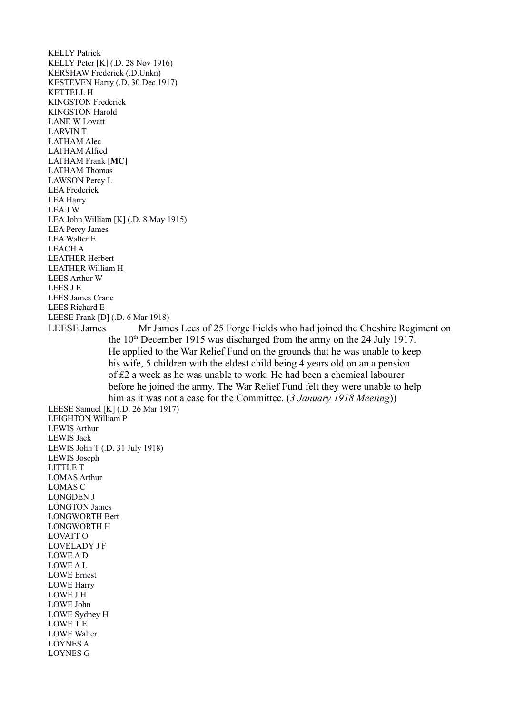KELLY Patrick KELLY Peter [K] (.D. 28 Nov 1916) KERSHAW Frederick (.D.Unkn) KESTEVEN Harry (.D. 30 Dec 1917) KETTELL H KINGSTON Frederick KINGSTON Harold LANE W Lovatt LARVIN T LATHAM Alec LATHAM Alfred LATHAM Frank **[MC**] LATHAM Thomas LAWSON Percy L LEA Frederick LEA Harry LEA J W LEA John William [K] (.D. 8 May 1915) LEA Percy James LEA Walter E LEACH A LEATHER Herbert LEATHER William H LEES Arthur W LEES J E LEES James Crane LEES Richard E LEESE Frank [D] (.D. 6 Mar 1918) LEESE James Mr James Lees of 25 Forge Fields who had joined the Cheshire Regiment on the 10<sup>th</sup> December 1915 was discharged from the army on the 24 July 1917. He applied to the War Relief Fund on the grounds that he was unable to keep his wife, 5 children with the eldest child being 4 years old on an a pension of £2 a week as he was unable to work. He had been a chemical labourer before he joined the army. The War Relief Fund felt they were unable to help him as it was not a case for the Committee. (*3 January 1918 Meeting*)) LEESE Samuel [K] (.D. 26 Mar 1917) LEIGHTON William P LEWIS Arthur LEWIS Jack LEWIS John T (.D. 31 July 1918) LEWIS Joseph LITTLE T LOMAS Arthur LOMAS C LONGDEN J LONGTON James LONGWORTH Bert LONGWORTH H LOVATT O LOVELADY J F LOWE A D LOWE A L LOWE Ernest LOWE Harry LOWE J H LOWE John LOWE Sydney H LOWE T E LOWE Walter LOYNES A LOYNES G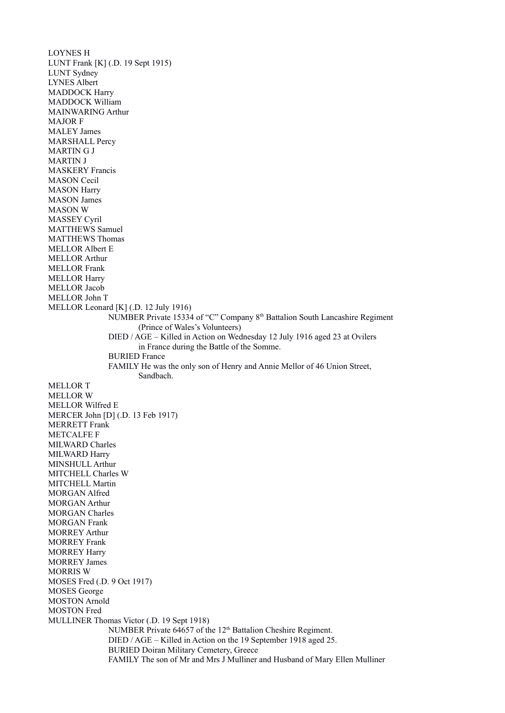LOYNES H LUNT Frank [K] (.D. 19 Sept 1915) LUNT Sydney LYNES Albert MADDOCK Harry MADDOCK William MAINWARING Arthur MAJOR F MALEY James MARSHALL Percy MARTIN G J MARTIN J MASKERY Francis MASON Cecil MASON Harry MASON James MASON W MASSEY Cyril MATTHEWS Samuel MATTHEWS Thomas MELLOR Albert E MELLOR Arthur MELLOR Frank MELLOR Harry MELLOR Jacob MELLOR John T MELLOR Leonard [K] (.D. 12 July 1916) NUMBER Private 15334 of "C" Company 8th Battalion South Lancashire Regiment (Prince of Wales's Volunteers) DIED / AGE – Killed in Action on Wednesday 12 July 1916 aged 23 at Ovilers in France during the Battle of the Somme. BURIED France FAMILY He was the only son of Henry and Annie Mellor of 46 Union Street, Sandbach. MELLOR T MELLOR W MELLOR Wilfred E MERCER John [D] (.D. 13 Feb 1917) MERRETT Frank METCALFE F MILWARD Charles MILWARD Harry MINSHULL Arthur MITCHELL Charles W MITCHELL Martin MORGAN Alfred MORGAN Arthur MORGAN Charles MORGAN Frank MORREY Arthur MORREY Frank MORREY Harry MORREY James MORRIS W MOSES Fred (.D. 9 Oct 1917) MOSES George MOSTON Arnold MOSTON Fred MULLINER Thomas Victor (.D. 19 Sept 1918) NUMBER Private 64657 of the 12<sup>th</sup> Battalion Cheshire Regiment. DIED / AGE – Killed in Action on the 19 September 1918 aged 25. BURIED Doiran Military Cemetery, Greece FAMILY The son of Mr and Mrs J Mulliner and Husband of Mary Ellen Mulliner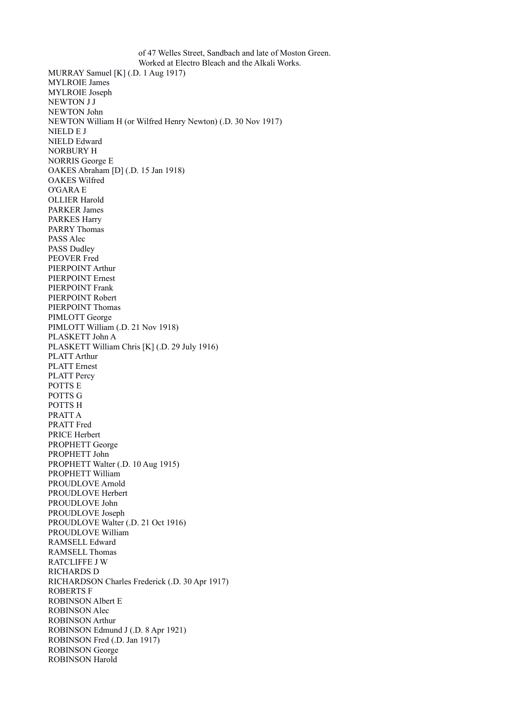of 47 Welles Street, Sandbach and late of Moston Green. Worked at Electro Bleach and the Alkali Works. MURRAY Samuel [K] (.D. 1 Aug 1917) MYLROIE James MYLROIE Joseph NEWTON J J NEWTON John NEWTON William H (or Wilfred Henry Newton) (.D. 30 Nov 1917) NIELD E J NIELD Edward NORBURY H NORRIS George E OAKES Abraham [D] (.D. 15 Jan 1918) OAKES Wilfred O'GARA E OLLIER Harold PARKER James PARKES Harry PARRY Thomas PASS Alec PASS Dudley PEOVER Fred PIERPOINT Arthur PIERPOINT Ernest PIERPOINT Frank PIERPOINT Robert PIERPOINT Thomas PIMLOTT George PIMLOTT William (.D. 21 Nov 1918) PLASKETT John A PLASKETT William Chris [K] (.D. 29 July 1916) PLATT Arthur PLATT Ernest PLATT Percy POTTS E POTTS G POTTS H PRATT A PRATT Fred PRICE Herbert PROPHETT George PROPHETT John PROPHETT Walter (.D. 10 Aug 1915) PROPHETT William PROUDLOVE Arnold PROUDLOVE Herbert PROUDLOVE John PROUDLOVE Joseph PROUDLOVE Walter (.D. 21 Oct 1916) PROUDLOVE William RAMSELL Edward RAMSELL Thomas RATCLIFFE J W RICHARDS D RICHARDSON Charles Frederick (.D. 30 Apr 1917) ROBERTS F ROBINSON Albert E ROBINSON Alec ROBINSON Arthur ROBINSON Edmund J (.D. 8 Apr 1921) ROBINSON Fred (.D. Jan 1917) ROBINSON George ROBINSON Harold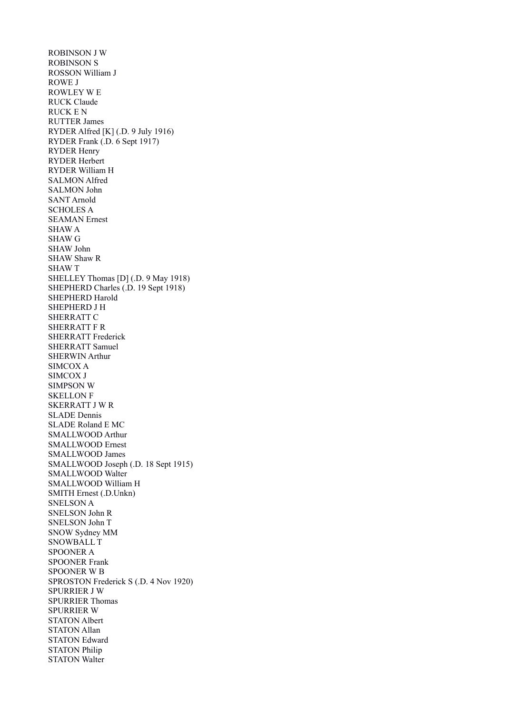ROBINSON J W ROBINSON S ROSSON William J ROWE J ROWLEY W E RUCK Claude RUCK E N RUTTER James RYDER Alfred [K] (.D. 9 July 1916) RYDER Frank (.D. 6 Sept 1917) RYDER Henry RYDER Herbert RYDER William H SALMON Alfred SALMON John SANT Arnold SCHOLES A SEAMAN Ernest SHAW A SHAW G SHAW John SHAW Shaw R SHAW T SHELLEY Thomas [D] (.D. 9 May 1918) SHEPHERD Charles (.D. 19 Sept 1918) SHEPHERD Harold SHEPHERD J H SHERRATT C SHERRATT F R SHERRATT Frederick SHERRATT Samuel SHERWIN Arthur SIMCOX A SIMCOX J SIMPSON W SKELLON F SKERRATT J W R SLADE Dennis SLADE Roland E MC SMALLWOOD Arthur SMALLWOOD Ernest SMALLWOOD James SMALLWOOD Joseph (.D. 18 Sept 1915) SMALLWOOD Walter SMALLWOOD William H SMITH Ernest (.D.Unkn) SNELSON A SNELSON John R SNELSON John T SNOW Sydney MM SNOWBALL T SPOONER A SPOONER Frank SPOONER W B SPROSTON Frederick S (.D. 4 Nov 1920) SPURRIER J W SPURRIER Thomas SPURRIER W STATON Albert STATON Allan STATON Edward STATON Philip STATON Walter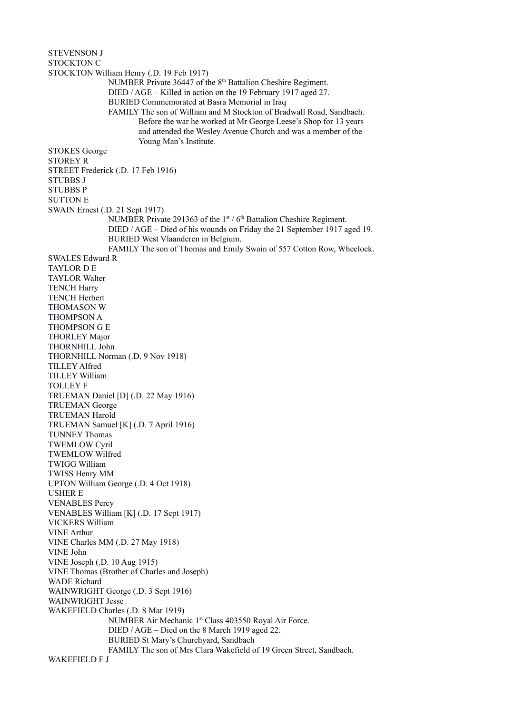STEVENSON J STOCKTON C STOCKTON William Henry (.D. 19 Feb 1917) NUMBER Private 36447 of the 8th Battalion Cheshire Regiment. DIED / AGE – Killed in action on the 19 February 1917 aged 27. BURIED Commemorated at Basra Memorial in Iraq FAMILY The son of William and M Stockton of Bradwall Road, Sandbach. Before the war he worked at Mr George Leese's Shop for 13 years and attended the Wesley Avenue Church and was a member of the Young Man's Institute. STOKES George STOREY R STREET Frederick (.D. 17 Feb 1916) STUBBS J STUBBS P SUTTON E SWAIN Ernest (.D. 21 Sept 1917) NUMBER Private 291363 of the  $1<sup>st</sup> / 6<sup>th</sup>$  Battalion Cheshire Regiment. DIED / AGE – Died of his wounds on Friday the 21 September 1917 aged 19. BURIED West Vlaanderen in Belgium. FAMILY The son of Thomas and Emily Swain of 557 Cotton Row, Wheelock. SWALES Edward R TAYLOR D E TAYLOR Walter TENCH Harry TENCH Herbert THOMASON W THOMPSON A THOMPSON G E THORLEY Major THORNHILL John THORNHILL Norman (.D. 9 Nov 1918) TILLEY Alfred TILLEY William TOLLEY F TRUEMAN Daniel [D] (.D. 22 May 1916) TRUEMAN George TRUEMAN Harold TRUEMAN Samuel [K] (.D. 7 April 1916) TUNNEY Thomas TWEMLOW Cyril TWEMLOW Wilfred TWIGG William TWISS Henry MM UPTON William George (.D. 4 Oct 1918) USHER E VENABLES Percy VENABLES William [K] (.D. 17 Sept 1917) VICKERS William VINE Arthur VINE Charles MM (.D. 27 May 1918) VINE John VINE Joseph (.D. 10 Aug 1915) VINE Thomas (Brother of Charles and Joseph) WADE Richard WAINWRIGHT George (.D. 3 Sept 1916) WAINWRIGHT Jesse WAKEFIELD Charles (.D. 8 Mar 1919) NUMBER Air Mechanic 1<sup>st</sup> Class 403550 Royal Air Force. DIED / AGE – Died on the 8 March 1919 aged 22. BURIED St Mary's Churchyard, Sandbach FAMILY The son of Mrs Clara Wakefield of 19 Green Street, Sandbach. WAKEFIELD F J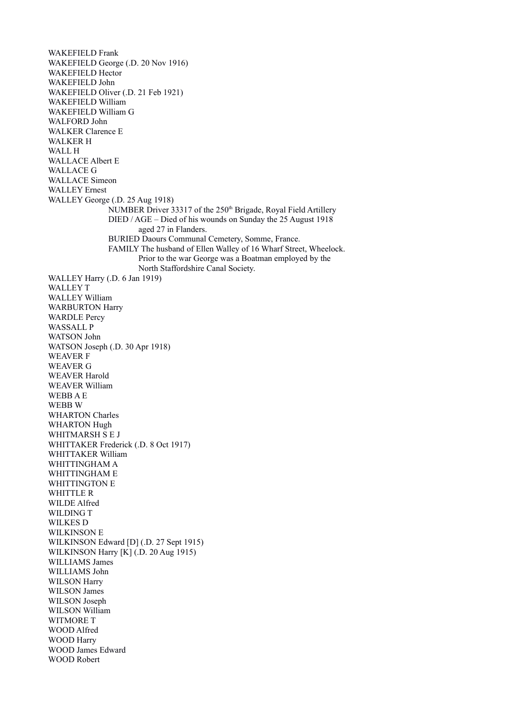WAKEFIELD Frank WAKEFIELD George (.D. 20 Nov 1916) WAKEFIELD Hector WAKEFIELD John WAKEFIELD Oliver (.D. 21 Feb 1921) WAKEFIELD William WAKEFIELD William G WALFORD John WALKER Clarence E WALKER H WALL H WALLACE Albert E WALLACE G WALLACE Simeon WALLEY Ernest WALLEY George (.D. 25 Aug 1918) NUMBER Driver 33317 of the 250<sup>th</sup> Brigade, Royal Field Artillery DIED / AGE – Died of his wounds on Sunday the 25 August 1918 aged 27 in Flanders. BURIED Daours Communal Cemetery, Somme, France. FAMILY The husband of Ellen Walley of 16 Wharf Street, Wheelock. Prior to the war George was a Boatman employed by the North Staffordshire Canal Society. WALLEY Harry (.D. 6 Jan 1919) WALLEY T WALLEY William WARBURTON Harry WARDLE Percy WASSALL P WATSON John WATSON Joseph (.D. 30 Apr 1918) WEAVER F WEAVER G WEAVER Harold WEAVER William WEBB A E WEBB W WHARTON Charles WHARTON Hugh WHITMARSH S E J WHITTAKER Frederick (.D. 8 Oct 1917) WHITTAKER William WHITTINGHAM A WHITTINGHAM E WHITTINGTON E WHITTLE R WILDE Alfred WILDING T WILKES D WILKINSON E WILKINSON Edward [D] (.D. 27 Sept 1915) WILKINSON Harry [K] (.D. 20 Aug 1915) WILLIAMS James WILLIAMS John WILSON Harry WILSON James WILSON Joseph WILSON William WITMORE T WOOD Alfred WOOD Harry WOOD James Edward WOOD Robert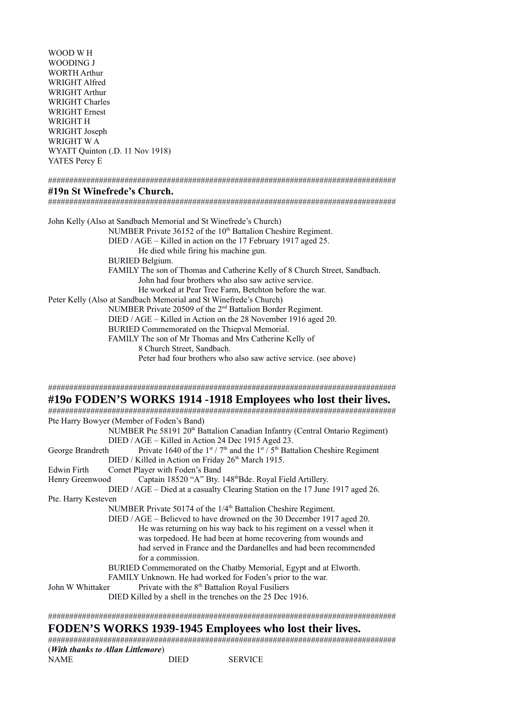WOOD W H WOODING J WORTH Arthur WRIGHT Alfred WRIGHT Arthur WRIGHT Charles WRIGHT Ernest WRIGHT H WRIGHT Joseph WRIGHT W A WYATT Quinton (.D. 11 Nov 1918) YATES Percy E

#### ##################################################################################

## **#19n St Winefrede's Church.**

##################################################################################

John Kelly (Also at Sandbach Memorial and St Winefrede's Church) NUMBER Private 36152 of the 10<sup>th</sup> Battalion Cheshire Regiment. DIED / AGE – Killed in action on the 17 February 1917 aged 25. He died while firing his machine gun. BURIED Belgium. FAMILY The son of Thomas and Catherine Kelly of 8 Church Street, Sandbach. John had four brothers who also saw active service. He worked at Pear Tree Farm, Betchton before the war. Peter Kelly (Also at Sandbach Memorial and St Winefrede's Church) NUMBER Private 20509 of the 2nd Battalion Border Regiment. DIED / AGE – Killed in Action on the 28 November 1916 aged 20. BURIED Commemorated on the Thiepval Memorial. FAMILY The son of Mr Thomas and Mrs Catherine Kelly of 8 Church Street, Sandbach. Peter had four brothers who also saw active service. (see above)

##################################################################################

## **#19o FODEN'S WORKS 1914 -1918 Employees who lost their lives.**

################################################################################## Pte Harry Bowyer (Member of Foden's Band) NUMBER Pte 58191 20<sup>th</sup> Battalion Canadian Infantry (Central Ontario Regiment) DIED / AGE – Killed in Action 24 Dec 1915 Aged 23. George Brandreth Private 1640 of the 1st /  $7<sup>th</sup>$  and the 1st /  $5<sup>th</sup>$  Battalion Cheshire Regiment DIED / Killed in Action on Friday 26<sup>th</sup> March 1915. Edwin Firth Cornet Player with Foden's Band Henry Greenwood Captain 18520 "A" Bty. 148<sup>th</sup>Bde. Royal Field Artillery. DIED / AGE – Died at a casualty Clearing Station on the 17 June 1917 aged 26. Pte. Harry Kesteven NUMBER Private 50174 of the 1/4<sup>th</sup> Battalion Cheshire Regiment. DIED / AGE – Believed to have drowned on the 30 December 1917 aged 20. He was returning on his way back to his regiment on a vessel when it was torpedoed. He had been at home recovering from wounds and had served in France and the Dardanelles and had been recommended for a commission. BURIED Commemorated on the Chatby Memorial, Egypt and at Elworth. FAMILY Unknown. He had worked for Foden's prior to the war. John W Whittaker Private with the 8<sup>th</sup> Battalion Royal Fusiliers DIED Killed by a shell in the trenches on the 25 Dec 1916. ##################################################################################

# **FODEN'S WORKS 1939-1945 Employees who lost their lives.**

| (With thanks to Allan Littlemore) |      |                |
|-----------------------------------|------|----------------|
| NAME                              | DIED | <b>SERVICE</b> |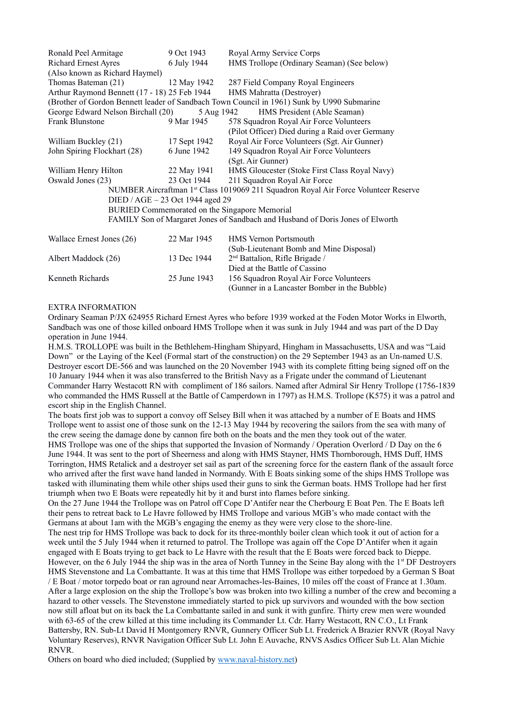| Ronald Peel Armitage                                                                       | 9 Oct 1943   | Royal Army Service Corps                        |  |  |  |  |  |
|--------------------------------------------------------------------------------------------|--------------|-------------------------------------------------|--|--|--|--|--|
| <b>Richard Ernest Ayres</b>                                                                | 6 July 1944  | HMS Trollope (Ordinary Seaman) (See below)      |  |  |  |  |  |
| (Also known as Richard Haymel)                                                             |              |                                                 |  |  |  |  |  |
| Thomas Bateman (21)                                                                        | 12 May 1942  | 287 Field Company Royal Engineers               |  |  |  |  |  |
| Arthur Raymond Bennett (17 - 18) 25 Feb 1944                                               |              | HMS Mahratta (Destroyer)                        |  |  |  |  |  |
| (Brother of Gordon Bennett leader of Sandbach Town Council in 1961) Sunk by U990 Submarine |              |                                                 |  |  |  |  |  |
| George Edward Nelson Birchall (20)<br>HMS President (Able Seaman)<br>5 Aug 1942            |              |                                                 |  |  |  |  |  |
| <b>Frank Blunstone</b>                                                                     | 9 Mar 1945   | 578 Squadron Royal Air Force Volunteers         |  |  |  |  |  |
|                                                                                            |              | (Pilot Officer) Died during a Raid over Germany |  |  |  |  |  |
| William Buckley (21)                                                                       | 17 Sept 1942 | Royal Air Force Volunteers (Sgt. Air Gunner)    |  |  |  |  |  |
| John Spiring Flockhart (28)                                                                | 6 June 1942  | 149 Squadron Royal Air Force Volunteers         |  |  |  |  |  |
|                                                                                            |              | (Sgt. Air Gunner)                               |  |  |  |  |  |
| William Henry Hilton                                                                       | 22 May 1941  | HMS Gloucester (Stoke First Class Royal Navy)   |  |  |  |  |  |
| Oswald Jones (23)                                                                          | 23 Oct 1944  | 211 Squadron Royal Air Force                    |  |  |  |  |  |
| NUMBER Aircraftman 1st Class 1019069 211 Squadron Royal Air Force Volunteer Reserve        |              |                                                 |  |  |  |  |  |
| DIED / AGE – 23 Oct 1944 aged 29                                                           |              |                                                 |  |  |  |  |  |
| BURIED Commemorated on the Singapore Memorial                                              |              |                                                 |  |  |  |  |  |
| FAMILY Son of Margaret Jones of Sandbach and Husband of Doris Jones of Elworth             |              |                                                 |  |  |  |  |  |
|                                                                                            |              |                                                 |  |  |  |  |  |
| Wallace Ernest Jones (26)                                                                  | 22 Mar 1945  | <b>HMS</b> Vernon Portsmouth                    |  |  |  |  |  |
|                                                                                            |              | (Sub-Lieutenant Bomb and Mine Disposal)         |  |  |  |  |  |
| Albert Maddock (26)                                                                        | 13 Dec 1944  | 2 <sup>nd</sup> Battalion, Rifle Brigade /      |  |  |  |  |  |
|                                                                                            |              | Died at the Battle of Cassino                   |  |  |  |  |  |
| Kenneth Richards                                                                           | 25 June 1943 | 156 Squadron Royal Air Force Volunteers         |  |  |  |  |  |
|                                                                                            |              | (Gunner in a Lancaster Bomber in the Bubble)    |  |  |  |  |  |

#### EXTRA INFORMATION

Ordinary Seaman P/JX 624955 Richard Ernest Ayres who before 1939 worked at the Foden Motor Works in Elworth, Sandbach was one of those killed onboard HMS Trollope when it was sunk in July 1944 and was part of the D Day operation in June 1944.

H.M.S. TROLLOPE was built in the Bethlehem-Hingham Shipyard, Hingham in Massachusetts, USA and was "Laid Down" or the Laying of the Keel (Formal start of the construction) on the 29 September 1943 as an Un-named U.S. Destroyer escort DE-566 and was launched on the 20 November 1943 with its complete fitting being signed off on the 10 January 1944 when it was also transferred to the British Navy as a Frigate under the command of Lieutenant Commander Harry Westacott RN with compliment of 186 sailors. Named after Admiral Sir Henry Trollope (1756-1839 who commanded the HMS Russell at the Battle of Camperdown in 1797) as H.M.S. Trollope (K575) it was a patrol and escort ship in the English Channel.

The boats first job was to support a convoy off Selsey Bill when it was attached by a number of E Boats and HMS Trollope went to assist one of those sunk on the 12-13 May 1944 by recovering the sailors from the sea with many of the crew seeing the damage done by cannon fire both on the boats and the men they took out of the water.

HMS Trollope was one of the ships that supported the Invasion of Normandy / Operation Overlord / D Day on the 6 June 1944. It was sent to the port of Sheerness and along with HMS Stayner, HMS Thornborough, HMS Duff, HMS Torrington, HMS Retalick and a destroyer set sail as part of the screening force for the eastern flank of the assault force who arrived after the first wave hand landed in Normandy. With E Boats sinking some of the ships HMS Trollope was tasked with illuminating them while other ships used their guns to sink the German boats. HMS Trollope had her first triumph when two E Boats were repeatedly hit by it and burst into flames before sinking.

On the 27 June 1944 the Trollope was on Patrol off Cope D'Antifer near the Cherbourg E Boat Pen. The E Boats left their pens to retreat back to Le Havre followed by HMS Trollope and various MGB's who made contact with the Germans at about 1am with the MGB's engaging the enemy as they were very close to the shore-line.

The nest trip for HMS Trollope was back to dock for its three-monthly boiler clean which took it out of action for a week until the 5 July 1944 when it returned to patrol. The Trollope was again off the Cope D'Antifer when it again engaged with E Boats trying to get back to Le Havre with the result that the E Boats were forced back to Dieppe. However, on the 6 July 1944 the ship was in the area of North Tunney in the Seine Bay along with the  $1<sup>st</sup>$  DF Destroyers HMS Stevenstone and La Combattante. It was at this time that HMS Trollope was either torpedoed by a German S Boat

/ E Boat / motor torpedo boat or ran aground near Arromaches-les-Baines, 10 miles off the coast of France at 1.30am. After a large explosion on the ship the Trollope's bow was broken into two killing a number of the crew and becoming a hazard to other vessels. The Stevenstone immediately started to pick up survivors and wounded with the bow section now still afloat but on its back the La Combattante sailed in and sunk it with gunfire. Thirty crew men were wounded with 63-65 of the crew killed at this time including its Commander Lt. Cdr. Harry Westacott, RN C.O., Lt Frank Battersby, RN. Sub-Lt David H Montgomery RNVR, Gunnery Officer Sub Lt. Frederick A Brazier RNVR (Royal Navy Voluntary Reserves), RNVR Navigation Officer Sub Lt. John E Auvache, RNVS Asdics Officer Sub Lt. Alan Michie RNVR.

Others on board who died included; (Supplied by [www.naval-history.net\)](http://www.naval-history.net/)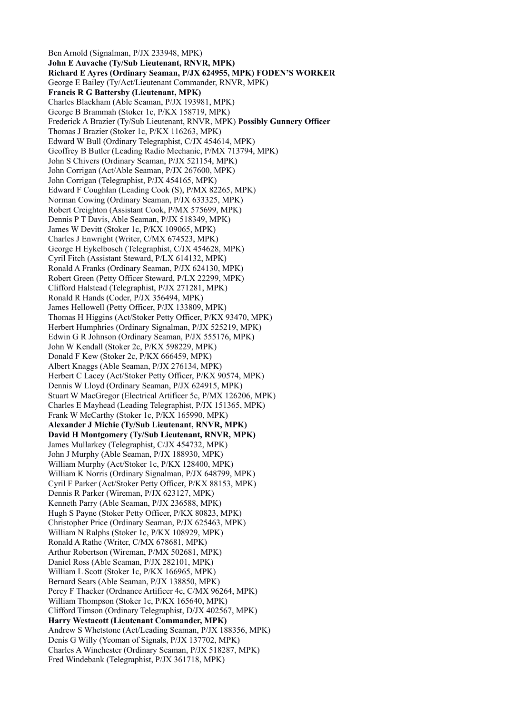Ben Arnold (Signalman, P/JX 233948, MPK) **John E Auvache (Ty/Sub Lieutenant, RNVR, MPK) Richard E Ayres (Ordinary Seaman, P/JX 624955, MPK) FODEN'S WORKER**  George E Bailey (Ty/Act/Lieutenant Commander, RNVR, MPK) **Francis R G Battersby (Lieutenant, MPK)** Charles Blackham (Able Seaman, P/JX 193981, MPK) George B Brammah (Stoker 1c, P/KX 158719, MPK) Frederick A Brazier (Ty/Sub Lieutenant, RNVR, MPK) **Possibly Gunnery Officer** Thomas J Brazier (Stoker 1c, P/KX 116263, MPK) Edward W Bull (Ordinary Telegraphist, C/JX 454614, MPK) Geoffrey B Butler (Leading Radio Mechanic, P/MX 713794, MPK) John S Chivers (Ordinary Seaman, P/JX 521154, MPK) John Corrigan (Act/Able Seaman, P/JX 267600, MPK) John Corrigan (Telegraphist, P/JX 454165, MPK) Edward F Coughlan (Leading Cook (S), P/MX 82265, MPK) Norman Cowing (Ordinary Seaman, P/JX 633325, MPK) Robert Creighton (Assistant Cook, P/MX 575699, MPK) Dennis P T Davis, Able Seaman, P/JX 518349, MPK) James W Devitt (Stoker 1c, P/KX 109065, MPK) Charles J Enwright (Writer, C/MX 674523, MPK) George H Eykelbosch (Telegraphist, C/JX 454628, MPK) Cyril Fitch (Assistant Steward, P/LX 614132, MPK) Ronald A Franks (Ordinary Seaman, P/JX 624130, MPK) Robert Green (Petty Officer Steward, P/LX 22299, MPK) Clifford Halstead (Telegraphist, P/JX 271281, MPK) Ronald R Hands (Coder, P/JX 356494, MPK) James Hellowell (Petty Officer, P/JX 133809, MPK) Thomas H Higgins (Act/Stoker Petty Officer, P/KX 93470, MPK) Herbert Humphries (Ordinary Signalman, P/JX 525219, MPK) Edwin G R Johnson (Ordinary Seaman, P/JX 555176, MPK) John W Kendall (Stoker 2c, P/KX 598229, MPK) Donald F Kew (Stoker 2c, P/KX 666459, MPK) Albert Knaggs (Able Seaman, P/JX 276134, MPK) Herbert C Lacey (Act/Stoker Petty Officer, P/KX 90574, MPK) Dennis W Lloyd (Ordinary Seaman, P/JX 624915, MPK) Stuart W MacGregor (Electrical Artificer 5c, P/MX 126206, MPK) Charles E Mayhead (Leading Telegraphist, P/JX 151365, MPK) Frank W McCarthy (Stoker 1c, P/KX 165990, MPK) **Alexander J Michie (Ty/Sub Lieutenant, RNVR, MPK) David H Montgomery (Ty/Sub Lieutenant, RNVR, MPK)** James Mullarkey (Telegraphist, C/JX 454732, MPK) John J Murphy (Able Seaman, P/JX 188930, MPK) William Murphy (Act/Stoker 1c, P/KX 128400, MPK) William K Norris (Ordinary Signalman, P/JX 648799, MPK) Cyril F Parker (Act/Stoker Petty Officer, P/KX 88153, MPK) Dennis R Parker (Wireman, P/JX 623127, MPK) Kenneth Parry (Able Seaman, P/JX 236588, MPK) Hugh S Payne (Stoker Petty Officer, P/KX 80823, MPK) Christopher Price (Ordinary Seaman, P/JX 625463, MPK) William N Ralphs (Stoker 1c, P/KX 108929, MPK) Ronald A Rathe (Writer, C/MX 678681, MPK) Arthur Robertson (Wireman, P/MX 502681, MPK) Daniel Ross (Able Seaman, P/JX 282101, MPK) William L Scott (Stoker 1c, P/KX 166965, MPK) Bernard Sears (Able Seaman, P/JX 138850, MPK) Percy F Thacker (Ordnance Artificer 4c, C/MX 96264, MPK) William Thompson (Stoker 1c, P/KX 165640, MPK) Clifford Timson (Ordinary Telegraphist, D/JX 402567, MPK) **Harry Westacott (Lieutenant Commander, MPK)** Andrew S Whetstone (Act/Leading Seaman, P/JX 188356, MPK) Denis G Willy (Yeoman of Signals, P/JX 137702, MPK) Charles A Winchester (Ordinary Seaman, P/JX 518287, MPK) Fred Windebank (Telegraphist, P/JX 361718, MPK)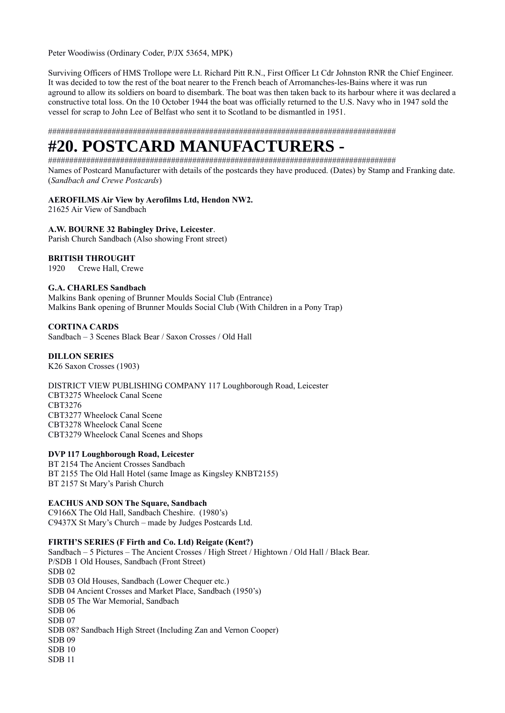Peter Woodiwiss (Ordinary Coder, P/JX 53654, MPK)

Surviving Officers of HMS Trollope were Lt. Richard Pitt R.N., First Officer Lt Cdr Johnston RNR the Chief Engineer. It was decided to tow the rest of the boat nearer to the French beach of Arromanches-les-Bains where it was run aground to allow its soldiers on board to disembark. The boat was then taken back to its harbour where it was declared a constructive total loss. On the 10 October 1944 the boat was officially returned to the U.S. Navy who in 1947 sold the vessel for scrap to John Lee of Belfast who sent it to Scotland to be dismantled in 1951.

##################################################################################

# **#20. POSTCARD MANUFACTURERS -**

################################################################################## Names of Postcard Manufacturer with details of the postcards they have produced. (Dates) by Stamp and Franking date. (*Sandbach and Crewe Postcards*)

## **AEROFILMS Air View by Aerofilms Ltd, Hendon NW2.**

21625 Air View of Sandbach

# **A.W. BOURNE 32 Babingley Drive, Leicester**.

Parish Church Sandbach (Also showing Front street)

# **BRITISH THROUGHT**

1920 Crewe Hall, Crewe

## **G.A. CHARLES Sandbach**

Malkins Bank opening of Brunner Moulds Social Club (Entrance) Malkins Bank opening of Brunner Moulds Social Club (With Children in a Pony Trap)

# **CORTINA CARDS**

Sandbach – 3 Scenes Black Bear / Saxon Crosses / Old Hall

# **DILLON SERIES**

K26 Saxon Crosses (1903)

DISTRICT VIEW PUBLISHING COMPANY 117 Loughborough Road, Leicester CBT3275 Wheelock Canal Scene CBT3276 CBT3277 Wheelock Canal Scene CBT3278 Wheelock Canal Scene CBT3279 Wheelock Canal Scenes and Shops

## **DVP 117 Loughborough Road, Leicester**

BT 2154 The Ancient Crosses Sandbach BT 2155 The Old Hall Hotel (same Image as Kingsley KNBT2155) BT 2157 St Mary's Parish Church

# **EACHUS AND SON The Square, Sandbach**

C9166X The Old Hall, Sandbach Cheshire. (1980's) C9437X St Mary's Church – made by Judges Postcards Ltd.

## **FIRTH'S SERIES (F Firth and Co. Ltd) Reigate (Kent?)**

Sandbach – 5 Pictures – The Ancient Crosses / High Street / Hightown / Old Hall / Black Bear. P/SDB 1 Old Houses, Sandbach (Front Street) SDB 02 SDB 03 Old Houses, Sandbach (Lower Chequer etc.) SDB 04 Ancient Crosses and Market Place, Sandbach (1950's) SDB 05 The War Memorial, Sandbach SDB 06 SDB 07 SDB 08? Sandbach High Street (Including Zan and Vernon Cooper) SDB 09 SDB 10 SDB 11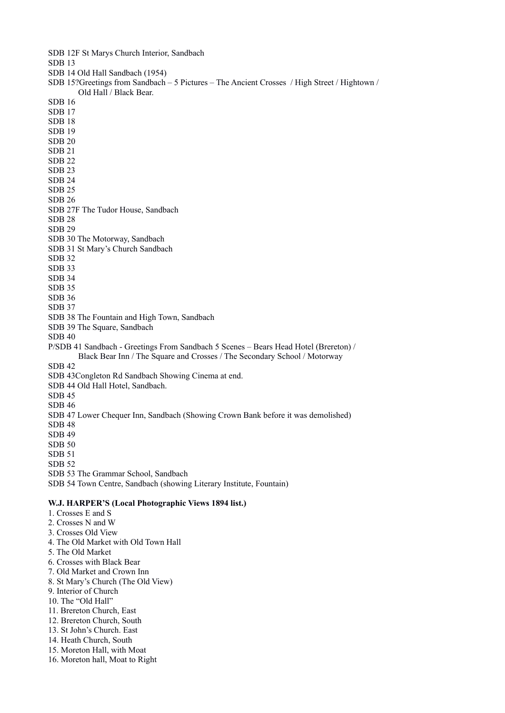SDB 12F St Marys Church Interior, Sandbach SDB 13 SDB 14 Old Hall Sandbach (1954) SDB 15?Greetings from Sandbach – 5 Pictures – The Ancient Crosses / High Street / Hightown / Old Hall / Black Bear. SDB 16 SDB 17 SDB 18 SDB 19 SDB 20 SDB 21 SDB 22 SDB 23 SDB 24 SDB 25 SDB 26 SDB 27F The Tudor House, Sandbach SDB 28 SDB 29 SDB 30 The Motorway, Sandbach SDB 31 St Mary's Church Sandbach SDB 32 SDB 33 SDB 34 SDB 35 SDB 36 SDB 37 SDB 38 The Fountain and High Town, Sandbach SDB 39 The Square, Sandbach SDB 40 P/SDB 41 Sandbach - Greetings From Sandbach 5 Scenes – Bears Head Hotel (Brereton) / Black Bear Inn / The Square and Crosses / The Secondary School / Motorway SDB 42 SDB 43Congleton Rd Sandbach Showing Cinema at end. SDB 44 Old Hall Hotel, Sandbach. SDB 45 SDB 46 SDB 47 Lower Chequer Inn, Sandbach (Showing Crown Bank before it was demolished) SDB 48 SDB 49 SDB 50 SDB 51 SDB 52 SDB 53 The Grammar School, Sandbach SDB 54 Town Centre, Sandbach (showing Literary Institute, Fountain) **W.J. HARPER'S (Local Photographic Views 1894 list.)**  1. Crosses E and S 2. Crosses N and W 3. Crosses Old View 4. The Old Market with Old Town Hall 5. The Old Market 6. Crosses with Black Bear 7. Old Market and Crown Inn 8. St Mary's Church (The Old View) 9. Interior of Church 10. The "Old Hall"

- 11. Brereton Church, East
- 12. Brereton Church, South
- 13. St John's Church. East
- 14. Heath Church, South
- 15. Moreton Hall, with Moat
- 16. Moreton hall, Moat to Right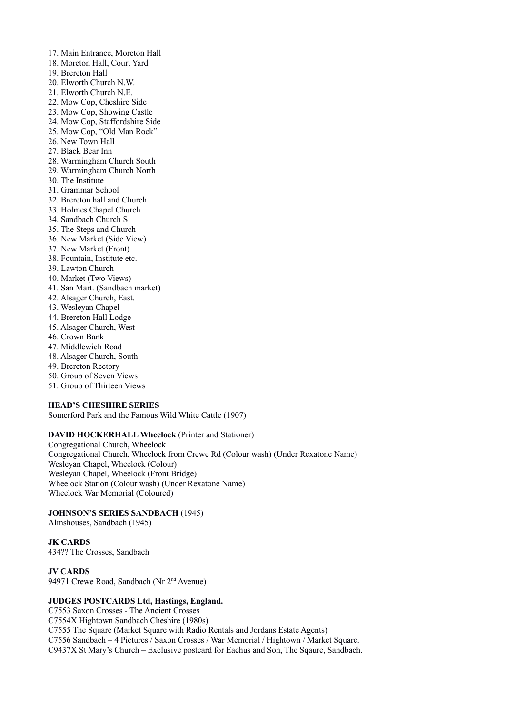- 17. Main Entrance, Moreton Hall
- 18. Moreton Hall, Court Yard
- 19. Brereton Hall
- 20. Elworth Church N.W.
- 21. Elworth Church N.E.
- 22. Mow Cop, Cheshire Side
- 23. Mow Cop, Showing Castle
- 24. Mow Cop, Staffordshire Side
- 25. Mow Cop, "Old Man Rock"
- 26. New Town Hall
- 27. Black Bear Inn
- 28. Warmingham Church South
- 29. Warmingham Church North
- 30. The Institute
- 31. Grammar School
- 32. Brereton hall and Church
- 33. Holmes Chapel Church
- 34. Sandbach Church S
- 35. The Steps and Church
- 36. New Market (Side View)
- 37. New Market (Front)
- 38. Fountain, Institute etc.
- 39. Lawton Church
- 40. Market (Two Views)
- 41. San Mart. (Sandbach market)
- 42. Alsager Church, East.
- 43. Wesleyan Chapel
- 44. Brereton Hall Lodge
- 45. Alsager Church, West
- 46. Crown Bank
- 47. Middlewich Road
- 48. Alsager Church, South
- 49. Brereton Rectory
- 50. Group of Seven Views
- 51. Group of Thirteen Views

## **HEAD'S CHESHIRE SERIES**

Somerford Park and the Famous Wild White Cattle (1907)

# **DAVID HOCKERHALL Wheelock** (Printer and Stationer)

Congregational Church, Wheelock Congregational Church, Wheelock from Crewe Rd (Colour wash) (Under Rexatone Name) Wesleyan Chapel, Wheelock (Colour) Wesleyan Chapel, Wheelock (Front Bridge) Wheelock Station (Colour wash) (Under Rexatone Name) Wheelock War Memorial (Coloured)

## **JOHNSON'S SERIES SANDBACH** (1945)

Almshouses, Sandbach (1945)

#### **JK CARDS**  434?? The Crosses, Sandbach

**JV CARDS** 

94971 Crewe Road, Sandbach (Nr 2<sup>nd</sup> Avenue)

# **JUDGES POSTCARDS Ltd, Hastings, England.**

C7553 Saxon Crosses - The Ancient Crosses C7554X Hightown Sandbach Cheshire (1980s) C7555 The Square (Market Square with Radio Rentals and Jordans Estate Agents) C7556 Sandbach – 4 Pictures / Saxon Crosses / War Memorial / Hightown / Market Square. C9437X St Mary's Church – Exclusive postcard for Eachus and Son, The Sqaure, Sandbach.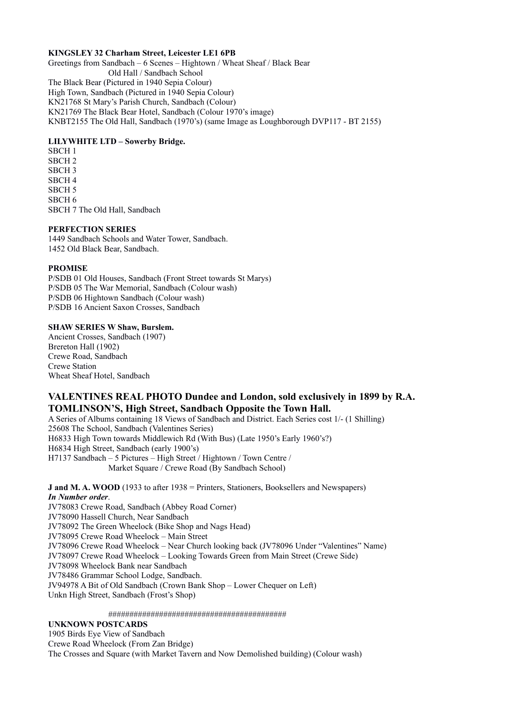## **KINGSLEY 32 Charham Street, Leicester LE1 6PB**

Greetings from Sandbach – 6 Scenes – Hightown / Wheat Sheaf / Black Bear Old Hall / Sandbach School The Black Bear (Pictured in 1940 Sepia Colour) High Town, Sandbach (Pictured in 1940 Sepia Colour) KN21768 St Mary's Parish Church, Sandbach (Colour) KN21769 The Black Bear Hotel, Sandbach (Colour 1970's image) KNBT2155 The Old Hall, Sandbach (1970's) (same Image as Loughborough DVP117 - BT 2155)

# **LILYWHITE LTD – Sowerby Bridge.**

SBCH 1 SBCH 2 SBCH 3 SBCH 4 SBCH 5 SBCH 6 SBCH 7 The Old Hall, Sandbach

## **PERFECTION SERIES**

1449 Sandbach Schools and Water Tower, Sandbach. 1452 Old Black Bear, Sandbach.

# **PROMISE**

P/SDB 01 Old Houses, Sandbach (Front Street towards St Marys) P/SDB 05 The War Memorial, Sandbach (Colour wash) P/SDB 06 Hightown Sandbach (Colour wash) P/SDB 16 Ancient Saxon Crosses, Sandbach

# **SHAW SERIES W Shaw, Burslem.**

Ancient Crosses, Sandbach (1907) Brereton Hall (1902) Crewe Road, Sandbach Crewe Station Wheat Sheaf Hotel, Sandbach

# **VALENTINES REAL PHOTO Dundee and London, sold exclusively in 1899 by R.A. TOMLINSON'S, High Street, Sandbach Opposite the Town Hall.**

A Series of Albums containing 18 Views of Sandbach and District. Each Series cost 1/- (1 Shilling) 25608 The School, Sandbach (Valentines Series) H6833 High Town towards Middlewich Rd (With Bus) (Late 1950's Early 1960's?) H6834 High Street, Sandbach (early 1900's) H7137 Sandbach – 5 Pictures – High Street / Hightown / Town Centre / Market Square / Crewe Road (By Sandbach School)

**J and M. A. WOOD** (1933 to after 1938 = Printers, Stationers, Booksellers and Newspapers) *In Number order*. JV78083 Crewe Road, Sandbach (Abbey Road Corner) JV78090 Hassell Church, Near Sandbach JV78092 The Green Wheelock (Bike Shop and Nags Head) JV78095 Crewe Road Wheelock – Main Street JV78096 Crewe Road Wheelock – Near Church looking back (JV78096 Under "Valentines" Name) JV78097 Crewe Road Wheelock – Looking Towards Green from Main Street (Crewe Side) JV78098 Wheelock Bank near Sandbach JV78486 Grammar School Lodge, Sandbach. JV94978 A Bit of Old Sandbach (Crown Bank Shop – Lower Chequer on Left) Unkn High Street, Sandbach (Frost's Shop)

##########################################

# **UNKNOWN POSTCARDS**

1905 Birds Eye View of Sandbach Crewe Road Wheelock (From Zan Bridge) The Crosses and Square (with Market Tavern and Now Demolished building) (Colour wash)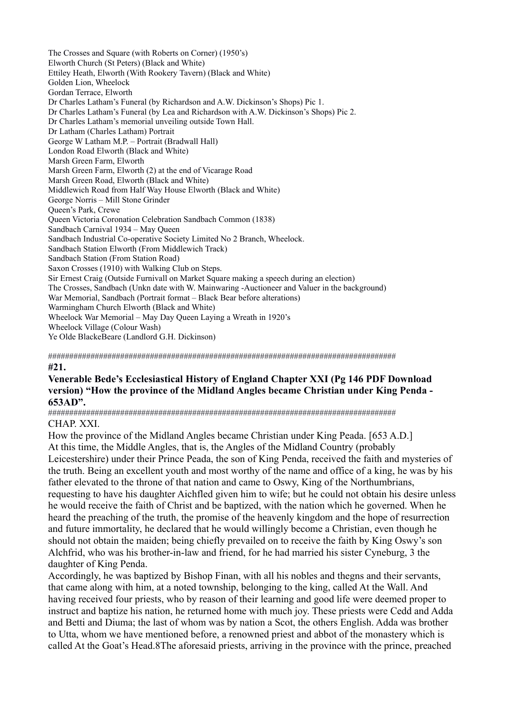The Crosses and Square (with Roberts on Corner) (1950's) Elworth Church (St Peters) (Black and White) Ettiley Heath, Elworth (With Rookery Tavern) (Black and White) Golden Lion, Wheelock Gordan Terrace, Elworth Dr Charles Latham's Funeral (by Richardson and A.W. Dickinson's Shops) Pic 1. Dr Charles Latham's Funeral (by Lea and Richardson with A.W. Dickinson's Shops) Pic 2. Dr Charles Latham's memorial unveiling outside Town Hall. Dr Latham (Charles Latham) Portrait George W Latham M.P. – Portrait (Bradwall Hall) London Road Elworth (Black and White) Marsh Green Farm, Elworth Marsh Green Farm, Elworth (2) at the end of Vicarage Road Marsh Green Road, Elworth (Black and White) Middlewich Road from Half Way House Elworth (Black and White) George Norris – Mill Stone Grinder Queen's Park, Crewe Queen Victoria Coronation Celebration Sandbach Common (1838) Sandbach Carnival 1934 – May Queen Sandbach Industrial Co-operative Society Limited No 2 Branch, Wheelock. Sandbach Station Elworth (From Middlewich Track) Sandbach Station (From Station Road) Saxon Crosses (1910) with Walking Club on Steps. Sir Ernest Craig (Outside Furnivall on Market Square making a speech during an election) The Crosses, Sandbach (Unkn date with W. Mainwaring -Auctioneer and Valuer in the background) War Memorial, Sandbach (Portrait format – Black Bear before alterations) Warmingham Church Elworth (Black and White) Wheelock War Memorial – May Day Queen Laying a Wreath in 1920's Wheelock Village (Colour Wash) Ye Olde BlackeBeare (Landlord G.H. Dickinson)

################################################################################## **#21.** 

# **Venerable Bede's Ecclesiastical History of England Chapter XXI (Pg 146 PDF Download version) "How the province of the Midland Angles became Christian under King Penda - 653AD".**

################################################################################## CHAP. XXI.

How the province of the Midland Angles became Christian under King Peada. [653 A.D.] At this time, the Middle Angles, that is, the Angles of the Midland Country (probably Leicestershire) under their Prince Peada, the son of King Penda, received the faith and mysteries of the truth. Being an excellent youth and most worthy of the name and office of a king, he was by his father elevated to the throne of that nation and came to Oswy, King of the Northumbrians, requesting to have his daughter Aichfled given him to wife; but he could not obtain his desire unless he would receive the faith of Christ and be baptized, with the nation which he governed. When he heard the preaching of the truth, the promise of the heavenly kingdom and the hope of resurrection and future immortality, he declared that he would willingly become a Christian, even though he should not obtain the maiden; being chiefly prevailed on to receive the faith by King Oswy's son Alchfrid, who was his brother-in-law and friend, for he had married his sister Cyneburg, 3 the daughter of King Penda.

Accordingly, he was baptized by Bishop Finan, with all his nobles and thegns and their servants, that came along with him, at a noted township, belonging to the king, called At the Wall. And having received four priests, who by reason of their learning and good life were deemed proper to instruct and baptize his nation, he returned home with much joy. These priests were Cedd and Adda and Betti and Diuma; the last of whom was by nation a Scot, the others English. Adda was brother to Utta, whom we have mentioned before, a renowned priest and abbot of the monastery which is called At the Goat's Head.8The aforesaid priests, arriving in the province with the prince, preached